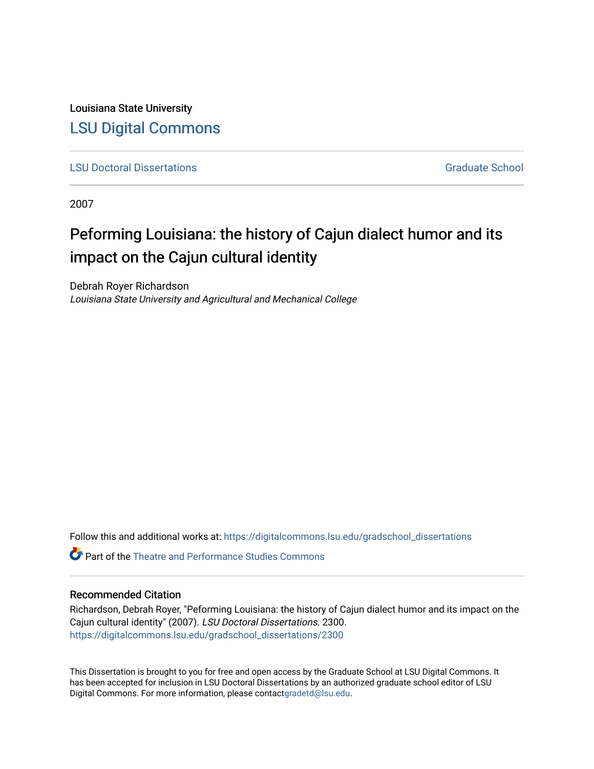Louisiana State University [LSU Digital Commons](https://digitalcommons.lsu.edu/)

**[LSU Doctoral Dissertations](https://digitalcommons.lsu.edu/gradschool_dissertations) Graduate School** Controller Controller Controller Controller Controller Controller Controller Controller Controller Controller Controller Controller Controller Controller Controller Controller C

2007

# Peforming Louisiana: the history of Cajun dialect humor and its impact on the Cajun cultural identity

Debrah Royer Richardson Louisiana State University and Agricultural and Mechanical College

Follow this and additional works at: [https://digitalcommons.lsu.edu/gradschool\\_dissertations](https://digitalcommons.lsu.edu/gradschool_dissertations?utm_source=digitalcommons.lsu.edu%2Fgradschool_dissertations%2F2300&utm_medium=PDF&utm_campaign=PDFCoverPages)

 $\bullet$  Part of the Theatre and Performance Studies Commons

### Recommended Citation

Richardson, Debrah Royer, "Peforming Louisiana: the history of Cajun dialect humor and its impact on the Cajun cultural identity" (2007). LSU Doctoral Dissertations. 2300. [https://digitalcommons.lsu.edu/gradschool\\_dissertations/2300](https://digitalcommons.lsu.edu/gradschool_dissertations/2300?utm_source=digitalcommons.lsu.edu%2Fgradschool_dissertations%2F2300&utm_medium=PDF&utm_campaign=PDFCoverPages)

This Dissertation is brought to you for free and open access by the Graduate School at LSU Digital Commons. It has been accepted for inclusion in LSU Doctoral Dissertations by an authorized graduate school editor of LSU Digital Commons. For more information, please contac[tgradetd@lsu.edu.](mailto:gradetd@lsu.edu)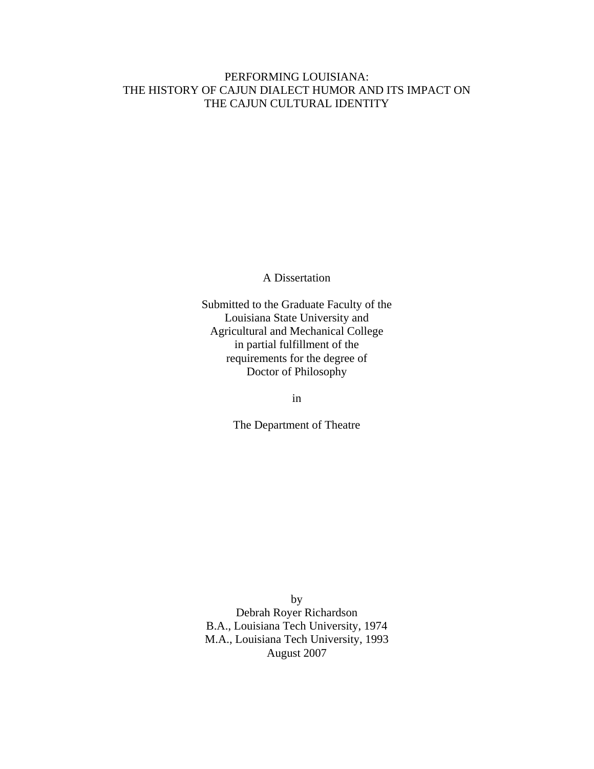### PERFORMING LOUISIANA: THE HISTORY OF CAJUN DIALECT HUMOR AND ITS IMPACT ON THE CAJUN CULTURAL IDENTITY

A Dissertation

Submitted to the Graduate Faculty of the Louisiana State University and Agricultural and Mechanical College in partial fulfillment of the requirements for the degree of Doctor of Philosophy

in

The Department of Theatre

by Debrah Royer Richardson B.A., Louisiana Tech University, 1974 M.A., Louisiana Tech University, 1993 August 2007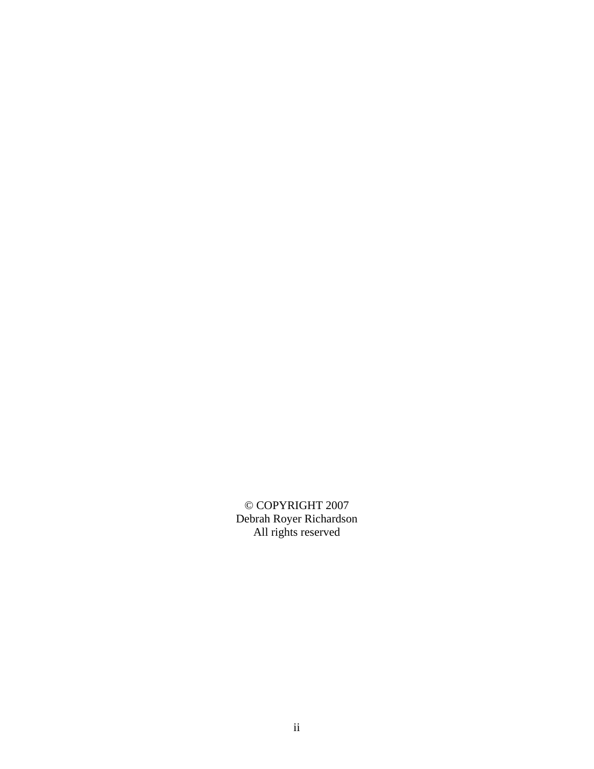© COPYRIGHT 2007 Debrah Royer Richardson All rights reserved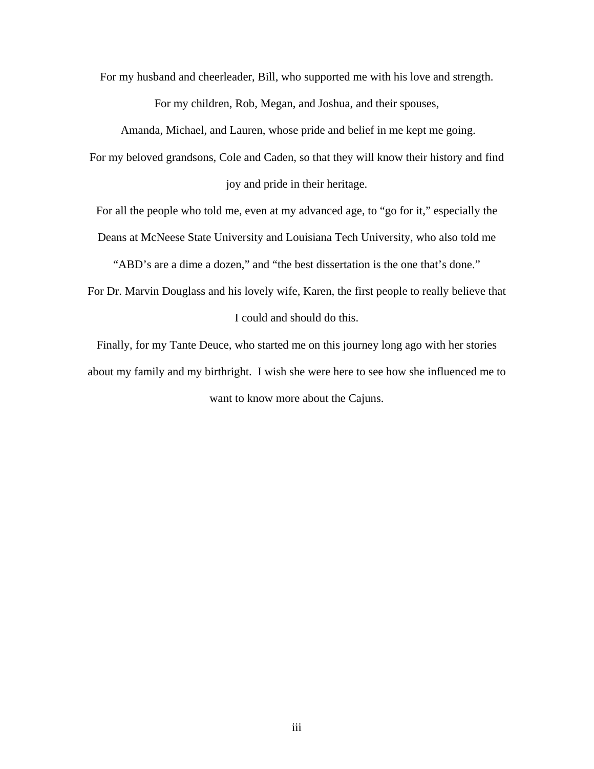For my husband and cheerleader, Bill, who supported me with his love and strength.

For my children, Rob, Megan, and Joshua, and their spouses,

Amanda, Michael, and Lauren, whose pride and belief in me kept me going.

For my beloved grandsons, Cole and Caden, so that they will know their history and find

joy and pride in their heritage.

For all the people who told me, even at my advanced age, to "go for it," especially the

Deans at McNeese State University and Louisiana Tech University, who also told me

"ABD's are a dime a dozen," and "the best dissertation is the one that's done."

For Dr. Marvin Douglass and his lovely wife, Karen, the first people to really believe that I could and should do this.

Finally, for my Tante Deuce, who started me on this journey long ago with her stories about my family and my birthright. I wish she were here to see how she influenced me to want to know more about the Cajuns.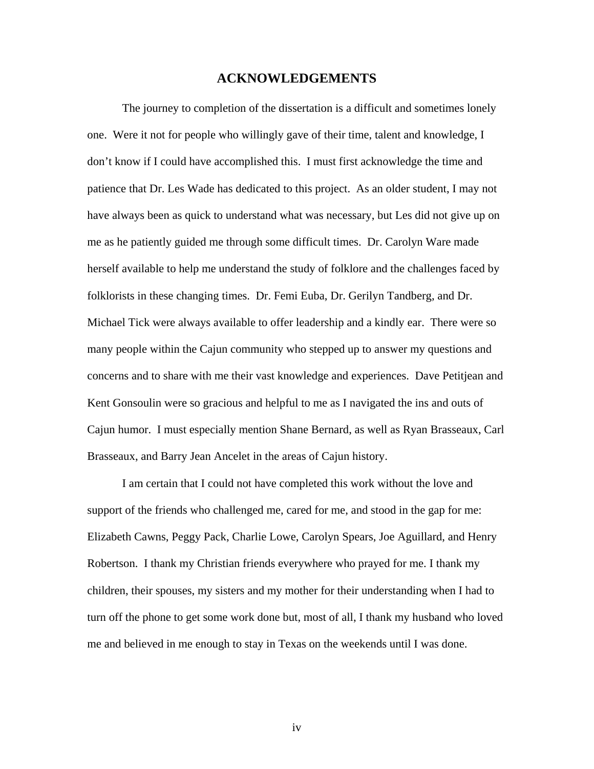### **ACKNOWLEDGEMENTS**

The journey to completion of the dissertation is a difficult and sometimes lonely one. Were it not for people who willingly gave of their time, talent and knowledge, I don't know if I could have accomplished this. I must first acknowledge the time and patience that Dr. Les Wade has dedicated to this project. As an older student, I may not have always been as quick to understand what was necessary, but Les did not give up on me as he patiently guided me through some difficult times. Dr. Carolyn Ware made herself available to help me understand the study of folklore and the challenges faced by folklorists in these changing times. Dr. Femi Euba, Dr. Gerilyn Tandberg, and Dr. Michael Tick were always available to offer leadership and a kindly ear. There were so many people within the Cajun community who stepped up to answer my questions and concerns and to share with me their vast knowledge and experiences. Dave Petitjean and Kent Gonsoulin were so gracious and helpful to me as I navigated the ins and outs of Cajun humor. I must especially mention Shane Bernard, as well as Ryan Brasseaux, Carl Brasseaux, and Barry Jean Ancelet in the areas of Cajun history.

I am certain that I could not have completed this work without the love and support of the friends who challenged me, cared for me, and stood in the gap for me: Elizabeth Cawns, Peggy Pack, Charlie Lowe, Carolyn Spears, Joe Aguillard, and Henry Robertson. I thank my Christian friends everywhere who prayed for me. I thank my children, their spouses, my sisters and my mother for their understanding when I had to turn off the phone to get some work done but, most of all, I thank my husband who loved me and believed in me enough to stay in Texas on the weekends until I was done.

iv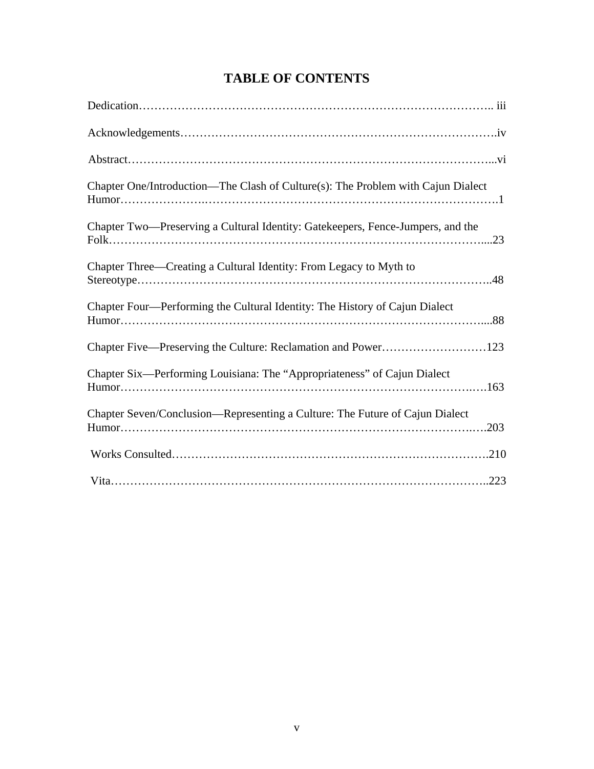## **TABLE OF CONTENTS**

| Chapter One/Introduction—The Clash of Culture(s): The Problem with Cajun Dialect     |
|--------------------------------------------------------------------------------------|
| Chapter Two—Preserving a Cultural Identity: Gatekeepers, Fence-Jumpers, and the      |
| Chapter Three—Creating a Cultural Identity: From Legacy to Myth to                   |
| Chapter Four—Performing the Cultural Identity: The History of Cajun Dialect          |
| Chapter Five—Preserving the Culture: Reclamation and Power123                        |
| Chapter Six—Performing Louisiana: The "Appropriateness" of Cajun Dialect             |
| Chapter Seven/Conclusion—Representing a Culture: The Future of Cajun Dialect<br>.203 |
|                                                                                      |
|                                                                                      |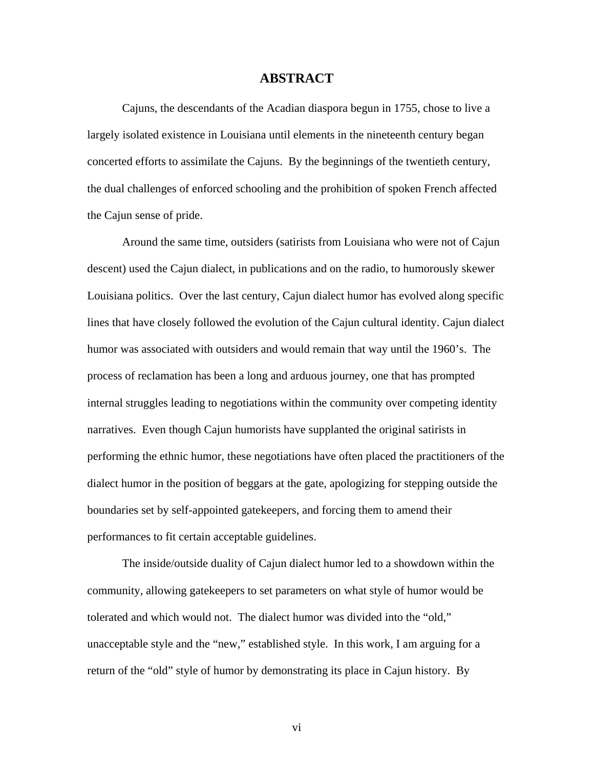### **ABSTRACT**

Cajuns, the descendants of the Acadian diaspora begun in 1755, chose to live a largely isolated existence in Louisiana until elements in the nineteenth century began concerted efforts to assimilate the Cajuns. By the beginnings of the twentieth century, the dual challenges of enforced schooling and the prohibition of spoken French affected the Cajun sense of pride.

Around the same time, outsiders (satirists from Louisiana who were not of Cajun descent) used the Cajun dialect, in publications and on the radio, to humorously skewer Louisiana politics. Over the last century, Cajun dialect humor has evolved along specific lines that have closely followed the evolution of the Cajun cultural identity. Cajun dialect humor was associated with outsiders and would remain that way until the 1960's. The process of reclamation has been a long and arduous journey, one that has prompted internal struggles leading to negotiations within the community over competing identity narratives. Even though Cajun humorists have supplanted the original satirists in performing the ethnic humor, these negotiations have often placed the practitioners of the dialect humor in the position of beggars at the gate, apologizing for stepping outside the boundaries set by self-appointed gatekeepers, and forcing them to amend their performances to fit certain acceptable guidelines.

The inside/outside duality of Cajun dialect humor led to a showdown within the community, allowing gatekeepers to set parameters on what style of humor would be tolerated and which would not. The dialect humor was divided into the "old," unacceptable style and the "new," established style. In this work, I am arguing for a return of the "old" style of humor by demonstrating its place in Cajun history. By

vi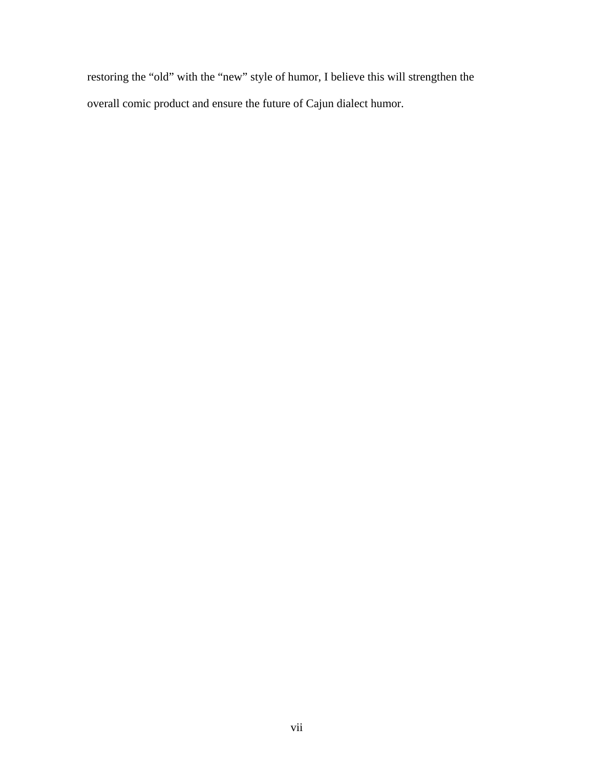restoring the "old" with the "new" style of humor, I believe this will strengthen the overall comic product and ensure the future of Cajun dialect humor.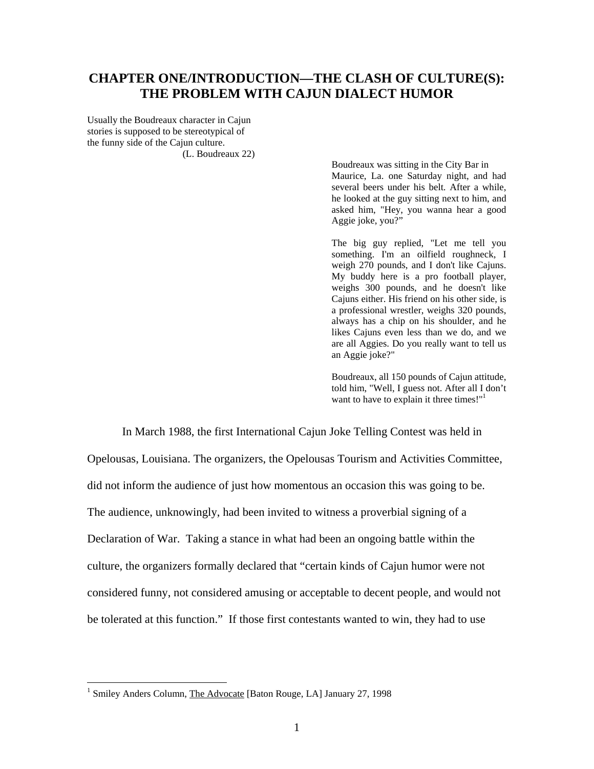### **CHAPTER ONE/INTRODUCTION—THE CLASH OF CULTURE(S): THE PROBLEM WITH CAJUN DIALECT HUMOR**

Usually the Boudreaux character in Cajun stories is supposed to be stereotypical of the funny side of the Cajun culture. (L. Boudreaux 22)

> Boudreaux was sitting in the City Bar in Maurice, La. one Saturday night, and had several beers under his belt. After a while, he looked at the guy sitting next to him, and asked him, "Hey, you wanna hear a good Aggie joke, you?"

> The big guy replied, "Let me tell you something. I'm an oilfield roughneck, I weigh 270 pounds, and I don't like Cajuns. My buddy here is a pro football player, weighs 300 pounds, and he doesn't like Cajuns either. His friend on his other side, is a professional wrestler, weighs 320 pounds, always has a chip on his shoulder, and he likes Cajuns even less than we do, and we are all Aggies. Do you really want to tell us an Aggie joke?"

> Boudreaux, all 150 pounds of Cajun attitude, told him, "Well, I guess not. After all I don't want to have to explain it three times!"<sup>1</sup>

In March 1988, the first International Cajun Joke Telling Contest was held in Opelousas, Louisiana. The organizers, the Opelousas Tourism and Activities Committee, did not inform the audience of just how momentous an occasion this was going to be. The audience, unknowingly, had been invited to witness a proverbial signing of a Declaration of War. Taking a stance in what had been an ongoing battle within the culture, the organizers formally declared that "certain kinds of Cajun humor were not considered funny, not considered amusing or acceptable to decent people, and would not be tolerated at this function." If those first contestants wanted to win, they had to use

 $\overline{a}$ 

<span id="page-8-0"></span><sup>&</sup>lt;sup>1</sup> Smiley Anders Column, The Advocate [Baton Rouge, LA] January 27, 1998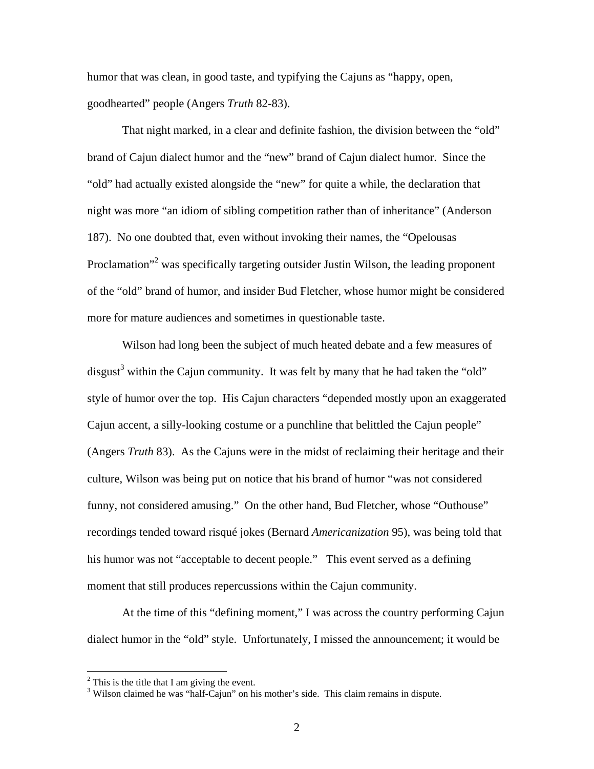humor that was clean, in good taste, and typifying the Cajuns as "happy, open, goodhearted" people (Angers *Truth* 82-83).

That night marked, in a clear and definite fashion, the division between the "old" brand of Cajun dialect humor and the "new" brand of Cajun dialect humor. Since the "old" had actually existed alongside the "new" for quite a while, the declaration that night was more "an idiom of sibling competition rather than of inheritance" (Anderson 187). No one doubted that, even without invoking their names, the "Opelousas Proclamation<sup>3[2](#page-9-0)</sup> was specifically targeting outsider Justin Wilson, the leading proponent of the "old" brand of humor, and insider Bud Fletcher, whose humor might be considered more for mature audiences and sometimes in questionable taste.

Wilson had long been the subject of much heated debate and a few measures of disgust<sup>[3](#page-9-1)</sup> within the Cajun community. It was felt by many that he had taken the "old" style of humor over the top. His Cajun characters "depended mostly upon an exaggerated Cajun accent, a silly-looking costume or a punchline that belittled the Cajun people" (Angers *Truth* 83). As the Cajuns were in the midst of reclaiming their heritage and their culture, Wilson was being put on notice that his brand of humor "was not considered funny, not considered amusing." On the other hand, Bud Fletcher, whose "Outhouse" recordings tended toward risqué jokes (Bernard *Americanization* 95), was being told that his humor was not "acceptable to decent people." This event served as a defining moment that still produces repercussions within the Cajun community.

At the time of this "defining moment," I was across the country performing Cajun dialect humor in the "old" style. Unfortunately, I missed the announcement; it would be

 $\overline{a}$ 

<span id="page-9-0"></span><sup>&</sup>lt;sup>2</sup> This is the title that I am giving the event.<br><sup>3</sup> Wilson claimed be use "belf Cojun" on his

<span id="page-9-1"></span><sup>&</sup>lt;sup>3</sup> Wilson claimed he was "half-Cajun" on his mother's side. This claim remains in dispute.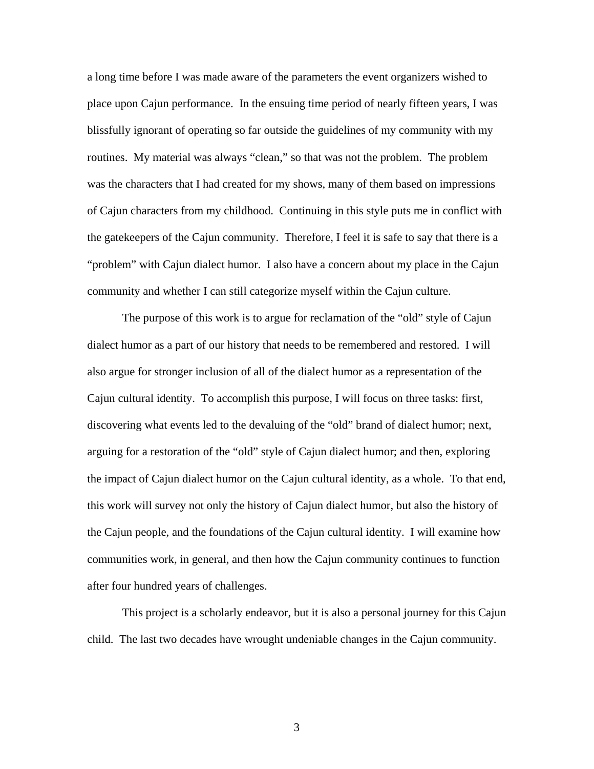a long time before I was made aware of the parameters the event organizers wished to place upon Cajun performance. In the ensuing time period of nearly fifteen years, I was blissfully ignorant of operating so far outside the guidelines of my community with my routines. My material was always "clean," so that was not the problem. The problem was the characters that I had created for my shows, many of them based on impressions of Cajun characters from my childhood. Continuing in this style puts me in conflict with the gatekeepers of the Cajun community. Therefore, I feel it is safe to say that there is a "problem" with Cajun dialect humor. I also have a concern about my place in the Cajun community and whether I can still categorize myself within the Cajun culture.

The purpose of this work is to argue for reclamation of the "old" style of Cajun dialect humor as a part of our history that needs to be remembered and restored. I will also argue for stronger inclusion of all of the dialect humor as a representation of the Cajun cultural identity. To accomplish this purpose, I will focus on three tasks: first, discovering what events led to the devaluing of the "old" brand of dialect humor; next, arguing for a restoration of the "old" style of Cajun dialect humor; and then, exploring the impact of Cajun dialect humor on the Cajun cultural identity, as a whole. To that end, this work will survey not only the history of Cajun dialect humor, but also the history of the Cajun people, and the foundations of the Cajun cultural identity. I will examine how communities work, in general, and then how the Cajun community continues to function after four hundred years of challenges.

This project is a scholarly endeavor, but it is also a personal journey for this Cajun child. The last two decades have wrought undeniable changes in the Cajun community.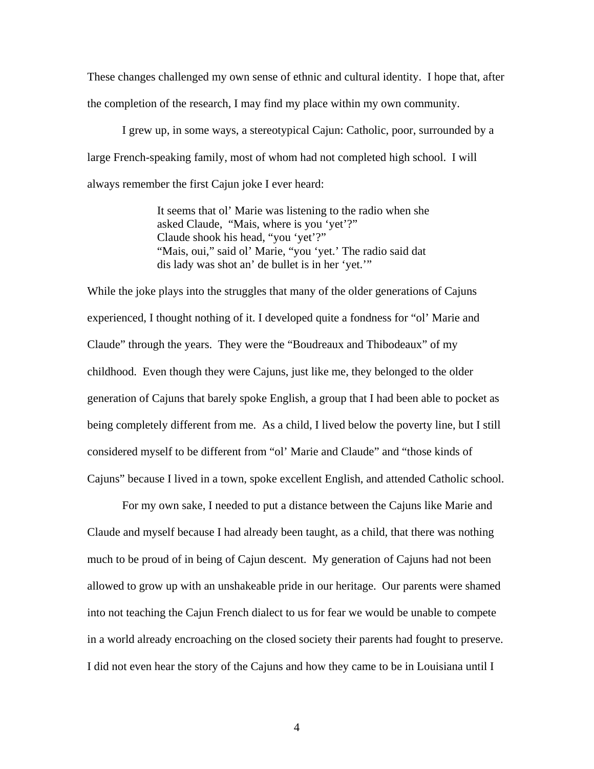These changes challenged my own sense of ethnic and cultural identity. I hope that, after the completion of the research, I may find my place within my own community.

I grew up, in some ways, a stereotypical Cajun: Catholic, poor, surrounded by a large French-speaking family, most of whom had not completed high school. I will always remember the first Cajun joke I ever heard:

> It seems that ol' Marie was listening to the radio when she asked Claude, "Mais, where is you 'yet'?" Claude shook his head, "you 'yet'?" "Mais, oui," said ol' Marie, "you 'yet.' The radio said dat dis lady was shot an' de bullet is in her 'yet.'"

While the joke plays into the struggles that many of the older generations of Cajuns experienced, I thought nothing of it. I developed quite a fondness for "ol' Marie and Claude" through the years. They were the "Boudreaux and Thibodeaux" of my childhood. Even though they were Cajuns, just like me, they belonged to the older generation of Cajuns that barely spoke English, a group that I had been able to pocket as being completely different from me. As a child, I lived below the poverty line, but I still considered myself to be different from "ol' Marie and Claude" and "those kinds of Cajuns" because I lived in a town, spoke excellent English, and attended Catholic school.

For my own sake, I needed to put a distance between the Cajuns like Marie and Claude and myself because I had already been taught, as a child, that there was nothing much to be proud of in being of Cajun descent. My generation of Cajuns had not been allowed to grow up with an unshakeable pride in our heritage. Our parents were shamed into not teaching the Cajun French dialect to us for fear we would be unable to compete in a world already encroaching on the closed society their parents had fought to preserve. I did not even hear the story of the Cajuns and how they came to be in Louisiana until I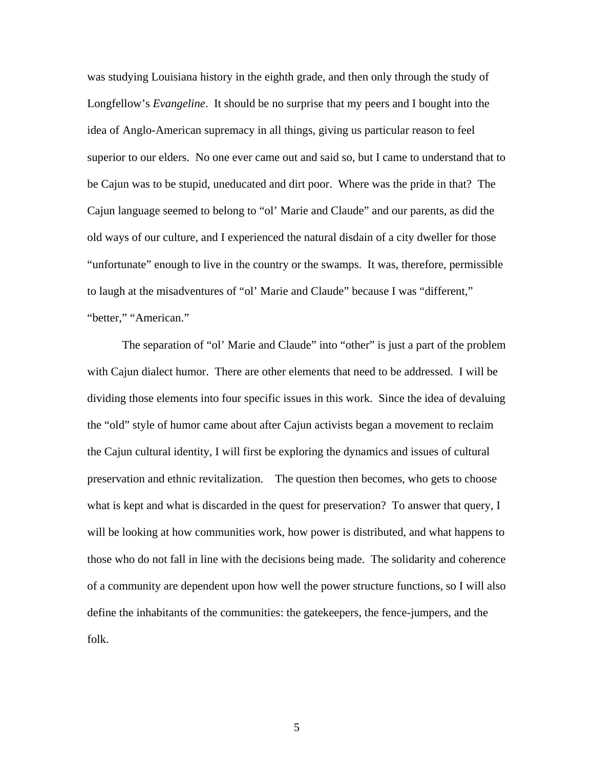was studying Louisiana history in the eighth grade, and then only through the study of Longfellow's *Evangeline*. It should be no surprise that my peers and I bought into the idea of Anglo-American supremacy in all things, giving us particular reason to feel superior to our elders. No one ever came out and said so, but I came to understand that to be Cajun was to be stupid, uneducated and dirt poor. Where was the pride in that? The Cajun language seemed to belong to "ol' Marie and Claude" and our parents, as did the old ways of our culture, and I experienced the natural disdain of a city dweller for those "unfortunate" enough to live in the country or the swamps. It was, therefore, permissible to laugh at the misadventures of "ol' Marie and Claude" because I was "different," "better," "American."

The separation of "ol' Marie and Claude" into "other" is just a part of the problem with Cajun dialect humor. There are other elements that need to be addressed. I will be dividing those elements into four specific issues in this work. Since the idea of devaluing the "old" style of humor came about after Cajun activists began a movement to reclaim the Cajun cultural identity, I will first be exploring the dynamics and issues of cultural preservation and ethnic revitalization. The question then becomes, who gets to choose what is kept and what is discarded in the quest for preservation? To answer that query, I will be looking at how communities work, how power is distributed, and what happens to those who do not fall in line with the decisions being made. The solidarity and coherence of a community are dependent upon how well the power structure functions, so I will also define the inhabitants of the communities: the gatekeepers, the fence-jumpers, and the folk.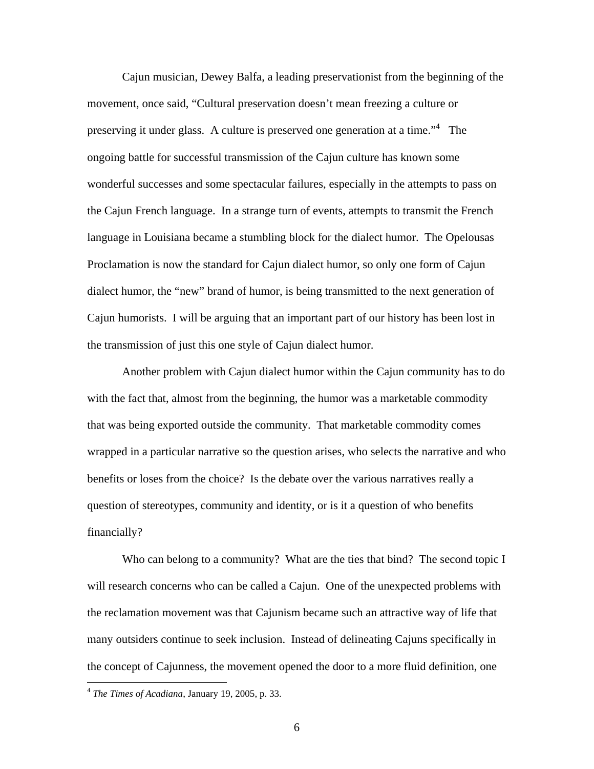Cajun musician, Dewey Balfa, a leading preservationist from the beginning of the movement, once said, "Cultural preservation doesn't mean freezing a culture or preserving it under glass. A culture is preserved one generation at a time."<sup>[4](#page-13-0)</sup> The ongoing battle for successful transmission of the Cajun culture has known some wonderful successes and some spectacular failures, especially in the attempts to pass on the Cajun French language. In a strange turn of events, attempts to transmit the French language in Louisiana became a stumbling block for the dialect humor. The Opelousas Proclamation is now the standard for Cajun dialect humor, so only one form of Cajun dialect humor, the "new" brand of humor, is being transmitted to the next generation of Cajun humorists. I will be arguing that an important part of our history has been lost in the transmission of just this one style of Cajun dialect humor.

Another problem with Cajun dialect humor within the Cajun community has to do with the fact that, almost from the beginning, the humor was a marketable commodity that was being exported outside the community. That marketable commodity comes wrapped in a particular narrative so the question arises, who selects the narrative and who benefits or loses from the choice? Is the debate over the various narratives really a question of stereotypes, community and identity, or is it a question of who benefits financially?

Who can belong to a community? What are the ties that bind? The second topic I will research concerns who can be called a Cajun. One of the unexpected problems with the reclamation movement was that Cajunism became such an attractive way of life that many outsiders continue to seek inclusion. Instead of delineating Cajuns specifically in the concept of Cajunness, the movement opened the door to a more fluid definition, one

 $\overline{a}$ 

<span id="page-13-0"></span><sup>4</sup> *The Times of Acadiana*, January 19, 2005, p. 33.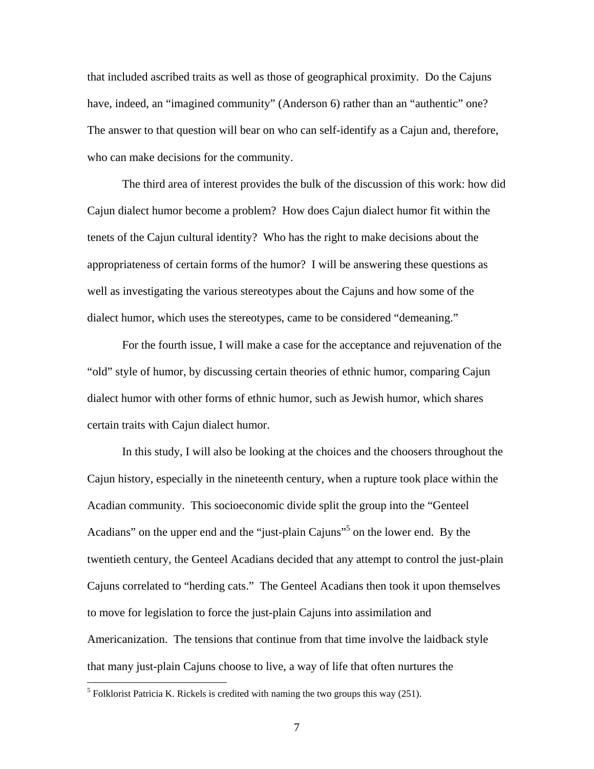that included ascribed traits as well as those of geographical proximity. Do the Cajuns have, indeed, an "imagined community" (Anderson 6) rather than an "authentic" one? The answer to that question will bear on who can self-identify as a Cajun and, therefore, who can make decisions for the community.

The third area of interest provides the bulk of the discussion of this work: how did Cajun dialect humor become a problem? How does Cajun dialect humor fit within the tenets of the Cajun cultural identity? Who has the right to make decisions about the appropriateness of certain forms of the humor? I will be answering these questions as well as investigating the various stereotypes about the Cajuns and how some of the dialect humor, which uses the stereotypes, came to be considered "demeaning."

For the fourth issue, I will make a case for the acceptance and rejuvenation of the "old" style of humor, by discussing certain theories of ethnic humor, comparing Cajun dialect humor with other forms of ethnic humor, such as Jewish humor, which shares certain traits with Cajun dialect humor.

In this study, I will also be looking at the choices and the choosers throughout the Cajun history, especially in the nineteenth century, when a rupture took place within the Acadian community. This socioeconomic divide split the group into the "Genteel Acadians" on the upper end and the "just-plain Cajuns"<sup>5</sup> on the lower end. By the twentieth century, the Genteel Acadians decided that any attempt to control the just-plain Cajuns correlated to "herding cats." The Genteel Acadians then took it upon themselves to move for legislation to force the just-plain Cajuns into assimilation and Americanization. The tensions that continue from that time involve the laidback style that many just-plain Cajuns choose to live, a way of life that often nurtures the

<u>.</u>

<span id="page-14-0"></span><sup>&</sup>lt;sup>5</sup> Folklorist Patricia K. Rickels is credited with naming the two groups this way  $(251)$ .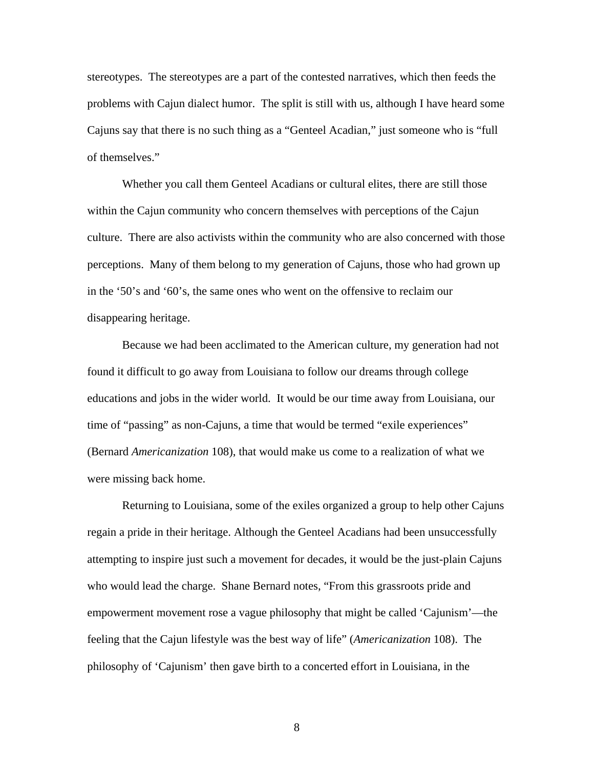stereotypes. The stereotypes are a part of the contested narratives, which then feeds the problems with Cajun dialect humor. The split is still with us, although I have heard some Cajuns say that there is no such thing as a "Genteel Acadian," just someone who is "full of themselves."

Whether you call them Genteel Acadians or cultural elites, there are still those within the Cajun community who concern themselves with perceptions of the Cajun culture. There are also activists within the community who are also concerned with those perceptions. Many of them belong to my generation of Cajuns, those who had grown up in the '50's and '60's, the same ones who went on the offensive to reclaim our disappearing heritage.

Because we had been acclimated to the American culture, my generation had not found it difficult to go away from Louisiana to follow our dreams through college educations and jobs in the wider world. It would be our time away from Louisiana, our time of "passing" as non-Cajuns, a time that would be termed "exile experiences" (Bernard *Americanization* 108), that would make us come to a realization of what we were missing back home.

Returning to Louisiana, some of the exiles organized a group to help other Cajuns regain a pride in their heritage. Although the Genteel Acadians had been unsuccessfully attempting to inspire just such a movement for decades, it would be the just-plain Cajuns who would lead the charge. Shane Bernard notes, "From this grassroots pride and empowerment movement rose a vague philosophy that might be called 'Cajunism'—the feeling that the Cajun lifestyle was the best way of life" (*Americanization* 108). The philosophy of 'Cajunism' then gave birth to a concerted effort in Louisiana, in the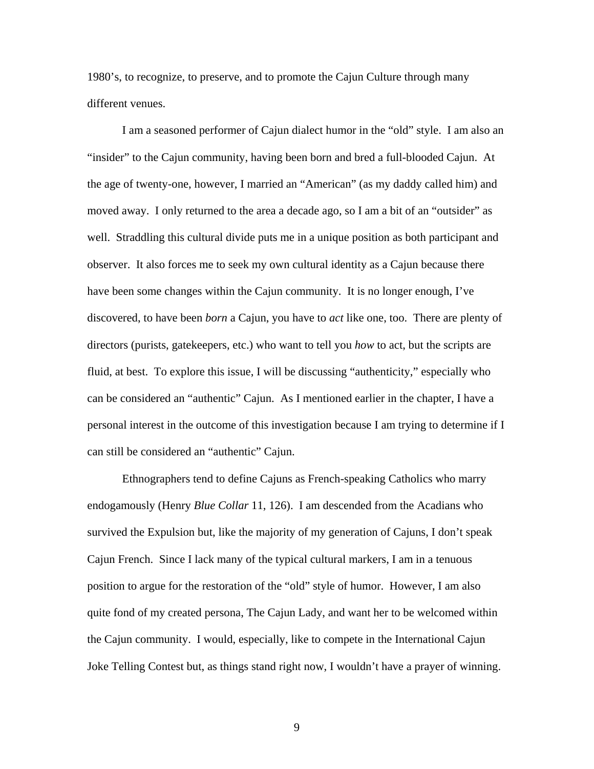1980's, to recognize, to preserve, and to promote the Cajun Culture through many different venues.

I am a seasoned performer of Cajun dialect humor in the "old" style. I am also an "insider" to the Cajun community, having been born and bred a full-blooded Cajun. At the age of twenty-one, however, I married an "American" (as my daddy called him) and moved away. I only returned to the area a decade ago, so I am a bit of an "outsider" as well. Straddling this cultural divide puts me in a unique position as both participant and observer. It also forces me to seek my own cultural identity as a Cajun because there have been some changes within the Cajun community. It is no longer enough, I've discovered, to have been *born* a Cajun, you have to *act* like one, too. There are plenty of directors (purists, gatekeepers, etc.) who want to tell you *how* to act, but the scripts are fluid, at best. To explore this issue, I will be discussing "authenticity," especially who can be considered an "authentic" Cajun. As I mentioned earlier in the chapter, I have a personal interest in the outcome of this investigation because I am trying to determine if I can still be considered an "authentic" Cajun.

Ethnographers tend to define Cajuns as French-speaking Catholics who marry endogamously (Henry *Blue Collar* 11, 126). I am descended from the Acadians who survived the Expulsion but, like the majority of my generation of Cajuns, I don't speak Cajun French. Since I lack many of the typical cultural markers, I am in a tenuous position to argue for the restoration of the "old" style of humor. However, I am also quite fond of my created persona, The Cajun Lady, and want her to be welcomed within the Cajun community. I would, especially, like to compete in the International Cajun Joke Telling Contest but, as things stand right now, I wouldn't have a prayer of winning.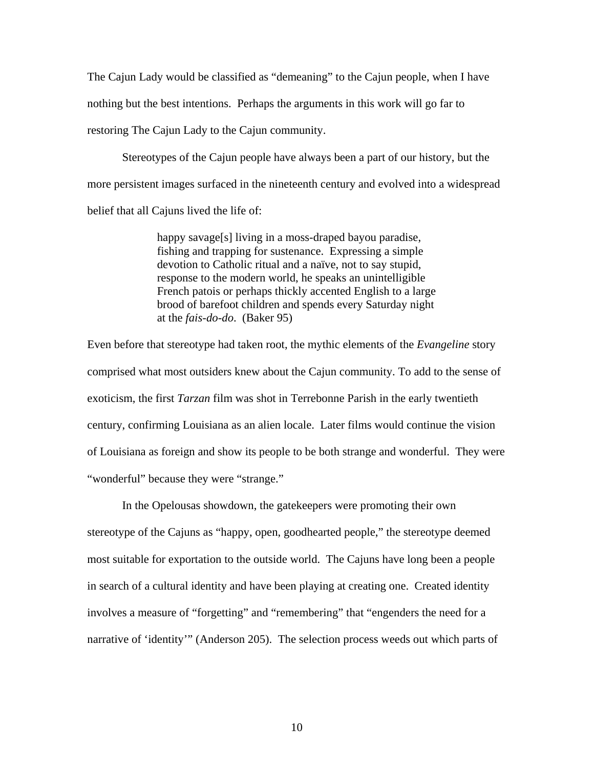The Cajun Lady would be classified as "demeaning" to the Cajun people, when I have nothing but the best intentions. Perhaps the arguments in this work will go far to restoring The Cajun Lady to the Cajun community.

Stereotypes of the Cajun people have always been a part of our history, but the more persistent images surfaced in the nineteenth century and evolved into a widespread belief that all Cajuns lived the life of:

> happy savage[s] living in a moss-draped bayou paradise, fishing and trapping for sustenance. Expressing a simple devotion to Catholic ritual and a naïve, not to say stupid, response to the modern world, he speaks an unintelligible French patois or perhaps thickly accented English to a large brood of barefoot children and spends every Saturday night at the *fais-do-do*. (Baker 95)

Even before that stereotype had taken root, the mythic elements of the *Evangeline* story comprised what most outsiders knew about the Cajun community. To add to the sense of exoticism, the first *Tarzan* film was shot in Terrebonne Parish in the early twentieth century, confirming Louisiana as an alien locale. Later films would continue the vision of Louisiana as foreign and show its people to be both strange and wonderful. They were "wonderful" because they were "strange."

In the Opelousas showdown, the gatekeepers were promoting their own stereotype of the Cajuns as "happy, open, goodhearted people," the stereotype deemed most suitable for exportation to the outside world. The Cajuns have long been a people in search of a cultural identity and have been playing at creating one. Created identity involves a measure of "forgetting" and "remembering" that "engenders the need for a narrative of 'identity'" (Anderson 205). The selection process weeds out which parts of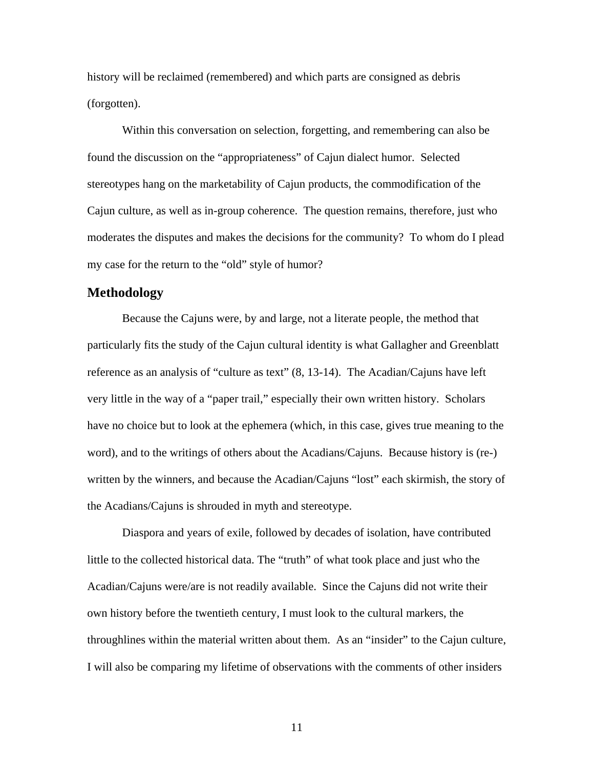history will be reclaimed (remembered) and which parts are consigned as debris (forgotten).

Within this conversation on selection, forgetting, and remembering can also be found the discussion on the "appropriateness" of Cajun dialect humor. Selected stereotypes hang on the marketability of Cajun products, the commodification of the Cajun culture, as well as in-group coherence. The question remains, therefore, just who moderates the disputes and makes the decisions for the community? To whom do I plead my case for the return to the "old" style of humor?

### **Methodology**

Because the Cajuns were, by and large, not a literate people, the method that particularly fits the study of the Cajun cultural identity is what Gallagher and Greenblatt reference as an analysis of "culture as text" (8, 13-14). The Acadian/Cajuns have left very little in the way of a "paper trail," especially their own written history. Scholars have no choice but to look at the ephemera (which, in this case, gives true meaning to the word), and to the writings of others about the Acadians/Cajuns. Because history is (re-) written by the winners, and because the Acadian/Cajuns "lost" each skirmish, the story of the Acadians/Cajuns is shrouded in myth and stereotype.

Diaspora and years of exile, followed by decades of isolation, have contributed little to the collected historical data. The "truth" of what took place and just who the Acadian/Cajuns were/are is not readily available. Since the Cajuns did not write their own history before the twentieth century, I must look to the cultural markers, the throughlines within the material written about them. As an "insider" to the Cajun culture, I will also be comparing my lifetime of observations with the comments of other insiders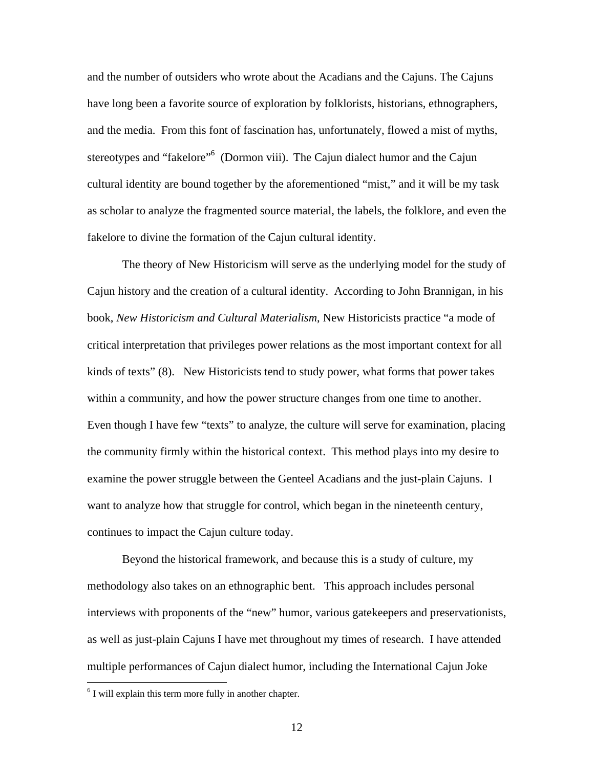and the number of outsiders who wrote about the Acadians and the Cajuns. The Cajuns have long been a favorite source of exploration by folklorists, historians, ethnographers, and the media. From this font of fascination has, unfortunately, flowed a mist of myths, stereotypes and "fakelore"<sup>[6](#page-19-0)</sup> (Dormon viii). The Cajun dialect humor and the Cajun cultural identity are bound together by the aforementioned "mist," and it will be my task as scholar to analyze the fragmented source material, the labels, the folklore, and even the fakelore to divine the formation of the Cajun cultural identity.

The theory of New Historicism will serve as the underlying model for the study of Cajun history and the creation of a cultural identity. According to John Brannigan, in his book, *New Historicism and Cultural Materialism*, New Historicists practice "a mode of critical interpretation that privileges power relations as the most important context for all kinds of texts" (8). New Historicists tend to study power, what forms that power takes within a community, and how the power structure changes from one time to another. Even though I have few "texts" to analyze, the culture will serve for examination, placing the community firmly within the historical context. This method plays into my desire to examine the power struggle between the Genteel Acadians and the just-plain Cajuns. I want to analyze how that struggle for control, which began in the nineteenth century, continues to impact the Cajun culture today.

Beyond the historical framework, and because this is a study of culture, my methodology also takes on an ethnographic bent. This approach includes personal interviews with proponents of the "new" humor, various gatekeepers and preservationists, as well as just-plain Cajuns I have met throughout my times of research. I have attended multiple performances of Cajun dialect humor, including the International Cajun Joke

<u>.</u>

<span id="page-19-0"></span> $6$  I will explain this term more fully in another chapter.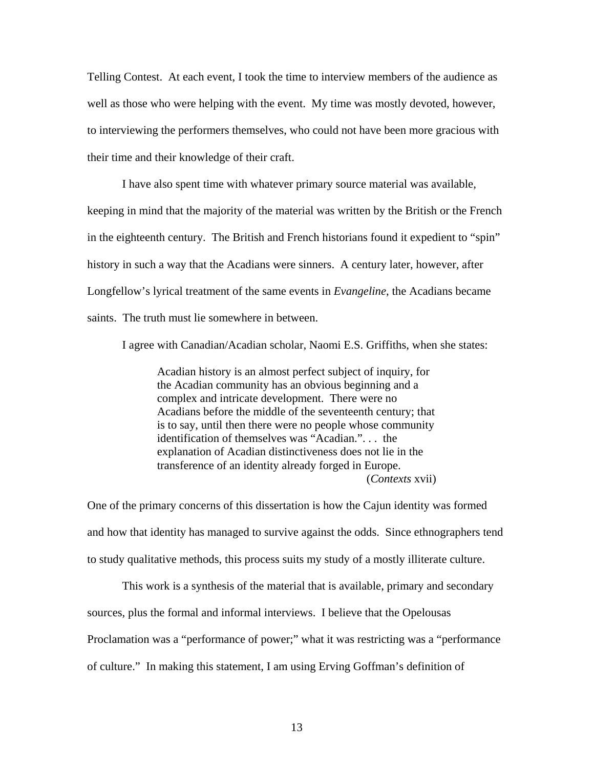Telling Contest. At each event, I took the time to interview members of the audience as well as those who were helping with the event. My time was mostly devoted, however, to interviewing the performers themselves, who could not have been more gracious with their time and their knowledge of their craft.

I have also spent time with whatever primary source material was available, keeping in mind that the majority of the material was written by the British or the French in the eighteenth century. The British and French historians found it expedient to "spin" history in such a way that the Acadians were sinners. A century later, however, after Longfellow's lyrical treatment of the same events in *Evangeline*, the Acadians became saints. The truth must lie somewhere in between.

I agree with Canadian/Acadian scholar, Naomi E.S. Griffiths, when she states:

Acadian history is an almost perfect subject of inquiry, for the Acadian community has an obvious beginning and a complex and intricate development. There were no Acadians before the middle of the seventeenth century; that is to say, until then there were no people whose community identification of themselves was "Acadian.". . . the explanation of Acadian distinctiveness does not lie in the transference of an identity already forged in Europe. (*Contexts* xvii)

One of the primary concerns of this dissertation is how the Cajun identity was formed and how that identity has managed to survive against the odds. Since ethnographers tend to study qualitative methods, this process suits my study of a mostly illiterate culture.

This work is a synthesis of the material that is available, primary and secondary sources, plus the formal and informal interviews. I believe that the Opelousas Proclamation was a "performance of power;" what it was restricting was a "performance of culture." In making this statement, I am using Erving Goffman's definition of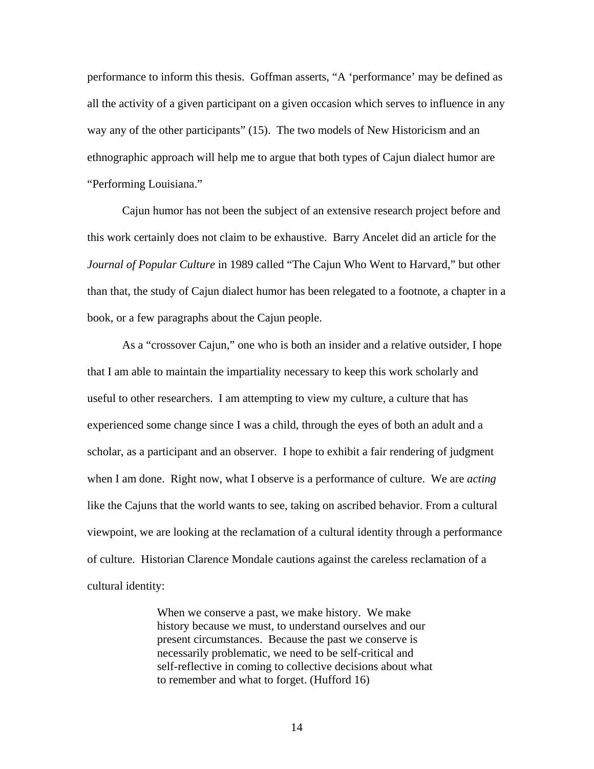performance to inform this thesis. Goffman asserts, "A 'performance' may be defined as all the activity of a given participant on a given occasion which serves to influence in any way any of the other participants" (15). The two models of New Historicism and an ethnographic approach will help me to argue that both types of Cajun dialect humor are "Performing Louisiana."

Cajun humor has not been the subject of an extensive research project before and this work certainly does not claim to be exhaustive. Barry Ancelet did an article for the *Journal of Popular Culture* in 1989 called "The Cajun Who Went to Harvard," but other than that, the study of Cajun dialect humor has been relegated to a footnote, a chapter in a book, or a few paragraphs about the Cajun people.

As a "crossover Cajun," one who is both an insider and a relative outsider, I hope that I am able to maintain the impartiality necessary to keep this work scholarly and useful to other researchers. I am attempting to view my culture, a culture that has experienced some change since I was a child, through the eyes of both an adult and a scholar, as a participant and an observer. I hope to exhibit a fair rendering of judgment when I am done. Right now, what I observe is a performance of culture. We are *acting* like the Cajuns that the world wants to see, taking on ascribed behavior. From a cultural viewpoint, we are looking at the reclamation of a cultural identity through a performance of culture. Historian Clarence Mondale cautions against the careless reclamation of a cultural identity:

> When we conserve a past, we make history. We make history because we must, to understand ourselves and our present circumstances. Because the past we conserve is necessarily problematic, we need to be self-critical and self-reflective in coming to collective decisions about what to remember and what to forget. (Hufford 16)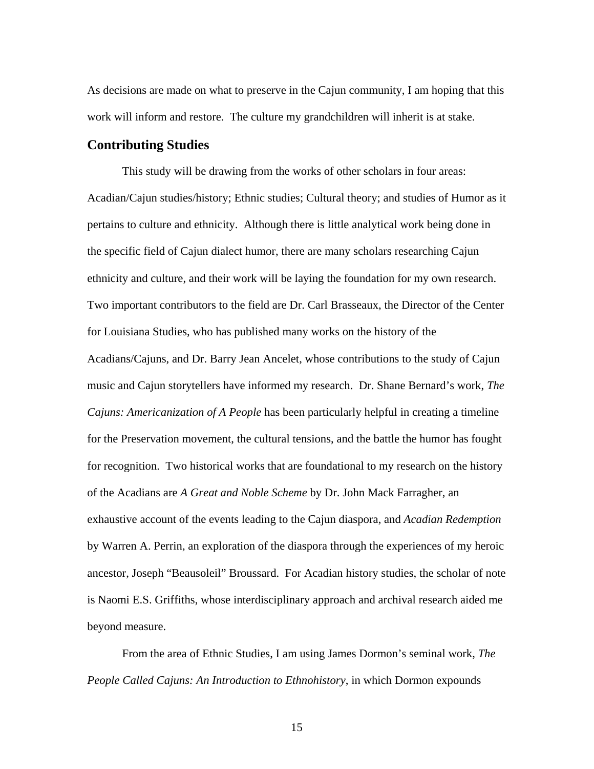As decisions are made on what to preserve in the Cajun community, I am hoping that this work will inform and restore. The culture my grandchildren will inherit is at stake.

### **Contributing Studies**

This study will be drawing from the works of other scholars in four areas: Acadian/Cajun studies/history; Ethnic studies; Cultural theory; and studies of Humor as it pertains to culture and ethnicity. Although there is little analytical work being done in the specific field of Cajun dialect humor, there are many scholars researching Cajun ethnicity and culture, and their work will be laying the foundation for my own research. Two important contributors to the field are Dr. Carl Brasseaux, the Director of the Center for Louisiana Studies, who has published many works on the history of the Acadians/Cajuns, and Dr. Barry Jean Ancelet, whose contributions to the study of Cajun music and Cajun storytellers have informed my research. Dr. Shane Bernard's work, *The Cajuns: Americanization of A People* has been particularly helpful in creating a timeline for the Preservation movement, the cultural tensions, and the battle the humor has fought for recognition. Two historical works that are foundational to my research on the history of the Acadians are *A Great and Noble Scheme* by Dr. John Mack Farragher, an exhaustive account of the events leading to the Cajun diaspora, and *Acadian Redemption* by Warren A. Perrin, an exploration of the diaspora through the experiences of my heroic ancestor, Joseph "Beausoleil" Broussard. For Acadian history studies, the scholar of note is Naomi E.S. Griffiths, whose interdisciplinary approach and archival research aided me beyond measure.

From the area of Ethnic Studies, I am using James Dormon's seminal work, *The People Called Cajuns: An Introduction to Ethnohistory*, in which Dormon expounds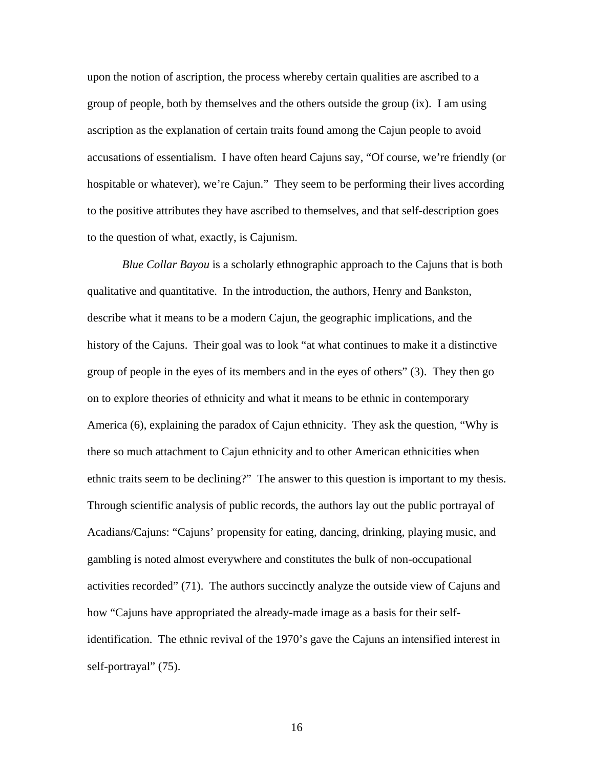upon the notion of ascription, the process whereby certain qualities are ascribed to a group of people, both by themselves and the others outside the group (ix). I am using ascription as the explanation of certain traits found among the Cajun people to avoid accusations of essentialism. I have often heard Cajuns say, "Of course, we're friendly (or hospitable or whatever), we're Cajun." They seem to be performing their lives according to the positive attributes they have ascribed to themselves, and that self-description goes to the question of what, exactly, is Cajunism.

*Blue Collar Bayou* is a scholarly ethnographic approach to the Cajuns that is both qualitative and quantitative. In the introduction, the authors, Henry and Bankston, describe what it means to be a modern Cajun, the geographic implications, and the history of the Cajuns. Their goal was to look "at what continues to make it a distinctive group of people in the eyes of its members and in the eyes of others" (3). They then go on to explore theories of ethnicity and what it means to be ethnic in contemporary America (6), explaining the paradox of Cajun ethnicity. They ask the question, "Why is there so much attachment to Cajun ethnicity and to other American ethnicities when ethnic traits seem to be declining?" The answer to this question is important to my thesis. Through scientific analysis of public records, the authors lay out the public portrayal of Acadians/Cajuns: "Cajuns' propensity for eating, dancing, drinking, playing music, and gambling is noted almost everywhere and constitutes the bulk of non-occupational activities recorded" (71). The authors succinctly analyze the outside view of Cajuns and how "Cajuns have appropriated the already-made image as a basis for their selfidentification. The ethnic revival of the 1970's gave the Cajuns an intensified interest in self-portrayal" (75).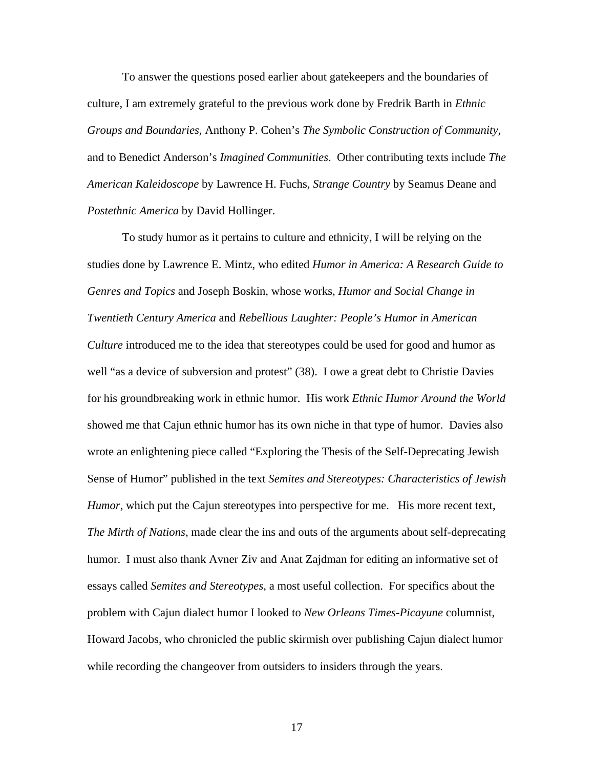To answer the questions posed earlier about gatekeepers and the boundaries of culture, I am extremely grateful to the previous work done by Fredrik Barth in *Ethnic Groups and Boundaries,* Anthony P. Cohen's *The Symbolic Construction of Community,* and to Benedict Anderson's *Imagined Communities*. Other contributing texts include *The American Kaleidoscope* by Lawrence H. Fuchs, *Strange Country* by Seamus Deane and *Postethnic America* by David Hollinger.

To study humor as it pertains to culture and ethnicity, I will be relying on the studies done by Lawrence E. Mintz, who edited *Humor in America: A Research Guide to Genres and Topics* and Joseph Boskin, whose works, *Humor and Social Change in Twentieth Century America* and *Rebellious Laughter: People's Humor in American Culture* introduced me to the idea that stereotypes could be used for good and humor as well "as a device of subversion and protest" (38). I owe a great debt to Christie Davies for his groundbreaking work in ethnic humor. His work *Ethnic Humor Around the World* showed me that Cajun ethnic humor has its own niche in that type of humor. Davies also wrote an enlightening piece called "Exploring the Thesis of the Self-Deprecating Jewish Sense of Humor" published in the text *Semites and Stereotypes: Characteristics of Jewish Humor*, which put the Cajun stereotypes into perspective for me. His more recent text, *The Mirth of Nations*, made clear the ins and outs of the arguments about self-deprecating humor. I must also thank Avner Ziv and Anat Zajdman for editing an informative set of essays called *Semites and Stereotypes,* a most useful collection. For specifics about the problem with Cajun dialect humor I looked to *New Orleans Times-Picayune* columnist, Howard Jacobs, who chronicled the public skirmish over publishing Cajun dialect humor while recording the changeover from outsiders to insiders through the years.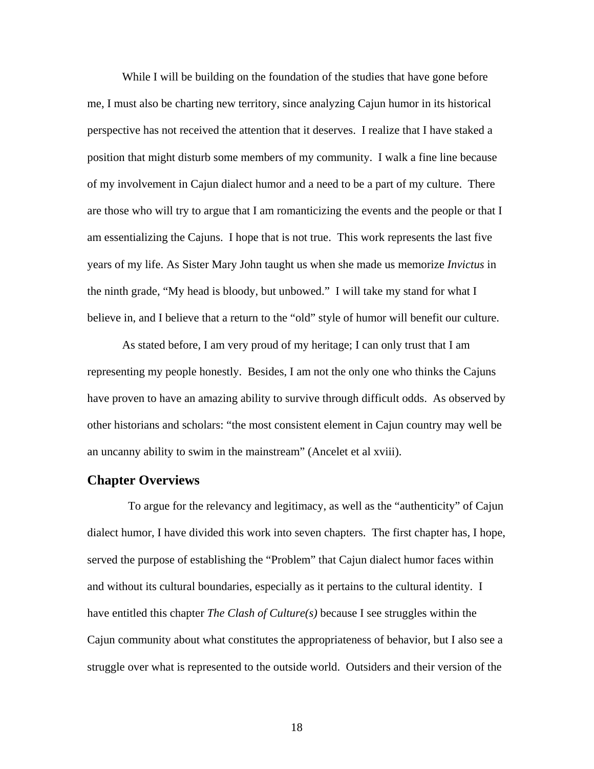While I will be building on the foundation of the studies that have gone before me, I must also be charting new territory, since analyzing Cajun humor in its historical perspective has not received the attention that it deserves. I realize that I have staked a position that might disturb some members of my community. I walk a fine line because of my involvement in Cajun dialect humor and a need to be a part of my culture. There are those who will try to argue that I am romanticizing the events and the people or that I am essentializing the Cajuns. I hope that is not true. This work represents the last five years of my life. As Sister Mary John taught us when she made us memorize *Invictus* in the ninth grade, "My head is bloody, but unbowed." I will take my stand for what I believe in, and I believe that a return to the "old" style of humor will benefit our culture.

As stated before, I am very proud of my heritage; I can only trust that I am representing my people honestly. Besides, I am not the only one who thinks the Cajuns have proven to have an amazing ability to survive through difficult odds. As observed by other historians and scholars: "the most consistent element in Cajun country may well be an uncanny ability to swim in the mainstream" (Ancelet et al xviii).

### **Chapter Overviews**

 To argue for the relevancy and legitimacy, as well as the "authenticity" of Cajun dialect humor, I have divided this work into seven chapters. The first chapter has, I hope, served the purpose of establishing the "Problem" that Cajun dialect humor faces within and without its cultural boundaries, especially as it pertains to the cultural identity. I have entitled this chapter *The Clash of Culture(s)* because I see struggles within the Cajun community about what constitutes the appropriateness of behavior, but I also see a struggle over what is represented to the outside world. Outsiders and their version of the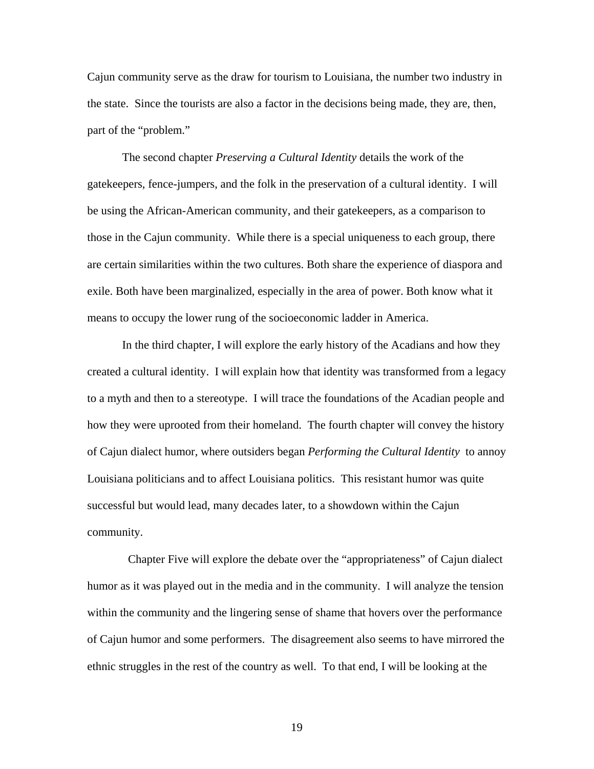Cajun community serve as the draw for tourism to Louisiana, the number two industry in the state. Since the tourists are also a factor in the decisions being made, they are, then, part of the "problem."

The second chapter *Preserving a Cultural Identity* details the work of the gatekeepers, fence-jumpers, and the folk in the preservation of a cultural identity. I will be using the African-American community, and their gatekeepers, as a comparison to those in the Cajun community. While there is a special uniqueness to each group, there are certain similarities within the two cultures. Both share the experience of diaspora and exile. Both have been marginalized, especially in the area of power. Both know what it means to occupy the lower rung of the socioeconomic ladder in America.

In the third chapter, I will explore the early history of the Acadians and how they created a cultural identity. I will explain how that identity was transformed from a legacy to a myth and then to a stereotype. I will trace the foundations of the Acadian people and how they were uprooted from their homeland. The fourth chapter will convey the history of Cajun dialect humor, where outsiders began *Performing the Cultural Identity* to annoy Louisiana politicians and to affect Louisiana politics. This resistant humor was quite successful but would lead, many decades later, to a showdown within the Cajun community.

 Chapter Five will explore the debate over the "appropriateness" of Cajun dialect humor as it was played out in the media and in the community. I will analyze the tension within the community and the lingering sense of shame that hovers over the performance of Cajun humor and some performers. The disagreement also seems to have mirrored the ethnic struggles in the rest of the country as well. To that end, I will be looking at the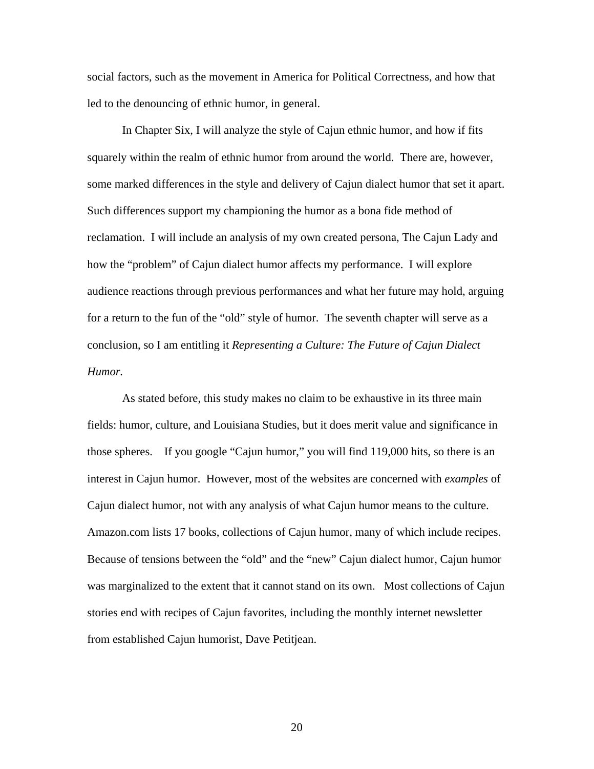social factors, such as the movement in America for Political Correctness, and how that led to the denouncing of ethnic humor, in general.

In Chapter Six, I will analyze the style of Cajun ethnic humor, and how if fits squarely within the realm of ethnic humor from around the world. There are, however, some marked differences in the style and delivery of Cajun dialect humor that set it apart. Such differences support my championing the humor as a bona fide method of reclamation. I will include an analysis of my own created persona, The Cajun Lady and how the "problem" of Cajun dialect humor affects my performance. I will explore audience reactions through previous performances and what her future may hold, arguing for a return to the fun of the "old" style of humor. The seventh chapter will serve as a conclusion, so I am entitling it *Representing a Culture: The Future of Cajun Dialect Humor.*

As stated before, this study makes no claim to be exhaustive in its three main fields: humor, culture, and Louisiana Studies, but it does merit value and significance in those spheres. If you google "Cajun humor," you will find 119,000 hits, so there is an interest in Cajun humor. However, most of the websites are concerned with *examples* of Cajun dialect humor, not with any analysis of what Cajun humor means to the culture. Amazon.com lists 17 books, collections of Cajun humor, many of which include recipes. Because of tensions between the "old" and the "new" Cajun dialect humor, Cajun humor was marginalized to the extent that it cannot stand on its own. Most collections of Cajun stories end with recipes of Cajun favorites, including the monthly internet newsletter from established Cajun humorist, Dave Petitjean.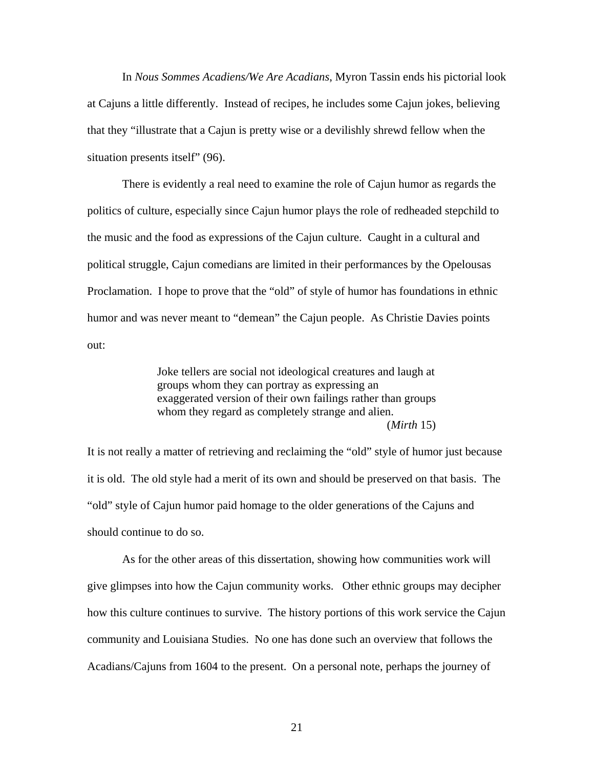In *Nous Sommes Acadiens/We Are Acadians*, Myron Tassin ends his pictorial look at Cajuns a little differently. Instead of recipes, he includes some Cajun jokes, believing that they "illustrate that a Cajun is pretty wise or a devilishly shrewd fellow when the situation presents itself" (96).

There is evidently a real need to examine the role of Cajun humor as regards the politics of culture, especially since Cajun humor plays the role of redheaded stepchild to the music and the food as expressions of the Cajun culture. Caught in a cultural and political struggle, Cajun comedians are limited in their performances by the Opelousas Proclamation. I hope to prove that the "old" of style of humor has foundations in ethnic humor and was never meant to "demean" the Cajun people. As Christie Davies points out:

> Joke tellers are social not ideological creatures and laugh at groups whom they can portray as expressing an exaggerated version of their own failings rather than groups whom they regard as completely strange and alien. (*Mirth* 15)

It is not really a matter of retrieving and reclaiming the "old" style of humor just because it is old. The old style had a merit of its own and should be preserved on that basis. The "old" style of Cajun humor paid homage to the older generations of the Cajuns and should continue to do so.

As for the other areas of this dissertation, showing how communities work will give glimpses into how the Cajun community works. Other ethnic groups may decipher how this culture continues to survive. The history portions of this work service the Cajun community and Louisiana Studies. No one has done such an overview that follows the Acadians/Cajuns from 1604 to the present. On a personal note, perhaps the journey of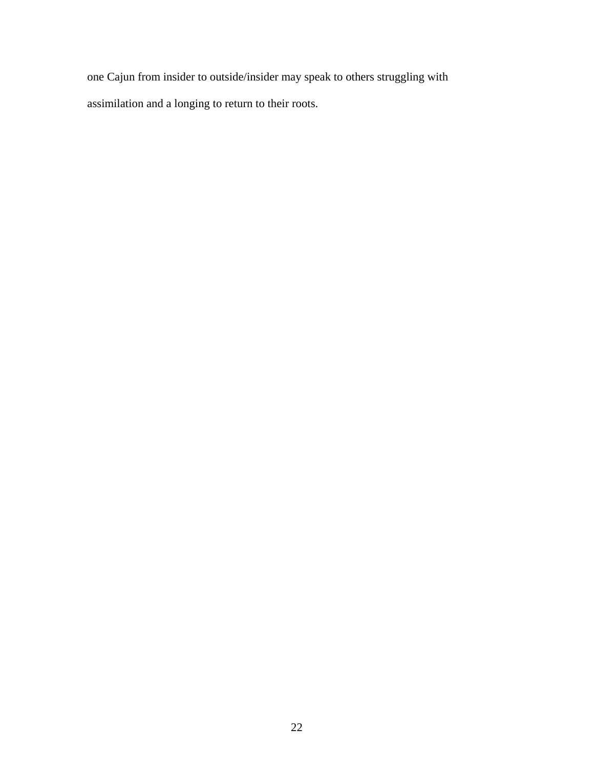one Cajun from insider to outside/insider may speak to others struggling with assimilation and a longing to return to their roots.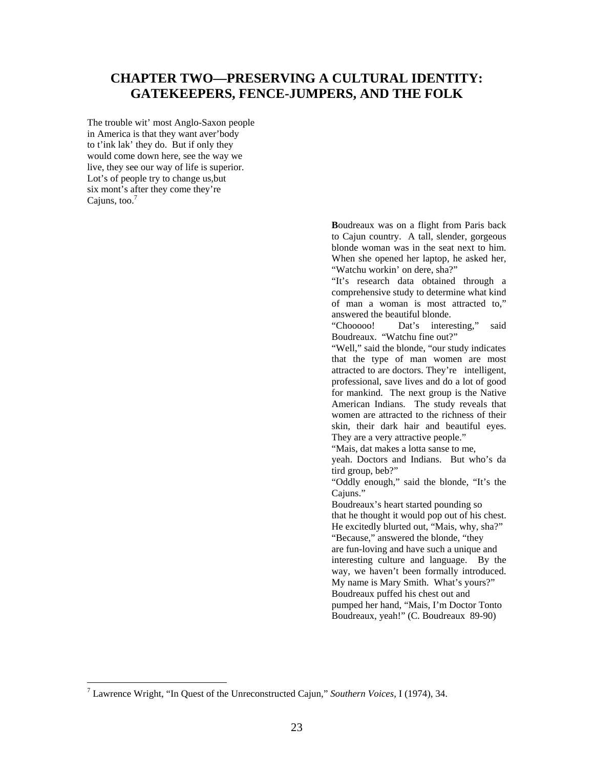### **CHAPTER TWO—PRESERVING A CULTURAL IDENTITY: GATEKEEPERS, FENCE-JUMPERS, AND THE FOLK**

The trouble wit' most Anglo-Saxon people in America is that they want aver'body to t'ink lak' they do. But if only they would come down here, see the way we live, they see our way of life is superior. Lot's of people try to change us,but six mont's after they come they're Cajuns, too. $7$ 

> **B**oudreaux was on a flight from Paris back to Cajun country. A tall, slender, gorgeous blonde woman was in the seat next to him. When she opened her laptop, he asked her, "Watchu workin' on dere, sha?"

> "It's research data obtained through a comprehensive study to determine what kind of man a woman is most attracted to," answered the beautiful blonde.

> "Chooooo! Dat's interesting," said Boudreaux. "Watchu fine out?"

> "Well," said the blonde, "our study indicates that the type of man women are most attracted to are doctors. They're intelligent, professional, save lives and do a lot of good for mankind. The next group is the Native American Indians. The study reveals that women are attracted to the richness of their skin, their dark hair and beautiful eyes. They are a very attractive people."

"Mais, dat makes a lotta sanse to me,

yeah. Doctors and Indians. But who's da tird group, beb?"

"Oddly enough," said the blonde, "It's the Cajuns."

Boudreaux's heart started pounding so that he thought it would pop out of his chest. He excitedly blurted out, "Mais, why, sha?" "Because," answered the blonde, "they are fun-loving and have such a unique and interesting culture and language. By the way, we haven't been formally introduced. My name is Mary Smith. What's yours?" Boudreaux puffed his chest out and pumped her hand, "Mais, I'm Doctor Tonto Boudreaux, yeah!" (C. Boudreaux 89-90)

 $\overline{a}$ 

<span id="page-30-0"></span><sup>7</sup> Lawrence Wright, "In Quest of the Unreconstructed Cajun," *Southern Voices*, I (1974), 34.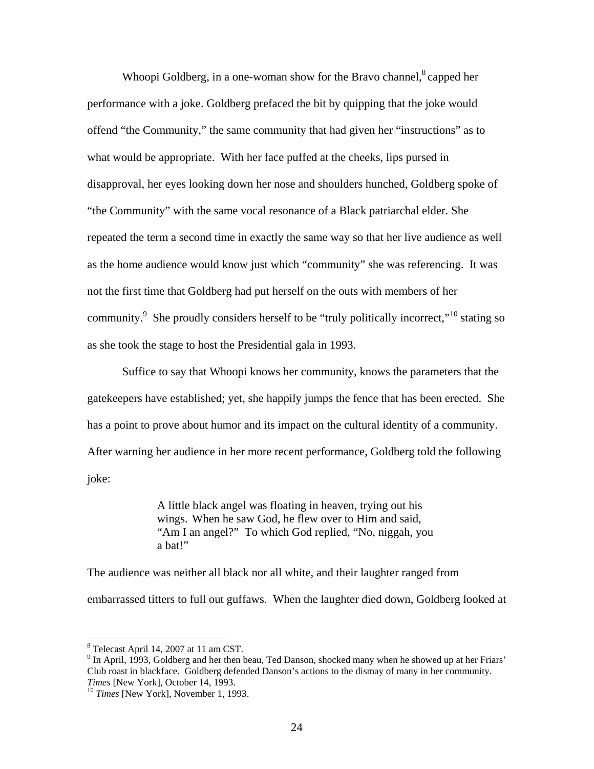Whoopi Goldberg, in a one-woman show for the Bravo channel, $\delta$  capped her performance with a joke. Goldberg prefaced the bit by quipping that the joke would offend "the Community," the same community that had given her "instructions" as to what would be appropriate. With her face puffed at the cheeks, lips pursed in disapproval, her eyes looking down her nose and shoulders hunched, Goldberg spoke of "the Community" with the same vocal resonance of a Black patriarchal elder. She repeated the term a second time in exactly the same way so that her live audience as well as the home audience would know just which "community" she was referencing. It was not the first time that Goldberg had put herself on the outs with members of her community.<sup>[9](#page-31-1)</sup> She proudly considers herself to be "truly politically incorrect,"<sup>10</sup> stating so as she took the stage to host the Presidential gala in 1993.

Suffice to say that Whoopi knows her community, knows the parameters that the gatekeepers have established; yet, she happily jumps the fence that has been erected. She has a point to prove about humor and its impact on the cultural identity of a community. After warning her audience in her more recent performance, Goldberg told the following joke:

> A little black angel was floating in heaven, trying out his wings. When he saw God, he flew over to Him and said, "Am I an angel?" To which God replied, "No, niggah, you a bat!"

The audience was neither all black nor all white, and their laughter ranged from embarrassed titters to full out guffaws. When the laughter died down, Goldberg looked at

<span id="page-31-0"></span><sup>&</sup>lt;sup>8</sup> Telecast April 14, 2007 at 11 am CST.

<span id="page-31-1"></span> $<sup>9</sup>$  In April, 1993, Goldberg and her then beau, Ted Danson, shocked many when he showed up at her Friars'</sup> Club roast in blackface. Goldberg defended Danson's actions to the dismay of many in her community. *Times* [New York], October 14, 1993.<br><sup>10</sup> *Times* [New York], November 1, 1993.

<span id="page-31-2"></span>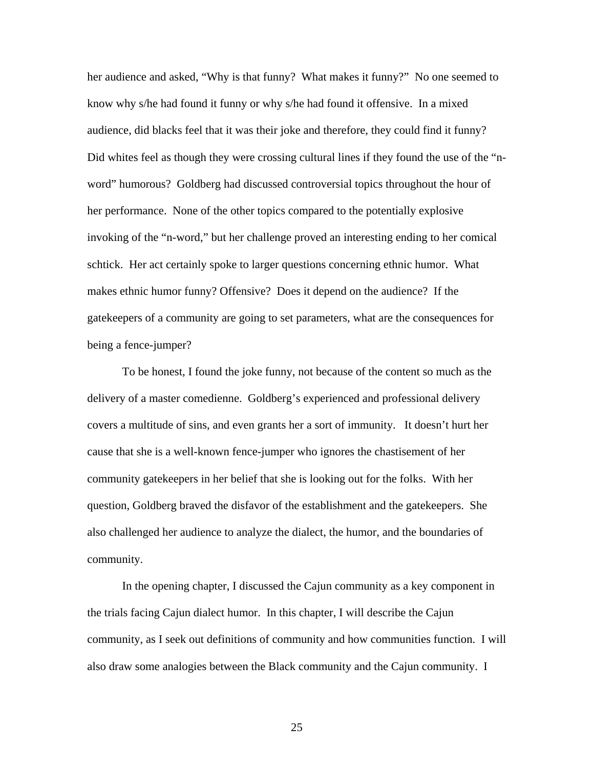her audience and asked, "Why is that funny? What makes it funny?" No one seemed to know why s/he had found it funny or why s/he had found it offensive. In a mixed audience, did blacks feel that it was their joke and therefore, they could find it funny? Did whites feel as though they were crossing cultural lines if they found the use of the "nword" humorous? Goldberg had discussed controversial topics throughout the hour of her performance. None of the other topics compared to the potentially explosive invoking of the "n-word," but her challenge proved an interesting ending to her comical schtick. Her act certainly spoke to larger questions concerning ethnic humor. What makes ethnic humor funny? Offensive? Does it depend on the audience? If the gatekeepers of a community are going to set parameters, what are the consequences for being a fence-jumper?

To be honest, I found the joke funny, not because of the content so much as the delivery of a master comedienne. Goldberg's experienced and professional delivery covers a multitude of sins, and even grants her a sort of immunity. It doesn't hurt her cause that she is a well-known fence-jumper who ignores the chastisement of her community gatekeepers in her belief that she is looking out for the folks. With her question, Goldberg braved the disfavor of the establishment and the gatekeepers. She also challenged her audience to analyze the dialect, the humor, and the boundaries of community.

In the opening chapter, I discussed the Cajun community as a key component in the trials facing Cajun dialect humor. In this chapter, I will describe the Cajun community, as I seek out definitions of community and how communities function. I will also draw some analogies between the Black community and the Cajun community. I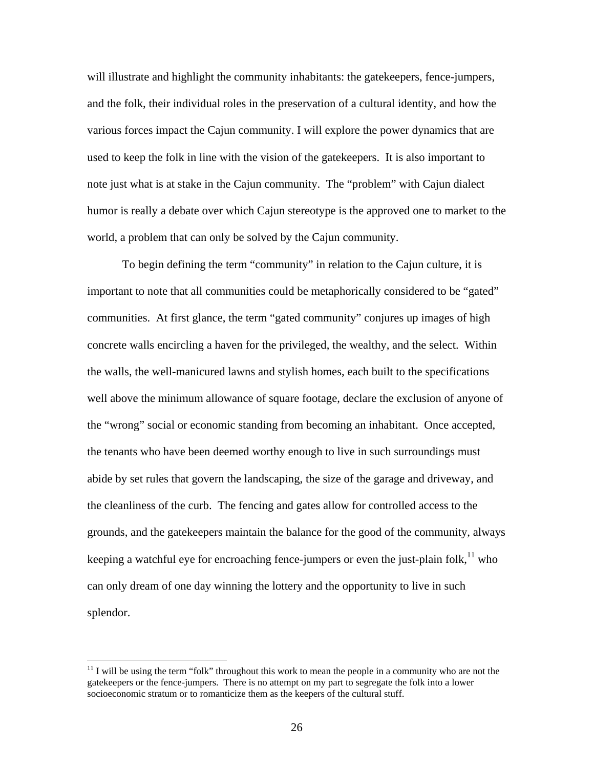will illustrate and highlight the community inhabitants: the gatekeepers, fence-jumpers, and the folk, their individual roles in the preservation of a cultural identity, and how the various forces impact the Cajun community. I will explore the power dynamics that are used to keep the folk in line with the vision of the gatekeepers. It is also important to note just what is at stake in the Cajun community. The "problem" with Cajun dialect humor is really a debate over which Cajun stereotype is the approved one to market to the world, a problem that can only be solved by the Cajun community.

To begin defining the term "community" in relation to the Cajun culture, it is important to note that all communities could be metaphorically considered to be "gated" communities. At first glance, the term "gated community" conjures up images of high concrete walls encircling a haven for the privileged, the wealthy, and the select. Within the walls, the well-manicured lawns and stylish homes, each built to the specifications well above the minimum allowance of square footage, declare the exclusion of anyone of the "wrong" social or economic standing from becoming an inhabitant. Once accepted, the tenants who have been deemed worthy enough to live in such surroundings must abide by set rules that govern the landscaping, the size of the garage and driveway, and the cleanliness of the curb. The fencing and gates allow for controlled access to the grounds, and the gatekeepers maintain the balance for the good of the community, always keeping a watchful eye for encroaching fence-jumpers or even the just-plain folk,  $\frac{11}{11}$  who can only dream of one day winning the lottery and the opportunity to live in such splendor.

<span id="page-33-0"></span> $11$  I will be using the term "folk" throughout this work to mean the people in a community who are not the gatekeepers or the fence-jumpers. There is no attempt on my part to segregate the folk into a lower socioeconomic stratum or to romanticize them as the keepers of the cultural stuff.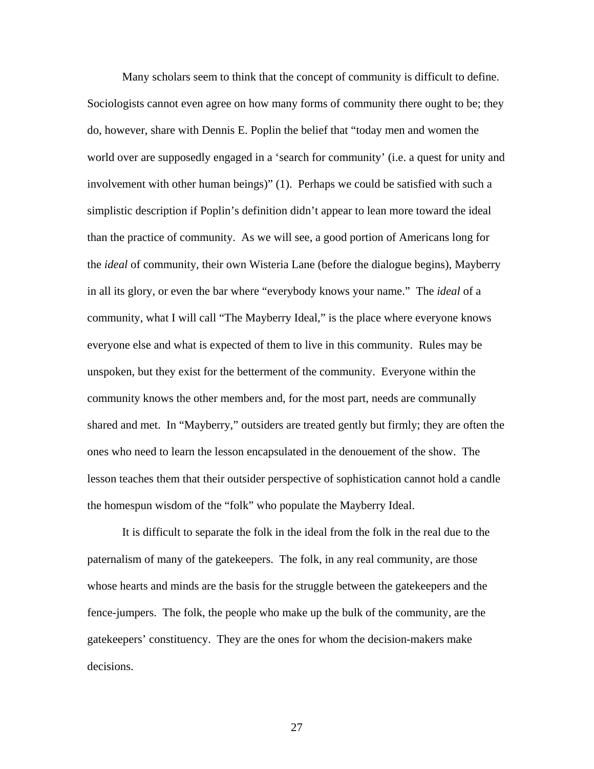Many scholars seem to think that the concept of community is difficult to define. Sociologists cannot even agree on how many forms of community there ought to be; they do, however, share with Dennis E. Poplin the belief that "today men and women the world over are supposedly engaged in a 'search for community' (i.e. a quest for unity and involvement with other human beings)" (1). Perhaps we could be satisfied with such a simplistic description if Poplin's definition didn't appear to lean more toward the ideal than the practice of community. As we will see, a good portion of Americans long for the *ideal* of community, their own Wisteria Lane (before the dialogue begins), Mayberry in all its glory, or even the bar where "everybody knows your name." The *ideal* of a community, what I will call "The Mayberry Ideal," is the place where everyone knows everyone else and what is expected of them to live in this community. Rules may be unspoken, but they exist for the betterment of the community. Everyone within the community knows the other members and, for the most part, needs are communally shared and met. In "Mayberry," outsiders are treated gently but firmly; they are often the ones who need to learn the lesson encapsulated in the denouement of the show. The lesson teaches them that their outsider perspective of sophistication cannot hold a candle the homespun wisdom of the "folk" who populate the Mayberry Ideal.

It is difficult to separate the folk in the ideal from the folk in the real due to the paternalism of many of the gatekeepers. The folk, in any real community, are those whose hearts and minds are the basis for the struggle between the gatekeepers and the fence-jumpers. The folk, the people who make up the bulk of the community, are the gatekeepers' constituency. They are the ones for whom the decision-makers make decisions.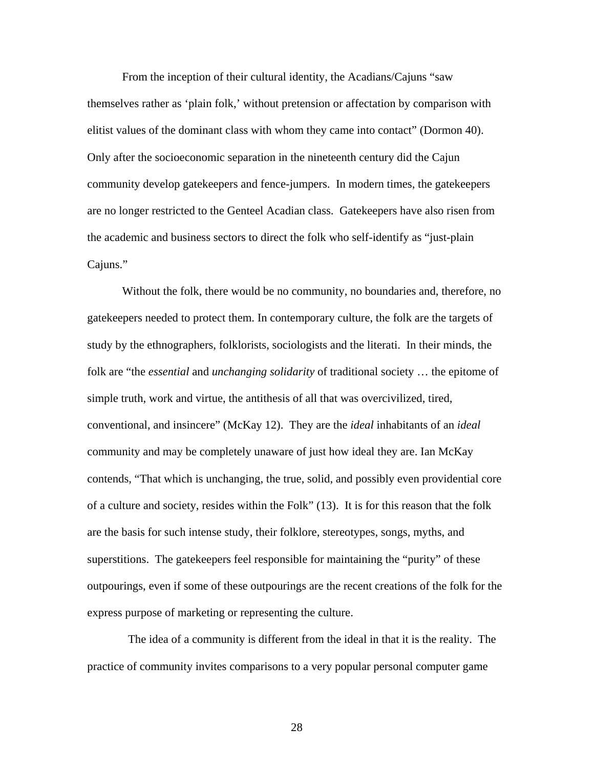From the inception of their cultural identity, the Acadians/Cajuns "saw themselves rather as 'plain folk,' without pretension or affectation by comparison with elitist values of the dominant class with whom they came into contact" (Dormon 40). Only after the socioeconomic separation in the nineteenth century did the Cajun community develop gatekeepers and fence-jumpers. In modern times, the gatekeepers are no longer restricted to the Genteel Acadian class. Gatekeepers have also risen from the academic and business sectors to direct the folk who self-identify as "just-plain Cajuns."

Without the folk, there would be no community, no boundaries and, therefore, no gatekeepers needed to protect them. In contemporary culture, the folk are the targets of study by the ethnographers, folklorists, sociologists and the literati. In their minds, the folk are "the *essential* and *unchanging solidarity* of traditional society … the epitome of simple truth, work and virtue, the antithesis of all that was overcivilized, tired, conventional, and insincere" (McKay 12). They are the *ideal* inhabitants of an *ideal* community and may be completely unaware of just how ideal they are. Ian McKay contends, "That which is unchanging, the true, solid, and possibly even providential core of a culture and society, resides within the Folk" (13). It is for this reason that the folk are the basis for such intense study, their folklore, stereotypes, songs, myths, and superstitions. The gatekeepers feel responsible for maintaining the "purity" of these outpourings, even if some of these outpourings are the recent creations of the folk for the express purpose of marketing or representing the culture.

 The idea of a community is different from the ideal in that it is the reality. The practice of community invites comparisons to a very popular personal computer game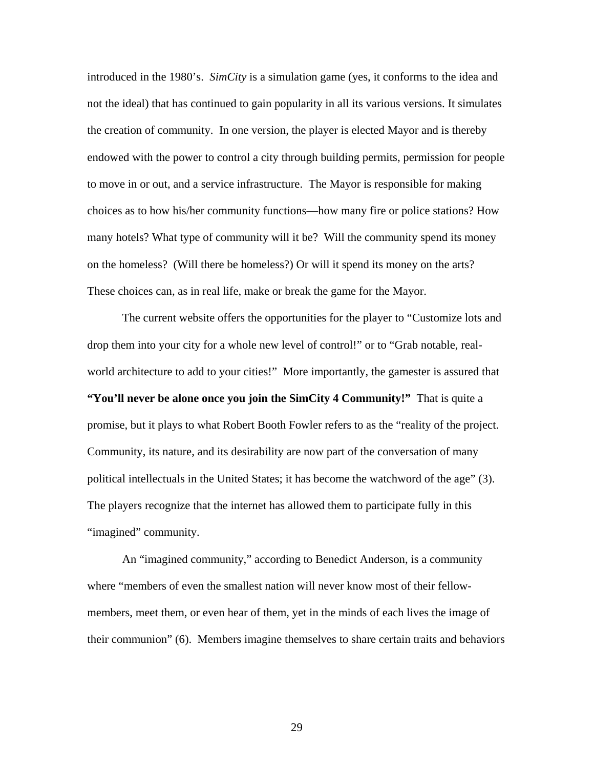introduced in the 1980's. *SimCity* is a simulation game (yes, it conforms to the idea and not the ideal) that has continued to gain popularity in all its various versions. It simulates the creation of community. In one version, the player is elected Mayor and is thereby endowed with the power to control a city through building permits, permission for people to move in or out, and a service infrastructure. The Mayor is responsible for making choices as to how his/her community functions—how many fire or police stations? How many hotels? What type of community will it be? Will the community spend its money on the homeless? (Will there be homeless?) Or will it spend its money on the arts? These choices can, as in real life, make or break the game for the Mayor.

The current website offers the opportunities for the player to "Customize lots and drop them into your city for a whole new level of control!" or to "Grab notable, realworld architecture to add to your cities!" More importantly, the gamester is assured that **"You'll never be alone once you join the SimCity 4 Community!"** That is quite a promise, but it plays to what Robert Booth Fowler refers to as the "reality of the project. Community, its nature, and its desirability are now part of the conversation of many political intellectuals in the United States; it has become the watchword of the age" (3). The players recognize that the internet has allowed them to participate fully in this "imagined" community.

An "imagined community," according to Benedict Anderson, is a community where "members of even the smallest nation will never know most of their fellowmembers, meet them, or even hear of them, yet in the minds of each lives the image of their communion" (6). Members imagine themselves to share certain traits and behaviors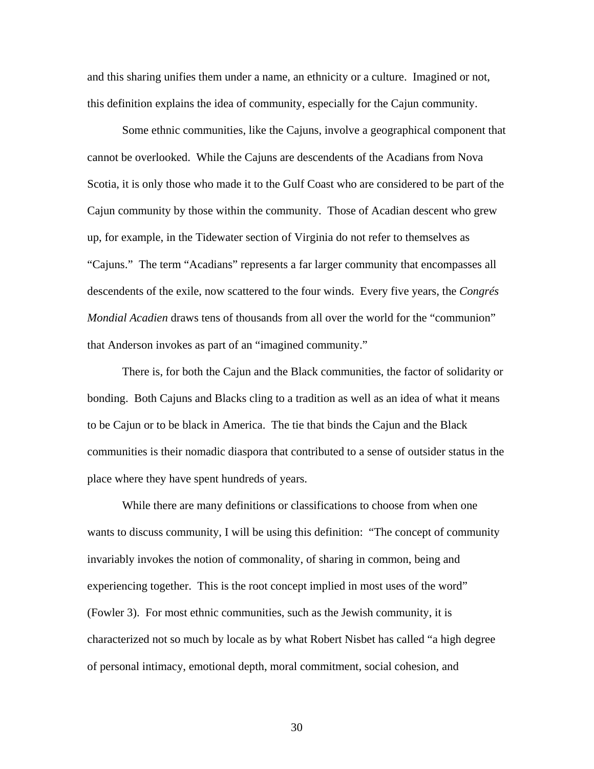and this sharing unifies them under a name, an ethnicity or a culture. Imagined or not, this definition explains the idea of community, especially for the Cajun community.

Some ethnic communities, like the Cajuns, involve a geographical component that cannot be overlooked. While the Cajuns are descendents of the Acadians from Nova Scotia, it is only those who made it to the Gulf Coast who are considered to be part of the Cajun community by those within the community. Those of Acadian descent who grew up, for example, in the Tidewater section of Virginia do not refer to themselves as "Cajuns." The term "Acadians" represents a far larger community that encompasses all descendents of the exile, now scattered to the four winds. Every five years, the *Congrés Mondial Acadien* draws tens of thousands from all over the world for the "communion" that Anderson invokes as part of an "imagined community."

There is, for both the Cajun and the Black communities, the factor of solidarity or bonding. Both Cajuns and Blacks cling to a tradition as well as an idea of what it means to be Cajun or to be black in America. The tie that binds the Cajun and the Black communities is their nomadic diaspora that contributed to a sense of outsider status in the place where they have spent hundreds of years.

While there are many definitions or classifications to choose from when one wants to discuss community, I will be using this definition: "The concept of community invariably invokes the notion of commonality, of sharing in common, being and experiencing together. This is the root concept implied in most uses of the word" (Fowler 3). For most ethnic communities, such as the Jewish community, it is characterized not so much by locale as by what Robert Nisbet has called "a high degree of personal intimacy, emotional depth, moral commitment, social cohesion, and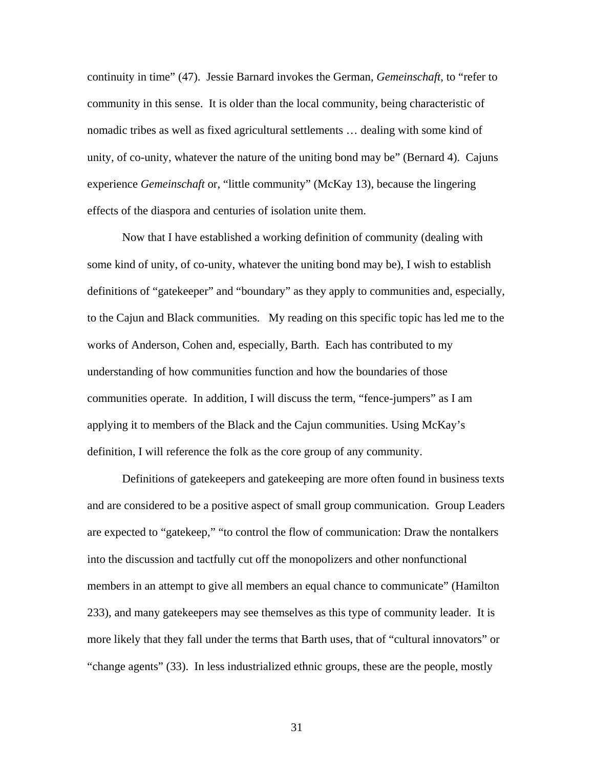continuity in time" (47). Jessie Barnard invokes the German, *Gemeinschaft*, to "refer to community in this sense. It is older than the local community, being characteristic of nomadic tribes as well as fixed agricultural settlements … dealing with some kind of unity, of co-unity, whatever the nature of the uniting bond may be" (Bernard 4). Cajuns experience *Gemeinschaft* or, "little community" (McKay 13), because the lingering effects of the diaspora and centuries of isolation unite them.

Now that I have established a working definition of community (dealing with some kind of unity, of co-unity, whatever the uniting bond may be), I wish to establish definitions of "gatekeeper" and "boundary" as they apply to communities and, especially, to the Cajun and Black communities. My reading on this specific topic has led me to the works of Anderson, Cohen and, especially, Barth. Each has contributed to my understanding of how communities function and how the boundaries of those communities operate. In addition, I will discuss the term, "fence-jumpers" as I am applying it to members of the Black and the Cajun communities. Using McKay's definition, I will reference the folk as the core group of any community.

Definitions of gatekeepers and gatekeeping are more often found in business texts and are considered to be a positive aspect of small group communication. Group Leaders are expected to "gatekeep," "to control the flow of communication: Draw the nontalkers into the discussion and tactfully cut off the monopolizers and other nonfunctional members in an attempt to give all members an equal chance to communicate" (Hamilton 233), and many gatekeepers may see themselves as this type of community leader. It is more likely that they fall under the terms that Barth uses, that of "cultural innovators" or "change agents" (33). In less industrialized ethnic groups, these are the people, mostly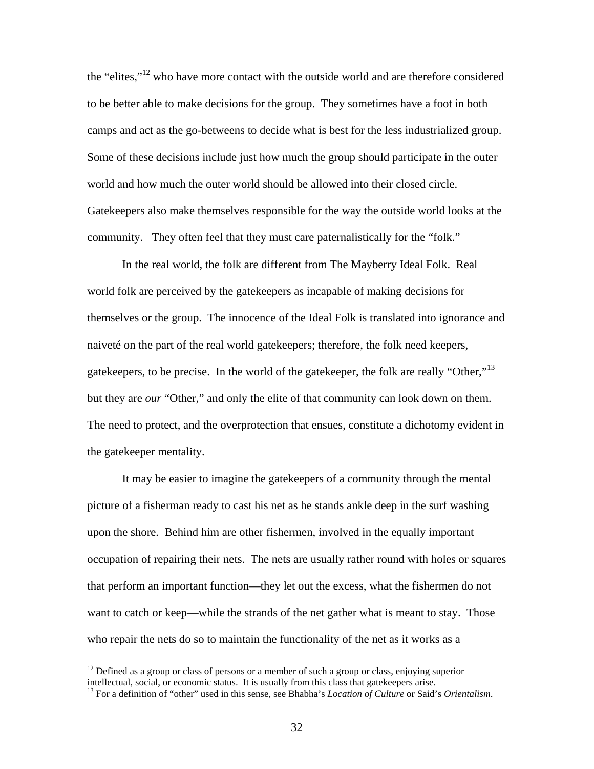the "elites,"[12 w](#page-39-0)ho have more contact with the outside world and are therefore considered to be better able to make decisions for the group. They sometimes have a foot in both camps and act as the go-betweens to decide what is best for the less industrialized group. Some of these decisions include just how much the group should participate in the outer world and how much the outer world should be allowed into their closed circle. Gatekeepers also make themselves responsible for the way the outside world looks at the community. They often feel that they must care paternalistically for the "folk."

In the real world, the folk are different from The Mayberry Ideal Folk. Real world folk are perceived by the gatekeepers as incapable of making decisions for themselves or the group. The innocence of the Ideal Folk is translated into ignorance and naiveté on the part of the real world gatekeepers; therefore, the folk need keepers, gatekeepers, to be precise. In the world of the gatekeeper, the folk are really "Other,"<sup>[13](#page-39-1)</sup> but they are *our* "Other," and only the elite of that community can look down on them. The need to protect, and the overprotection that ensues, constitute a dichotomy evident in the gatekeeper mentality.

It may be easier to imagine the gatekeepers of a community through the mental picture of a fisherman ready to cast his net as he stands ankle deep in the surf washing upon the shore. Behind him are other fishermen, involved in the equally important occupation of repairing their nets. The nets are usually rather round with holes or squares that perform an important function—they let out the excess, what the fishermen do not want to catch or keep—while the strands of the net gather what is meant to stay. Those who repair the nets do so to maintain the functionality of the net as it works as a

<span id="page-39-0"></span> $12$  Defined as a group or class of persons or a member of such a group or class, enjoying superior intellectual, social, or economic status. It is usually from this class that gatekeepers arise.

<span id="page-39-1"></span><sup>&</sup>lt;sup>13</sup> For a definition of "other" used in this sense, see Bhabha's *Location of Culture* or Said's *Orientalism*.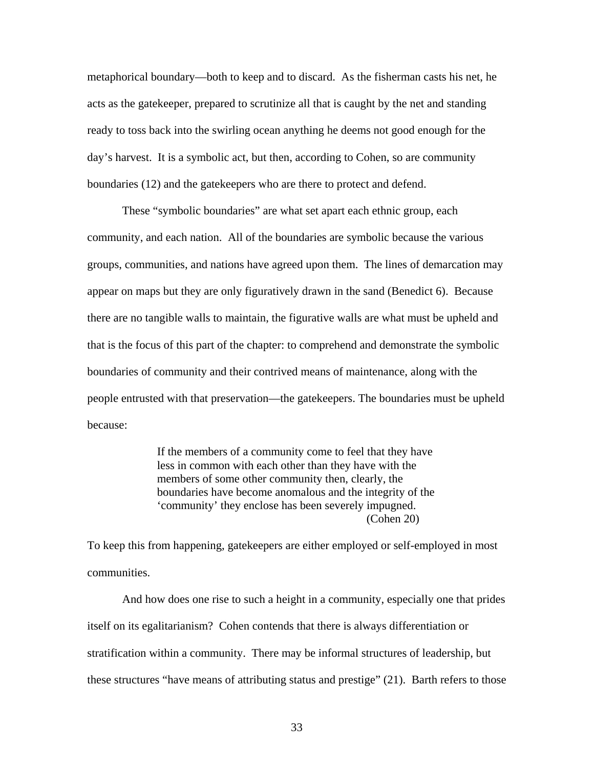metaphorical boundary—both to keep and to discard. As the fisherman casts his net, he acts as the gatekeeper, prepared to scrutinize all that is caught by the net and standing ready to toss back into the swirling ocean anything he deems not good enough for the day's harvest. It is a symbolic act, but then, according to Cohen, so are community boundaries (12) and the gatekeepers who are there to protect and defend.

These "symbolic boundaries" are what set apart each ethnic group, each community, and each nation. All of the boundaries are symbolic because the various groups, communities, and nations have agreed upon them. The lines of demarcation may appear on maps but they are only figuratively drawn in the sand (Benedict 6). Because there are no tangible walls to maintain, the figurative walls are what must be upheld and that is the focus of this part of the chapter: to comprehend and demonstrate the symbolic boundaries of community and their contrived means of maintenance, along with the people entrusted with that preservation—the gatekeepers. The boundaries must be upheld because:

> If the members of a community come to feel that they have less in common with each other than they have with the members of some other community then, clearly, the boundaries have become anomalous and the integrity of the 'community' they enclose has been severely impugned. (Cohen 20)

To keep this from happening, gatekeepers are either employed or self-employed in most communities.

And how does one rise to such a height in a community, especially one that prides itself on its egalitarianism? Cohen contends that there is always differentiation or stratification within a community. There may be informal structures of leadership, but these structures "have means of attributing status and prestige" (21). Barth refers to those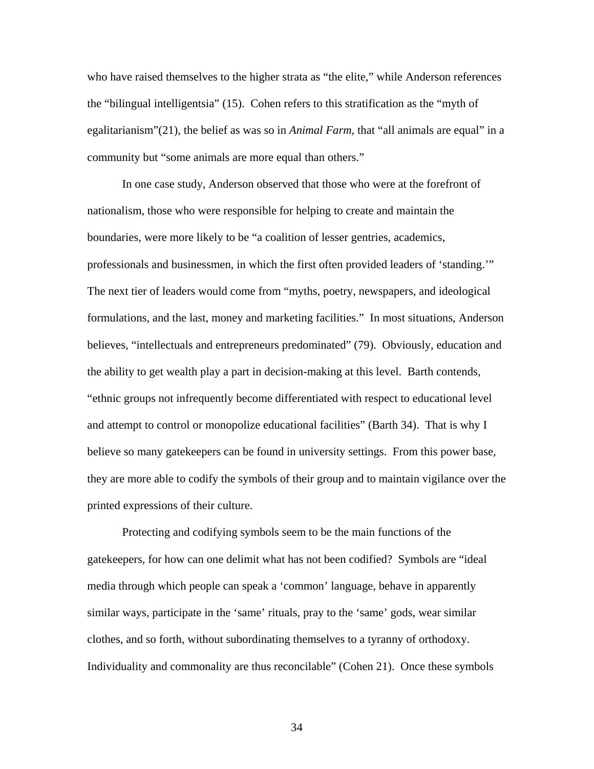who have raised themselves to the higher strata as "the elite," while Anderson references the "bilingual intelligentsia" (15). Cohen refers to this stratification as the "myth of egalitarianism"(21), the belief as was so in *Animal Farm*, that "all animals are equal" in a community but "some animals are more equal than others."

In one case study, Anderson observed that those who were at the forefront of nationalism, those who were responsible for helping to create and maintain the boundaries, were more likely to be "a coalition of lesser gentries, academics, professionals and businessmen, in which the first often provided leaders of 'standing.'" The next tier of leaders would come from "myths, poetry, newspapers, and ideological formulations, and the last, money and marketing facilities." In most situations, Anderson believes, "intellectuals and entrepreneurs predominated" (79). Obviously, education and the ability to get wealth play a part in decision-making at this level. Barth contends, "ethnic groups not infrequently become differentiated with respect to educational level and attempt to control or monopolize educational facilities" (Barth 34). That is why I believe so many gatekeepers can be found in university settings. From this power base, they are more able to codify the symbols of their group and to maintain vigilance over the printed expressions of their culture.

Protecting and codifying symbols seem to be the main functions of the gatekeepers, for how can one delimit what has not been codified? Symbols are "ideal media through which people can speak a 'common' language, behave in apparently similar ways, participate in the 'same' rituals, pray to the 'same' gods, wear similar clothes, and so forth, without subordinating themselves to a tyranny of orthodoxy. Individuality and commonality are thus reconcilable" (Cohen 21). Once these symbols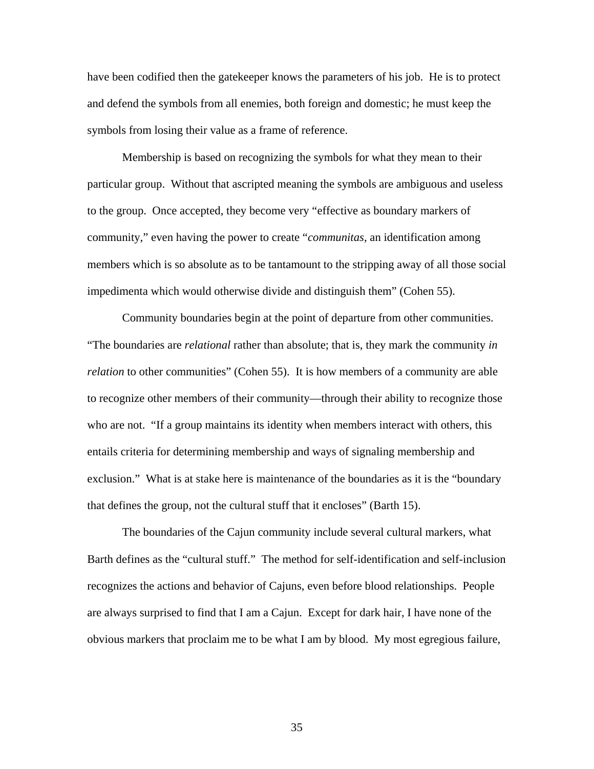have been codified then the gatekeeper knows the parameters of his job. He is to protect and defend the symbols from all enemies, both foreign and domestic; he must keep the symbols from losing their value as a frame of reference.

Membership is based on recognizing the symbols for what they mean to their particular group. Without that ascripted meaning the symbols are ambiguous and useless to the group. Once accepted, they become very "effective as boundary markers of community," even having the power to create "*communitas*, an identification among members which is so absolute as to be tantamount to the stripping away of all those social impedimenta which would otherwise divide and distinguish them" (Cohen 55).

Community boundaries begin at the point of departure from other communities. "The boundaries are *relational* rather than absolute; that is, they mark the community *in relation* to other communities" (Cohen 55). It is how members of a community are able to recognize other members of their community—through their ability to recognize those who are not. "If a group maintains its identity when members interact with others, this entails criteria for determining membership and ways of signaling membership and exclusion." What is at stake here is maintenance of the boundaries as it is the "boundary that defines the group, not the cultural stuff that it encloses" (Barth 15).

The boundaries of the Cajun community include several cultural markers, what Barth defines as the "cultural stuff." The method for self-identification and self-inclusion recognizes the actions and behavior of Cajuns, even before blood relationships. People are always surprised to find that I am a Cajun. Except for dark hair, I have none of the obvious markers that proclaim me to be what I am by blood. My most egregious failure,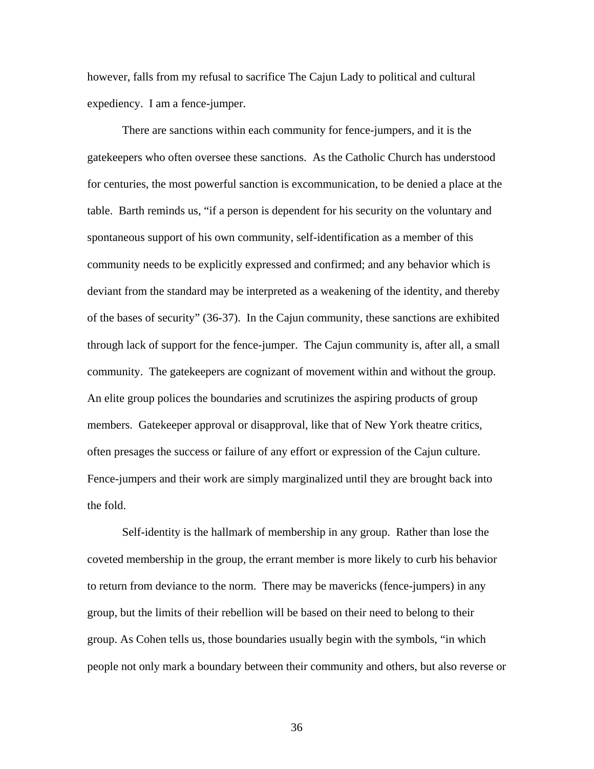however, falls from my refusal to sacrifice The Cajun Lady to political and cultural expediency. I am a fence-jumper.

There are sanctions within each community for fence-jumpers, and it is the gatekeepers who often oversee these sanctions. As the Catholic Church has understood for centuries, the most powerful sanction is excommunication, to be denied a place at the table. Barth reminds us, "if a person is dependent for his security on the voluntary and spontaneous support of his own community, self-identification as a member of this community needs to be explicitly expressed and confirmed; and any behavior which is deviant from the standard may be interpreted as a weakening of the identity, and thereby of the bases of security" (36-37). In the Cajun community, these sanctions are exhibited through lack of support for the fence-jumper. The Cajun community is, after all, a small community. The gatekeepers are cognizant of movement within and without the group. An elite group polices the boundaries and scrutinizes the aspiring products of group members. Gatekeeper approval or disapproval, like that of New York theatre critics, often presages the success or failure of any effort or expression of the Cajun culture. Fence-jumpers and their work are simply marginalized until they are brought back into the fold.

Self-identity is the hallmark of membership in any group. Rather than lose the coveted membership in the group, the errant member is more likely to curb his behavior to return from deviance to the norm. There may be mavericks (fence-jumpers) in any group, but the limits of their rebellion will be based on their need to belong to their group. As Cohen tells us, those boundaries usually begin with the symbols, "in which people not only mark a boundary between their community and others, but also reverse or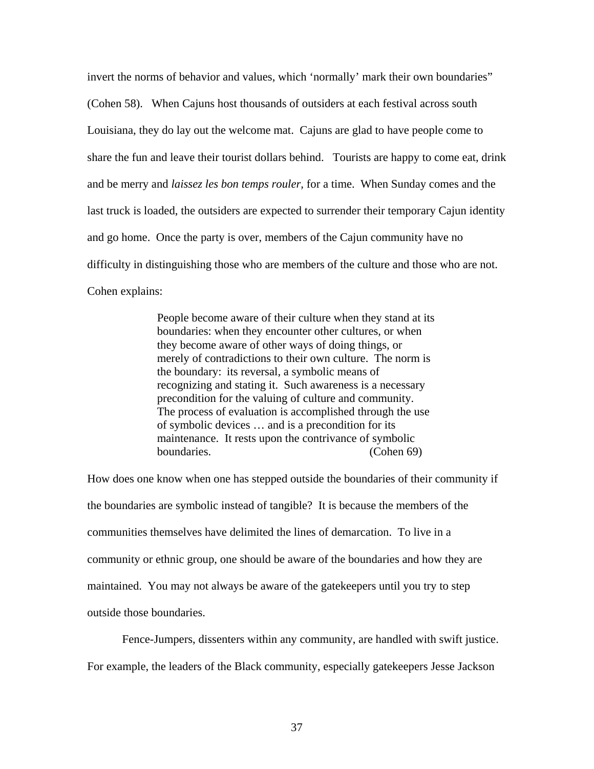invert the norms of behavior and values, which 'normally' mark their own boundaries" (Cohen 58). When Cajuns host thousands of outsiders at each festival across south Louisiana, they do lay out the welcome mat. Cajuns are glad to have people come to share the fun and leave their tourist dollars behind. Tourists are happy to come eat, drink and be merry and *laissez les bon temps rouler,* for a time. When Sunday comes and the last truck is loaded, the outsiders are expected to surrender their temporary Cajun identity and go home. Once the party is over, members of the Cajun community have no difficulty in distinguishing those who are members of the culture and those who are not. Cohen explains:

> People become aware of their culture when they stand at its boundaries: when they encounter other cultures, or when they become aware of other ways of doing things, or merely of contradictions to their own culture. The norm is the boundary: its reversal, a symbolic means of recognizing and stating it. Such awareness is a necessary precondition for the valuing of culture and community. The process of evaluation is accomplished through the use of symbolic devices … and is a precondition for its maintenance. It rests upon the contrivance of symbolic boundaries. (Cohen 69)

How does one know when one has stepped outside the boundaries of their community if the boundaries are symbolic instead of tangible? It is because the members of the communities themselves have delimited the lines of demarcation. To live in a community or ethnic group, one should be aware of the boundaries and how they are maintained. You may not always be aware of the gatekeepers until you try to step outside those boundaries.

Fence-Jumpers, dissenters within any community, are handled with swift justice. For example, the leaders of the Black community, especially gatekeepers Jesse Jackson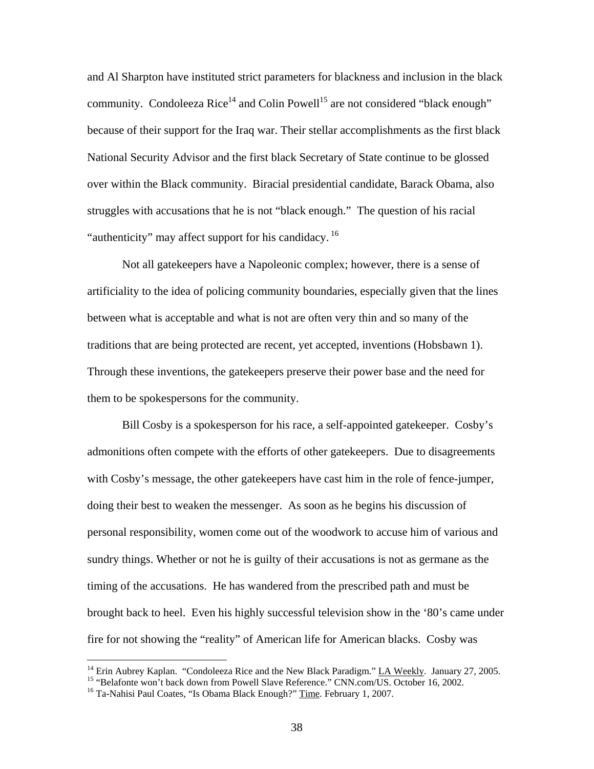and Al Sharpton have instituted strict parameters for blackness and inclusion in the black community. Condoleeza Rice<sup>14</sup> and Colin Powell<sup>15</sup> are not considered "black enough" because of their support for the Iraq war. Their stellar accomplishments as the first black National Security Advisor and the first black Secretary of State continue to be glossed over within the Black community. Biracial presidential candidate, Barack Obama, also struggles with accusations that he is not "black enough." The question of his racial "authenticity" may affect support for his candidacy.<sup>16</sup>

Not all gatekeepers have a Napoleonic complex; however, there is a sense of artificiality to the idea of policing community boundaries, especially given that the lines between what is acceptable and what is not are often very thin and so many of the traditions that are being protected are recent, yet accepted, inventions (Hobsbawn 1). Through these inventions, the gatekeepers preserve their power base and the need for them to be spokespersons for the community.

Bill Cosby is a spokesperson for his race, a self-appointed gatekeeper. Cosby's admonitions often compete with the efforts of other gatekeepers. Due to disagreements with Cosby's message, the other gatekeepers have cast him in the role of fence-jumper, doing their best to weaken the messenger. As soon as he begins his discussion of personal responsibility, women come out of the woodwork to accuse him of various and sundry things. Whether or not he is guilty of their accusations is not as germane as the timing of the accusations. He has wandered from the prescribed path and must be brought back to heel. Even his highly successful television show in the '80's came under fire for not showing the "reality" of American life for American blacks. Cosby was

<span id="page-45-0"></span><sup>&</sup>lt;sup>14</sup> Erin Aubrey Kaplan. "Condoleeza Rice and the New Black Paradigm." <u>LA Weekly</u>. January 27, 2005.<br><sup>15</sup> "Belafonte won't back down from Powell Slave Reference." CNN.com/US. October 16, 2002.<br><sup>16</sup> Ta-Nahisi Paul Coates,

<span id="page-45-1"></span>

<span id="page-45-2"></span>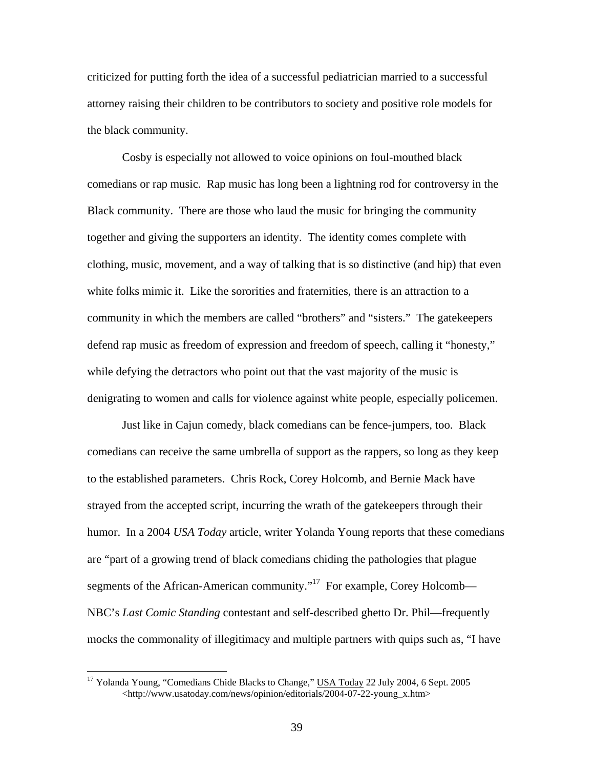criticized for putting forth the idea of a successful pediatrician married to a successful attorney raising their children to be contributors to society and positive role models for the black community.

Cosby is especially not allowed to voice opinions on foul-mouthed black comedians or rap music. Rap music has long been a lightning rod for controversy in the Black community. There are those who laud the music for bringing the community together and giving the supporters an identity. The identity comes complete with clothing, music, movement, and a way of talking that is so distinctive (and hip) that even white folks mimic it. Like the sororities and fraternities, there is an attraction to a community in which the members are called "brothers" and "sisters." The gatekeepers defend rap music as freedom of expression and freedom of speech, calling it "honesty," while defying the detractors who point out that the vast majority of the music is denigrating to women and calls for violence against white people, especially policemen.

Just like in Cajun comedy, black comedians can be fence-jumpers, too. Black comedians can receive the same umbrella of support as the rappers, so long as they keep to the established parameters. Chris Rock, Corey Holcomb, and Bernie Mack have strayed from the accepted script, incurring the wrath of the gatekeepers through their humor. In a 2004 *USA Today* article, writer Yolanda Young reports that these comedians are "part of a growing trend of black comedians chiding the pathologies that plague segments of the African-American community."<sup>17</sup> For example, Corey Holcomb— NBC's *Last Comic Standing* contestant and self-described ghetto Dr. Phil—frequently mocks the commonality of illegitimacy and multiple partners with quips such as, "I have

<span id="page-46-0"></span><sup>&</sup>lt;sup>17</sup> Yolanda Young, "Comedians Chide Blacks to Change," USA Today 22 July 2004, 6 Sept. 2005 <http://www.usatoday.com/news/opinion/editorials/2004-07-22-young\_x.htm>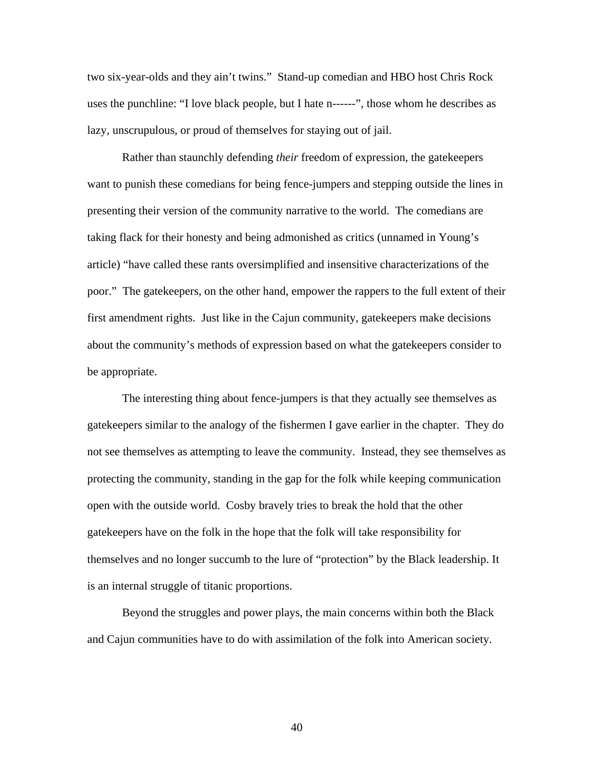two six-year-olds and they ain't twins." Stand-up comedian and HBO host Chris Rock uses the punchline: "I love black people, but I hate n------", those whom he describes as lazy, unscrupulous, or proud of themselves for staying out of jail.

Rather than staunchly defending *their* freedom of expression, the gatekeepers want to punish these comedians for being fence-jumpers and stepping outside the lines in presenting their version of the community narrative to the world. The comedians are taking flack for their honesty and being admonished as critics (unnamed in Young's article) "have called these rants oversimplified and insensitive characterizations of the poor." The gatekeepers, on the other hand, empower the rappers to the full extent of their first amendment rights. Just like in the Cajun community, gatekeepers make decisions about the community's methods of expression based on what the gatekeepers consider to be appropriate.

The interesting thing about fence-jumpers is that they actually see themselves as gatekeepers similar to the analogy of the fishermen I gave earlier in the chapter. They do not see themselves as attempting to leave the community. Instead, they see themselves as protecting the community, standing in the gap for the folk while keeping communication open with the outside world. Cosby bravely tries to break the hold that the other gatekeepers have on the folk in the hope that the folk will take responsibility for themselves and no longer succumb to the lure of "protection" by the Black leadership. It is an internal struggle of titanic proportions.

Beyond the struggles and power plays, the main concerns within both the Black and Cajun communities have to do with assimilation of the folk into American society.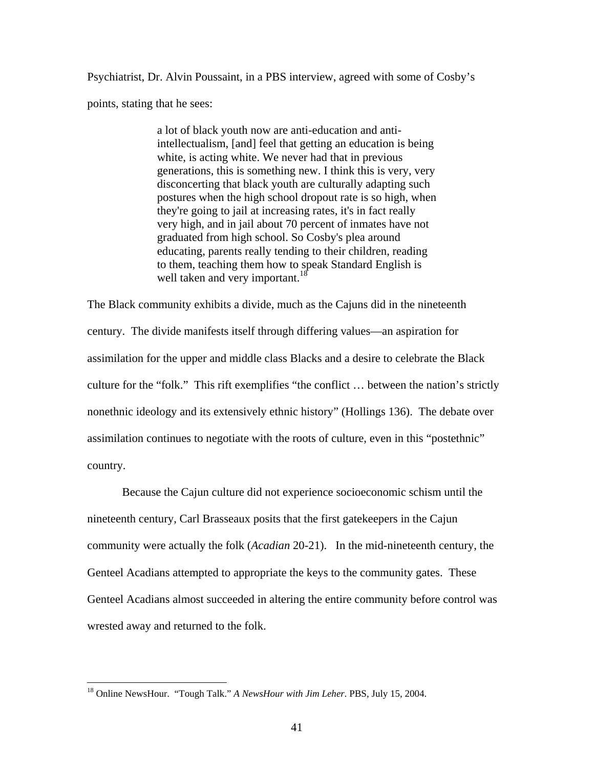Psychiatrist, Dr. Alvin Poussaint, in a PBS interview, agreed with some of Cosby's points, stating that he sees:

> a lot of black youth now are anti-education and antiintellectualism, [and] feel that getting an education is being white, is acting white. We never had that in previous generations, this is something new. I think this is very, very disconcerting that black youth are culturally adapting such postures when the high school dropout rate is so high, when they're going to jail at increasing rates, it's in fact really very high, and in jail about 70 percent of inmates have not graduated from high school. So Cosby's plea around educating, parents really tending to their children, reading to them, teaching them how to speak Standard English is well taken and very important.<sup>18</sup>

The Black community exhibits a divide, much as the Cajuns did in the nineteenth century. The divide manifests itself through differing values—an aspiration for assimilation for the upper and middle class Blacks and a desire to celebrate the Black culture for the "folk." This rift exemplifies "the conflict … between the nation's strictly nonethnic ideology and its extensively ethnic history" (Hollings 136). The debate over assimilation continues to negotiate with the roots of culture, even in this "postethnic" country.

Because the Cajun culture did not experience socioeconomic schism until the nineteenth century, Carl Brasseaux posits that the first gatekeepers in the Cajun community were actually the folk (*Acadian* 20-21). In the mid-nineteenth century, the Genteel Acadians attempted to appropriate the keys to the community gates. These Genteel Acadians almost succeeded in altering the entire community before control was wrested away and returned to the folk.

<span id="page-48-0"></span><sup>18</sup> Online NewsHour. "Tough Talk." *A NewsHour with Jim Leher*. PBS, July 15, 2004.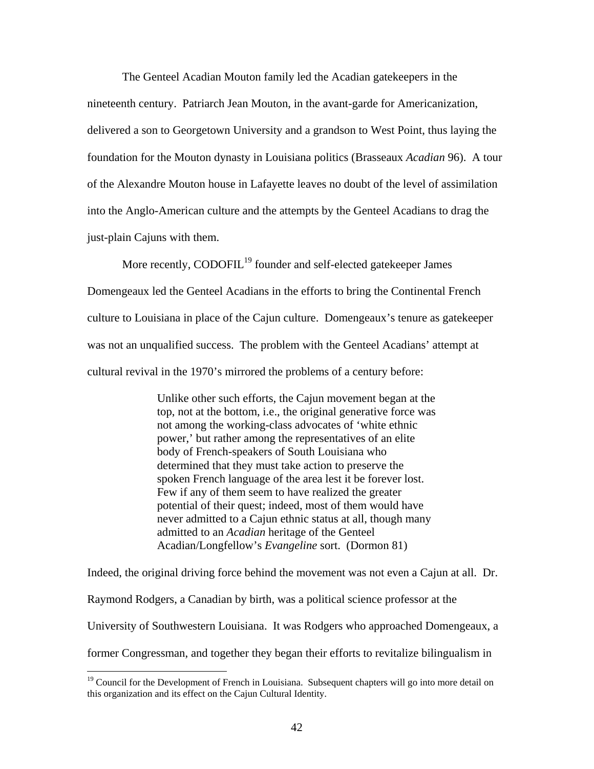The Genteel Acadian Mouton family led the Acadian gatekeepers in the nineteenth century. Patriarch Jean Mouton, in the avant-garde for Americanization, delivered a son to Georgetown University and a grandson to West Point, thus laying the foundation for the Mouton dynasty in Louisiana politics (Brasseaux *Acadian* 96). A tour of the Alexandre Mouton house in Lafayette leaves no doubt of the level of assimilation into the Anglo-American culture and the attempts by the Genteel Acadians to drag the just-plain Cajuns with them.

More recently, CODOFIL<sup>19</sup> founder and self-elected gatekeeper James Domengeaux led the Genteel Acadians in the efforts to bring the Continental French culture to Louisiana in place of the Cajun culture. Domengeaux's tenure as gatekeeper was not an unqualified success. The problem with the Genteel Acadians' attempt at cultural revival in the 1970's mirrored the problems of a century before:

> Unlike other such efforts, the Cajun movement began at the top, not at the bottom, i.e., the original generative force was not among the working-class advocates of 'white ethnic power,' but rather among the representatives of an elite body of French-speakers of South Louisiana who determined that they must take action to preserve the spoken French language of the area lest it be forever lost. Few if any of them seem to have realized the greater potential of their quest; indeed, most of them would have never admitted to a Cajun ethnic status at all, though many admitted to an *Acadian* heritage of the Genteel Acadian/Longfellow's *Evangeline* sort. (Dormon 81)

Indeed, the original driving force behind the movement was not even a Cajun at all. Dr. Raymond Rodgers, a Canadian by birth, was a political science professor at the University of Southwestern Louisiana. It was Rodgers who approached Domengeaux, a former Congressman, and together they began their efforts to revitalize bilingualism in

<span id="page-49-0"></span><sup>&</sup>lt;sup>19</sup> Council for the Development of French in Louisiana. Subsequent chapters will go into more detail on this organization and its effect on the Cajun Cultural Identity.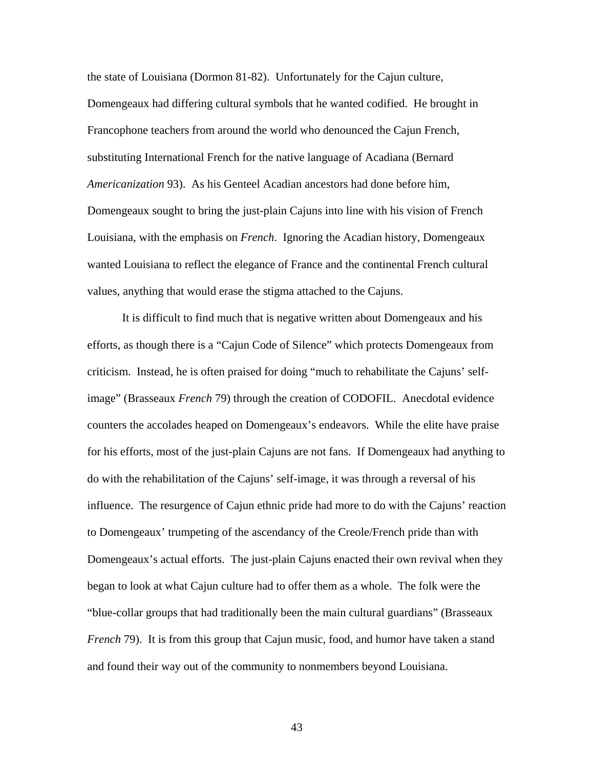the state of Louisiana (Dormon 81-82). Unfortunately for the Cajun culture, Domengeaux had differing cultural symbols that he wanted codified. He brought in Francophone teachers from around the world who denounced the Cajun French, substituting International French for the native language of Acadiana (Bernard *Americanization* 93). As his Genteel Acadian ancestors had done before him, Domengeaux sought to bring the just-plain Cajuns into line with his vision of French Louisiana, with the emphasis on *French*. Ignoring the Acadian history, Domengeaux wanted Louisiana to reflect the elegance of France and the continental French cultural values, anything that would erase the stigma attached to the Cajuns.

It is difficult to find much that is negative written about Domengeaux and his efforts, as though there is a "Cajun Code of Silence" which protects Domengeaux from criticism. Instead, he is often praised for doing "much to rehabilitate the Cajuns' selfimage" (Brasseaux *French* 79) through the creation of CODOFIL. Anecdotal evidence counters the accolades heaped on Domengeaux's endeavors. While the elite have praise for his efforts, most of the just-plain Cajuns are not fans. If Domengeaux had anything to do with the rehabilitation of the Cajuns' self-image, it was through a reversal of his influence. The resurgence of Cajun ethnic pride had more to do with the Cajuns' reaction to Domengeaux' trumpeting of the ascendancy of the Creole/French pride than with Domengeaux's actual efforts. The just-plain Cajuns enacted their own revival when they began to look at what Cajun culture had to offer them as a whole. The folk were the "blue-collar groups that had traditionally been the main cultural guardians" (Brasseaux *French* 79). It is from this group that Cajun music, food, and humor have taken a stand and found their way out of the community to nonmembers beyond Louisiana.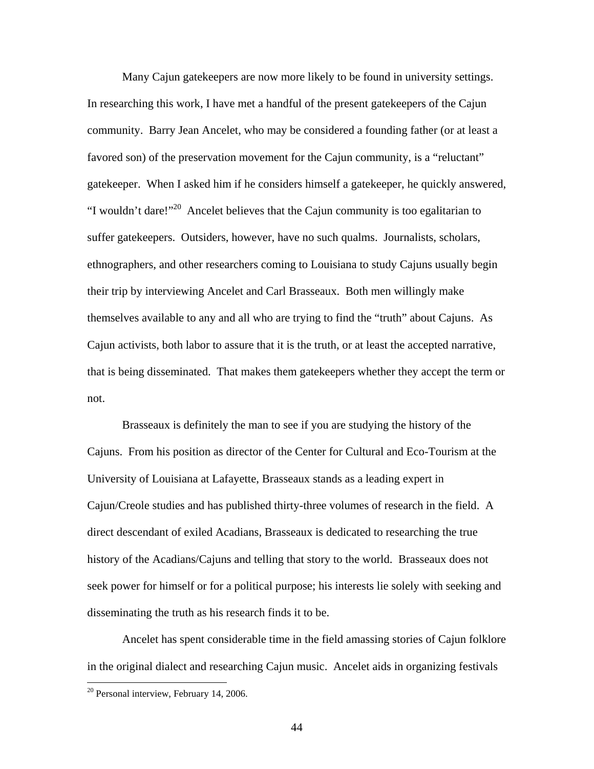Many Cajun gatekeepers are now more likely to be found in university settings. In researching this work, I have met a handful of the present gatekeepers of the Cajun community. Barry Jean Ancelet, who may be considered a founding father (or at least a favored son) of the preservation movement for the Cajun community, is a "reluctant" gatekeeper. When I asked him if he considers himself a gatekeeper, he quickly answered, "I wouldn't dare!"[20](#page-51-0) Ancelet believes that the Cajun community is too egalitarian to suffer gatekeepers. Outsiders, however, have no such qualms. Journalists, scholars, ethnographers, and other researchers coming to Louisiana to study Cajuns usually begin their trip by interviewing Ancelet and Carl Brasseaux. Both men willingly make themselves available to any and all who are trying to find the "truth" about Cajuns. As Cajun activists, both labor to assure that it is the truth, or at least the accepted narrative, that is being disseminated. That makes them gatekeepers whether they accept the term or not.

 Brasseaux is definitely the man to see if you are studying the history of the Cajuns. From his position as director of the Center for Cultural and Eco-Tourism at the University of Louisiana at Lafayette, Brasseaux stands as a leading expert in Cajun/Creole studies and has published thirty-three volumes of research in the field. A direct descendant of exiled Acadians, Brasseaux is dedicated to researching the true history of the Acadians/Cajuns and telling that story to the world. Brasseaux does not seek power for himself or for a political purpose; his interests lie solely with seeking and disseminating the truth as his research finds it to be.

Ancelet has spent considerable time in the field amassing stories of Cajun folklore in the original dialect and researching Cajun music. Ancelet aids in organizing festivals

<u>.</u>

<span id="page-51-0"></span> $20$  Personal interview, February 14, 2006.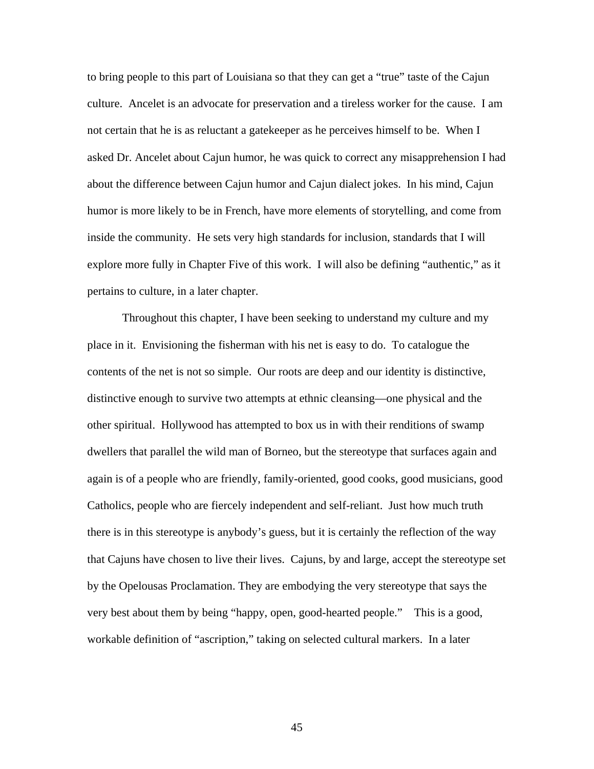to bring people to this part of Louisiana so that they can get a "true" taste of the Cajun culture. Ancelet is an advocate for preservation and a tireless worker for the cause. I am not certain that he is as reluctant a gatekeeper as he perceives himself to be. When I asked Dr. Ancelet about Cajun humor, he was quick to correct any misapprehension I had about the difference between Cajun humor and Cajun dialect jokes. In his mind, Cajun humor is more likely to be in French, have more elements of storytelling, and come from inside the community. He sets very high standards for inclusion, standards that I will explore more fully in Chapter Five of this work. I will also be defining "authentic," as it pertains to culture, in a later chapter.

Throughout this chapter, I have been seeking to understand my culture and my place in it. Envisioning the fisherman with his net is easy to do. To catalogue the contents of the net is not so simple. Our roots are deep and our identity is distinctive, distinctive enough to survive two attempts at ethnic cleansing—one physical and the other spiritual. Hollywood has attempted to box us in with their renditions of swamp dwellers that parallel the wild man of Borneo, but the stereotype that surfaces again and again is of a people who are friendly, family-oriented, good cooks, good musicians, good Catholics, people who are fiercely independent and self-reliant. Just how much truth there is in this stereotype is anybody's guess, but it is certainly the reflection of the way that Cajuns have chosen to live their lives. Cajuns, by and large, accept the stereotype set by the Opelousas Proclamation. They are embodying the very stereotype that says the very best about them by being "happy, open, good-hearted people." This is a good, workable definition of "ascription," taking on selected cultural markers. In a later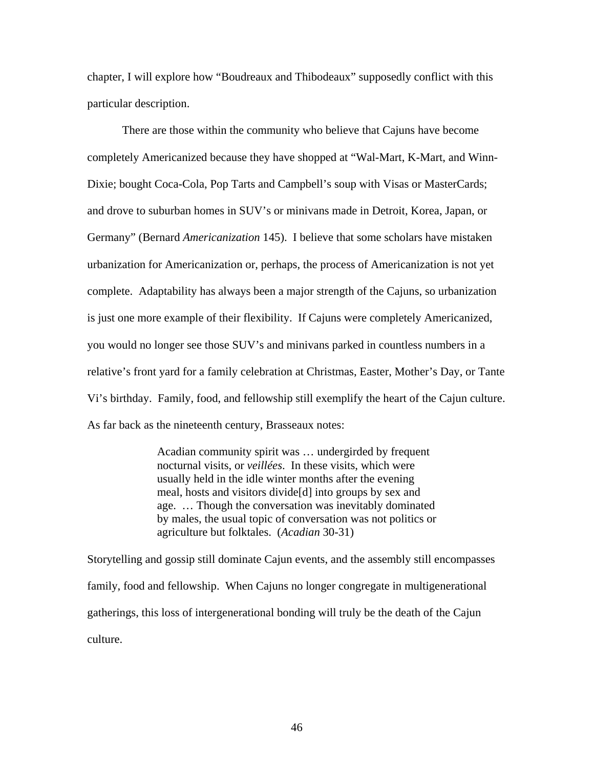chapter, I will explore how "Boudreaux and Thibodeaux" supposedly conflict with this particular description.

There are those within the community who believe that Cajuns have become completely Americanized because they have shopped at "Wal-Mart, K-Mart, and Winn-Dixie; bought Coca-Cola, Pop Tarts and Campbell's soup with Visas or MasterCards; and drove to suburban homes in SUV's or minivans made in Detroit, Korea, Japan, or Germany" (Bernard *Americanization* 145). I believe that some scholars have mistaken urbanization for Americanization or, perhaps, the process of Americanization is not yet complete. Adaptability has always been a major strength of the Cajuns, so urbanization is just one more example of their flexibility. If Cajuns were completely Americanized, you would no longer see those SUV's and minivans parked in countless numbers in a relative's front yard for a family celebration at Christmas, Easter, Mother's Day, or Tante Vi's birthday. Family, food, and fellowship still exemplify the heart of the Cajun culture. As far back as the nineteenth century, Brasseaux notes:

> Acadian community spirit was … undergirded by frequent nocturnal visits, or *veillées*. In these visits, which were usually held in the idle winter months after the evening meal, hosts and visitors divide[d] into groups by sex and age. … Though the conversation was inevitably dominated by males, the usual topic of conversation was not politics or agriculture but folktales. (*Acadian* 30-31)

Storytelling and gossip still dominate Cajun events, and the assembly still encompasses family, food and fellowship. When Cajuns no longer congregate in multigenerational gatherings, this loss of intergenerational bonding will truly be the death of the Cajun culture.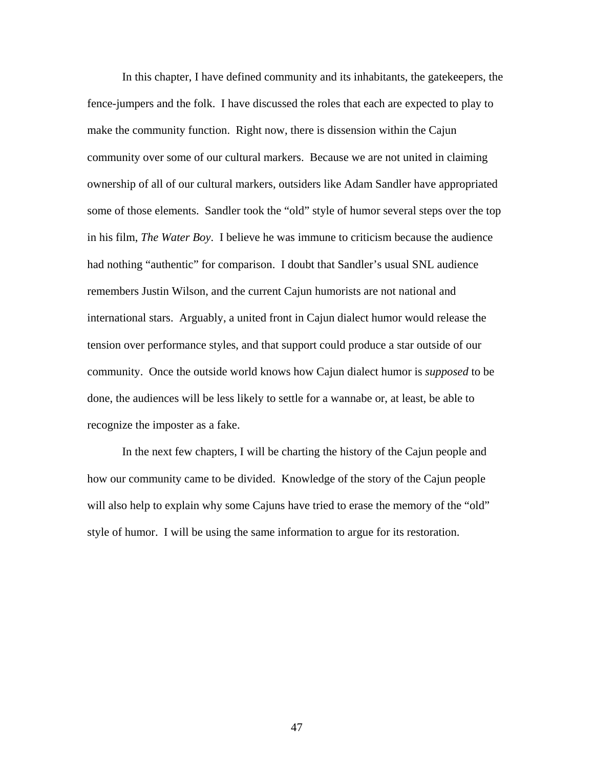In this chapter, I have defined community and its inhabitants, the gatekeepers, the fence-jumpers and the folk. I have discussed the roles that each are expected to play to make the community function. Right now, there is dissension within the Cajun community over some of our cultural markers. Because we are not united in claiming ownership of all of our cultural markers, outsiders like Adam Sandler have appropriated some of those elements. Sandler took the "old" style of humor several steps over the top in his film, *The Water Boy*. I believe he was immune to criticism because the audience had nothing "authentic" for comparison. I doubt that Sandler's usual SNL audience remembers Justin Wilson, and the current Cajun humorists are not national and international stars. Arguably, a united front in Cajun dialect humor would release the tension over performance styles, and that support could produce a star outside of our community. Once the outside world knows how Cajun dialect humor is *supposed* to be done, the audiences will be less likely to settle for a wannabe or, at least, be able to recognize the imposter as a fake.

In the next few chapters, I will be charting the history of the Cajun people and how our community came to be divided. Knowledge of the story of the Cajun people will also help to explain why some Cajuns have tried to erase the memory of the "old" style of humor. I will be using the same information to argue for its restoration.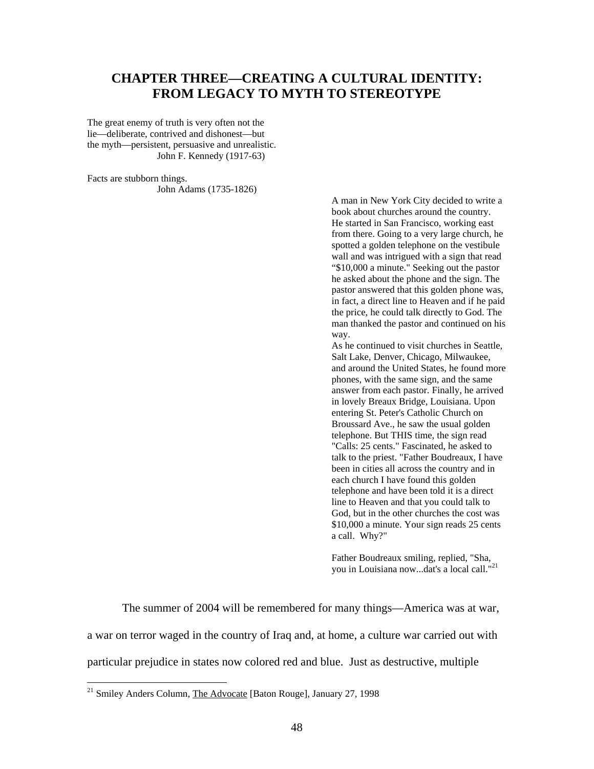## **CHAPTER THREE—CREATING A CULTURAL IDENTITY: FROM LEGACY TO MYTH TO STEREOTYPE**

The great enemy of truth is very often not the lie—deliberate, contrived and dishonest—but the myth—persistent, persuasive and unrealistic. John F. Kennedy (1917-63)

Facts are stubborn things. John Adams (1735-1826)

> A man in New York City decided to write a book about churches around the country. He started in San Francisco, working east from there. Going to a very large church, he spotted a golden telephone on the vestibule wall and was intrigued with a sign that read "\$10,000 a minute." Seeking out the pastor he asked about the phone and the sign. The pastor answered that this golden phone was, in fact, a direct line to Heaven and if he paid the price, he could talk directly to God. The man thanked the pastor and continued on his way.

> As he continued to visit churches in Seattle, Salt Lake, Denver, Chicago, Milwaukee, and around the United States, he found more phones, with the same sign, and the same answer from each pastor. Finally, he arrived in lovely Breaux Bridge, Louisiana. Upon entering St. Peter's Catholic Church on Broussard Ave., he saw the usual golden telephone. But THIS time, the sign read "Calls: 25 cents." Fascinated, he asked to talk to the priest. "Father Boudreaux, I have been in cities all across the country and in each church I have found this golden telephone and have been told it is a direct line to Heaven and that you could talk to God, but in the other churches the cost was \$10,000 a minute. Your sign reads 25 cents a call. Why?"

Father Boudreaux smiling, replied, "Sha, you in Louisiana now...dat's a local call.["21](#page-55-0)

The summer of 2004 will be remembered for many things—America was at war, a war on terror waged in the country of Iraq and, at home, a culture war carried out with particular prejudice in states now colored red and blue. Just as destructive, multiple

<span id="page-55-0"></span> $21$  Smiley Anders Column, The Advocate [Baton Rouge], January 27, 1998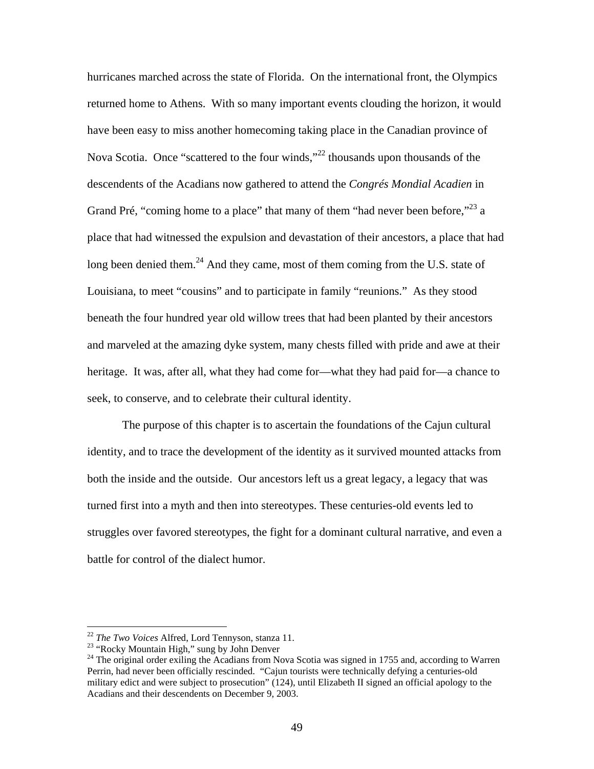hurricanes marched across the state of Florida. On the international front, the Olympics returned home to Athens. With so many important events clouding the horizon, it would have been easy to miss another homecoming taking place in the Canadian province of Nova Scotia. Once "scattered to the four winds,"[22](#page-56-0) thousands upon thousands of the descendents of the Acadians now gathered to attend the *Congrés Mondial Acadien* in Grand Pré, "coming home to a place" that many of them "had never been before," $^{23}$  a place that had witnessed the expulsion and devastation of their ancestors, a place that had long been denied them. $^{24}$  And they came, most of them coming from the U.S. state of Louisiana, to meet "cousins" and to participate in family "reunions." As they stood beneath the four hundred year old willow trees that had been planted by their ancestors and marveled at the amazing dyke system, many chests filled with pride and awe at their heritage. It was, after all, what they had come for—what they had paid for—a chance to seek, to conserve, and to celebrate their cultural identity.

The purpose of this chapter is to ascertain the foundations of the Cajun cultural identity, and to trace the development of the identity as it survived mounted attacks from both the inside and the outside. Our ancestors left us a great legacy, a legacy that was turned first into a myth and then into stereotypes. These centuries-old events led to struggles over favored stereotypes, the fight for a dominant cultural narrative, and even a battle for control of the dialect humor.

<span id="page-56-0"></span> $^{22}$  The Two Voices Alfred, Lord Tennyson, stanza 11.

<span id="page-56-2"></span>

<span id="page-56-1"></span><sup>&</sup>lt;sup>23</sup> "Rocky Mountain High," sung by John Denver<br><sup>24</sup> The original order exiling the Acadians from Nova Scotia was signed in 1755 and, according to Warren Perrin, had never been officially rescinded. "Cajun tourists were technically defying a centuries-old military edict and were subject to prosecution" (124), until Elizabeth II signed an official apology to the Acadians and their descendents on December 9, 2003.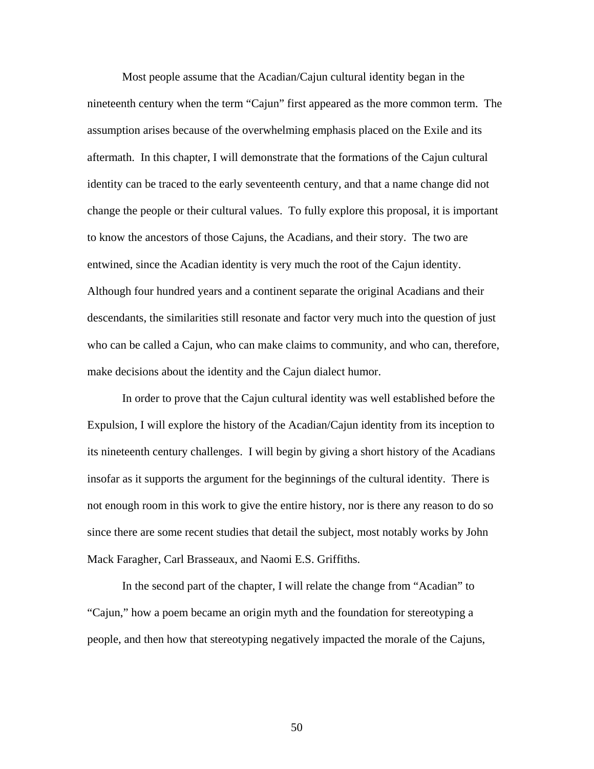Most people assume that the Acadian/Cajun cultural identity began in the nineteenth century when the term "Cajun" first appeared as the more common term. The assumption arises because of the overwhelming emphasis placed on the Exile and its aftermath. In this chapter, I will demonstrate that the formations of the Cajun cultural identity can be traced to the early seventeenth century, and that a name change did not change the people or their cultural values. To fully explore this proposal, it is important to know the ancestors of those Cajuns, the Acadians, and their story. The two are entwined, since the Acadian identity is very much the root of the Cajun identity. Although four hundred years and a continent separate the original Acadians and their descendants, the similarities still resonate and factor very much into the question of just who can be called a Cajun, who can make claims to community, and who can, therefore, make decisions about the identity and the Cajun dialect humor.

In order to prove that the Cajun cultural identity was well established before the Expulsion, I will explore the history of the Acadian/Cajun identity from its inception to its nineteenth century challenges. I will begin by giving a short history of the Acadians insofar as it supports the argument for the beginnings of the cultural identity. There is not enough room in this work to give the entire history, nor is there any reason to do so since there are some recent studies that detail the subject, most notably works by John Mack Faragher, Carl Brasseaux, and Naomi E.S. Griffiths.

In the second part of the chapter, I will relate the change from "Acadian" to "Cajun," how a poem became an origin myth and the foundation for stereotyping a people, and then how that stereotyping negatively impacted the morale of the Cajuns,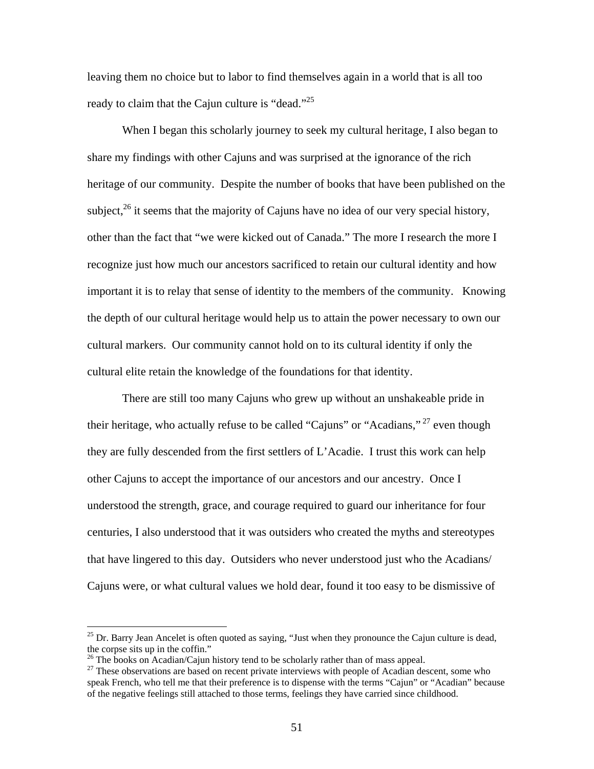leaving them no choice but to labor to find themselves again in a world that is all too ready to claim that the Cajun culture is "dead."<sup>[25](#page-58-0)</sup>

When I began this scholarly journey to seek my cultural heritage. I also began to share my findings with other Cajuns and was surprised at the ignorance of the rich heritage of our community. Despite the number of books that have been published on the subject,<sup>26</sup> it seems that the majority of Cajuns have no idea of our very special history, other than the fact that "we were kicked out of Canada." The more I research the more I recognize just how much our ancestors sacrificed to retain our cultural identity and how important it is to relay that sense of identity to the members of the community. Knowing the depth of our cultural heritage would help us to attain the power necessary to own our cultural markers. Our community cannot hold on to its cultural identity if only the cultural elite retain the knowledge of the foundations for that identity.

There are still too many Cajuns who grew up without an unshakeable pride in their heritage, who actually refuse to be called "Cajuns" or "Acadians,"<sup>27</sup> even though they are fully descended from the first settlers of L'Acadie. I trust this work can help other Cajuns to accept the importance of our ancestors and our ancestry. Once I understood the strength, grace, and courage required to guard our inheritance for four centuries, I also understood that it was outsiders who created the myths and stereotypes that have lingered to this day. Outsiders who never understood just who the Acadians/ Cajuns were, or what cultural values we hold dear, found it too easy to be dismissive of

<span id="page-58-0"></span> $^{25}$  Dr. Barry Jean Ancelet is often quoted as saying, "Just when they pronounce the Cajun culture is dead, the corpse sits up in the coffin."<br><sup>26</sup> The books on Acadian/Cajun history tend to be scholarly rather than of mass appeal.

<span id="page-58-1"></span>

<span id="page-58-2"></span> $27$  These observations are based on recent private interviews with people of Acadian descent, some who speak French, who tell me that their preference is to dispense with the terms "Cajun" or "Acadian" because of the negative feelings still attached to those terms, feelings they have carried since childhood.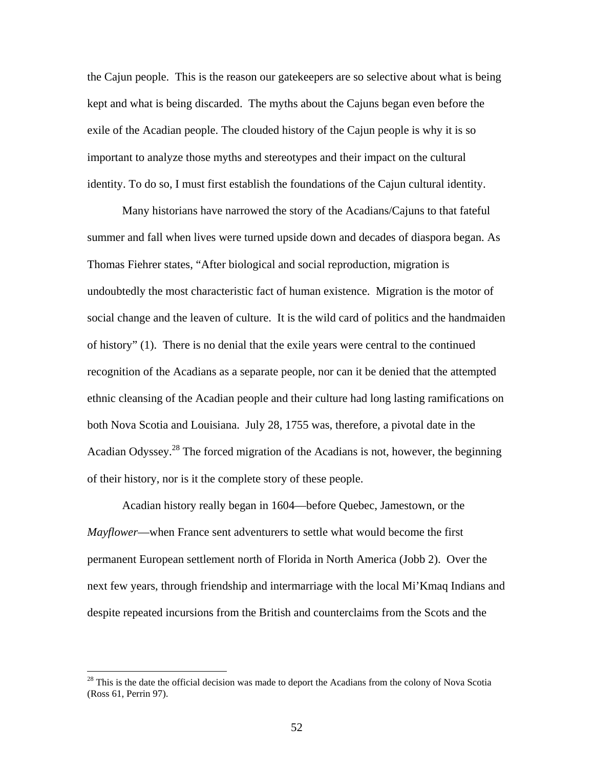the Cajun people. This is the reason our gatekeepers are so selective about what is being kept and what is being discarded. The myths about the Cajuns began even before the exile of the Acadian people. The clouded history of the Cajun people is why it is so important to analyze those myths and stereotypes and their impact on the cultural identity. To do so, I must first establish the foundations of the Cajun cultural identity.

Many historians have narrowed the story of the Acadians/Cajuns to that fateful summer and fall when lives were turned upside down and decades of diaspora began. As Thomas Fiehrer states, "After biological and social reproduction, migration is undoubtedly the most characteristic fact of human existence. Migration is the motor of social change and the leaven of culture. It is the wild card of politics and the handmaiden of history" (1). There is no denial that the exile years were central to the continued recognition of the Acadians as a separate people, nor can it be denied that the attempted ethnic cleansing of the Acadian people and their culture had long lasting ramifications on both Nova Scotia and Louisiana. July 28, 1755 was, therefore, a pivotal date in the Acadian Odyssey[.28](#page-59-0) The forced migration of the Acadians is not, however, the beginning of their history, nor is it the complete story of these people.

Acadian history really began in 1604—before Quebec, Jamestown, or the *Mayflower*—when France sent adventurers to settle what would become the first permanent European settlement north of Florida in North America (Jobb 2). Over the next few years, through friendship and intermarriage with the local Mi'Kmaq Indians and despite repeated incursions from the British and counterclaims from the Scots and the

<span id="page-59-0"></span> $2<sup>28</sup>$  This is the date the official decision was made to deport the Acadians from the colony of Nova Scotia (Ross 61, Perrin 97).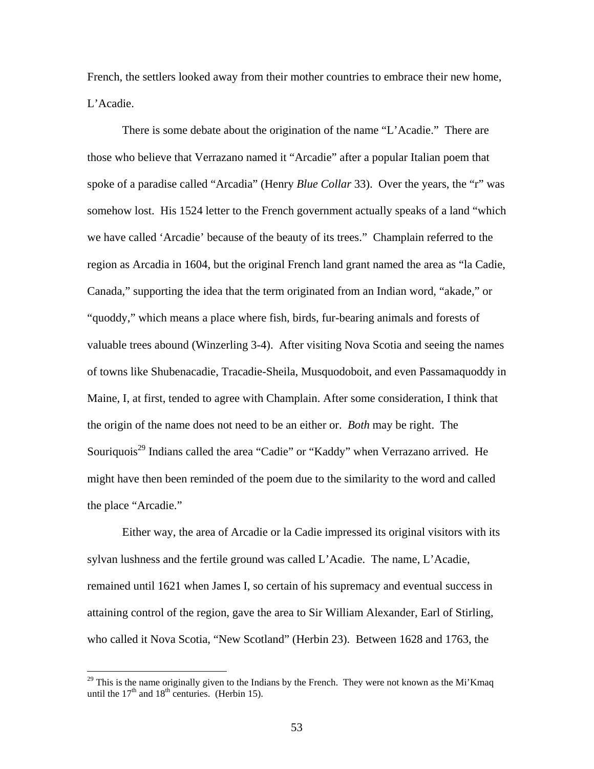French, the settlers looked away from their mother countries to embrace their new home, L'Acadie.

There is some debate about the origination of the name "L'Acadie." There are those who believe that Verrazano named it "Arcadie" after a popular Italian poem that spoke of a paradise called "Arcadia" (Henry *Blue Collar* 33). Over the years, the "r" was somehow lost. His 1524 letter to the French government actually speaks of a land "which we have called 'Arcadie' because of the beauty of its trees." Champlain referred to the region as Arcadia in 1604, but the original French land grant named the area as "la Cadie, Canada," supporting the idea that the term originated from an Indian word, "akade," or "quoddy," which means a place where fish, birds, fur-bearing animals and forests of valuable trees abound (Winzerling 3-4). After visiting Nova Scotia and seeing the names of towns like Shubenacadie, Tracadie-Sheila, Musquodoboit, and even Passamaquoddy in Maine, I, at first, tended to agree with Champlain. After some consideration, I think that the origin of the name does not need to be an either or. *Both* may be right. The Souriquois<sup>29</sup> Indians called the area "Cadie" or "Kaddy" when Verrazano arrived. He might have then been reminded of the poem due to the similarity to the word and called the place "Arcadie."

Either way, the area of Arcadie or la Cadie impressed its original visitors with its sylvan lushness and the fertile ground was called L'Acadie. The name, L'Acadie, remained until 1621 when James I, so certain of his supremacy and eventual success in attaining control of the region, gave the area to Sir William Alexander, Earl of Stirling, who called it Nova Scotia, "New Scotland" (Herbin 23). Between 1628 and 1763, the

<span id="page-60-0"></span> $^{29}$  This is the name originally given to the Indians by the French. They were not known as the Mi'Kmaq until the  $17<sup>th</sup>$  and  $18<sup>th</sup>$  centuries. (Herbin 15).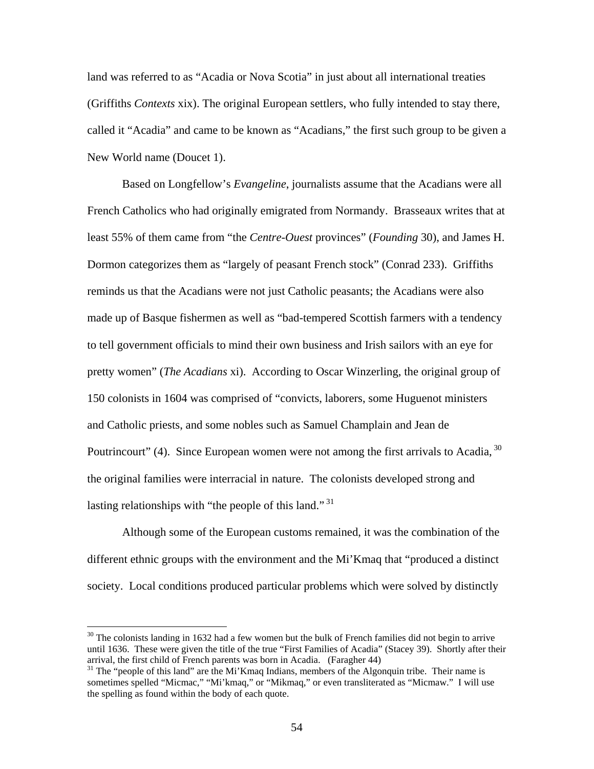land was referred to as "Acadia or Nova Scotia" in just about all international treaties (Griffiths *Contexts* xix). The original European settlers, who fully intended to stay there, called it "Acadia" and came to be known as "Acadians," the first such group to be given a New World name (Doucet 1).

Based on Longfellow's *Evangeline*, journalists assume that the Acadians were all French Catholics who had originally emigrated from Normandy. Brasseaux writes that at least 55% of them came from "the *Centre-Ouest* provinces" (*Founding* 30), and James H. Dormon categorizes them as "largely of peasant French stock" (Conrad 233). Griffiths reminds us that the Acadians were not just Catholic peasants; the Acadians were also made up of Basque fishermen as well as "bad-tempered Scottish farmers with a tendency to tell government officials to mind their own business and Irish sailors with an eye for pretty women" (*The Acadians* xi). According to Oscar Winzerling, the original group of 150 colonists in 1604 was comprised of "convicts, laborers, some Huguenot ministers and Catholic priests, and some nobles such as Samuel Champlain and Jean de Poutrincourt" (4). Since European women were not among the first arrivals to Acadia, <sup>30</sup> the original families were interracial in nature. The colonists developed strong and lasting relationships with "the people of this land."<sup>31</sup>

Although some of the European customs remained, it was the combination of the different ethnic groups with the environment and the Mi'Kmaq that "produced a distinct society. Local conditions produced particular problems which were solved by distinctly

<span id="page-61-0"></span><sup>&</sup>lt;sup>30</sup> The colonists landing in 1632 had a few women but the bulk of French families did not begin to arrive until 1636. These were given the title of the true "First Families of Acadia" (Stacey 39). Shortly after their arrival, the first child of French parents was born in Acadia. (Faragher 44)<br><sup>31</sup> The "people of this land" are the Mi'Kmaq Indians, members of the Algonquin tribe. Their name is

<span id="page-61-1"></span>sometimes spelled "Micmac," "Mi'kmaq," or "Mikmaq," or even transliterated as "Micmaw." I will use the spelling as found within the body of each quote.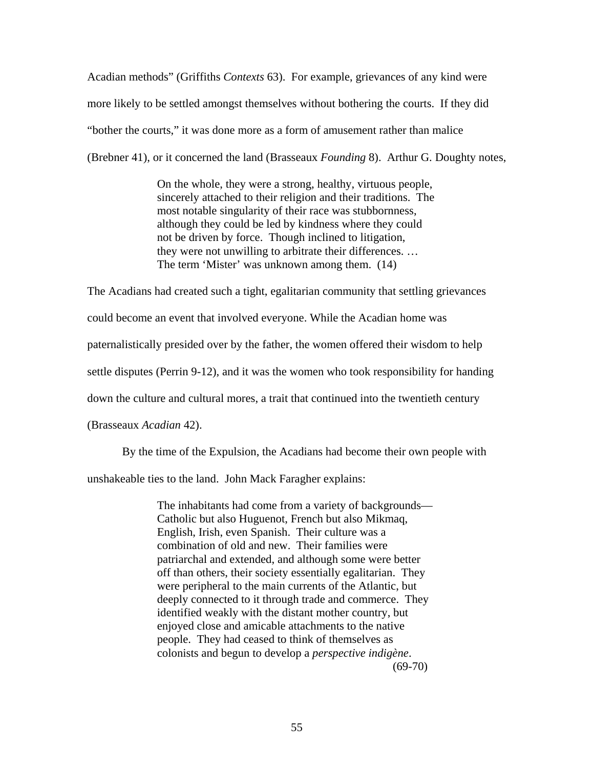Acadian methods" (Griffiths *Contexts* 63). For example, grievances of any kind were more likely to be settled amongst themselves without bothering the courts. If they did "bother the courts," it was done more as a form of amusement rather than malice (Brebner 41), or it concerned the land (Brasseaux *Founding* 8). Arthur G. Doughty notes,

> On the whole, they were a strong, healthy, virtuous people, sincerely attached to their religion and their traditions. The most notable singularity of their race was stubbornness, although they could be led by kindness where they could not be driven by force. Though inclined to litigation, they were not unwilling to arbitrate their differences. … The term 'Mister' was unknown among them. (14)

The Acadians had created such a tight, egalitarian community that settling grievances could become an event that involved everyone. While the Acadian home was paternalistically presided over by the father, the women offered their wisdom to help settle disputes (Perrin 9-12), and it was the women who took responsibility for handing down the culture and cultural mores, a trait that continued into the twentieth century (Brasseaux *Acadian* 42).

By the time of the Expulsion, the Acadians had become their own people with

unshakeable ties to the land. John Mack Faragher explains:

The inhabitants had come from a variety of backgrounds— Catholic but also Huguenot, French but also Mikmaq, English, Irish, even Spanish. Their culture was a combination of old and new. Their families were patriarchal and extended, and although some were better off than others, their society essentially egalitarian. They were peripheral to the main currents of the Atlantic, but deeply connected to it through trade and commerce. They identified weakly with the distant mother country, but enjoyed close and amicable attachments to the native people. They had ceased to think of themselves as colonists and begun to develop a *perspective indigène*.  $(69-70)$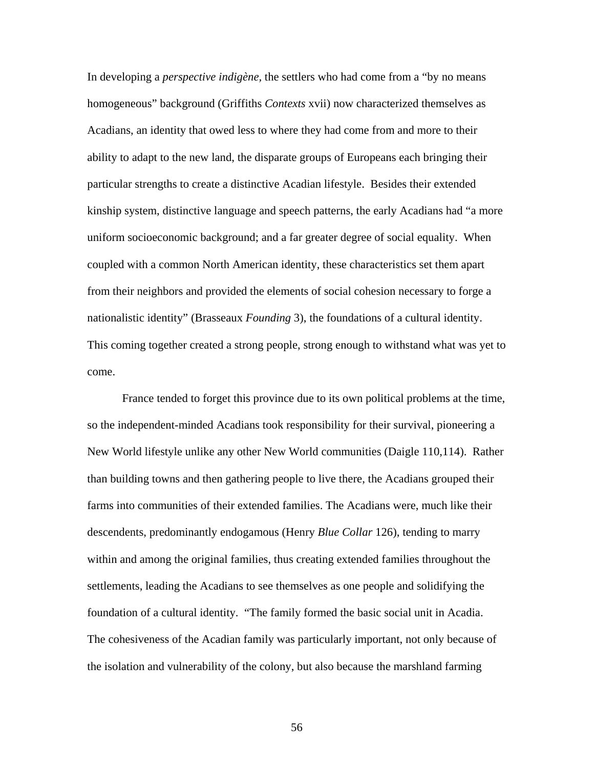In developing a *perspective indigène,* the settlers who had come from a "by no means homogeneous" background (Griffiths *Contexts* xvii) now characterized themselves as Acadians, an identity that owed less to where they had come from and more to their ability to adapt to the new land, the disparate groups of Europeans each bringing their particular strengths to create a distinctive Acadian lifestyle. Besides their extended kinship system, distinctive language and speech patterns, the early Acadians had "a more uniform socioeconomic background; and a far greater degree of social equality. When coupled with a common North American identity, these characteristics set them apart from their neighbors and provided the elements of social cohesion necessary to forge a nationalistic identity" (Brasseaux *Founding* 3), the foundations of a cultural identity. This coming together created a strong people, strong enough to withstand what was yet to come.

France tended to forget this province due to its own political problems at the time, so the independent-minded Acadians took responsibility for their survival, pioneering a New World lifestyle unlike any other New World communities (Daigle 110,114). Rather than building towns and then gathering people to live there, the Acadians grouped their farms into communities of their extended families. The Acadians were, much like their descendents, predominantly endogamous (Henry *Blue Collar* 126), tending to marry within and among the original families, thus creating extended families throughout the settlements, leading the Acadians to see themselves as one people and solidifying the foundation of a cultural identity. "The family formed the basic social unit in Acadia. The cohesiveness of the Acadian family was particularly important, not only because of the isolation and vulnerability of the colony, but also because the marshland farming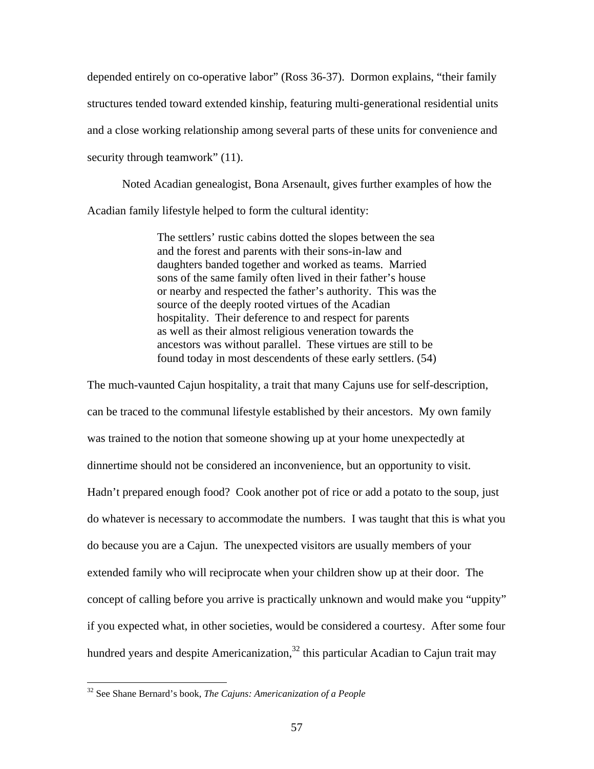depended entirely on co-operative labor" (Ross 36-37). Dormon explains, "their family structures tended toward extended kinship, featuring multi-generational residential units and a close working relationship among several parts of these units for convenience and security through teamwork" (11).

Noted Acadian genealogist, Bona Arsenault, gives further examples of how the Acadian family lifestyle helped to form the cultural identity:

> The settlers' rustic cabins dotted the slopes between the sea and the forest and parents with their sons-in-law and daughters banded together and worked as teams. Married sons of the same family often lived in their father's house or nearby and respected the father's authority. This was the source of the deeply rooted virtues of the Acadian hospitality. Their deference to and respect for parents as well as their almost religious veneration towards the ancestors was without parallel. These virtues are still to be found today in most descendents of these early settlers. (54)

The much-vaunted Cajun hospitality, a trait that many Cajuns use for self-description, can be traced to the communal lifestyle established by their ancestors. My own family was trained to the notion that someone showing up at your home unexpectedly at dinnertime should not be considered an inconvenience, but an opportunity to visit. Hadn't prepared enough food? Cook another pot of rice or add a potato to the soup, just do whatever is necessary to accommodate the numbers. I was taught that this is what you do because you are a Cajun. The unexpected visitors are usually members of your extended family who will reciprocate when your children show up at their door. The concept of calling before you arrive is practically unknown and would make you "uppity" if you expected what, in other societies, would be considered a courtesy. After some four hundred years and despite Americanization, $32$  this particular Acadian to Cajun trait may

<u>.</u>

<span id="page-64-0"></span><sup>32</sup> See Shane Bernard's book, *The Cajuns: Americanization of a People*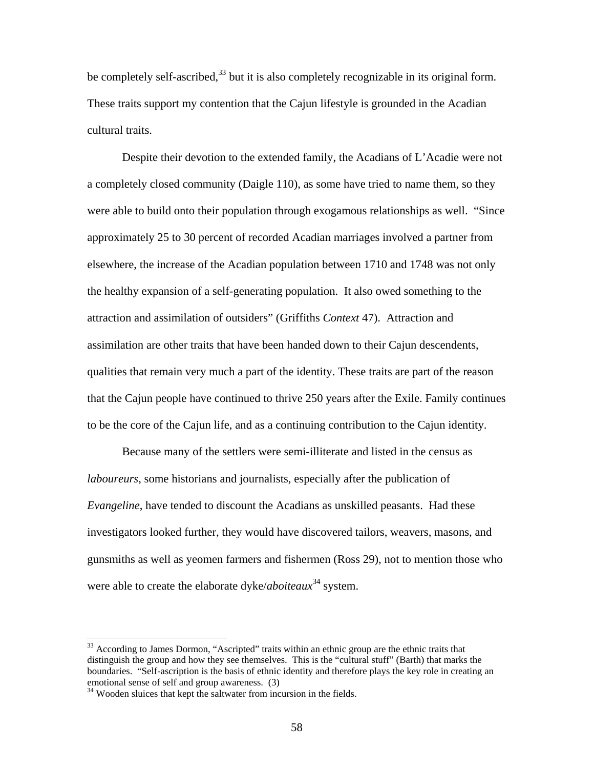be completely self-ascribed, $33$  but it is also completely recognizable in its original form. These traits support my contention that the Cajun lifestyle is grounded in the Acadian cultural traits.

Despite their devotion to the extended family, the Acadians of L'Acadie were not a completely closed community (Daigle 110), as some have tried to name them, so they were able to build onto their population through exogamous relationships as well. "Since approximately 25 to 30 percent of recorded Acadian marriages involved a partner from elsewhere, the increase of the Acadian population between 1710 and 1748 was not only the healthy expansion of a self-generating population. It also owed something to the attraction and assimilation of outsiders" (Griffiths *Context* 47). Attraction and assimilation are other traits that have been handed down to their Cajun descendents, qualities that remain very much a part of the identity. These traits are part of the reason that the Cajun people have continued to thrive 250 years after the Exile. Family continues to be the core of the Cajun life, and as a continuing contribution to the Cajun identity.

Because many of the settlers were semi-illiterate and listed in the census as *laboureurs*, some historians and journalists, especially after the publication of *Evangeline*, have tended to discount the Acadians as unskilled peasants. Had these investigators looked further, they would have discovered tailors, weavers, masons, and gunsmiths as well as yeomen farmers and fishermen (Ross 29), not to mention those who were able to create the elaborate dyke/*aboiteaux*[34](#page-65-1) system.

<span id="page-65-0"></span><sup>&</sup>lt;sup>33</sup> According to James Dormon, "Ascripted" traits within an ethnic group are the ethnic traits that distinguish the group and how they see themselves. This is the "cultural stuff" (Barth) that marks the boundaries. "Self-ascription is the basis of ethnic identity and therefore plays the key role in creating an

<span id="page-65-1"></span> $34$  Wooden sluices that kept the saltwater from incursion in the fields.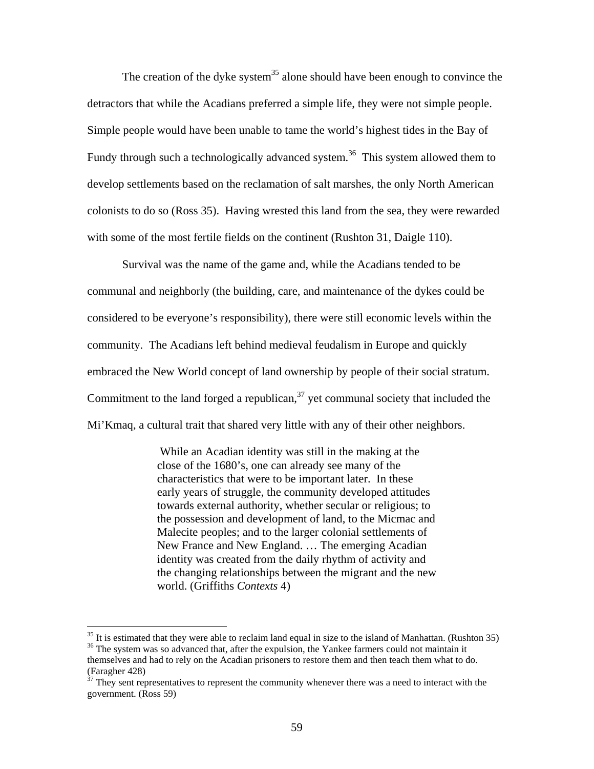The creation of the dyke system<sup>35</sup> alone should have been enough to convince the detractors that while the Acadians preferred a simple life, they were not simple people. Simple people would have been unable to tame the world's highest tides in the Bay of Fundy through such a technologically advanced system.<sup>36</sup> This system allowed them to develop settlements based on the reclamation of salt marshes, the only North American colonists to do so (Ross 35). Having wrested this land from the sea, they were rewarded with some of the most fertile fields on the continent (Rushton 31, Daigle 110).

Survival was the name of the game and, while the Acadians tended to be communal and neighborly (the building, care, and maintenance of the dykes could be considered to be everyone's responsibility), there were still economic levels within the community. The Acadians left behind medieval feudalism in Europe and quickly embraced the New World concept of land ownership by people of their social stratum. Commitment to the land forged a republican,  $37$  yet communal society that included the Mi'Kmaq, a cultural trait that shared very little with any of their other neighbors.

> While an Acadian identity was still in the making at the close of the 1680's, one can already see many of the characteristics that were to be important later. In these early years of struggle, the community developed attitudes towards external authority, whether secular or religious; to the possession and development of land, to the Micmac and Malecite peoples; and to the larger colonial settlements of New France and New England. … The emerging Acadian identity was created from the daily rhythm of activity and the changing relationships between the migrant and the new world. (Griffiths *Contexts* 4)

<span id="page-66-1"></span><span id="page-66-0"></span> $35$  It is estimated that they were able to reclaim land equal in size to the island of Manhattan. (Rushton 35) <sup>36</sup> The system was so advanced that, after the expulsion, the Yankee farmers could not maintain it themselves and had to rely on the Acadian prisoners to restore them and then teach them what to do. (Faragher 428)

<span id="page-66-2"></span> $37$  They sent representatives to represent the community whenever there was a need to interact with the government. (Ross 59)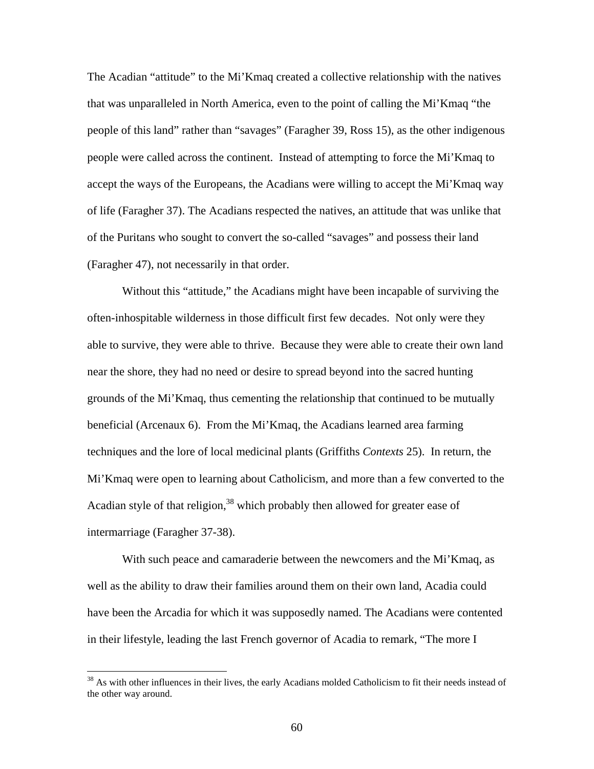The Acadian "attitude" to the Mi'Kmaq created a collective relationship with the natives that was unparalleled in North America, even to the point of calling the Mi'Kmaq "the people of this land" rather than "savages" (Faragher 39, Ross 15), as the other indigenous people were called across the continent. Instead of attempting to force the Mi'Kmaq to accept the ways of the Europeans, the Acadians were willing to accept the Mi'Kmaq way of life (Faragher 37). The Acadians respected the natives, an attitude that was unlike that of the Puritans who sought to convert the so-called "savages" and possess their land (Faragher 47), not necessarily in that order.

Without this "attitude," the Acadians might have been incapable of surviving the often-inhospitable wilderness in those difficult first few decades. Not only were they able to survive, they were able to thrive. Because they were able to create their own land near the shore, they had no need or desire to spread beyond into the sacred hunting grounds of the Mi'Kmaq, thus cementing the relationship that continued to be mutually beneficial (Arcenaux 6). From the Mi'Kmaq, the Acadians learned area farming techniques and the lore of local medicinal plants (Griffiths *Contexts* 25). In return, the Mi'Kmaq were open to learning about Catholicism, and more than a few converted to the Acadian style of that religion,  $38$  which probably then allowed for greater ease of intermarriage (Faragher 37-38).

With such peace and camaraderie between the newcomers and the Mi'Kmaq, as well as the ability to draw their families around them on their own land, Acadia could have been the Arcadia for which it was supposedly named. The Acadians were contented in their lifestyle, leading the last French governor of Acadia to remark, "The more I

<span id="page-67-0"></span><sup>&</sup>lt;sup>38</sup> As with other influences in their lives, the early Acadians molded Catholicism to fit their needs instead of the other way around.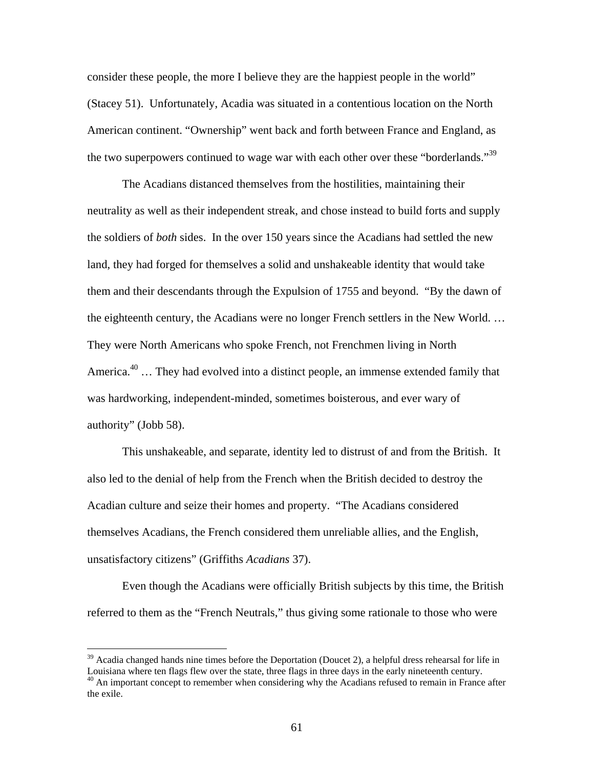consider these people, the more I believe they are the happiest people in the world" (Stacey 51). Unfortunately, Acadia was situated in a contentious location on the North American continent. "Ownership" went back and forth between France and England, as the two superpowers continued to wage war with each other over these "borderlands."<sup>39</sup>

The Acadians distanced themselves from the hostilities, maintaining their neutrality as well as their independent streak, and chose instead to build forts and supply the soldiers of *both* sides. In the over 150 years since the Acadians had settled the new land, they had forged for themselves a solid and unshakeable identity that would take them and their descendants through the Expulsion of 1755 and beyond. "By the dawn of the eighteenth century, the Acadians were no longer French settlers in the New World. … They were North Americans who spoke French, not Frenchmen living in North America.<sup>40</sup> ... They had evolved into a distinct people, an immense extended family that was hardworking, independent-minded, sometimes boisterous, and ever wary of authority" (Jobb 58).

This unshakeable, and separate, identity led to distrust of and from the British. It also led to the denial of help from the French when the British decided to destroy the Acadian culture and seize their homes and property. "The Acadians considered themselves Acadians, the French considered them unreliable allies, and the English, unsatisfactory citizens" (Griffiths *Acadians* 37).

Even though the Acadians were officially British subjects by this time, the British referred to them as the "French Neutrals," thus giving some rationale to those who were

<span id="page-68-1"></span><span id="page-68-0"></span> $39$  Acadia changed hands nine times before the Deportation (Doucet 2), a helpful dress rehearsal for life in Louisiana where ten flags flew over the state, three flags in three days in the early nineteenth century. <sup>40</sup> An important concept to remember when considering why the Acadians refused to remain in France after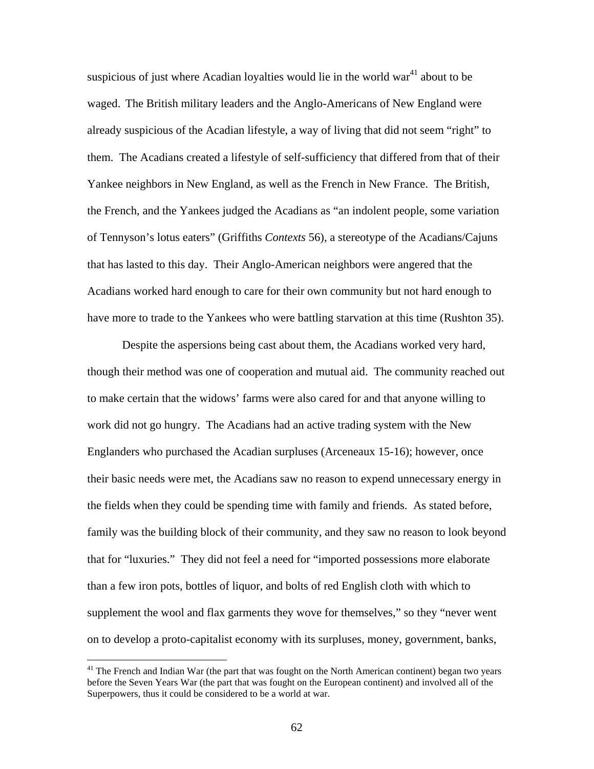suspicious of just where Acadian loyalties would lie in the world war<sup>41</sup> about to be waged. The British military leaders and the Anglo-Americans of New England were already suspicious of the Acadian lifestyle, a way of living that did not seem "right" to them. The Acadians created a lifestyle of self-sufficiency that differed from that of their Yankee neighbors in New England, as well as the French in New France. The British, the French, and the Yankees judged the Acadians as "an indolent people, some variation of Tennyson's lotus eaters" (Griffiths *Contexts* 56), a stereotype of the Acadians/Cajuns that has lasted to this day. Their Anglo-American neighbors were angered that the Acadians worked hard enough to care for their own community but not hard enough to have more to trade to the Yankees who were battling starvation at this time (Rushton 35).

Despite the aspersions being cast about them, the Acadians worked very hard, though their method was one of cooperation and mutual aid. The community reached out to make certain that the widows' farms were also cared for and that anyone willing to work did not go hungry. The Acadians had an active trading system with the New Englanders who purchased the Acadian surpluses (Arceneaux 15-16); however, once their basic needs were met, the Acadians saw no reason to expend unnecessary energy in the fields when they could be spending time with family and friends. As stated before, family was the building block of their community, and they saw no reason to look beyond that for "luxuries." They did not feel a need for "imported possessions more elaborate than a few iron pots, bottles of liquor, and bolts of red English cloth with which to supplement the wool and flax garments they wove for themselves," so they "never went on to develop a proto-capitalist economy with its surpluses, money, government, banks,

<span id="page-69-0"></span><sup>&</sup>lt;sup>41</sup> The French and Indian War (the part that was fought on the North American continent) began two years before the Seven Years War (the part that was fought on the European continent) and involved all of the Superpowers, thus it could be considered to be a world at war.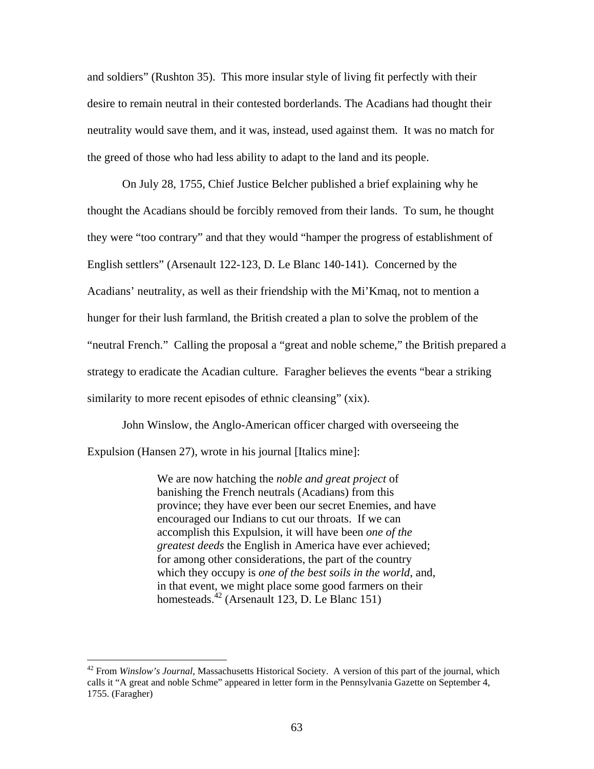and soldiers" (Rushton 35). This more insular style of living fit perfectly with their desire to remain neutral in their contested borderlands. The Acadians had thought their neutrality would save them, and it was, instead, used against them. It was no match for the greed of those who had less ability to adapt to the land and its people.

On July 28, 1755, Chief Justice Belcher published a brief explaining why he thought the Acadians should be forcibly removed from their lands. To sum, he thought they were "too contrary" and that they would "hamper the progress of establishment of English settlers" (Arsenault 122-123, D. Le Blanc 140-141). Concerned by the Acadians' neutrality, as well as their friendship with the Mi'Kmaq, not to mention a hunger for their lush farmland, the British created a plan to solve the problem of the "neutral French." Calling the proposal a "great and noble scheme," the British prepared a strategy to eradicate the Acadian culture. Faragher believes the events "bear a striking similarity to more recent episodes of ethnic cleansing" (xix).

John Winslow, the Anglo-American officer charged with overseeing the Expulsion (Hansen 27), wrote in his journal [Italics mine]:

> We are now hatching the *noble and great project* of banishing the French neutrals (Acadians) from this province; they have ever been our secret Enemies, and have encouraged our Indians to cut our throats. If we can accomplish this Expulsion, it will have been *one of the greatest deeds* the English in America have ever achieved; for among other considerations, the part of the country which they occupy is *one of the best soils in the world*, and, in that event, we might place some good farmers on their homesteads.<sup>42</sup> (Arsenault 123, D. Le Blanc 151)

<span id="page-70-0"></span><sup>42</sup> From *Winslow's Journal*, Massachusetts Historical Society. A version of this part of the journal, which calls it "A great and noble Schme" appeared in letter form in the Pennsylvania Gazette on September 4, 1755. (Faragher)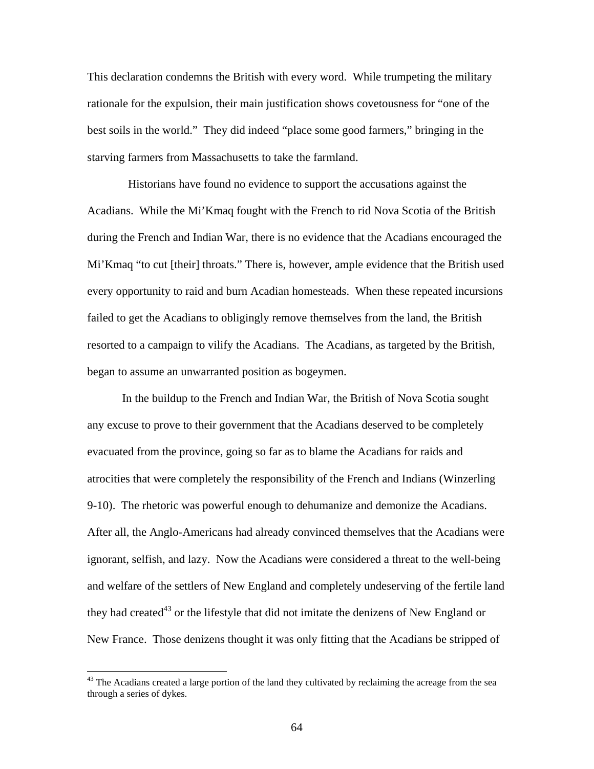This declaration condemns the British with every word. While trumpeting the military rationale for the expulsion, their main justification shows covetousness for "one of the best soils in the world." They did indeed "place some good farmers," bringing in the starving farmers from Massachusetts to take the farmland.

 Historians have found no evidence to support the accusations against the Acadians. While the Mi'Kmaq fought with the French to rid Nova Scotia of the British during the French and Indian War, there is no evidence that the Acadians encouraged the Mi'Kmaq "to cut [their] throats." There is, however, ample evidence that the British used every opportunity to raid and burn Acadian homesteads. When these repeated incursions failed to get the Acadians to obligingly remove themselves from the land, the British resorted to a campaign to vilify the Acadians. The Acadians, as targeted by the British, began to assume an unwarranted position as bogeymen.

In the buildup to the French and Indian War, the British of Nova Scotia sought any excuse to prove to their government that the Acadians deserved to be completely evacuated from the province, going so far as to blame the Acadians for raids and atrocities that were completely the responsibility of the French and Indians (Winzerling 9-10). The rhetoric was powerful enough to dehumanize and demonize the Acadians. After all, the Anglo-Americans had already convinced themselves that the Acadians were ignorant, selfish, and lazy. Now the Acadians were considered a threat to the well-being and welfare of the settlers of New England and completely undeserving of the fertile land they had created $43$  or the lifestyle that did not imitate the denizens of New England or New France. Those denizens thought it was only fitting that the Acadians be stripped of

<span id="page-71-0"></span> $43$  The Acadians created a large portion of the land they cultivated by reclaiming the acreage from the sea through a series of dykes.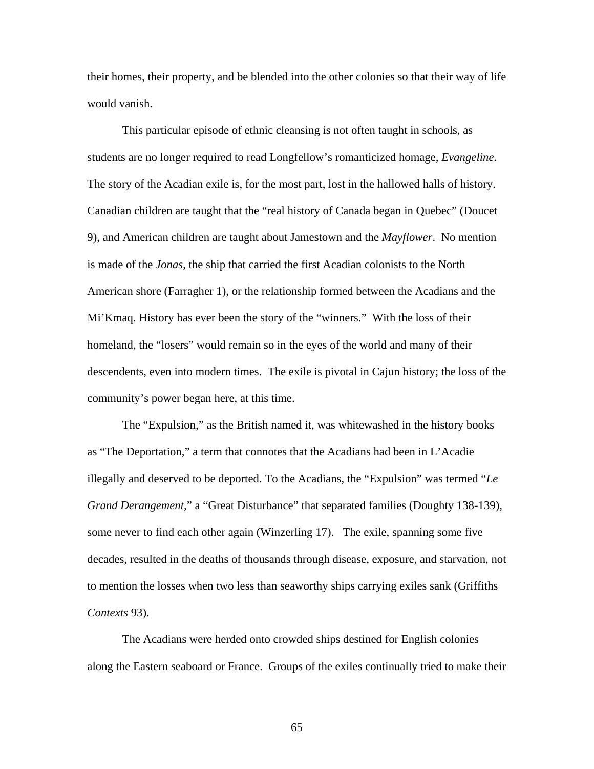their homes, their property, and be blended into the other colonies so that their way of life would vanish.

This particular episode of ethnic cleansing is not often taught in schools, as students are no longer required to read Longfellow's romanticized homage, *Evangeline*. The story of the Acadian exile is, for the most part, lost in the hallowed halls of history. Canadian children are taught that the "real history of Canada began in Quebec" (Doucet 9), and American children are taught about Jamestown and the *Mayflower*. No mention is made of the *Jonas*, the ship that carried the first Acadian colonists to the North American shore (Farragher 1), or the relationship formed between the Acadians and the Mi'Kmaq. History has ever been the story of the "winners." With the loss of their homeland, the "losers" would remain so in the eyes of the world and many of their descendents, even into modern times. The exile is pivotal in Cajun history; the loss of the community's power began here, at this time.

The "Expulsion," as the British named it, was whitewashed in the history books as "The Deportation," a term that connotes that the Acadians had been in L'Acadie illegally and deserved to be deported. To the Acadians, the "Expulsion" was termed "*Le Grand Derangement,*" a "Great Disturbance" that separated families (Doughty 138-139), some never to find each other again (Winzerling 17). The exile, spanning some five decades, resulted in the deaths of thousands through disease, exposure, and starvation, not to mention the losses when two less than seaworthy ships carrying exiles sank (Griffiths *Contexts* 93).

The Acadians were herded onto crowded ships destined for English colonies along the Eastern seaboard or France. Groups of the exiles continually tried to make their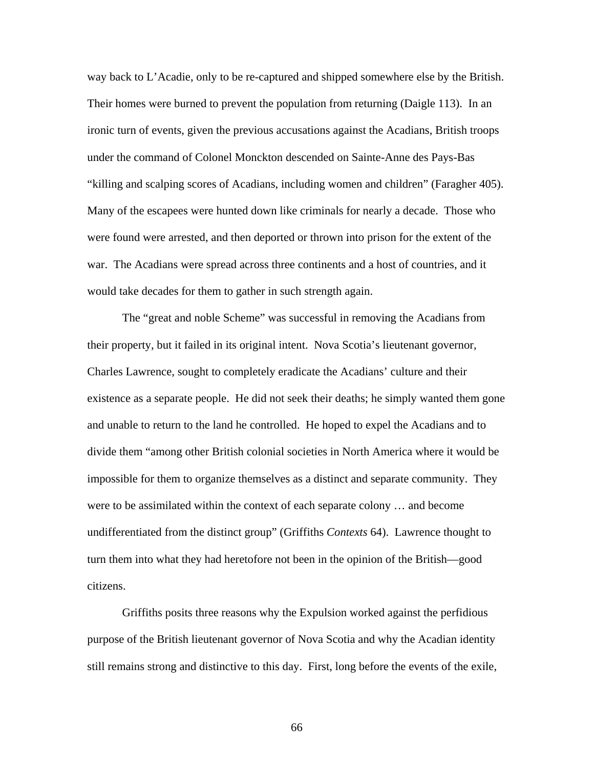way back to L'Acadie, only to be re-captured and shipped somewhere else by the British. Their homes were burned to prevent the population from returning (Daigle 113). In an ironic turn of events, given the previous accusations against the Acadians, British troops under the command of Colonel Monckton descended on Sainte-Anne des Pays-Bas "killing and scalping scores of Acadians, including women and children" (Faragher 405). Many of the escapees were hunted down like criminals for nearly a decade. Those who were found were arrested, and then deported or thrown into prison for the extent of the war. The Acadians were spread across three continents and a host of countries, and it would take decades for them to gather in such strength again.

The "great and noble Scheme" was successful in removing the Acadians from their property, but it failed in its original intent. Nova Scotia's lieutenant governor, Charles Lawrence, sought to completely eradicate the Acadians' culture and their existence as a separate people. He did not seek their deaths; he simply wanted them gone and unable to return to the land he controlled. He hoped to expel the Acadians and to divide them "among other British colonial societies in North America where it would be impossible for them to organize themselves as a distinct and separate community. They were to be assimilated within the context of each separate colony … and become undifferentiated from the distinct group" (Griffiths *Contexts* 64). Lawrence thought to turn them into what they had heretofore not been in the opinion of the British—good citizens.

Griffiths posits three reasons why the Expulsion worked against the perfidious purpose of the British lieutenant governor of Nova Scotia and why the Acadian identity still remains strong and distinctive to this day. First, long before the events of the exile,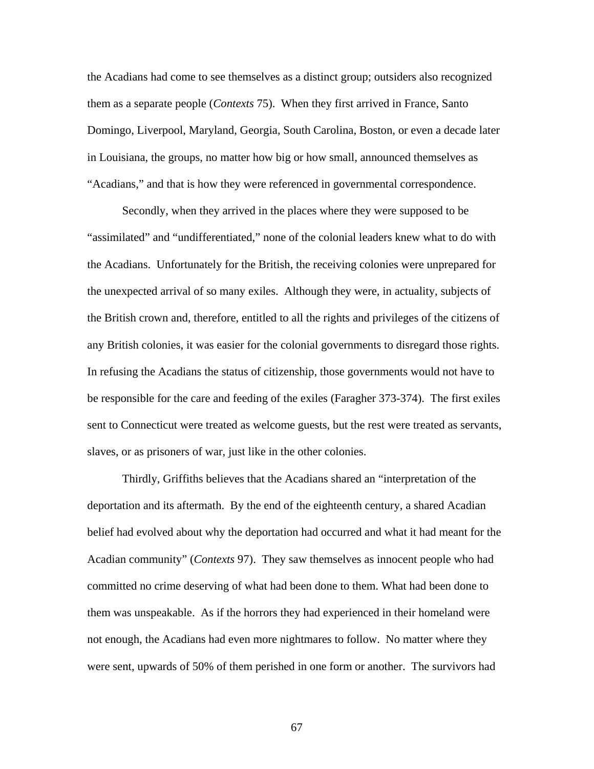the Acadians had come to see themselves as a distinct group; outsiders also recognized them as a separate people (*Contexts* 75). When they first arrived in France, Santo Domingo, Liverpool, Maryland, Georgia, South Carolina, Boston, or even a decade later in Louisiana, the groups, no matter how big or how small, announced themselves as "Acadians," and that is how they were referenced in governmental correspondence.

Secondly, when they arrived in the places where they were supposed to be "assimilated" and "undifferentiated," none of the colonial leaders knew what to do with the Acadians. Unfortunately for the British, the receiving colonies were unprepared for the unexpected arrival of so many exiles. Although they were, in actuality, subjects of the British crown and, therefore, entitled to all the rights and privileges of the citizens of any British colonies, it was easier for the colonial governments to disregard those rights. In refusing the Acadians the status of citizenship, those governments would not have to be responsible for the care and feeding of the exiles (Faragher 373-374). The first exiles sent to Connecticut were treated as welcome guests, but the rest were treated as servants, slaves, or as prisoners of war, just like in the other colonies.

Thirdly, Griffiths believes that the Acadians shared an "interpretation of the deportation and its aftermath. By the end of the eighteenth century, a shared Acadian belief had evolved about why the deportation had occurred and what it had meant for the Acadian community" (*Contexts* 97). They saw themselves as innocent people who had committed no crime deserving of what had been done to them. What had been done to them was unspeakable. As if the horrors they had experienced in their homeland were not enough, the Acadians had even more nightmares to follow. No matter where they were sent, upwards of 50% of them perished in one form or another. The survivors had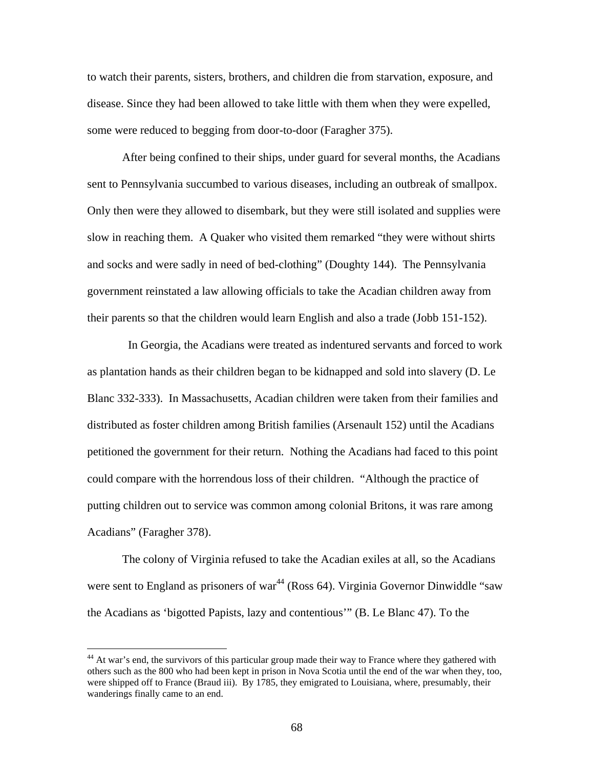to watch their parents, sisters, brothers, and children die from starvation, exposure, and disease. Since they had been allowed to take little with them when they were expelled, some were reduced to begging from door-to-door (Faragher 375).

After being confined to their ships, under guard for several months, the Acadians sent to Pennsylvania succumbed to various diseases, including an outbreak of smallpox. Only then were they allowed to disembark, but they were still isolated and supplies were slow in reaching them. A Quaker who visited them remarked "they were without shirts and socks and were sadly in need of bed-clothing" (Doughty 144). The Pennsylvania government reinstated a law allowing officials to take the Acadian children away from their parents so that the children would learn English and also a trade (Jobb 151-152).

 In Georgia, the Acadians were treated as indentured servants and forced to work as plantation hands as their children began to be kidnapped and sold into slavery (D. Le Blanc 332-333). In Massachusetts, Acadian children were taken from their families and distributed as foster children among British families (Arsenault 152) until the Acadians petitioned the government for their return. Nothing the Acadians had faced to this point could compare with the horrendous loss of their children. "Although the practice of putting children out to service was common among colonial Britons, it was rare among Acadians" (Faragher 378).

The colony of Virginia refused to take the Acadian exiles at all, so the Acadians were sent to England as prisoners of war<sup>44</sup> (Ross 64). Virginia Governor Dinwiddle "saw the Acadians as 'bigotted Papists, lazy and contentious'" (B. Le Blanc 47). To the

<span id="page-75-0"></span><sup>&</sup>lt;sup>44</sup> At war's end, the survivors of this particular group made their way to France where they gathered with others such as the 800 who had been kept in prison in Nova Scotia until the end of the war when they, too, were shipped off to France (Braud iii). By 1785, they emigrated to Louisiana, where, presumably, their wanderings finally came to an end.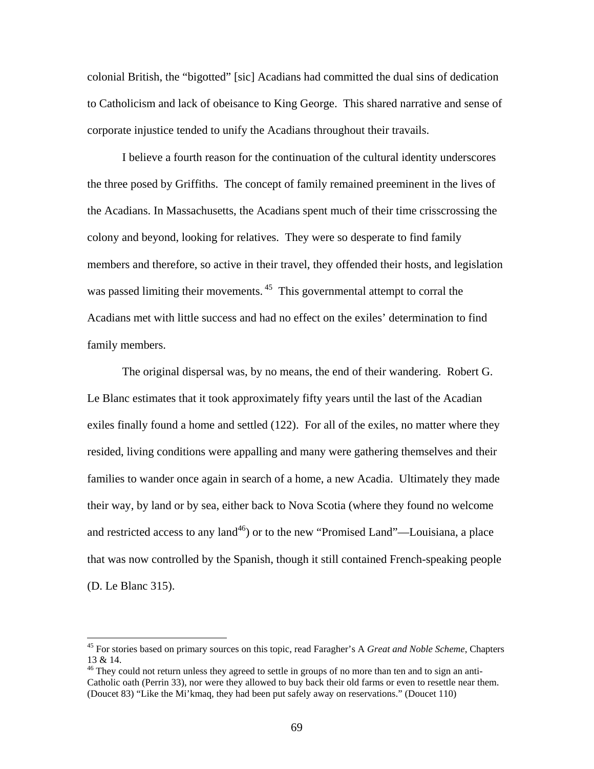colonial British, the "bigotted" [sic] Acadians had committed the dual sins of dedication to Catholicism and lack of obeisance to King George. This shared narrative and sense of corporate injustice tended to unify the Acadians throughout their travails.

I believe a fourth reason for the continuation of the cultural identity underscores the three posed by Griffiths. The concept of family remained preeminent in the lives of the Acadians. In Massachusetts, the Acadians spent much of their time crisscrossing the colony and beyond, looking for relatives. They were so desperate to find family members and therefore, so active in their travel, they offended their hosts, and legislation was passed limiting their movements.<sup>45</sup> This governmental attempt to corral the Acadians met with little success and had no effect on the exiles' determination to find family members.

The original dispersal was, by no means, the end of their wandering. Robert G. Le Blanc estimates that it took approximately fifty years until the last of the Acadian exiles finally found a home and settled (122). For all of the exiles, no matter where they resided, living conditions were appalling and many were gathering themselves and their families to wander once again in search of a home, a new Acadia. Ultimately they made their way, by land or by sea, either back to Nova Scotia (where they found no welcome and restricted access to any land<sup>46</sup>) or to the new "Promised Land"—Louisiana, a place that was now controlled by the Spanish, though it still contained French-speaking people (D. Le Blanc 315).

<span id="page-76-0"></span><sup>45</sup> For stories based on primary sources on this topic, read Faragher's A *Great and Noble Scheme*, Chapters 13 & 14.

<span id="page-76-1"></span><sup>&</sup>lt;sup>46</sup> They could not return unless they agreed to settle in groups of no more than ten and to sign an anti-Catholic oath (Perrin 33), nor were they allowed to buy back their old farms or even to resettle near them. (Doucet 83) "Like the Mi'kmaq, they had been put safely away on reservations." (Doucet 110)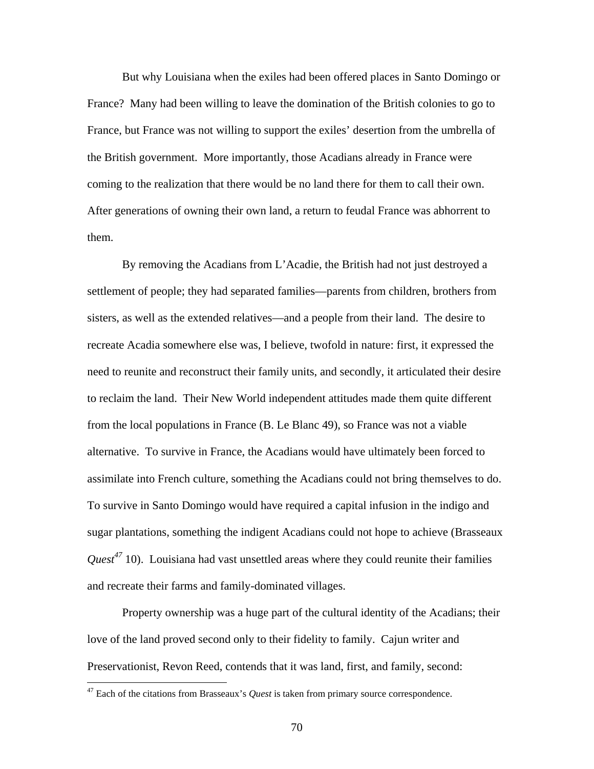But why Louisiana when the exiles had been offered places in Santo Domingo or France? Many had been willing to leave the domination of the British colonies to go to France, but France was not willing to support the exiles' desertion from the umbrella of the British government. More importantly, those Acadians already in France were coming to the realization that there would be no land there for them to call their own. After generations of owning their own land, a return to feudal France was abhorrent to them.

By removing the Acadians from L'Acadie, the British had not just destroyed a settlement of people; they had separated families—parents from children, brothers from sisters, as well as the extended relatives—and a people from their land. The desire to recreate Acadia somewhere else was, I believe, twofold in nature: first, it expressed the need to reunite and reconstruct their family units, and secondly, it articulated their desire to reclaim the land. Their New World independent attitudes made them quite different from the local populations in France (B. Le Blanc 49), so France was not a viable alternative. To survive in France, the Acadians would have ultimately been forced to assimilate into French culture, something the Acadians could not bring themselves to do. To survive in Santo Domingo would have required a capital infusion in the indigo and sugar plantations, something the indigent Acadians could not hope to achieve (Brasseaux *Quest[47](#page-77-0)* 10). Louisiana had vast unsettled areas where they could reunite their families and recreate their farms and family-dominated villages.

Property ownership was a huge part of the cultural identity of the Acadians; their love of the land proved second only to their fidelity to family. Cajun writer and Preservationist, Revon Reed, contends that it was land, first, and family, second:

<u>.</u>

<span id="page-77-0"></span><sup>&</sup>lt;sup>47</sup> Each of the citations from Brasseaux's *Quest* is taken from primary source correspondence.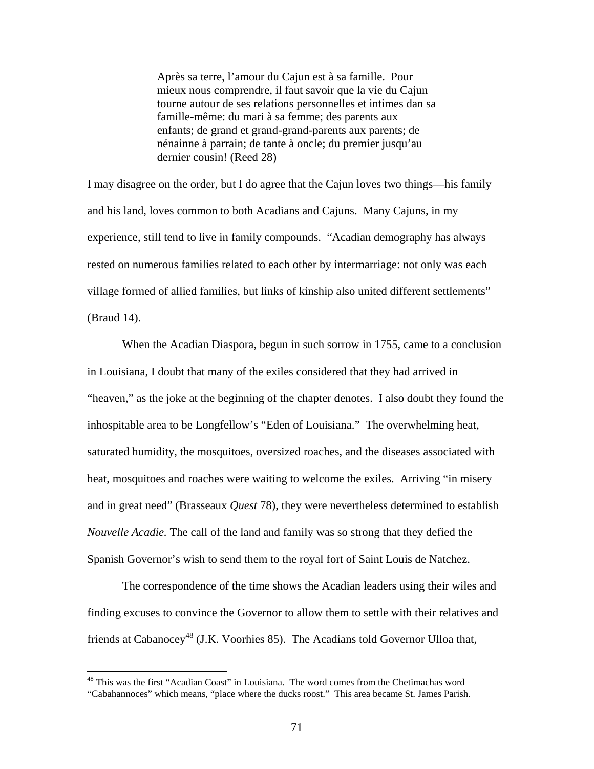Après sa terre, l'amour du Cajun est à sa famille. Pour mieux nous comprendre, il faut savoir que la vie du Cajun tourne autour de ses relations personnelles et intimes dan sa famille-même: du mari à sa femme; des parents aux enfants; de grand et grand-grand-parents aux parents; de nénainne à parrain; de tante à oncle; du premier jusqu'au dernier cousin! (Reed 28)

I may disagree on the order, but I do agree that the Cajun loves two things—his family and his land, loves common to both Acadians and Cajuns. Many Cajuns, in my experience, still tend to live in family compounds. "Acadian demography has always rested on numerous families related to each other by intermarriage: not only was each village formed of allied families, but links of kinship also united different settlements" (Braud 14).

When the Acadian Diaspora, begun in such sorrow in 1755, came to a conclusion in Louisiana, I doubt that many of the exiles considered that they had arrived in "heaven," as the joke at the beginning of the chapter denotes. I also doubt they found the inhospitable area to be Longfellow's "Eden of Louisiana." The overwhelming heat, saturated humidity, the mosquitoes, oversized roaches, and the diseases associated with heat, mosquitoes and roaches were waiting to welcome the exiles. Arriving "in misery and in great need" (Brasseaux *Quest* 78), they were nevertheless determined to establish *Nouvelle Acadie.* The call of the land and family was so strong that they defied the Spanish Governor's wish to send them to the royal fort of Saint Louis de Natchez.

The correspondence of the time shows the Acadian leaders using their wiles and finding excuses to convince the Governor to allow them to settle with their relatives and friends at Cabanocey<sup>48</sup> (J.K. Voorhies 85). The Acadians told Governor Ulloa that,

<span id="page-78-0"></span><sup>&</sup>lt;sup>48</sup> This was the first "Acadian Coast" in Louisiana. The word comes from the Chetimachas word "Cabahannoces" which means, "place where the ducks roost." This area became St. James Parish.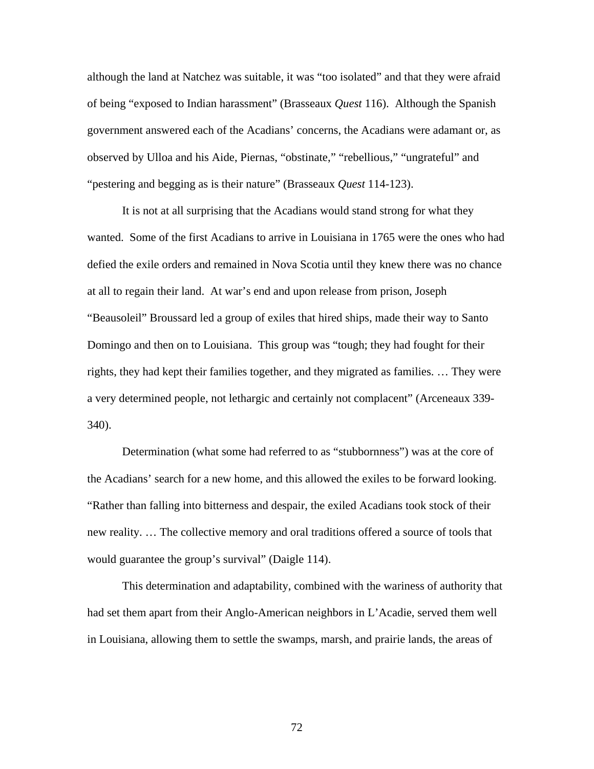although the land at Natchez was suitable, it was "too isolated" and that they were afraid of being "exposed to Indian harassment" (Brasseaux *Quest* 116). Although the Spanish government answered each of the Acadians' concerns, the Acadians were adamant or, as observed by Ulloa and his Aide, Piernas, "obstinate," "rebellious," "ungrateful" and "pestering and begging as is their nature" (Brasseaux *Quest* 114-123).

It is not at all surprising that the Acadians would stand strong for what they wanted. Some of the first Acadians to arrive in Louisiana in 1765 were the ones who had defied the exile orders and remained in Nova Scotia until they knew there was no chance at all to regain their land. At war's end and upon release from prison, Joseph "Beausoleil" Broussard led a group of exiles that hired ships, made their way to Santo Domingo and then on to Louisiana. This group was "tough; they had fought for their rights, they had kept their families together, and they migrated as families. … They were a very determined people, not lethargic and certainly not complacent" (Arceneaux 339- 340).

Determination (what some had referred to as "stubbornness") was at the core of the Acadians' search for a new home, and this allowed the exiles to be forward looking. "Rather than falling into bitterness and despair, the exiled Acadians took stock of their new reality. … The collective memory and oral traditions offered a source of tools that would guarantee the group's survival" (Daigle 114).

This determination and adaptability, combined with the wariness of authority that had set them apart from their Anglo-American neighbors in L'Acadie, served them well in Louisiana, allowing them to settle the swamps, marsh, and prairie lands, the areas of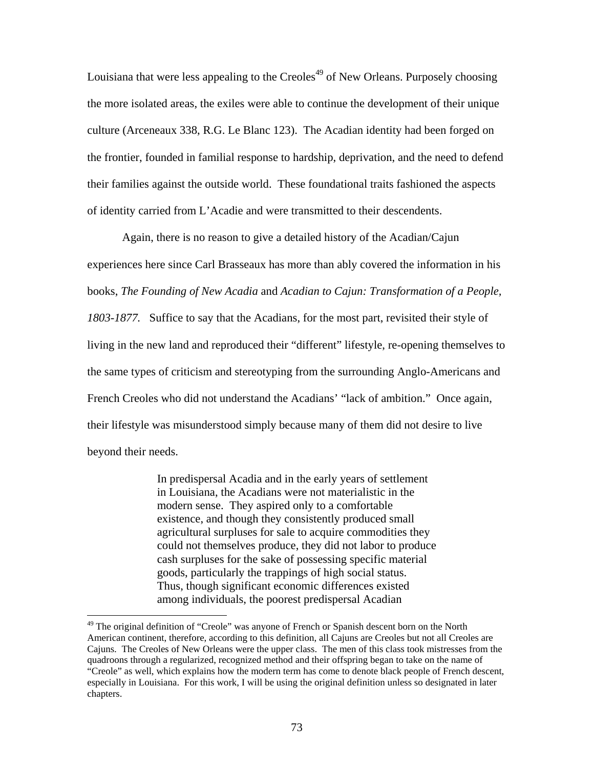Louisiana that were less appealing to the Creoles<sup>49</sup> of New Orleans. Purposely choosing the more isolated areas, the exiles were able to continue the development of their unique culture (Arceneaux 338, R.G. Le Blanc 123). The Acadian identity had been forged on the frontier, founded in familial response to hardship, deprivation, and the need to defend their families against the outside world. These foundational traits fashioned the aspects of identity carried from L'Acadie and were transmitted to their descendents.

Again, there is no reason to give a detailed history of the Acadian/Cajun experiences here since Carl Brasseaux has more than ably covered the information in his books, *The Founding of New Acadia* and *Acadian to Cajun: Transformation of a People, 1803-1877.* Suffice to say that the Acadians, for the most part, revisited their style of living in the new land and reproduced their "different" lifestyle, re-opening themselves to the same types of criticism and stereotyping from the surrounding Anglo-Americans and French Creoles who did not understand the Acadians' "lack of ambition." Once again, their lifestyle was misunderstood simply because many of them did not desire to live beyond their needs.

> In predispersal Acadia and in the early years of settlement in Louisiana, the Acadians were not materialistic in the modern sense. They aspired only to a comfortable existence, and though they consistently produced small agricultural surpluses for sale to acquire commodities they could not themselves produce, they did not labor to produce cash surpluses for the sake of possessing specific material goods, particularly the trappings of high social status. Thus, though significant economic differences existed among individuals, the poorest predispersal Acadian

<u>.</u>

<span id="page-80-0"></span><sup>&</sup>lt;sup>49</sup> The original definition of "Creole" was anyone of French or Spanish descent born on the North American continent, therefore, according to this definition, all Cajuns are Creoles but not all Creoles are Cajuns. The Creoles of New Orleans were the upper class. The men of this class took mistresses from the quadroons through a regularized, recognized method and their offspring began to take on the name of "Creole" as well, which explains how the modern term has come to denote black people of French descent, especially in Louisiana. For this work, I will be using the original definition unless so designated in later chapters.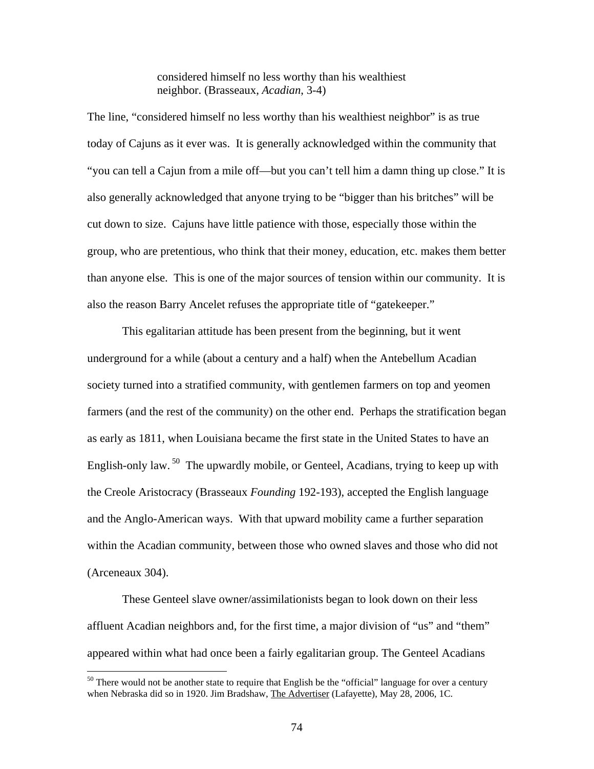considered himself no less worthy than his wealthiest neighbor. (Brasseaux, *Acadian*, 3-4)

The line, "considered himself no less worthy than his wealthiest neighbor" is as true today of Cajuns as it ever was. It is generally acknowledged within the community that "you can tell a Cajun from a mile off—but you can't tell him a damn thing up close." It is also generally acknowledged that anyone trying to be "bigger than his britches" will be cut down to size. Cajuns have little patience with those, especially those within the group, who are pretentious, who think that their money, education, etc. makes them better than anyone else. This is one of the major sources of tension within our community. It is also the reason Barry Ancelet refuses the appropriate title of "gatekeeper."

This egalitarian attitude has been present from the beginning, but it went underground for a while (about a century and a half) when the Antebellum Acadian society turned into a stratified community, with gentlemen farmers on top and yeomen farmers (and the rest of the community) on the other end. Perhaps the stratification began as early as 1811, when Louisiana became the first state in the United States to have an English-only law.  $50$  The upwardly mobile, or Genteel, Acadians, trying to keep up with the Creole Aristocracy (Brasseaux *Founding* 192-193), accepted the English language and the Anglo-American ways. With that upward mobility came a further separation within the Acadian community, between those who owned slaves and those who did not (Arceneaux 304).

These Genteel slave owner/assimilationists began to look down on their less affluent Acadian neighbors and, for the first time, a major division of "us" and "them" appeared within what had once been a fairly egalitarian group. The Genteel Acadians

<span id="page-81-0"></span> $50$  There would not be another state to require that English be the "official" language for over a century when Nebraska did so in 1920. Jim Bradshaw, The Advertiser (Lafayette), May 28, 2006, 1C.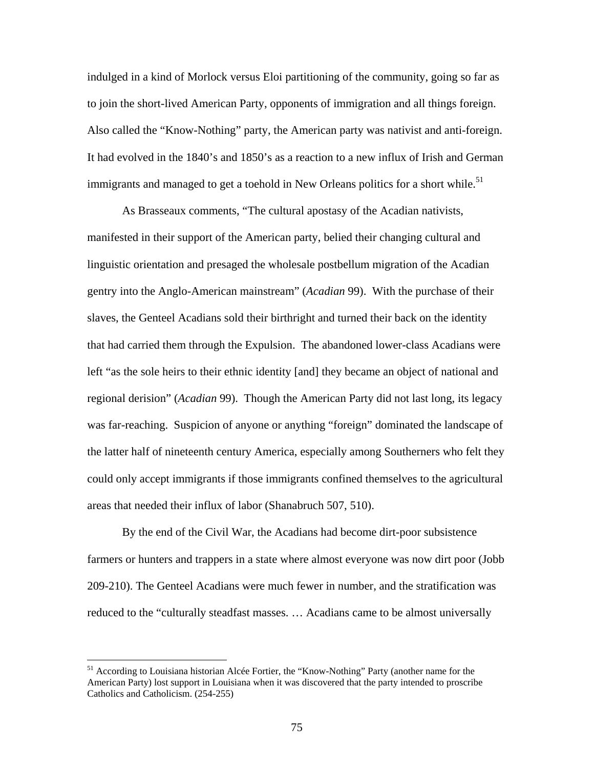indulged in a kind of Morlock versus Eloi partitioning of the community, going so far as to join the short-lived American Party, opponents of immigration and all things foreign. Also called the "Know-Nothing" party, the American party was nativist and anti-foreign. It had evolved in the 1840's and 1850's as a reaction to a new influx of Irish and German immigrants and managed to get a toehold in New Orleans politics for a short while.<sup>51</sup>

As Brasseaux comments, "The cultural apostasy of the Acadian nativists, manifested in their support of the American party, belied their changing cultural and linguistic orientation and presaged the wholesale postbellum migration of the Acadian gentry into the Anglo-American mainstream" (*Acadian* 99). With the purchase of their slaves, the Genteel Acadians sold their birthright and turned their back on the identity that had carried them through the Expulsion. The abandoned lower-class Acadians were left "as the sole heirs to their ethnic identity [and] they became an object of national and regional derision" (*Acadian* 99). Though the American Party did not last long, its legacy was far-reaching. Suspicion of anyone or anything "foreign" dominated the landscape of the latter half of nineteenth century America, especially among Southerners who felt they could only accept immigrants if those immigrants confined themselves to the agricultural areas that needed their influx of labor (Shanabruch 507, 510).

By the end of the Civil War, the Acadians had become dirt-poor subsistence farmers or hunters and trappers in a state where almost everyone was now dirt poor (Jobb 209-210). The Genteel Acadians were much fewer in number, and the stratification was reduced to the "culturally steadfast masses. … Acadians came to be almost universally

<span id="page-82-0"></span><sup>&</sup>lt;sup>51</sup> According to Louisiana historian Alcée Fortier, the "Know-Nothing" Party (another name for the American Party) lost support in Louisiana when it was discovered that the party intended to proscribe Catholics and Catholicism. (254-255)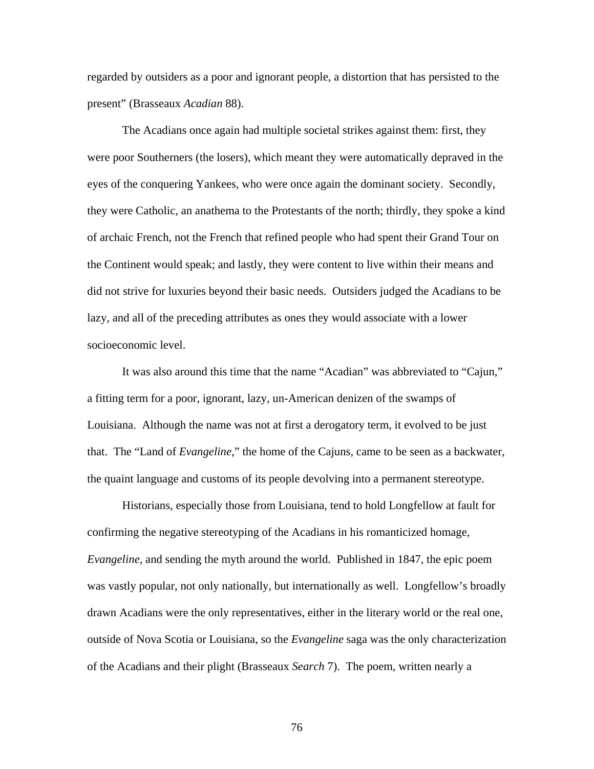regarded by outsiders as a poor and ignorant people, a distortion that has persisted to the present" (Brasseaux *Acadian* 88).

The Acadians once again had multiple societal strikes against them: first, they were poor Southerners (the losers), which meant they were automatically depraved in the eyes of the conquering Yankees, who were once again the dominant society. Secondly, they were Catholic, an anathema to the Protestants of the north; thirdly, they spoke a kind of archaic French, not the French that refined people who had spent their Grand Tour on the Continent would speak; and lastly, they were content to live within their means and did not strive for luxuries beyond their basic needs. Outsiders judged the Acadians to be lazy, and all of the preceding attributes as ones they would associate with a lower socioeconomic level.

It was also around this time that the name "Acadian" was abbreviated to "Cajun," a fitting term for a poor, ignorant, lazy, un-American denizen of the swamps of Louisiana. Although the name was not at first a derogatory term, it evolved to be just that. The "Land of *Evangeline*," the home of the Cajuns, came to be seen as a backwater, the quaint language and customs of its people devolving into a permanent stereotype.

Historians, especially those from Louisiana, tend to hold Longfellow at fault for confirming the negative stereotyping of the Acadians in his romanticized homage, *Evangeline,* and sending the myth around the world. Published in 1847, the epic poem was vastly popular, not only nationally, but internationally as well. Longfellow's broadly drawn Acadians were the only representatives, either in the literary world or the real one, outside of Nova Scotia or Louisiana, so the *Evangeline* saga was the only characterization of the Acadians and their plight (Brasseaux *Search* 7). The poem, written nearly a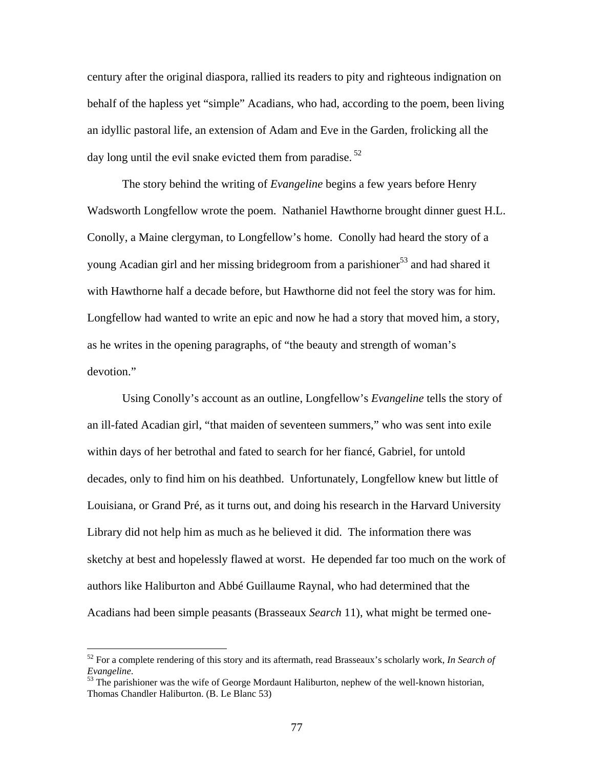century after the original diaspora, rallied its readers to pity and righteous indignation on behalf of the hapless yet "simple" Acadians, who had, according to the poem, been living an idyllic pastoral life, an extension of Adam and Eve in the Garden, frolicking all the day long until the evil snake evicted them from paradise.  $52$ 

The story behind the writing of *Evangeline* begins a few years before Henry Wadsworth Longfellow wrote the poem. Nathaniel Hawthorne brought dinner guest H.L. Conolly, a Maine clergyman, to Longfellow's home. Conolly had heard the story of a young Acadian girl and her missing bridegroom from a parishioner<sup>53</sup> and had shared it with Hawthorne half a decade before, but Hawthorne did not feel the story was for him. Longfellow had wanted to write an epic and now he had a story that moved him, a story, as he writes in the opening paragraphs, of "the beauty and strength of woman's devotion."

Using Conolly's account as an outline, Longfellow's *Evangeline* tells the story of an ill-fated Acadian girl, "that maiden of seventeen summers," who was sent into exile within days of her betrothal and fated to search for her fiancé, Gabriel, for untold decades, only to find him on his deathbed. Unfortunately, Longfellow knew but little of Louisiana, or Grand Pré, as it turns out, and doing his research in the Harvard University Library did not help him as much as he believed it did. The information there was sketchy at best and hopelessly flawed at worst. He depended far too much on the work of authors like Haliburton and Abbé Guillaume Raynal, who had determined that the Acadians had been simple peasants (Brasseaux *Search* 11), what might be termed one-

<span id="page-84-0"></span><sup>52</sup> For a complete rendering of this story and its aftermath, read Brasseaux's scholarly work, *In Search of Evangeline*.<br><sup>53</sup> The parishioner was the wife of George Mordaunt Haliburton, nephew of the well-known historian,

<span id="page-84-1"></span>Thomas Chandler Haliburton. (B. Le Blanc 53)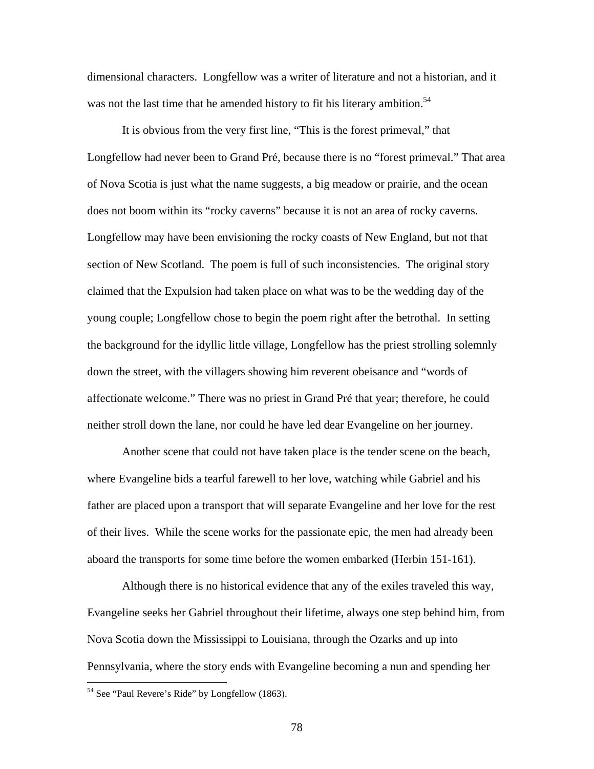dimensional characters. Longfellow was a writer of literature and not a historian, and it was not the last time that he amended history to fit his literary ambition.<sup>[54](#page-85-0)</sup>

It is obvious from the very first line, "This is the forest primeval," that Longfellow had never been to Grand Pré, because there is no "forest primeval." That area of Nova Scotia is just what the name suggests, a big meadow or prairie, and the ocean does not boom within its "rocky caverns" because it is not an area of rocky caverns. Longfellow may have been envisioning the rocky coasts of New England, but not that section of New Scotland. The poem is full of such inconsistencies. The original story claimed that the Expulsion had taken place on what was to be the wedding day of the young couple; Longfellow chose to begin the poem right after the betrothal. In setting the background for the idyllic little village, Longfellow has the priest strolling solemnly down the street, with the villagers showing him reverent obeisance and "words of affectionate welcome." There was no priest in Grand Pré that year; therefore, he could neither stroll down the lane, nor could he have led dear Evangeline on her journey.

Another scene that could not have taken place is the tender scene on the beach, where Evangeline bids a tearful farewell to her love, watching while Gabriel and his father are placed upon a transport that will separate Evangeline and her love for the rest of their lives. While the scene works for the passionate epic, the men had already been aboard the transports for some time before the women embarked (Herbin 151-161).

Although there is no historical evidence that any of the exiles traveled this way, Evangeline seeks her Gabriel throughout their lifetime, always one step behind him, from Nova Scotia down the Mississippi to Louisiana, through the Ozarks and up into Pennsylvania, where the story ends with Evangeline becoming a nun and spending her

<span id="page-85-0"></span><sup>&</sup>lt;sup>54</sup> See "Paul Revere's Ride" by Longfellow (1863).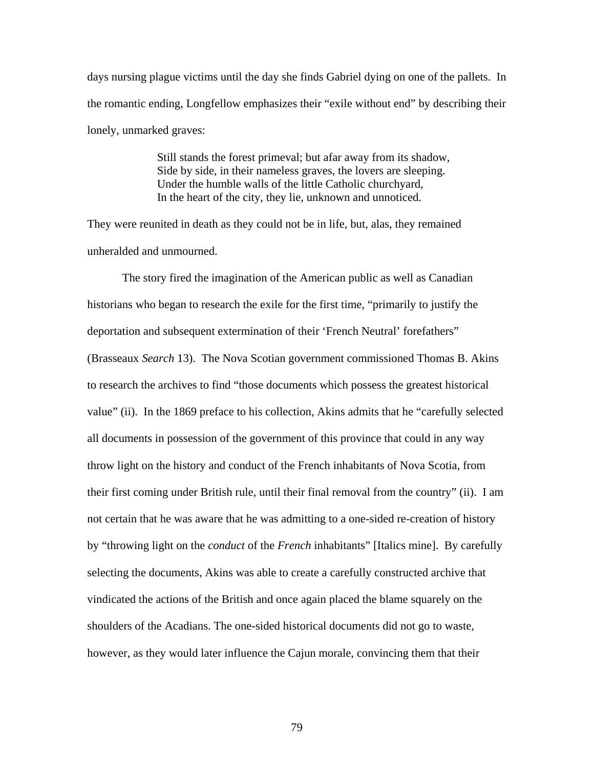days nursing plague victims until the day she finds Gabriel dying on one of the pallets. In the romantic ending, Longfellow emphasizes their "exile without end" by describing their lonely, unmarked graves:

> Still stands the forest primeval; but afar away from its shadow, Side by side, in their nameless graves, the lovers are sleeping. Under the humble walls of the little Catholic churchyard, In the heart of the city, they lie, unknown and unnoticed.

They were reunited in death as they could not be in life, but, alas, they remained unheralded and unmourned.

The story fired the imagination of the American public as well as Canadian historians who began to research the exile for the first time, "primarily to justify the deportation and subsequent extermination of their 'French Neutral' forefathers" (Brasseaux *Search* 13). The Nova Scotian government commissioned Thomas B. Akins to research the archives to find "those documents which possess the greatest historical value" (ii). In the 1869 preface to his collection, Akins admits that he "carefully selected all documents in possession of the government of this province that could in any way throw light on the history and conduct of the French inhabitants of Nova Scotia, from their first coming under British rule, until their final removal from the country" (ii). I am not certain that he was aware that he was admitting to a one-sided re-creation of history by "throwing light on the *conduct* of the *French* inhabitants" [Italics mine]. By carefully selecting the documents, Akins was able to create a carefully constructed archive that vindicated the actions of the British and once again placed the blame squarely on the shoulders of the Acadians. The one-sided historical documents did not go to waste, however, as they would later influence the Cajun morale, convincing them that their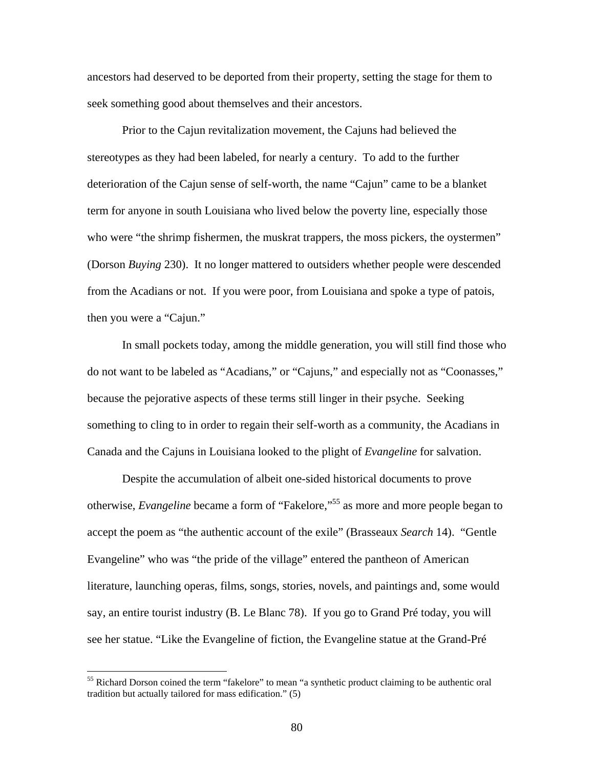ancestors had deserved to be deported from their property, setting the stage for them to seek something good about themselves and their ancestors.

Prior to the Cajun revitalization movement, the Cajuns had believed the stereotypes as they had been labeled, for nearly a century. To add to the further deterioration of the Cajun sense of self-worth, the name "Cajun" came to be a blanket term for anyone in south Louisiana who lived below the poverty line, especially those who were "the shrimp fishermen, the muskrat trappers, the moss pickers, the oystermen" (Dorson *Buying* 230). It no longer mattered to outsiders whether people were descended from the Acadians or not. If you were poor, from Louisiana and spoke a type of patois, then you were a "Cajun."

In small pockets today, among the middle generation, you will still find those who do not want to be labeled as "Acadians," or "Cajuns," and especially not as "Coonasses," because the pejorative aspects of these terms still linger in their psyche. Seeking something to cling to in order to regain their self-worth as a community, the Acadians in Canada and the Cajuns in Louisiana looked to the plight of *Evangeline* for salvation.

Despite the accumulation of albeit one-sided historical documents to prove otherwise, *Evangeline* became a form of "Fakelore,"[55 a](#page-87-0)s more and more people began to accept the poem as "the authentic account of the exile" (Brasseaux *Search* 14). "Gentle Evangeline" who was "the pride of the village" entered the pantheon of American literature, launching operas, films, songs, stories, novels, and paintings and, some would say, an entire tourist industry (B. Le Blanc 78). If you go to Grand Pré today, you will see her statue. "Like the Evangeline of fiction, the Evangeline statue at the Grand-Pré

<span id="page-87-0"></span><sup>&</sup>lt;sup>55</sup> Richard Dorson coined the term "fakelore" to mean "a synthetic product claiming to be authentic oral tradition but actually tailored for mass edification." (5)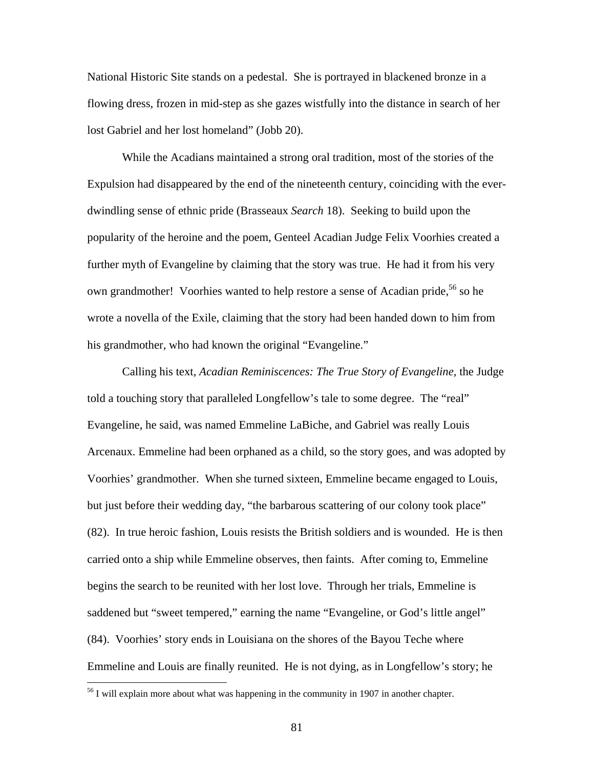National Historic Site stands on a pedestal. She is portrayed in blackened bronze in a flowing dress, frozen in mid-step as she gazes wistfully into the distance in search of her lost Gabriel and her lost homeland" (Jobb 20).

While the Acadians maintained a strong oral tradition, most of the stories of the Expulsion had disappeared by the end of the nineteenth century, coinciding with the everdwindling sense of ethnic pride (Brasseaux *Search* 18). Seeking to build upon the popularity of the heroine and the poem, Genteel Acadian Judge Felix Voorhies created a further myth of Evangeline by claiming that the story was true. He had it from his very own grandmother! Voorhies wanted to help restore a sense of Acadian pride,<sup>56</sup> so he wrote a novella of the Exile, claiming that the story had been handed down to him from his grandmother, who had known the original "Evangeline."

Calling his text, *Acadian Reminiscences: The True Story of Evangeline*, the Judge told a touching story that paralleled Longfellow's tale to some degree. The "real" Evangeline, he said, was named Emmeline LaBiche, and Gabriel was really Louis Arcenaux. Emmeline had been orphaned as a child, so the story goes, and was adopted by Voorhies' grandmother. When she turned sixteen, Emmeline became engaged to Louis, but just before their wedding day, "the barbarous scattering of our colony took place" (82). In true heroic fashion, Louis resists the British soldiers and is wounded. He is then carried onto a ship while Emmeline observes, then faints. After coming to, Emmeline begins the search to be reunited with her lost love. Through her trials, Emmeline is saddened but "sweet tempered," earning the name "Evangeline, or God's little angel" (84). Voorhies' story ends in Louisiana on the shores of the Bayou Teche where Emmeline and Louis are finally reunited. He is not dying, as in Longfellow's story; he

<u>.</u>

<span id="page-88-0"></span> $<sup>56</sup>$  I will explain more about what was happening in the community in 1907 in another chapter.</sup>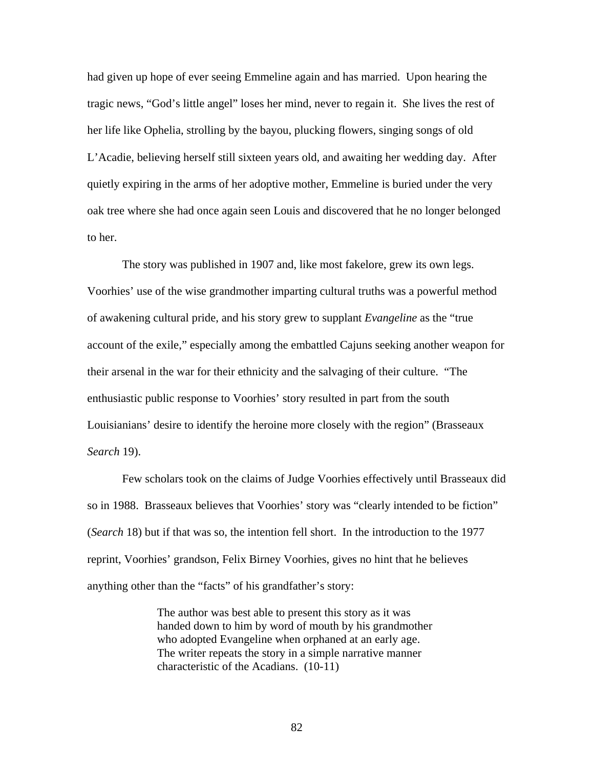had given up hope of ever seeing Emmeline again and has married. Upon hearing the tragic news, "God's little angel" loses her mind, never to regain it. She lives the rest of her life like Ophelia, strolling by the bayou, plucking flowers, singing songs of old L'Acadie, believing herself still sixteen years old, and awaiting her wedding day. After quietly expiring in the arms of her adoptive mother, Emmeline is buried under the very oak tree where she had once again seen Louis and discovered that he no longer belonged to her.

The story was published in 1907 and, like most fakelore, grew its own legs. Voorhies' use of the wise grandmother imparting cultural truths was a powerful method of awakening cultural pride, and his story grew to supplant *Evangeline* as the "true account of the exile," especially among the embattled Cajuns seeking another weapon for their arsenal in the war for their ethnicity and the salvaging of their culture. "The enthusiastic public response to Voorhies' story resulted in part from the south Louisianians' desire to identify the heroine more closely with the region" (Brasseaux *Search* 19).

Few scholars took on the claims of Judge Voorhies effectively until Brasseaux did so in 1988. Brasseaux believes that Voorhies' story was "clearly intended to be fiction" (*Search* 18) but if that was so, the intention fell short. In the introduction to the 1977 reprint, Voorhies' grandson, Felix Birney Voorhies, gives no hint that he believes anything other than the "facts" of his grandfather's story:

> The author was best able to present this story as it was handed down to him by word of mouth by his grandmother who adopted Evangeline when orphaned at an early age. The writer repeats the story in a simple narrative manner characteristic of the Acadians. (10-11)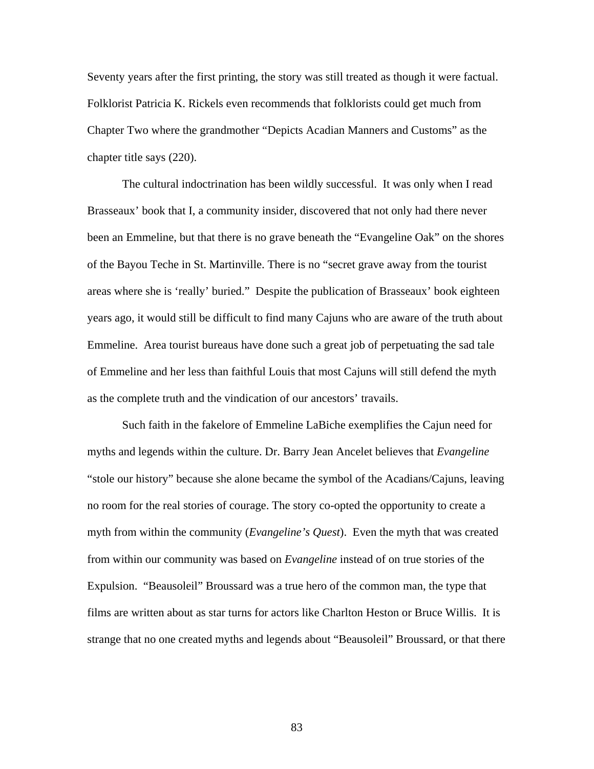Seventy years after the first printing, the story was still treated as though it were factual. Folklorist Patricia K. Rickels even recommends that folklorists could get much from Chapter Two where the grandmother "Depicts Acadian Manners and Customs" as the chapter title says (220).

The cultural indoctrination has been wildly successful. It was only when I read Brasseaux' book that I, a community insider, discovered that not only had there never been an Emmeline, but that there is no grave beneath the "Evangeline Oak" on the shores of the Bayou Teche in St. Martinville. There is no "secret grave away from the tourist areas where she is 'really' buried." Despite the publication of Brasseaux' book eighteen years ago, it would still be difficult to find many Cajuns who are aware of the truth about Emmeline. Area tourist bureaus have done such a great job of perpetuating the sad tale of Emmeline and her less than faithful Louis that most Cajuns will still defend the myth as the complete truth and the vindication of our ancestors' travails.

Such faith in the fakelore of Emmeline LaBiche exemplifies the Cajun need for myths and legends within the culture. Dr. Barry Jean Ancelet believes that *Evangeline* "stole our history" because she alone became the symbol of the Acadians/Cajuns, leaving no room for the real stories of courage. The story co-opted the opportunity to create a myth from within the community (*Evangeline's Quest*). Even the myth that was created from within our community was based on *Evangeline* instead of on true stories of the Expulsion. "Beausoleil" Broussard was a true hero of the common man, the type that films are written about as star turns for actors like Charlton Heston or Bruce Willis. It is strange that no one created myths and legends about "Beausoleil" Broussard, or that there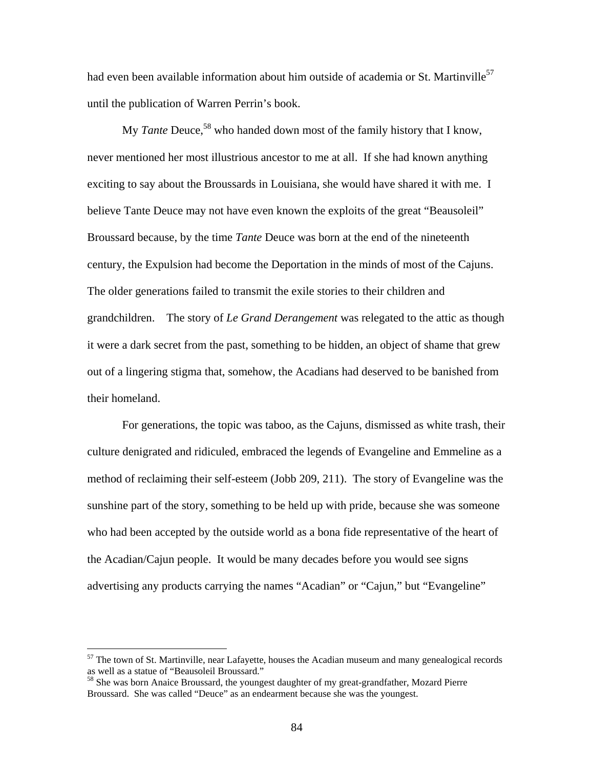had even been available information about him outside of academia or St. Martinville<sup>57</sup> until the publication of Warren Perrin's book.

My *Tante* Deuce,<sup>58</sup> who handed down most of the family history that I know, never mentioned her most illustrious ancestor to me at all. If she had known anything exciting to say about the Broussards in Louisiana, she would have shared it with me. I believe Tante Deuce may not have even known the exploits of the great "Beausoleil" Broussard because, by the time *Tante* Deuce was born at the end of the nineteenth century, the Expulsion had become the Deportation in the minds of most of the Cajuns. The older generations failed to transmit the exile stories to their children and grandchildren. The story of *Le Grand Derangement* was relegated to the attic as though it were a dark secret from the past, something to be hidden, an object of shame that grew out of a lingering stigma that, somehow, the Acadians had deserved to be banished from their homeland.

For generations, the topic was taboo, as the Cajuns, dismissed as white trash, their culture denigrated and ridiculed, embraced the legends of Evangeline and Emmeline as a method of reclaiming their self-esteem (Jobb 209, 211). The story of Evangeline was the sunshine part of the story, something to be held up with pride, because she was someone who had been accepted by the outside world as a bona fide representative of the heart of the Acadian/Cajun people. It would be many decades before you would see signs advertising any products carrying the names "Acadian" or "Cajun," but "Evangeline"

<span id="page-91-0"></span> $57$  The town of St. Martinville, near Lafayette, houses the Acadian museum and many genealogical records as well as a statue of "Beausoleil Broussard."

<span id="page-91-1"></span><sup>&</sup>lt;sup>58</sup> She was born Anaice Broussard, the youngest daughter of my great-grandfather, Mozard Pierre Broussard. She was called "Deuce" as an endearment because she was the youngest.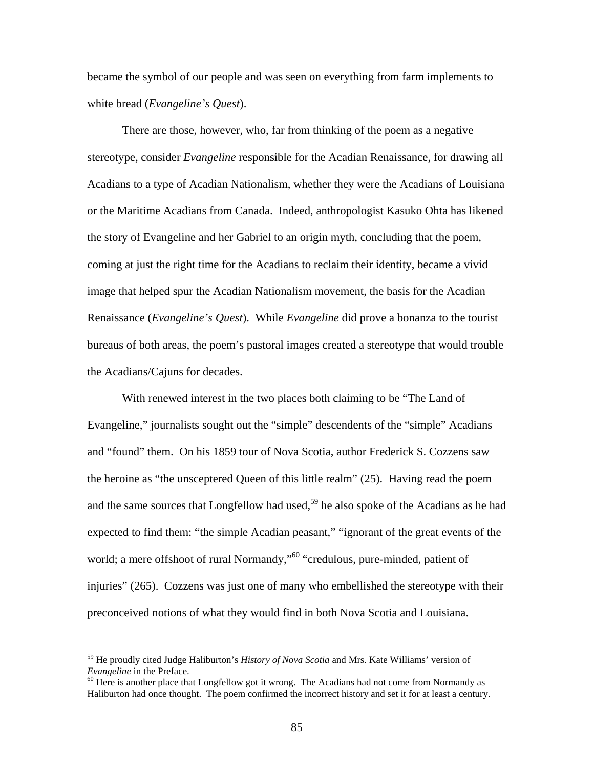became the symbol of our people and was seen on everything from farm implements to white bread (*Evangeline's Quest*).

There are those, however, who, far from thinking of the poem as a negative stereotype, consider *Evangeline* responsible for the Acadian Renaissance, for drawing all Acadians to a type of Acadian Nationalism, whether they were the Acadians of Louisiana or the Maritime Acadians from Canada. Indeed, anthropologist Kasuko Ohta has likened the story of Evangeline and her Gabriel to an origin myth, concluding that the poem, coming at just the right time for the Acadians to reclaim their identity, became a vivid image that helped spur the Acadian Nationalism movement, the basis for the Acadian Renaissance (*Evangeline's Quest*). While *Evangeline* did prove a bonanza to the tourist bureaus of both areas, the poem's pastoral images created a stereotype that would trouble the Acadians/Cajuns for decades.

With renewed interest in the two places both claiming to be "The Land of Evangeline," journalists sought out the "simple" descendents of the "simple" Acadians and "found" them. On his 1859 tour of Nova Scotia, author Frederick S. Cozzens saw the heroine as "the unsceptered Queen of this little realm" (25). Having read the poem and the same sources that Longfellow had used,<sup>59</sup> he also spoke of the Acadians as he had expected to find them: "the simple Acadian peasant," "ignorant of the great events of the world; a mere offshoot of rural Normandy,"<sup>60</sup> "credulous, pure-minded, patient of injuries" (265). Cozzens was just one of many who embellished the stereotype with their preconceived notions of what they would find in both Nova Scotia and Louisiana.

<span id="page-92-0"></span><sup>59</sup> He proudly cited Judge Haliburton's *History of Nova Scotia* and Mrs. Kate Williams' version of *Evangeline* in the Preface.<br><sup>60</sup> Here is another place that Longfellow got it wrong. The Acadians had not come from Normandy as

<span id="page-92-1"></span>Haliburton had once thought. The poem confirmed the incorrect history and set it for at least a century.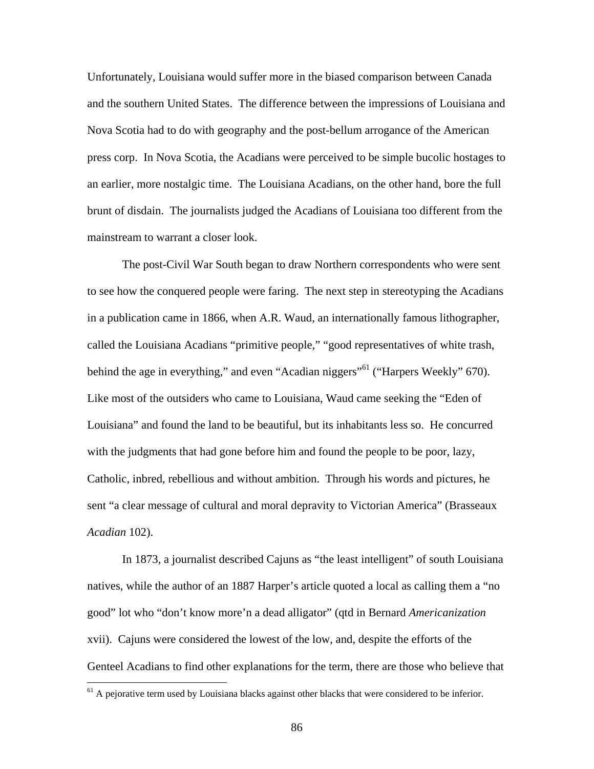Unfortunately, Louisiana would suffer more in the biased comparison between Canada and the southern United States. The difference between the impressions of Louisiana and Nova Scotia had to do with geography and the post-bellum arrogance of the American press corp. In Nova Scotia, the Acadians were perceived to be simple bucolic hostages to an earlier, more nostalgic time. The Louisiana Acadians, on the other hand, bore the full brunt of disdain. The journalists judged the Acadians of Louisiana too different from the mainstream to warrant a closer look.

The post-Civil War South began to draw Northern correspondents who were sent to see how the conquered people were faring. The next step in stereotyping the Acadians in a publication came in 1866, when A.R. Waud, an internationally famous lithographer, called the Louisiana Acadians "primitive people," "good representatives of white trash, behind the age in everything," and even "Acadian niggers"<sup>61</sup> ("Harpers Weekly" 670). Like most of the outsiders who came to Louisiana, Waud came seeking the "Eden of Louisiana" and found the land to be beautiful, but its inhabitants less so. He concurred with the judgments that had gone before him and found the people to be poor, lazy, Catholic, inbred, rebellious and without ambition. Through his words and pictures, he sent "a clear message of cultural and moral depravity to Victorian America" (Brasseaux *Acadian* 102).

In 1873, a journalist described Cajuns as "the least intelligent" of south Louisiana natives, while the author of an 1887 Harper's article quoted a local as calling them a "no good" lot who "don't know more'n a dead alligator" (qtd in Bernard *Americanization* xvii). Cajuns were considered the lowest of the low, and, despite the efforts of the Genteel Acadians to find other explanations for the term, there are those who believe that

<span id="page-93-0"></span> $<sup>61</sup>$  A pejorative term used by Louisiana blacks against other blacks that were considered to be inferior.</sup>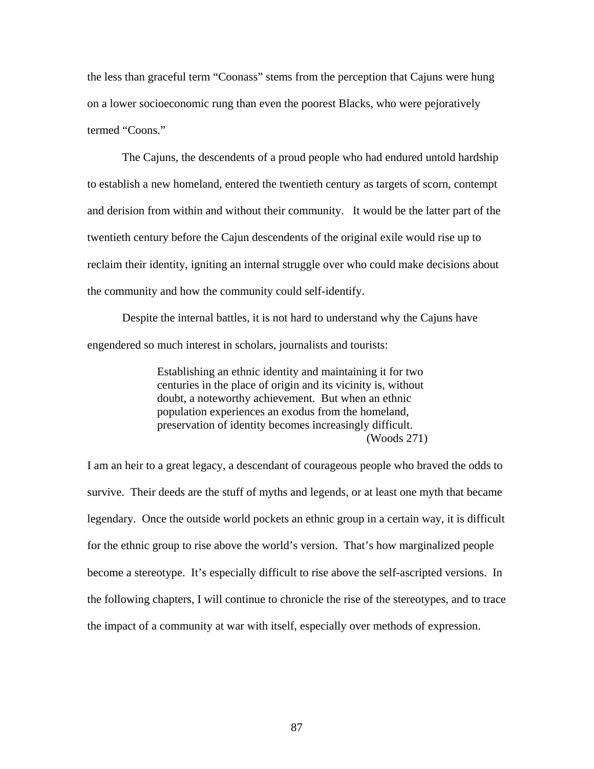the less than graceful term "Coonass" stems from the perception that Cajuns were hung on a lower socioeconomic rung than even the poorest Blacks, who were pejoratively termed "Coons."

The Cajuns, the descendents of a proud people who had endured untold hardship to establish a new homeland, entered the twentieth century as targets of scorn, contempt and derision from within and without their community. It would be the latter part of the twentieth century before the Cajun descendents of the original exile would rise up to reclaim their identity, igniting an internal struggle over who could make decisions about the community and how the community could self-identify.

Despite the internal battles, it is not hard to understand why the Cajuns have engendered so much interest in scholars, journalists and tourists:

> Establishing an ethnic identity and maintaining it for two centuries in the place of origin and its vicinity is, without doubt, a noteworthy achievement. But when an ethnic population experiences an exodus from the homeland, preservation of identity becomes increasingly difficult. (Woods 271)

I am an heir to a great legacy, a descendant of courageous people who braved the odds to survive. Their deeds are the stuff of myths and legends, or at least one myth that became legendary. Once the outside world pockets an ethnic group in a certain way, it is difficult for the ethnic group to rise above the world's version. That's how marginalized people become a stereotype. It's especially difficult to rise above the self-ascripted versions. In the following chapters, I will continue to chronicle the rise of the stereotypes, and to trace the impact of a community at war with itself, especially over methods of expression.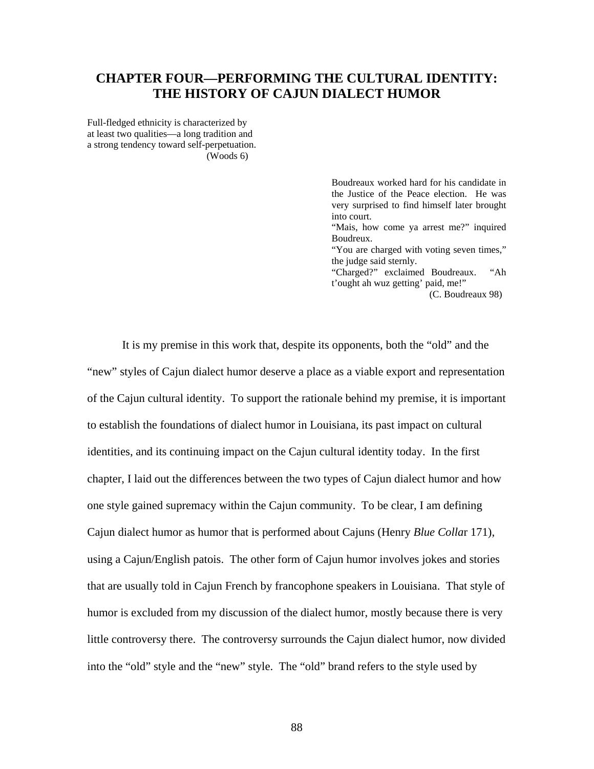## **CHAPTER FOUR—PERFORMING THE CULTURAL IDENTITY: THE HISTORY OF CAJUN DIALECT HUMOR**

Full-fledged ethnicity is characterized by at least two qualities—a long tradition and a strong tendency toward self-perpetuation. (Woods 6)

> Boudreaux worked hard for his candidate in the Justice of the Peace election. He was very surprised to find himself later brought into court. "Mais, how come ya arrest me?" inquired Boudreux. "You are charged with voting seven times," the judge said sternly. "Charged?" exclaimed Boudreaux. "Ah t'ought ah wuz getting' paid, me!"

(C. Boudreaux 98)

It is my premise in this work that, despite its opponents, both the "old" and the "new" styles of Cajun dialect humor deserve a place as a viable export and representation of the Cajun cultural identity. To support the rationale behind my premise, it is important to establish the foundations of dialect humor in Louisiana, its past impact on cultural identities, and its continuing impact on the Cajun cultural identity today. In the first chapter, I laid out the differences between the two types of Cajun dialect humor and how one style gained supremacy within the Cajun community. To be clear, I am defining Cajun dialect humor as humor that is performed about Cajuns (Henry *Blue Colla*r 171), using a Cajun/English patois. The other form of Cajun humor involves jokes and stories that are usually told in Cajun French by francophone speakers in Louisiana. That style of humor is excluded from my discussion of the dialect humor, mostly because there is very little controversy there. The controversy surrounds the Cajun dialect humor, now divided into the "old" style and the "new" style. The "old" brand refers to the style used by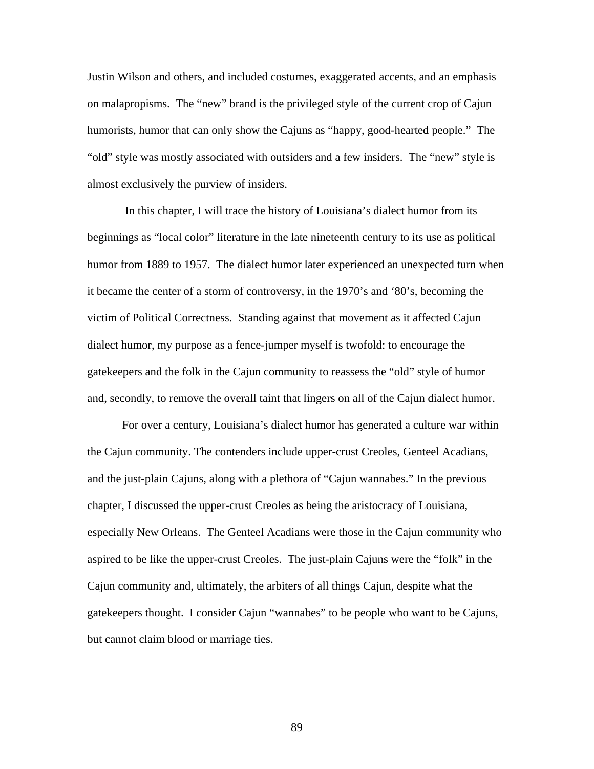Justin Wilson and others, and included costumes, exaggerated accents, and an emphasis on malapropisms. The "new" brand is the privileged style of the current crop of Cajun humorists, humor that can only show the Cajuns as "happy, good-hearted people." The "old" style was mostly associated with outsiders and a few insiders. The "new" style is almost exclusively the purview of insiders.

 In this chapter, I will trace the history of Louisiana's dialect humor from its beginnings as "local color" literature in the late nineteenth century to its use as political humor from 1889 to 1957. The dialect humor later experienced an unexpected turn when it became the center of a storm of controversy, in the 1970's and '80's, becoming the victim of Political Correctness. Standing against that movement as it affected Cajun dialect humor, my purpose as a fence-jumper myself is twofold: to encourage the gatekeepers and the folk in the Cajun community to reassess the "old" style of humor and, secondly, to remove the overall taint that lingers on all of the Cajun dialect humor.

For over a century, Louisiana's dialect humor has generated a culture war within the Cajun community. The contenders include upper-crust Creoles, Genteel Acadians, and the just-plain Cajuns, along with a plethora of "Cajun wannabes." In the previous chapter, I discussed the upper-crust Creoles as being the aristocracy of Louisiana, especially New Orleans. The Genteel Acadians were those in the Cajun community who aspired to be like the upper-crust Creoles. The just-plain Cajuns were the "folk" in the Cajun community and, ultimately, the arbiters of all things Cajun, despite what the gatekeepers thought. I consider Cajun "wannabes" to be people who want to be Cajuns, but cannot claim blood or marriage ties.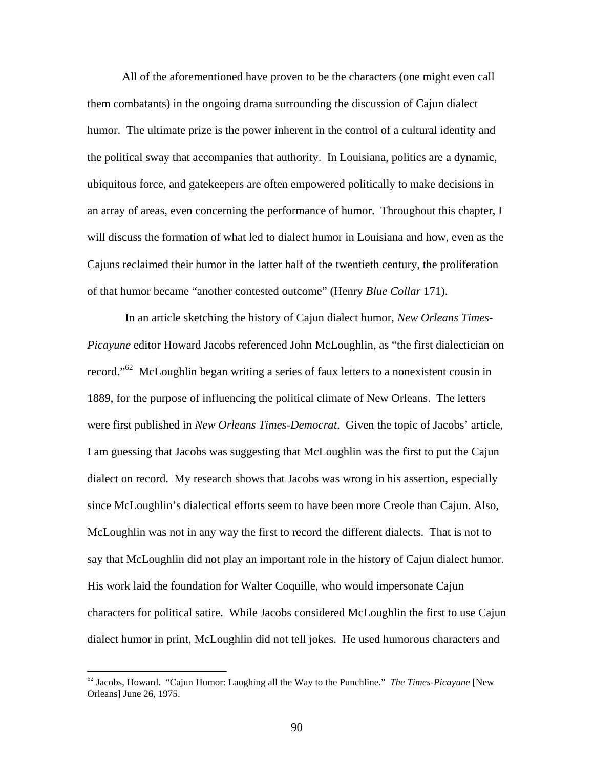All of the aforementioned have proven to be the characters (one might even call them combatants) in the ongoing drama surrounding the discussion of Cajun dialect humor. The ultimate prize is the power inherent in the control of a cultural identity and the political sway that accompanies that authority. In Louisiana, politics are a dynamic, ubiquitous force, and gatekeepers are often empowered politically to make decisions in an array of areas, even concerning the performance of humor. Throughout this chapter, I will discuss the formation of what led to dialect humor in Louisiana and how, even as the Cajuns reclaimed their humor in the latter half of the twentieth century, the proliferation of that humor became "another contested outcome" (Henry *Blue Collar* 171).

 In an article sketching the history of Cajun dialect humor, *New Orleans Times-Picayune* editor Howard Jacobs referenced John McLoughlin, as "the first dialectician on record."<sup>62</sup> McLoughlin began writing a series of faux letters to a nonexistent cousin in 1889, for the purpose of influencing the political climate of New Orleans. The letters were first published in *New Orleans Times-Democrat*. Given the topic of Jacobs' article, I am guessing that Jacobs was suggesting that McLoughlin was the first to put the Cajun dialect on record. My research shows that Jacobs was wrong in his assertion, especially since McLoughlin's dialectical efforts seem to have been more Creole than Cajun. Also, McLoughlin was not in any way the first to record the different dialects. That is not to say that McLoughlin did not play an important role in the history of Cajun dialect humor. His work laid the foundation for Walter Coquille, who would impersonate Cajun characters for political satire. While Jacobs considered McLoughlin the first to use Cajun dialect humor in print, McLoughlin did not tell jokes. He used humorous characters and

<span id="page-97-0"></span><sup>62</sup> Jacobs, Howard. "Cajun Humor: Laughing all the Way to the Punchline." *The Times-Picayune* [New Orleans] June 26, 1975.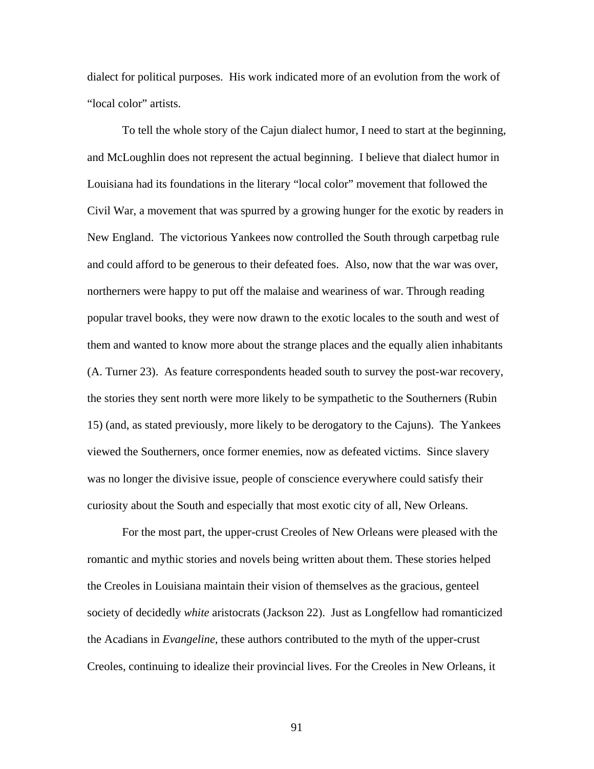dialect for political purposes. His work indicated more of an evolution from the work of "local color" artists.

To tell the whole story of the Cajun dialect humor, I need to start at the beginning, and McLoughlin does not represent the actual beginning. I believe that dialect humor in Louisiana had its foundations in the literary "local color" movement that followed the Civil War, a movement that was spurred by a growing hunger for the exotic by readers in New England. The victorious Yankees now controlled the South through carpetbag rule and could afford to be generous to their defeated foes. Also, now that the war was over, northerners were happy to put off the malaise and weariness of war. Through reading popular travel books, they were now drawn to the exotic locales to the south and west of them and wanted to know more about the strange places and the equally alien inhabitants (A. Turner 23). As feature correspondents headed south to survey the post-war recovery, the stories they sent north were more likely to be sympathetic to the Southerners (Rubin 15) (and, as stated previously, more likely to be derogatory to the Cajuns). The Yankees viewed the Southerners, once former enemies, now as defeated victims. Since slavery was no longer the divisive issue, people of conscience everywhere could satisfy their curiosity about the South and especially that most exotic city of all, New Orleans.

For the most part, the upper-crust Creoles of New Orleans were pleased with the romantic and mythic stories and novels being written about them. These stories helped the Creoles in Louisiana maintain their vision of themselves as the gracious, genteel society of decidedly *white* aristocrats (Jackson 22). Just as Longfellow had romanticized the Acadians in *Evangeline*, these authors contributed to the myth of the upper-crust Creoles, continuing to idealize their provincial lives. For the Creoles in New Orleans, it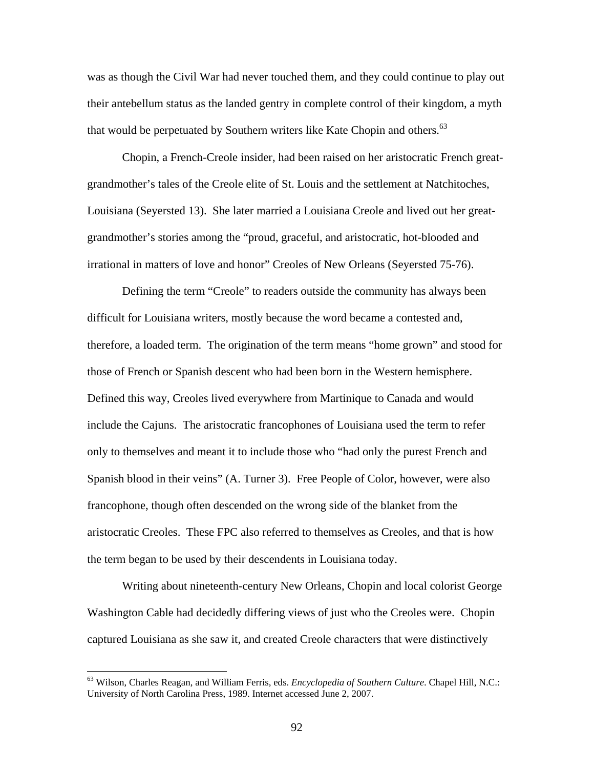was as though the Civil War had never touched them, and they could continue to play out their antebellum status as the landed gentry in complete control of their kingdom, a myth that would be perpetuated by Southern writers like Kate Chopin and others.<sup>63</sup>

Chopin, a French-Creole insider, had been raised on her aristocratic French greatgrandmother's tales of the Creole elite of St. Louis and the settlement at Natchitoches, Louisiana (Seyersted 13). She later married a Louisiana Creole and lived out her greatgrandmother's stories among the "proud, graceful, and aristocratic, hot-blooded and irrational in matters of love and honor" Creoles of New Orleans (Seyersted 75-76).

Defining the term "Creole" to readers outside the community has always been difficult for Louisiana writers, mostly because the word became a contested and, therefore, a loaded term. The origination of the term means "home grown" and stood for those of French or Spanish descent who had been born in the Western hemisphere. Defined this way, Creoles lived everywhere from Martinique to Canada and would include the Cajuns. The aristocratic francophones of Louisiana used the term to refer only to themselves and meant it to include those who "had only the purest French and Spanish blood in their veins" (A. Turner 3). Free People of Color, however, were also francophone, though often descended on the wrong side of the blanket from the aristocratic Creoles. These FPC also referred to themselves as Creoles, and that is how the term began to be used by their descendents in Louisiana today.

Writing about nineteenth-century New Orleans, Chopin and local colorist George Washington Cable had decidedly differing views of just who the Creoles were. Chopin captured Louisiana as she saw it, and created Creole characters that were distinctively

<span id="page-99-0"></span><sup>63</sup> Wilson, Charles Reagan, and William Ferris, eds. *Encyclopedia of Southern Culture*. Chapel Hill, N.C.: University of North Carolina Press, 1989. Internet accessed June 2, 2007.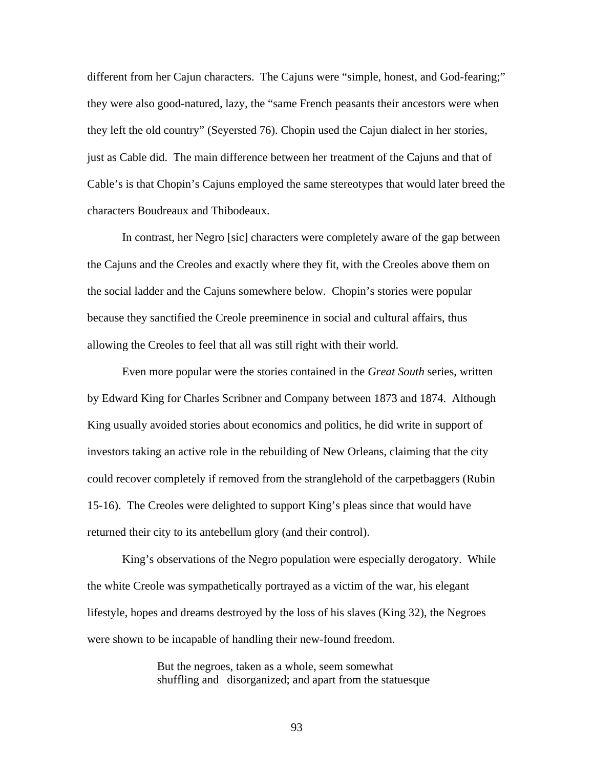different from her Cajun characters. The Cajuns were "simple, honest, and God-fearing;" they were also good-natured, lazy, the "same French peasants their ancestors were when they left the old country" (Seyersted 76). Chopin used the Cajun dialect in her stories, just as Cable did. The main difference between her treatment of the Cajuns and that of Cable's is that Chopin's Cajuns employed the same stereotypes that would later breed the characters Boudreaux and Thibodeaux.

In contrast, her Negro [sic] characters were completely aware of the gap between the Cajuns and the Creoles and exactly where they fit, with the Creoles above them on the social ladder and the Cajuns somewhere below. Chopin's stories were popular because they sanctified the Creole preeminence in social and cultural affairs, thus allowing the Creoles to feel that all was still right with their world.

Even more popular were the stories contained in the *Great South* series, written by Edward King for Charles Scribner and Company between 1873 and 1874. Although King usually avoided stories about economics and politics, he did write in support of investors taking an active role in the rebuilding of New Orleans, claiming that the city could recover completely if removed from the stranglehold of the carpetbaggers (Rubin 15-16). The Creoles were delighted to support King's pleas since that would have returned their city to its antebellum glory (and their control).

King's observations of the Negro population were especially derogatory. While the white Creole was sympathetically portrayed as a victim of the war, his elegant lifestyle, hopes and dreams destroyed by the loss of his slaves (King 32), the Negroes were shown to be incapable of handling their new-found freedom.

> But the negroes, taken as a whole, seem somewhat shuffling and disorganized; and apart from the statuesque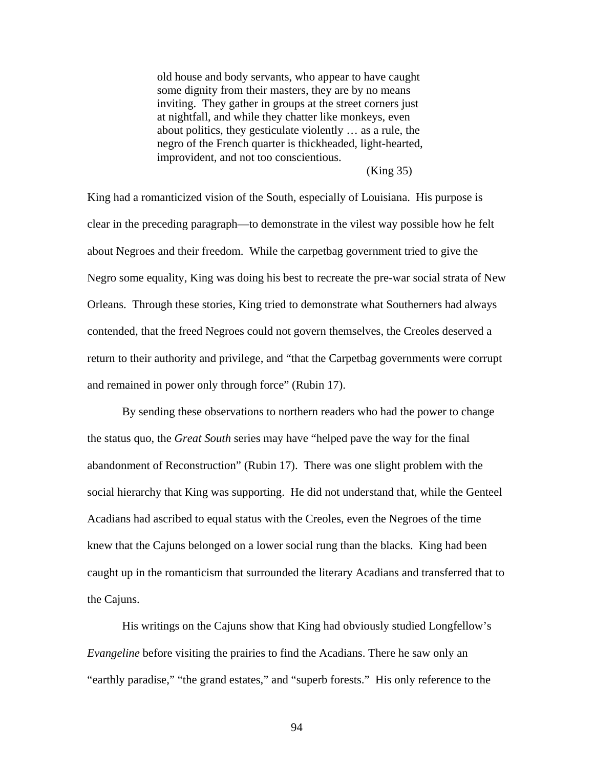old house and body servants, who appear to have caught some dignity from their masters, they are by no means inviting. They gather in groups at the street corners just at nightfall, and while they chatter like monkeys, even about politics, they gesticulate violently … as a rule, the negro of the French quarter is thickheaded, light-hearted, improvident, and not too conscientious.

## (King 35)

King had a romanticized vision of the South, especially of Louisiana. His purpose is clear in the preceding paragraph—to demonstrate in the vilest way possible how he felt about Negroes and their freedom. While the carpetbag government tried to give the Negro some equality, King was doing his best to recreate the pre-war social strata of New Orleans. Through these stories, King tried to demonstrate what Southerners had always contended, that the freed Negroes could not govern themselves, the Creoles deserved a return to their authority and privilege, and "that the Carpetbag governments were corrupt and remained in power only through force" (Rubin 17).

By sending these observations to northern readers who had the power to change the status quo, the *Great South* series may have "helped pave the way for the final abandonment of Reconstruction" (Rubin 17). There was one slight problem with the social hierarchy that King was supporting. He did not understand that, while the Genteel Acadians had ascribed to equal status with the Creoles, even the Negroes of the time knew that the Cajuns belonged on a lower social rung than the blacks. King had been caught up in the romanticism that surrounded the literary Acadians and transferred that to the Cajuns.

His writings on the Cajuns show that King had obviously studied Longfellow's *Evangeline* before visiting the prairies to find the Acadians. There he saw only an "earthly paradise," "the grand estates," and "superb forests." His only reference to the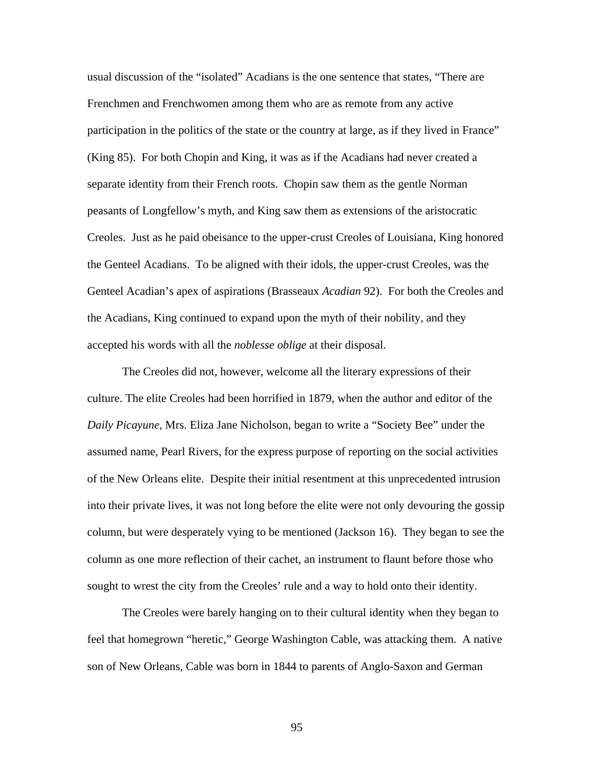usual discussion of the "isolated" Acadians is the one sentence that states, "There are Frenchmen and Frenchwomen among them who are as remote from any active participation in the politics of the state or the country at large, as if they lived in France" (King 85). For both Chopin and King, it was as if the Acadians had never created a separate identity from their French roots. Chopin saw them as the gentle Norman peasants of Longfellow's myth, and King saw them as extensions of the aristocratic Creoles. Just as he paid obeisance to the upper-crust Creoles of Louisiana, King honored the Genteel Acadians. To be aligned with their idols, the upper-crust Creoles, was the Genteel Acadian's apex of aspirations (Brasseaux *Acadian* 92). For both the Creoles and the Acadians, King continued to expand upon the myth of their nobility, and they accepted his words with all the *noblesse oblige* at their disposal.

The Creoles did not, however, welcome all the literary expressions of their culture. The elite Creoles had been horrified in 1879, when the author and editor of the *Daily Picayune*, Mrs. Eliza Jane Nicholson, began to write a "Society Bee" under the assumed name, Pearl Rivers, for the express purpose of reporting on the social activities of the New Orleans elite. Despite their initial resentment at this unprecedented intrusion into their private lives, it was not long before the elite were not only devouring the gossip column, but were desperately vying to be mentioned (Jackson 16). They began to see the column as one more reflection of their cachet, an instrument to flaunt before those who sought to wrest the city from the Creoles' rule and a way to hold onto their identity.

The Creoles were barely hanging on to their cultural identity when they began to feel that homegrown "heretic," George Washington Cable, was attacking them. A native son of New Orleans, Cable was born in 1844 to parents of Anglo-Saxon and German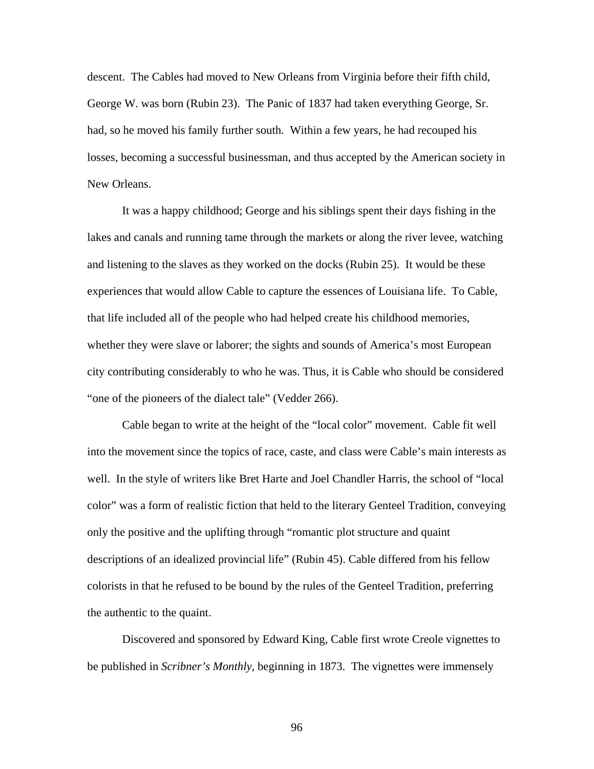descent. The Cables had moved to New Orleans from Virginia before their fifth child, George W. was born (Rubin 23). The Panic of 1837 had taken everything George, Sr. had, so he moved his family further south. Within a few years, he had recouped his losses, becoming a successful businessman, and thus accepted by the American society in New Orleans.

It was a happy childhood; George and his siblings spent their days fishing in the lakes and canals and running tame through the markets or along the river levee, watching and listening to the slaves as they worked on the docks (Rubin 25). It would be these experiences that would allow Cable to capture the essences of Louisiana life. To Cable, that life included all of the people who had helped create his childhood memories, whether they were slave or laborer; the sights and sounds of America's most European city contributing considerably to who he was. Thus, it is Cable who should be considered "one of the pioneers of the dialect tale" (Vedder 266).

Cable began to write at the height of the "local color" movement. Cable fit well into the movement since the topics of race, caste, and class were Cable's main interests as well. In the style of writers like Bret Harte and Joel Chandler Harris, the school of "local color" was a form of realistic fiction that held to the literary Genteel Tradition, conveying only the positive and the uplifting through "romantic plot structure and quaint descriptions of an idealized provincial life" (Rubin 45). Cable differed from his fellow colorists in that he refused to be bound by the rules of the Genteel Tradition, preferring the authentic to the quaint.

Discovered and sponsored by Edward King, Cable first wrote Creole vignettes to be published in *Scribner's Monthly*, beginning in 1873. The vignettes were immensely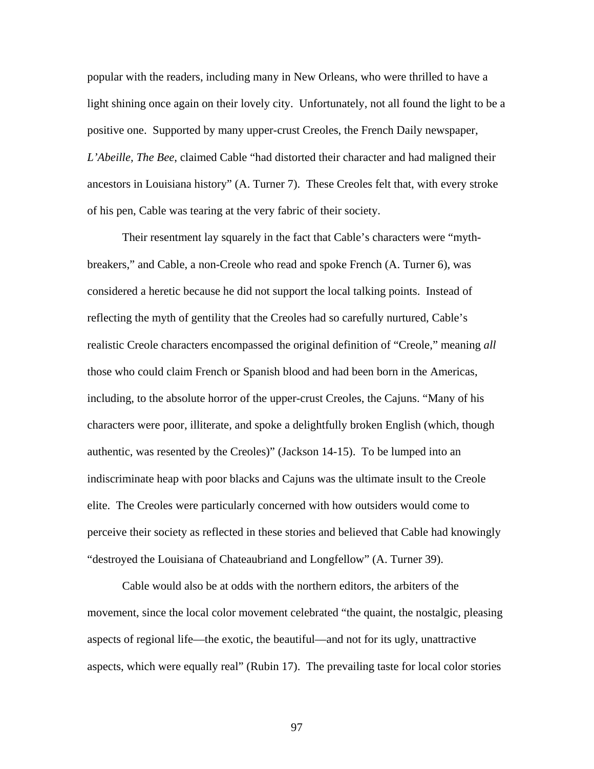popular with the readers, including many in New Orleans, who were thrilled to have a light shining once again on their lovely city. Unfortunately, not all found the light to be a positive one. Supported by many upper-crust Creoles, the French Daily newspaper, *L'Abeille, The Bee*, claimed Cable "had distorted their character and had maligned their ancestors in Louisiana history" (A. Turner 7). These Creoles felt that, with every stroke of his pen, Cable was tearing at the very fabric of their society.

Their resentment lay squarely in the fact that Cable's characters were "mythbreakers," and Cable, a non-Creole who read and spoke French (A. Turner 6), was considered a heretic because he did not support the local talking points. Instead of reflecting the myth of gentility that the Creoles had so carefully nurtured, Cable's realistic Creole characters encompassed the original definition of "Creole," meaning *all* those who could claim French or Spanish blood and had been born in the Americas, including, to the absolute horror of the upper-crust Creoles, the Cajuns. "Many of his characters were poor, illiterate, and spoke a delightfully broken English (which, though authentic, was resented by the Creoles)" (Jackson 14-15). To be lumped into an indiscriminate heap with poor blacks and Cajuns was the ultimate insult to the Creole elite. The Creoles were particularly concerned with how outsiders would come to perceive their society as reflected in these stories and believed that Cable had knowingly "destroyed the Louisiana of Chateaubriand and Longfellow" (A. Turner 39).

Cable would also be at odds with the northern editors, the arbiters of the movement, since the local color movement celebrated "the quaint, the nostalgic, pleasing aspects of regional life—the exotic, the beautiful—and not for its ugly, unattractive aspects, which were equally real" (Rubin 17). The prevailing taste for local color stories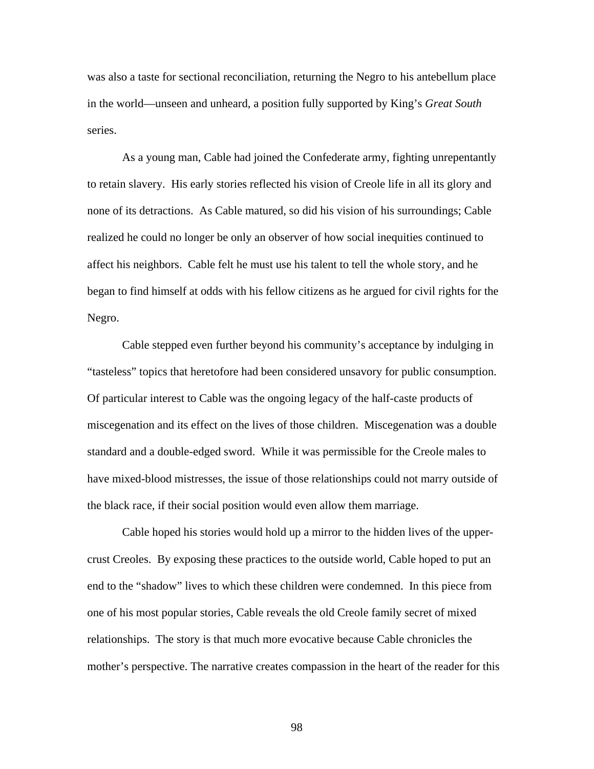was also a taste for sectional reconciliation, returning the Negro to his antebellum place in the world—unseen and unheard, a position fully supported by King's *Great South* series.

As a young man, Cable had joined the Confederate army, fighting unrepentantly to retain slavery. His early stories reflected his vision of Creole life in all its glory and none of its detractions. As Cable matured, so did his vision of his surroundings; Cable realized he could no longer be only an observer of how social inequities continued to affect his neighbors. Cable felt he must use his talent to tell the whole story, and he began to find himself at odds with his fellow citizens as he argued for civil rights for the Negro.

Cable stepped even further beyond his community's acceptance by indulging in "tasteless" topics that heretofore had been considered unsavory for public consumption. Of particular interest to Cable was the ongoing legacy of the half-caste products of miscegenation and its effect on the lives of those children. Miscegenation was a double standard and a double-edged sword. While it was permissible for the Creole males to have mixed-blood mistresses, the issue of those relationships could not marry outside of the black race, if their social position would even allow them marriage.

Cable hoped his stories would hold up a mirror to the hidden lives of the uppercrust Creoles. By exposing these practices to the outside world, Cable hoped to put an end to the "shadow" lives to which these children were condemned. In this piece from one of his most popular stories, Cable reveals the old Creole family secret of mixed relationships. The story is that much more evocative because Cable chronicles the mother's perspective. The narrative creates compassion in the heart of the reader for this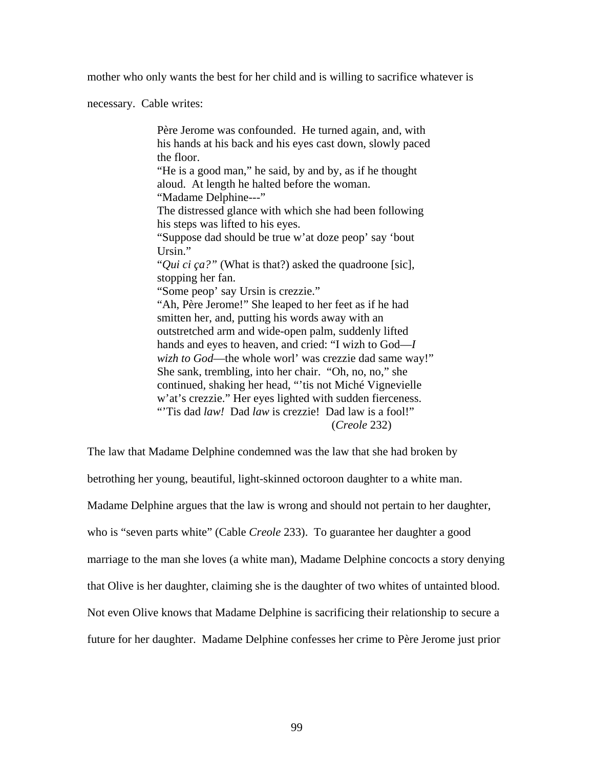mother who only wants the best for her child and is willing to sacrifice whatever is

necessary. Cable writes:

Père Jerome was confounded. He turned again, and, with his hands at his back and his eyes cast down, slowly paced the floor. "He is a good man," he said, by and by, as if he thought aloud. At length he halted before the woman. "Madame Delphine---" The distressed glance with which she had been following his steps was lifted to his eyes. "Suppose dad should be true w'at doze peop' say 'bout Ursin." "*Qui ci ça?"* (What is that?) asked the quadroone [sic], stopping her fan. "Some peop' say Ursin is crezzie." "Ah, Père Jerome!" She leaped to her feet as if he had smitten her, and, putting his words away with an outstretched arm and wide-open palm, suddenly lifted hands and eyes to heaven, and cried: "I wizh to God—*I wizh to God*—the whole worl' was crezzie dad same way!" She sank, trembling, into her chair. "Oh, no, no," she continued, shaking her head, "'tis not Miché Vignevielle w'at's crezzie." Her eyes lighted with sudden fierceness. "'Tis dad *law!* Dad *law* is crezzie! Dad law is a fool!" (*Creole* 232)

The law that Madame Delphine condemned was the law that she had broken by

betrothing her young, beautiful, light-skinned octoroon daughter to a white man.

Madame Delphine argues that the law is wrong and should not pertain to her daughter,

who is "seven parts white" (Cable *Creole* 233). To guarantee her daughter a good

marriage to the man she loves (a white man), Madame Delphine concocts a story denying

that Olive is her daughter, claiming she is the daughter of two whites of untainted blood.

Not even Olive knows that Madame Delphine is sacrificing their relationship to secure a

future for her daughter. Madame Delphine confesses her crime to Père Jerome just prior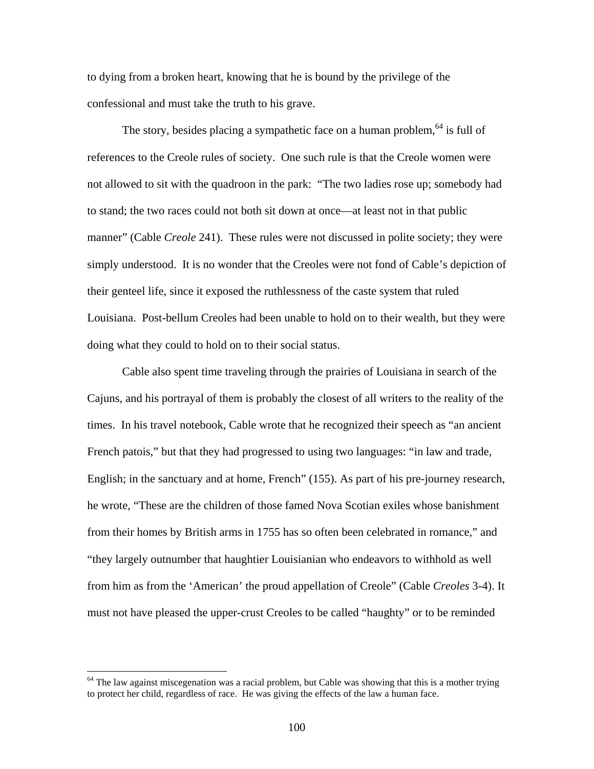to dying from a broken heart, knowing that he is bound by the privilege of the confessional and must take the truth to his grave.

The story, besides placing a sympathetic face on a human problem, <sup>64</sup> is full of references to the Creole rules of society. One such rule is that the Creole women were not allowed to sit with the quadroon in the park: "The two ladies rose up; somebody had to stand; the two races could not both sit down at once—at least not in that public manner" (Cable *Creole* 241). These rules were not discussed in polite society; they were simply understood. It is no wonder that the Creoles were not fond of Cable's depiction of their genteel life, since it exposed the ruthlessness of the caste system that ruled Louisiana. Post-bellum Creoles had been unable to hold on to their wealth, but they were doing what they could to hold on to their social status.

Cable also spent time traveling through the prairies of Louisiana in search of the Cajuns, and his portrayal of them is probably the closest of all writers to the reality of the times. In his travel notebook, Cable wrote that he recognized their speech as "an ancient French patois," but that they had progressed to using two languages: "in law and trade, English; in the sanctuary and at home, French" (155). As part of his pre-journey research, he wrote, "These are the children of those famed Nova Scotian exiles whose banishment from their homes by British arms in 1755 has so often been celebrated in romance," and "they largely outnumber that haughtier Louisianian who endeavors to withhold as well from him as from the 'American' the proud appellation of Creole" (Cable *Creoles* 3-4). It must not have pleased the upper-crust Creoles to be called "haughty" or to be reminded

<span id="page-107-0"></span><sup>&</sup>lt;sup>64</sup> The law against miscegenation was a racial problem, but Cable was showing that this is a mother trying to protect her child, regardless of race. He was giving the effects of the law a human face.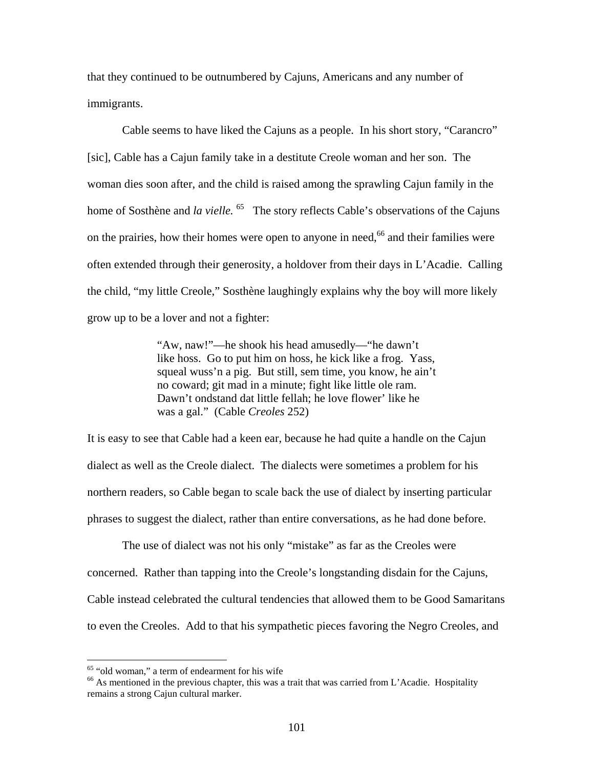that they continued to be outnumbered by Cajuns, Americans and any number of immigrants.

Cable seems to have liked the Cajuns as a people. In his short story, "Carancro" [sic], Cable has a Cajun family take in a destitute Creole woman and her son. The woman dies soon after, and the child is raised among the sprawling Cajun family in the home of Sosthène and *la vielle*. <sup>65</sup> The story reflects Cable's observations of the Cajuns on the prairies, how their homes were open to anyone in need,<sup>66</sup> and their families were often extended through their generosity, a holdover from their days in L'Acadie. Calling the child, "my little Creole," Sosthène laughingly explains why the boy will more likely grow up to be a lover and not a fighter:

> "Aw, naw!"—he shook his head amusedly—"he dawn't like hoss. Go to put him on hoss, he kick like a frog. Yass, squeal wuss'n a pig. But still, sem time, you know, he ain't no coward; git mad in a minute; fight like little ole ram. Dawn't ondstand dat little fellah; he love flower' like he was a gal." (Cable *Creoles* 252)

It is easy to see that Cable had a keen ear, because he had quite a handle on the Cajun dialect as well as the Creole dialect. The dialects were sometimes a problem for his northern readers, so Cable began to scale back the use of dialect by inserting particular phrases to suggest the dialect, rather than entire conversations, as he had done before.

The use of dialect was not his only "mistake" as far as the Creoles were concerned. Rather than tapping into the Creole's longstanding disdain for the Cajuns, Cable instead celebrated the cultural tendencies that allowed them to be Good Samaritans to even the Creoles. Add to that his sympathetic pieces favoring the Negro Creoles, and

<span id="page-108-1"></span><span id="page-108-0"></span>

<sup>&</sup>lt;sup>65</sup> "old woman," a term of endearment for his wife  $\frac{66}{100}$  As mentioned in the previous chapter, this was a trait that was carried from L'Acadie. Hospitality remains a strong Cajun cultural marker.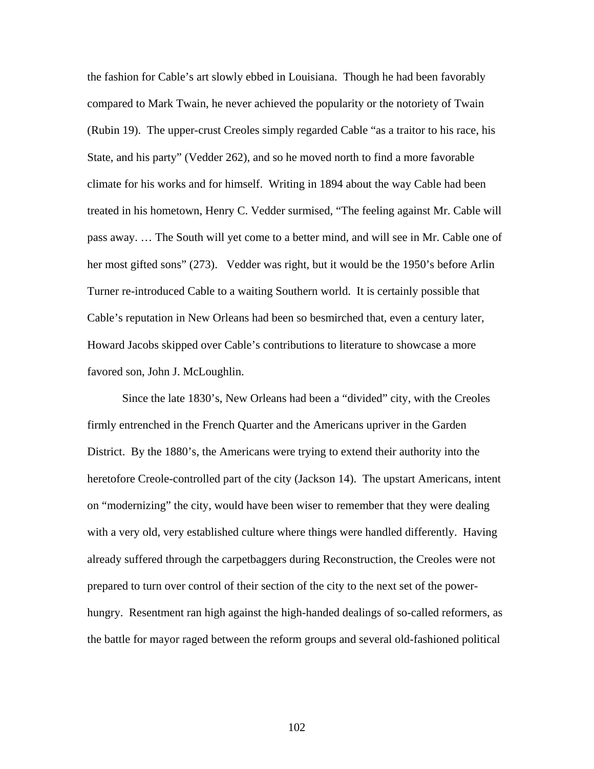the fashion for Cable's art slowly ebbed in Louisiana. Though he had been favorably compared to Mark Twain, he never achieved the popularity or the notoriety of Twain (Rubin 19). The upper-crust Creoles simply regarded Cable "as a traitor to his race, his State, and his party" (Vedder 262), and so he moved north to find a more favorable climate for his works and for himself. Writing in 1894 about the way Cable had been treated in his hometown, Henry C. Vedder surmised, "The feeling against Mr. Cable will pass away. … The South will yet come to a better mind, and will see in Mr. Cable one of her most gifted sons" (273). Vedder was right, but it would be the 1950's before Arlin Turner re-introduced Cable to a waiting Southern world. It is certainly possible that Cable's reputation in New Orleans had been so besmirched that, even a century later, Howard Jacobs skipped over Cable's contributions to literature to showcase a more favored son, John J. McLoughlin.

Since the late 1830's, New Orleans had been a "divided" city, with the Creoles firmly entrenched in the French Quarter and the Americans upriver in the Garden District. By the 1880's, the Americans were trying to extend their authority into the heretofore Creole-controlled part of the city (Jackson 14). The upstart Americans, intent on "modernizing" the city, would have been wiser to remember that they were dealing with a very old, very established culture where things were handled differently. Having already suffered through the carpetbaggers during Reconstruction, the Creoles were not prepared to turn over control of their section of the city to the next set of the powerhungry. Resentment ran high against the high-handed dealings of so-called reformers, as the battle for mayor raged between the reform groups and several old-fashioned political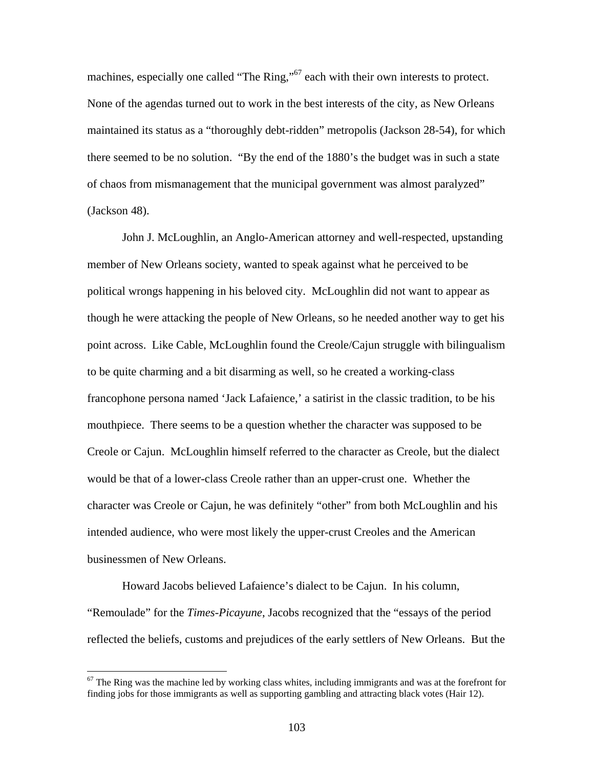machines, especially one called "The Ring,"<sup>67</sup> each with their own interests to protect. None of the agendas turned out to work in the best interests of the city, as New Orleans maintained its status as a "thoroughly debt-ridden" metropolis (Jackson 28-54), for which there seemed to be no solution. "By the end of the 1880's the budget was in such a state of chaos from mismanagement that the municipal government was almost paralyzed" (Jackson 48).

John J. McLoughlin, an Anglo-American attorney and well-respected, upstanding member of New Orleans society, wanted to speak against what he perceived to be political wrongs happening in his beloved city. McLoughlin did not want to appear as though he were attacking the people of New Orleans, so he needed another way to get his point across. Like Cable, McLoughlin found the Creole/Cajun struggle with bilingualism to be quite charming and a bit disarming as well, so he created a working-class francophone persona named 'Jack Lafaience,' a satirist in the classic tradition, to be his mouthpiece. There seems to be a question whether the character was supposed to be Creole or Cajun. McLoughlin himself referred to the character as Creole, but the dialect would be that of a lower-class Creole rather than an upper-crust one. Whether the character was Creole or Cajun, he was definitely "other" from both McLoughlin and his intended audience, who were most likely the upper-crust Creoles and the American businessmen of New Orleans.

Howard Jacobs believed Lafaience's dialect to be Cajun. In his column, "Remoulade" for the *Times-Picayune*, Jacobs recognized that the "essays of the period reflected the beliefs, customs and prejudices of the early settlers of New Orleans. But the

<span id="page-110-0"></span> $67$  The Ring was the machine led by working class whites, including immigrants and was at the forefront for finding jobs for those immigrants as well as supporting gambling and attracting black votes (Hair 12).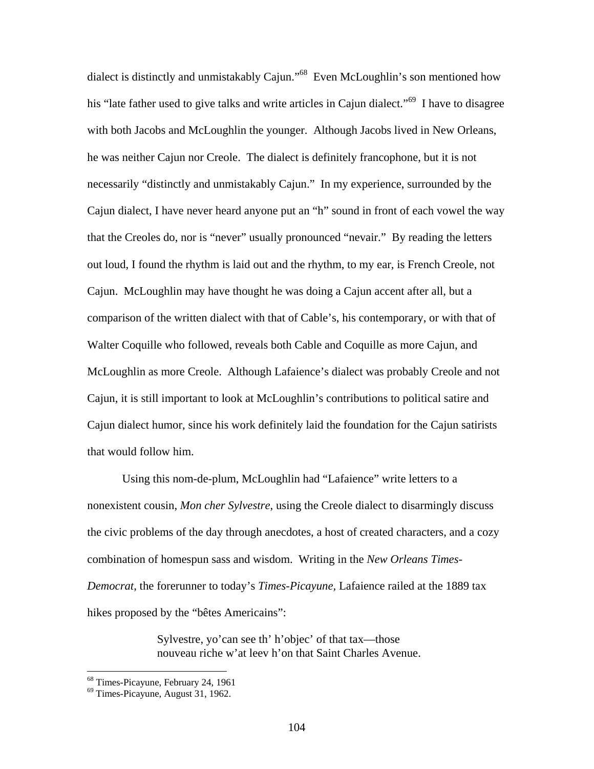dialect is distinctly and unmistakably Cajun."[68](#page-111-0) Even McLoughlin's son mentioned how his "late father used to give talks and write articles in Cajun dialect."<sup>69</sup> I have to disagree with both Jacobs and McLoughlin the younger. Although Jacobs lived in New Orleans, he was neither Cajun nor Creole. The dialect is definitely francophone, but it is not necessarily "distinctly and unmistakably Cajun." In my experience, surrounded by the Cajun dialect, I have never heard anyone put an "h" sound in front of each vowel the way that the Creoles do, nor is "never" usually pronounced "nevair." By reading the letters out loud, I found the rhythm is laid out and the rhythm, to my ear, is French Creole, not Cajun. McLoughlin may have thought he was doing a Cajun accent after all, but a comparison of the written dialect with that of Cable's, his contemporary, or with that of Walter Coquille who followed, reveals both Cable and Coquille as more Cajun, and McLoughlin as more Creole. Although Lafaience's dialect was probably Creole and not Cajun, it is still important to look at McLoughlin's contributions to political satire and Cajun dialect humor, since his work definitely laid the foundation for the Cajun satirists that would follow him.

Using this nom-de-plum, McLoughlin had "Lafaience" write letters to a nonexistent cousin, *Mon cher Sylvestre*, using the Creole dialect to disarmingly discuss the civic problems of the day through anecdotes, a host of created characters, and a cozy combination of homespun sass and wisdom. Writing in the *New Orleans Times-Democrat*, the forerunner to today's *Times-Picayune,* Lafaience railed at the 1889 tax hikes proposed by the "bêtes Americains":

> Sylvestre, yo'can see th' h'objec' of that tax—those nouveau riche w'at leev h'on that Saint Charles Avenue.

<span id="page-111-0"></span> $68$  Times-Picayune, February 24, 1961<br> $69$  Times-Picayune, August 31, 1962.

<span id="page-111-1"></span>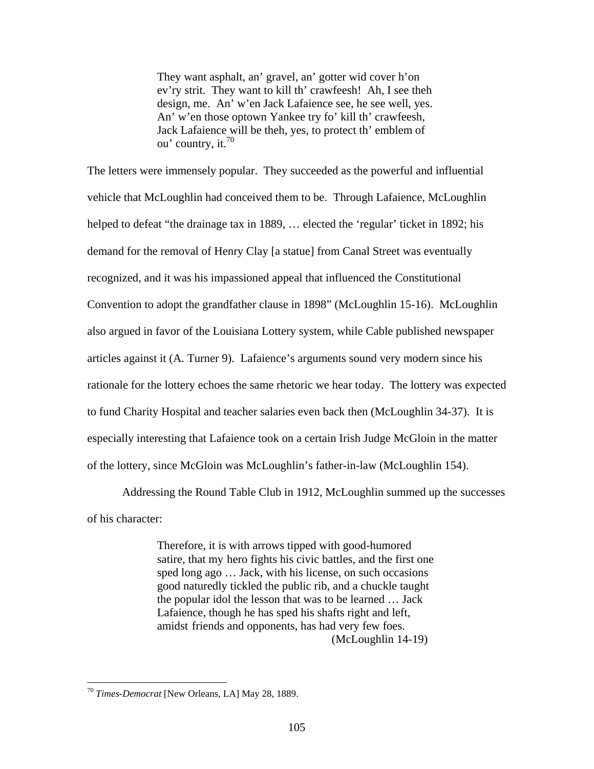They want asphalt, an' gravel, an' gotter wid cover h'on ev'ry strit. They want to kill th' crawfeesh! Ah, I see theh design, me. An' w'en Jack Lafaience see, he see well, yes. An' w'en those optown Yankee try fo' kill th' crawfeesh, Jack Lafaience will be theh, yes, to protect th' emblem of ou' country, it. $70$ 

The letters were immensely popular. They succeeded as the powerful and influential vehicle that McLoughlin had conceived them to be. Through Lafaience, McLoughlin helped to defeat "the drainage tax in 1889, ... elected the 'regular' ticket in 1892; his demand for the removal of Henry Clay [a statue] from Canal Street was eventually recognized, and it was his impassioned appeal that influenced the Constitutional Convention to adopt the grandfather clause in 1898" (McLoughlin 15-16). McLoughlin also argued in favor of the Louisiana Lottery system, while Cable published newspaper articles against it (A. Turner 9). Lafaience's arguments sound very modern since his rationale for the lottery echoes the same rhetoric we hear today. The lottery was expected to fund Charity Hospital and teacher salaries even back then (McLoughlin 34-37). It is especially interesting that Lafaience took on a certain Irish Judge McGloin in the matter of the lottery, since McGloin was McLoughlin's father-in-law (McLoughlin 154).

Addressing the Round Table Club in 1912, McLoughlin summed up the successes of his character:

> Therefore, it is with arrows tipped with good-humored satire, that my hero fights his civic battles, and the first one sped long ago … Jack, with his license, on such occasions good naturedly tickled the public rib, and a chuckle taught the popular idol the lesson that was to be learned … Jack Lafaience, though he has sped his shafts right and left, amidst friends and opponents, has had very few foes. (McLoughlin 14-19)

<span id="page-112-0"></span><sup>70</sup> *Times-Democrat* [New Orleans, LA] May 28, 1889.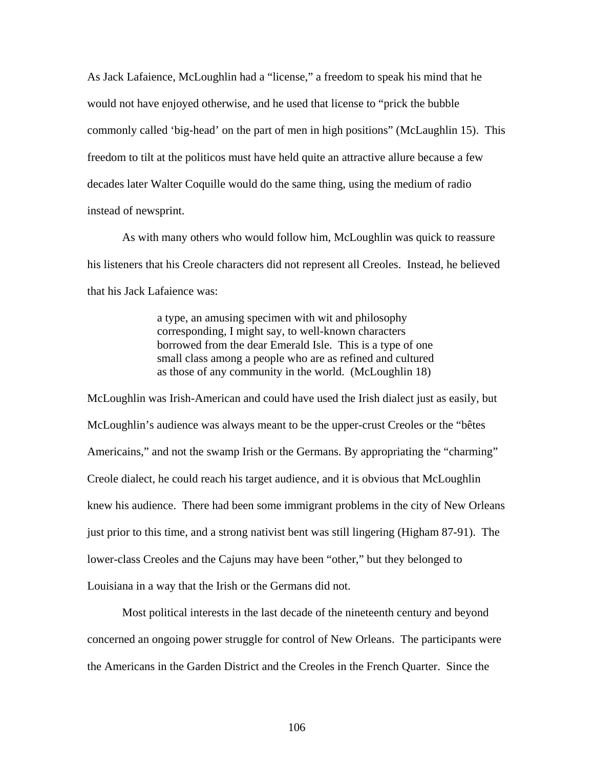As Jack Lafaience, McLoughlin had a "license," a freedom to speak his mind that he would not have enjoyed otherwise, and he used that license to "prick the bubble commonly called 'big-head' on the part of men in high positions" (McLaughlin 15). This freedom to tilt at the politicos must have held quite an attractive allure because a few decades later Walter Coquille would do the same thing, using the medium of radio instead of newsprint.

As with many others who would follow him, McLoughlin was quick to reassure his listeners that his Creole characters did not represent all Creoles. Instead, he believed that his Jack Lafaience was:

> a type, an amusing specimen with wit and philosophy corresponding, I might say, to well-known characters borrowed from the dear Emerald Isle. This is a type of one small class among a people who are as refined and cultured as those of any community in the world. (McLoughlin 18)

McLoughlin was Irish-American and could have used the Irish dialect just as easily, but McLoughlin's audience was always meant to be the upper-crust Creoles or the "bêtes Americains," and not the swamp Irish or the Germans. By appropriating the "charming" Creole dialect, he could reach his target audience, and it is obvious that McLoughlin knew his audience. There had been some immigrant problems in the city of New Orleans just prior to this time, and a strong nativist bent was still lingering (Higham 87-91). The lower-class Creoles and the Cajuns may have been "other," but they belonged to Louisiana in a way that the Irish or the Germans did not.

Most political interests in the last decade of the nineteenth century and beyond concerned an ongoing power struggle for control of New Orleans. The participants were the Americans in the Garden District and the Creoles in the French Quarter. Since the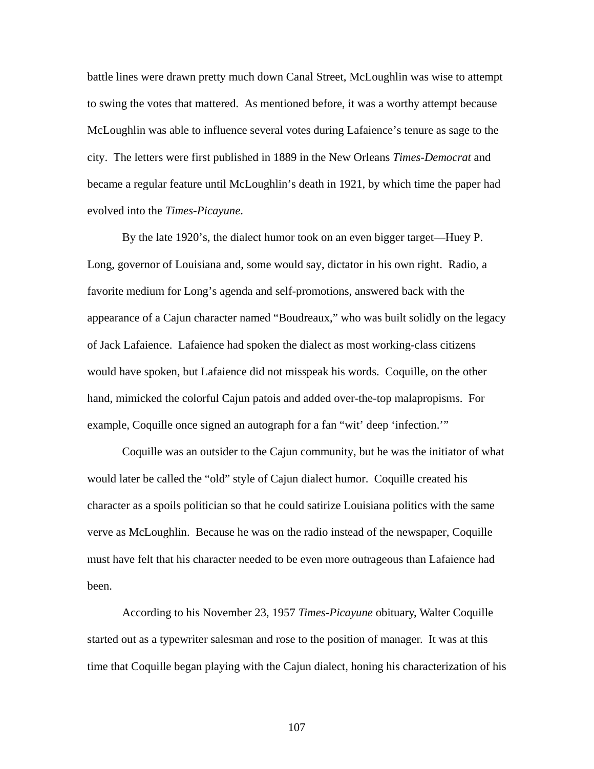battle lines were drawn pretty much down Canal Street, McLoughlin was wise to attempt to swing the votes that mattered. As mentioned before, it was a worthy attempt because McLoughlin was able to influence several votes during Lafaience's tenure as sage to the city. The letters were first published in 1889 in the New Orleans *Times-Democrat* and became a regular feature until McLoughlin's death in 1921, by which time the paper had evolved into the *Times-Picayune*.

By the late 1920's, the dialect humor took on an even bigger target—Huey P. Long, governor of Louisiana and, some would say, dictator in his own right. Radio, a favorite medium for Long's agenda and self-promotions, answered back with the appearance of a Cajun character named "Boudreaux," who was built solidly on the legacy of Jack Lafaience. Lafaience had spoken the dialect as most working-class citizens would have spoken, but Lafaience did not misspeak his words. Coquille, on the other hand, mimicked the colorful Cajun patois and added over-the-top malapropisms. For example, Coquille once signed an autograph for a fan "wit' deep 'infection.'"

Coquille was an outsider to the Cajun community, but he was the initiator of what would later be called the "old" style of Cajun dialect humor. Coquille created his character as a spoils politician so that he could satirize Louisiana politics with the same verve as McLoughlin. Because he was on the radio instead of the newspaper, Coquille must have felt that his character needed to be even more outrageous than Lafaience had been.

According to his November 23, 1957 *Times-Picayune* obituary, Walter Coquille started out as a typewriter salesman and rose to the position of manager. It was at this time that Coquille began playing with the Cajun dialect, honing his characterization of his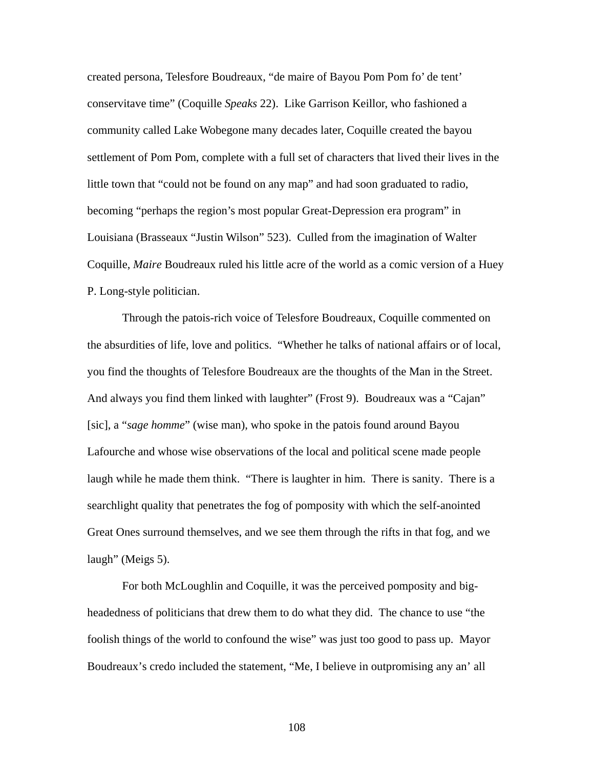created persona, Telesfore Boudreaux, "de maire of Bayou Pom Pom fo' de tent' conservitave time" (Coquille *Speaks* 22). Like Garrison Keillor, who fashioned a community called Lake Wobegone many decades later, Coquille created the bayou settlement of Pom Pom, complete with a full set of characters that lived their lives in the little town that "could not be found on any map" and had soon graduated to radio, becoming "perhaps the region's most popular Great-Depression era program" in Louisiana (Brasseaux "Justin Wilson" 523). Culled from the imagination of Walter Coquille, *Maire* Boudreaux ruled his little acre of the world as a comic version of a Huey P. Long-style politician.

Through the patois-rich voice of Telesfore Boudreaux, Coquille commented on the absurdities of life, love and politics. "Whether he talks of national affairs or of local, you find the thoughts of Telesfore Boudreaux are the thoughts of the Man in the Street. And always you find them linked with laughter" (Frost 9). Boudreaux was a "Cajan" [sic], a "*sage homme*" (wise man), who spoke in the patois found around Bayou Lafourche and whose wise observations of the local and political scene made people laugh while he made them think. "There is laughter in him. There is sanity. There is a searchlight quality that penetrates the fog of pomposity with which the self-anointed Great Ones surround themselves, and we see them through the rifts in that fog, and we laugh" (Meigs 5).

For both McLoughlin and Coquille, it was the perceived pomposity and bigheadedness of politicians that drew them to do what they did. The chance to use "the foolish things of the world to confound the wise" was just too good to pass up. Mayor Boudreaux's credo included the statement, "Me, I believe in outpromising any an' all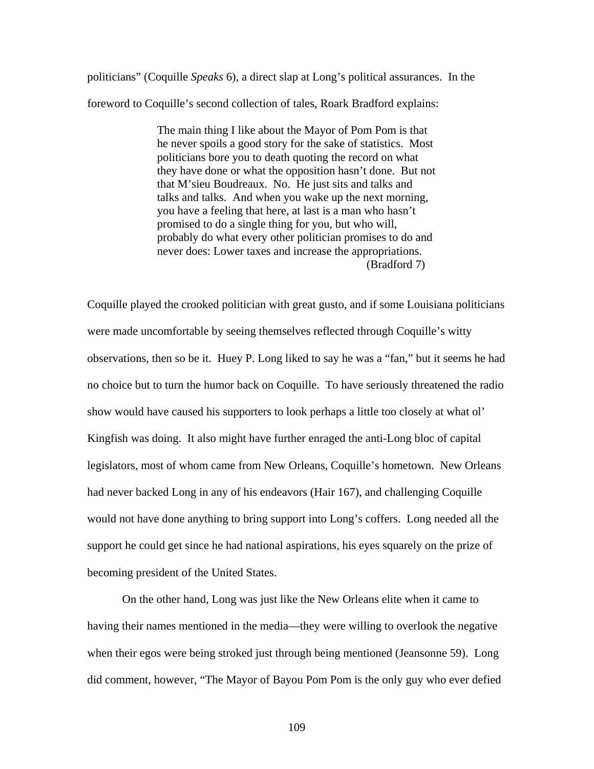politicians" (Coquille *Speaks* 6), a direct slap at Long's political assurances. In the foreword to Coquille's second collection of tales, Roark Bradford explains:

> The main thing I like about the Mayor of Pom Pom is that he never spoils a good story for the sake of statistics. Most politicians bore you to death quoting the record on what they have done or what the opposition hasn't done. But not that M'sieu Boudreaux. No. He just sits and talks and talks and talks. And when you wake up the next morning, you have a feeling that here, at last is a man who hasn't promised to do a single thing for you, but who will, probably do what every other politician promises to do and never does: Lower taxes and increase the appropriations. (Bradford 7)

Coquille played the crooked politician with great gusto, and if some Louisiana politicians were made uncomfortable by seeing themselves reflected through Coquille's witty observations, then so be it. Huey P. Long liked to say he was a "fan," but it seems he had no choice but to turn the humor back on Coquille. To have seriously threatened the radio show would have caused his supporters to look perhaps a little too closely at what ol' Kingfish was doing. It also might have further enraged the anti-Long bloc of capital legislators, most of whom came from New Orleans, Coquille's hometown. New Orleans had never backed Long in any of his endeavors (Hair 167), and challenging Coquille would not have done anything to bring support into Long's coffers. Long needed all the support he could get since he had national aspirations, his eyes squarely on the prize of becoming president of the United States.

On the other hand, Long was just like the New Orleans elite when it came to having their names mentioned in the media—they were willing to overlook the negative when their egos were being stroked just through being mentioned (Jeansonne 59). Long did comment, however, "The Mayor of Bayou Pom Pom is the only guy who ever defied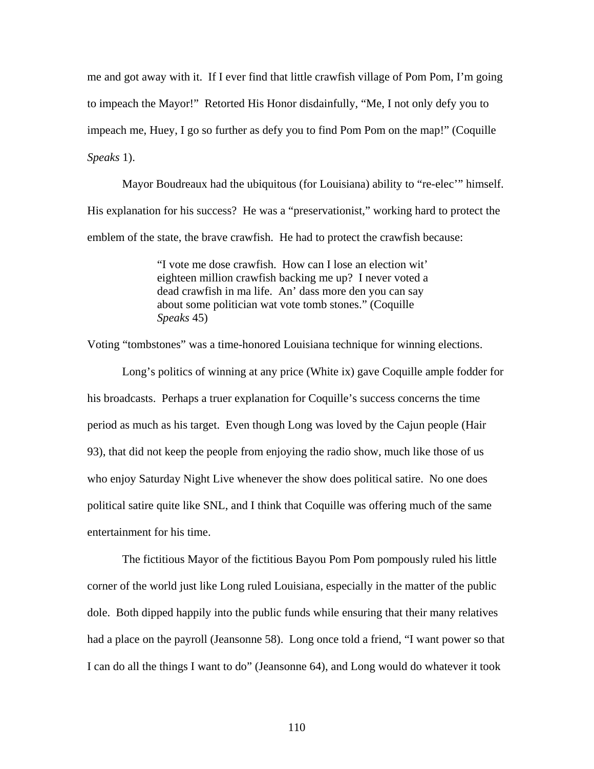me and got away with it. If I ever find that little crawfish village of Pom Pom, I'm going to impeach the Mayor!" Retorted His Honor disdainfully, "Me, I not only defy you to impeach me, Huey, I go so further as defy you to find Pom Pom on the map!" (Coquille *Speaks* 1).

Mayor Boudreaux had the ubiquitous (for Louisiana) ability to "re-elec'" himself. His explanation for his success? He was a "preservationist," working hard to protect the emblem of the state, the brave crawfish. He had to protect the crawfish because:

> "I vote me dose crawfish. How can I lose an election wit' eighteen million crawfish backing me up? I never voted a dead crawfish in ma life. An' dass more den you can say about some politician wat vote tomb stones." (Coquille *Speaks* 45)

Voting "tombstones" was a time-honored Louisiana technique for winning elections.

Long's politics of winning at any price (White ix) gave Coquille ample fodder for his broadcasts. Perhaps a truer explanation for Coquille's success concerns the time period as much as his target. Even though Long was loved by the Cajun people (Hair 93), that did not keep the people from enjoying the radio show, much like those of us who enjoy Saturday Night Live whenever the show does political satire. No one does political satire quite like SNL, and I think that Coquille was offering much of the same entertainment for his time.

The fictitious Mayor of the fictitious Bayou Pom Pom pompously ruled his little corner of the world just like Long ruled Louisiana, especially in the matter of the public dole. Both dipped happily into the public funds while ensuring that their many relatives had a place on the payroll (Jeansonne 58). Long once told a friend, "I want power so that I can do all the things I want to do" (Jeansonne 64), and Long would do whatever it took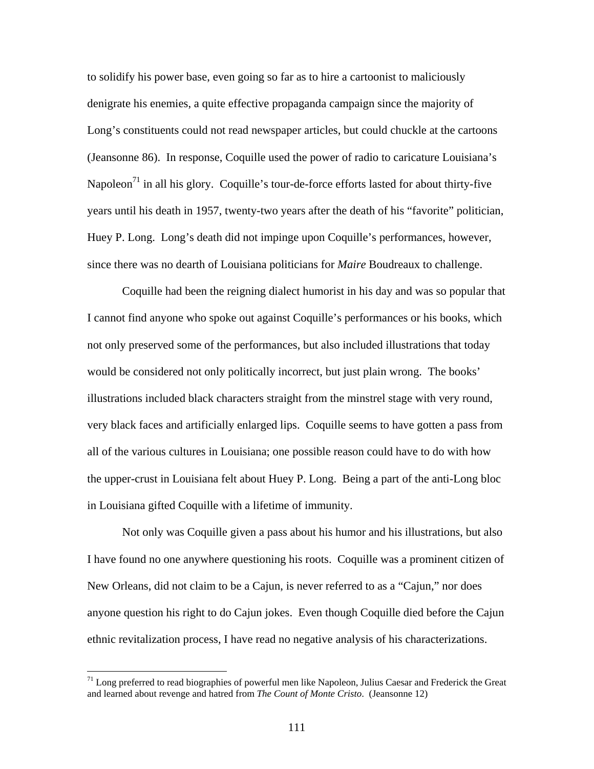to solidify his power base, even going so far as to hire a cartoonist to maliciously denigrate his enemies, a quite effective propaganda campaign since the majority of Long's constituents could not read newspaper articles, but could chuckle at the cartoons (Jeansonne 86). In response, Coquille used the power of radio to caricature Louisiana's Napoleon<sup>71</sup> in all his glory. Coquille's tour-de-force efforts lasted for about thirty-five years until his death in 1957, twenty-two years after the death of his "favorite" politician, Huey P. Long. Long's death did not impinge upon Coquille's performances, however, since there was no dearth of Louisiana politicians for *Maire* Boudreaux to challenge.

Coquille had been the reigning dialect humorist in his day and was so popular that I cannot find anyone who spoke out against Coquille's performances or his books, which not only preserved some of the performances, but also included illustrations that today would be considered not only politically incorrect, but just plain wrong. The books' illustrations included black characters straight from the minstrel stage with very round, very black faces and artificially enlarged lips. Coquille seems to have gotten a pass from all of the various cultures in Louisiana; one possible reason could have to do with how the upper-crust in Louisiana felt about Huey P. Long. Being a part of the anti-Long bloc in Louisiana gifted Coquille with a lifetime of immunity.

Not only was Coquille given a pass about his humor and his illustrations, but also I have found no one anywhere questioning his roots. Coquille was a prominent citizen of New Orleans, did not claim to be a Cajun, is never referred to as a "Cajun," nor does anyone question his right to do Cajun jokes. Even though Coquille died before the Cajun ethnic revitalization process, I have read no negative analysis of his characterizations.

<span id="page-118-0"></span> $71$  Long preferred to read biographies of powerful men like Napoleon, Julius Caesar and Frederick the Great and learned about revenge and hatred from *The Count of Monte Cristo*. (Jeansonne 12)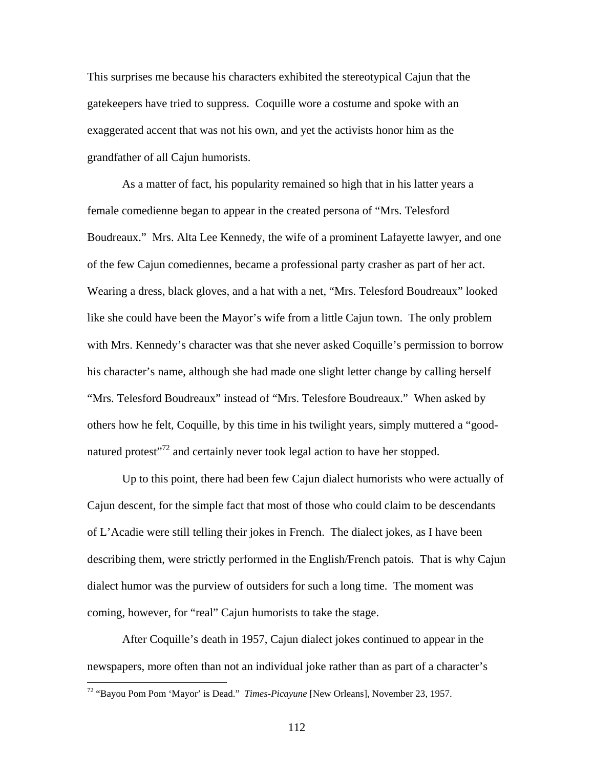This surprises me because his characters exhibited the stereotypical Cajun that the gatekeepers have tried to suppress. Coquille wore a costume and spoke with an exaggerated accent that was not his own, and yet the activists honor him as the grandfather of all Cajun humorists.

As a matter of fact, his popularity remained so high that in his latter years a female comedienne began to appear in the created persona of "Mrs. Telesford Boudreaux." Mrs. Alta Lee Kennedy, the wife of a prominent Lafayette lawyer, and one of the few Cajun comediennes, became a professional party crasher as part of her act. Wearing a dress, black gloves, and a hat with a net, "Mrs. Telesford Boudreaux" looked like she could have been the Mayor's wife from a little Cajun town. The only problem with Mrs. Kennedy's character was that she never asked Coquille's permission to borrow his character's name, although she had made one slight letter change by calling herself "Mrs. Telesford Boudreaux" instead of "Mrs. Telesfore Boudreaux." When asked by others how he felt, Coquille, by this time in his twilight years, simply muttered a "goodnatured protest<sup> $22$ </sup> and certainly never took legal action to have her stopped.

Up to this point, there had been few Cajun dialect humorists who were actually of Cajun descent, for the simple fact that most of those who could claim to be descendants of L'Acadie were still telling their jokes in French. The dialect jokes, as I have been describing them, were strictly performed in the English/French patois. That is why Cajun dialect humor was the purview of outsiders for such a long time. The moment was coming, however, for "real" Cajun humorists to take the stage.

After Coquille's death in 1957, Cajun dialect jokes continued to appear in the newspapers, more often than not an individual joke rather than as part of a character's

<u>.</u>

<span id="page-119-0"></span><sup>72 &</sup>quot;Bayou Pom Pom 'Mayor' is Dead." *Times-Picayune* [New Orleans], November 23, 1957.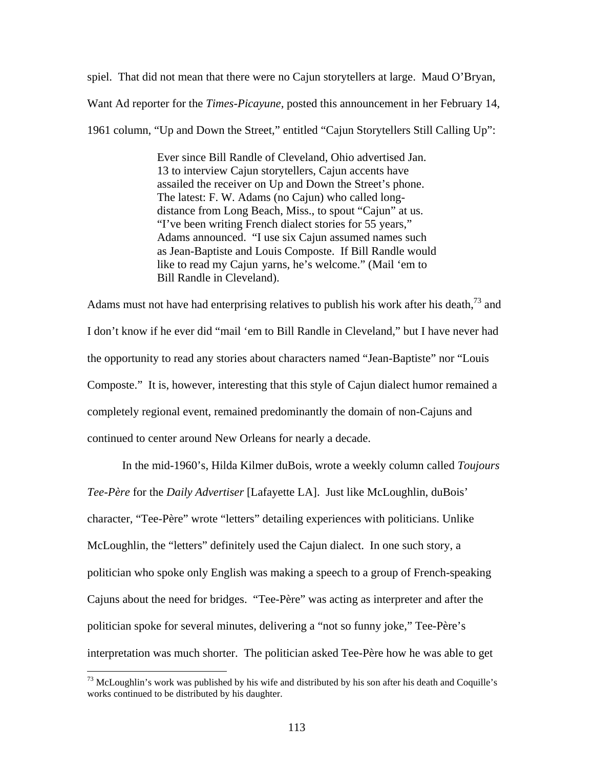spiel. That did not mean that there were no Cajun storytellers at large. Maud O'Bryan, Want Ad reporter for the *Times-Picayune,* posted this announcement in her February 14, 1961 column, "Up and Down the Street," entitled "Cajun Storytellers Still Calling Up":

> Ever since Bill Randle of Cleveland, Ohio advertised Jan. 13 to interview Cajun storytellers, Cajun accents have assailed the receiver on Up and Down the Street's phone. The latest: F. W. Adams (no Cajun) who called longdistance from Long Beach, Miss., to spout "Cajun" at us. "I've been writing French dialect stories for 55 years," Adams announced. "I use six Cajun assumed names such as Jean-Baptiste and Louis Composte. If Bill Randle would like to read my Cajun yarns, he's welcome." (Mail 'em to Bill Randle in Cleveland).

Adams must not have had enterprising relatives to publish his work after his death,  $^{73}$  and I don't know if he ever did "mail 'em to Bill Randle in Cleveland," but I have never had the opportunity to read any stories about characters named "Jean-Baptiste" nor "Louis Composte." It is, however, interesting that this style of Cajun dialect humor remained a completely regional event, remained predominantly the domain of non-Cajuns and continued to center around New Orleans for nearly a decade.

In the mid-1960's, Hilda Kilmer duBois, wrote a weekly column called *Toujours Tee-Père* for the *Daily Advertiser* [Lafayette LA]. Just like McLoughlin, duBois' character, "Tee-Père" wrote "letters" detailing experiences with politicians. Unlike McLoughlin, the "letters" definitely used the Cajun dialect. In one such story, a politician who spoke only English was making a speech to a group of French-speaking Cajuns about the need for bridges. "Tee-Père" was acting as interpreter and after the politician spoke for several minutes, delivering a "not so funny joke," Tee-Père's interpretation was much shorter. The politician asked Tee-Père how he was able to get

<span id="page-120-0"></span> $73$  McLoughlin's work was published by his wife and distributed by his son after his death and Coquille's works continued to be distributed by his daughter.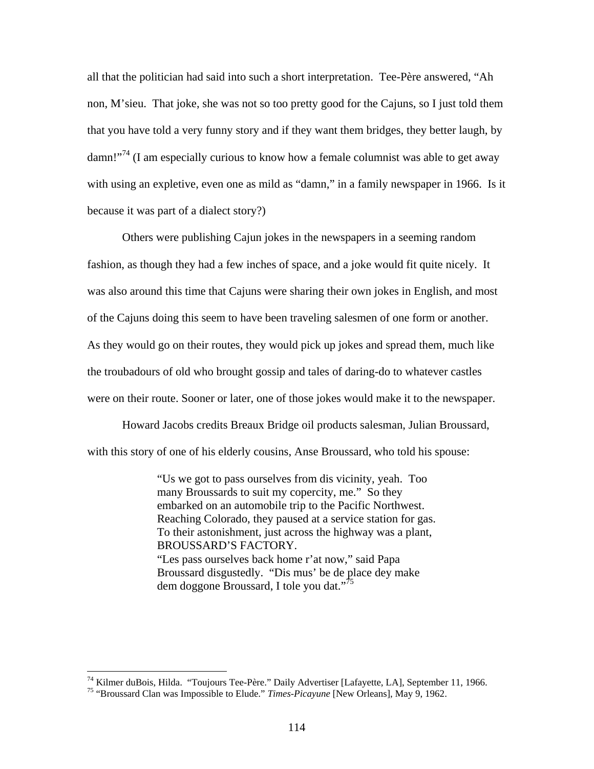all that the politician had said into such a short interpretation. Tee-Père answered, "Ah non, M'sieu. That joke, she was not so too pretty good for the Cajuns, so I just told them that you have told a very funny story and if they want them bridges, they better laugh, by  $damm!$ <sup>74</sup> (I am especially curious to know how a female columnist was able to get away with using an expletive, even one as mild as "damn," in a family newspaper in 1966. Is it because it was part of a dialect story?)

Others were publishing Cajun jokes in the newspapers in a seeming random fashion, as though they had a few inches of space, and a joke would fit quite nicely. It was also around this time that Cajuns were sharing their own jokes in English, and most of the Cajuns doing this seem to have been traveling salesmen of one form or another. As they would go on their routes, they would pick up jokes and spread them, much like the troubadours of old who brought gossip and tales of daring-do to whatever castles were on their route. Sooner or later, one of those jokes would make it to the newspaper.

Howard Jacobs credits Breaux Bridge oil products salesman, Julian Broussard, with this story of one of his elderly cousins, Anse Broussard, who told his spouse:

> "Us we got to pass ourselves from dis vicinity, yeah. Too many Broussards to suit my copercity, me." So they embarked on an automobile trip to the Pacific Northwest. Reaching Colorado, they paused at a service station for gas. To their astonishment, just across the highway was a plant, BROUSSARD'S FACTORY. "Les pass ourselves back home r'at now," said Papa Broussard disgustedly. "Dis mus' be de place dey make dem doggone Broussard, I tole you dat."<sup>[75](#page-121-1)</sup>

<span id="page-121-0"></span><sup>&</sup>lt;sup>74</sup> Kilmer duBois, Hilda. "Toujours Tee-Père." Daily Advertiser [Lafayette, LA], September 11, 1966.<br><sup>75</sup> "Broussard Clan was Impossible to Elude." *Times-Picayune* [New Orleans], May 9, 1962.

<span id="page-121-1"></span>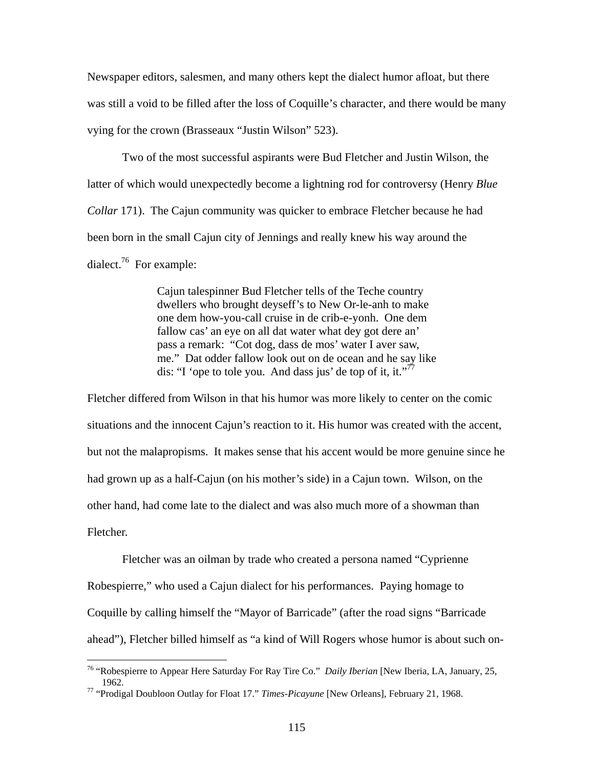Newspaper editors, salesmen, and many others kept the dialect humor afloat, but there was still a void to be filled after the loss of Coquille's character, and there would be many vying for the crown (Brasseaux "Justin Wilson" 523).

Two of the most successful aspirants were Bud Fletcher and Justin Wilson, the latter of which would unexpectedly become a lightning rod for controversy (Henry *Blue Collar* 171). The Cajun community was quicker to embrace Fletcher because he had been born in the small Cajun city of Jennings and really knew his way around the dialect. $76$  For example:

> Cajun talespinner Bud Fletcher tells of the Teche country dwellers who brought deyseff's to New Or-le-anh to make one dem how-you-call cruise in de crib-e-yonh. One dem fallow cas' an eye on all dat water what dey got dere an' pass a remark: "Cot dog, dass de mos' water I aver saw, me." Dat odder fallow look out on de ocean and he say like dis: "I 'ope to tole you. And dass jus' de top of it, it."<sup>[77](#page-122-1)</sup>

Fletcher differed from Wilson in that his humor was more likely to center on the comic situations and the innocent Cajun's reaction to it. His humor was created with the accent, but not the malapropisms. It makes sense that his accent would be more genuine since he had grown up as a half-Cajun (on his mother's side) in a Cajun town. Wilson, on the other hand, had come late to the dialect and was also much more of a showman than Fletcher.

Fletcher was an oilman by trade who created a persona named "Cyprienne Robespierre," who used a Cajun dialect for his performances. Paying homage to Coquille by calling himself the "Mayor of Barricade" (after the road signs "Barricade ahead"), Fletcher billed himself as "a kind of Will Rogers whose humor is about such on-

<span id="page-122-0"></span><sup>76 &</sup>quot;Robespierre to Appear Here Saturday For Ray Tire Co." *Daily Iberian* [New Iberia, LA, January, 25, 1962.

<span id="page-122-1"></span><sup>77 &</sup>quot;Prodigal Doubloon Outlay for Float 17." *Times-Picayune* [New Orleans], February 21, 1968.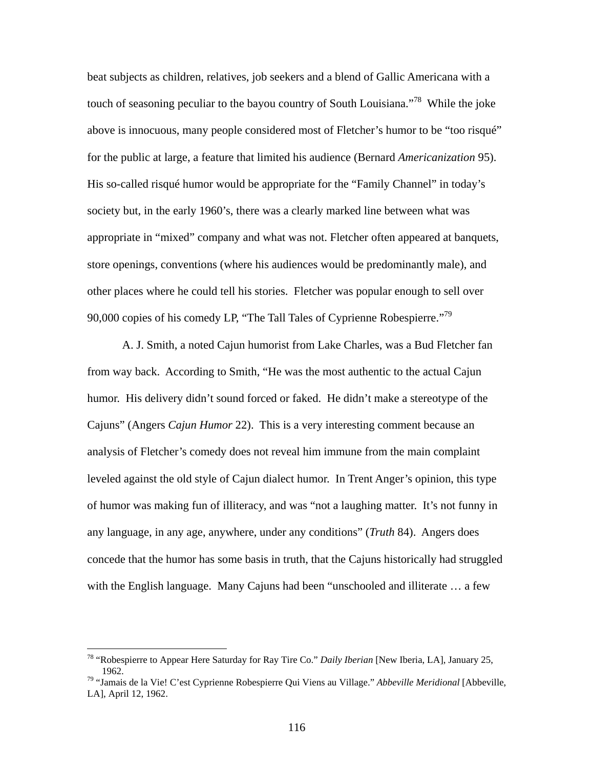beat subjects as children, relatives, job seekers and a blend of Gallic Americana with a touch of seasoning peculiar to the bayou country of South Louisiana."<sup>78</sup> While the joke above is innocuous, many people considered most of Fletcher's humor to be "too risqué" for the public at large, a feature that limited his audience (Bernard *Americanization* 95). His so-called risqué humor would be appropriate for the "Family Channel" in today's society but, in the early 1960's, there was a clearly marked line between what was appropriate in "mixed" company and what was not. Fletcher often appeared at banquets, store openings, conventions (where his audiences would be predominantly male), and other places where he could tell his stories. Fletcher was popular enough to sell over 90,000 copies of his comedy LP, "The Tall Tales of Cyprienne Robespierre."<sup>79</sup>

A. J. Smith, a noted Cajun humorist from Lake Charles, was a Bud Fletcher fan from way back. According to Smith, "He was the most authentic to the actual Cajun humor. His delivery didn't sound forced or faked. He didn't make a stereotype of the Cajuns" (Angers *Cajun Humor* 22). This is a very interesting comment because an analysis of Fletcher's comedy does not reveal him immune from the main complaint leveled against the old style of Cajun dialect humor. In Trent Anger's opinion, this type of humor was making fun of illiteracy, and was "not a laughing matter. It's not funny in any language, in any age, anywhere, under any conditions" (*Truth* 84). Angers does concede that the humor has some basis in truth, that the Cajuns historically had struggled with the English language. Many Cajuns had been "unschooled and illiterate … a few

<u>.</u>

<span id="page-123-0"></span><sup>78 &</sup>quot;Robespierre to Appear Here Saturday for Ray Tire Co." *Daily Iberian* [New Iberia, LA], January 25, 1962.

<span id="page-123-1"></span><sup>79 &</sup>quot;Jamais de la Vie! C'est Cyprienne Robespierre Qui Viens au Village." *Abbeville Meridional* [Abbeville, LA], April 12, 1962.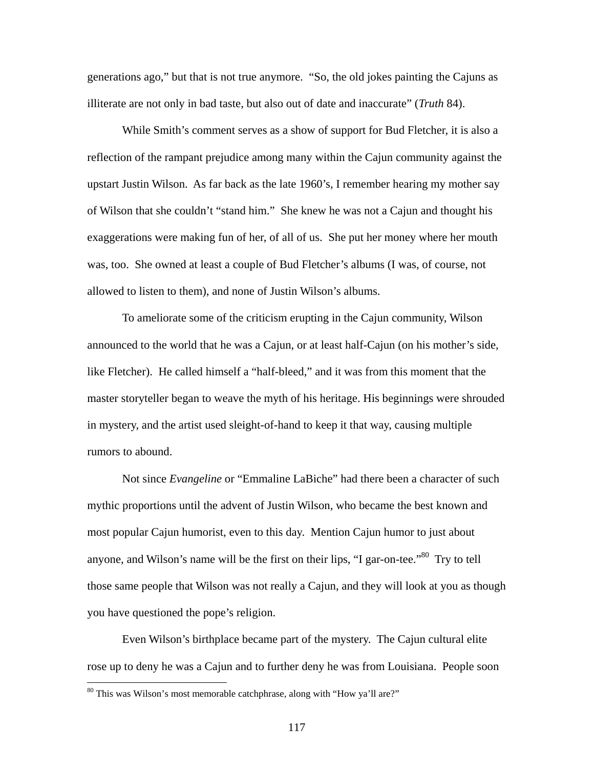generations ago," but that is not true anymore. "So, the old jokes painting the Cajuns as illiterate are not only in bad taste, but also out of date and inaccurate" (*Truth* 84).

While Smith's comment serves as a show of support for Bud Fletcher, it is also a reflection of the rampant prejudice among many within the Cajun community against the upstart Justin Wilson. As far back as the late 1960's, I remember hearing my mother say of Wilson that she couldn't "stand him." She knew he was not a Cajun and thought his exaggerations were making fun of her, of all of us. She put her money where her mouth was, too. She owned at least a couple of Bud Fletcher's albums (I was, of course, not allowed to listen to them), and none of Justin Wilson's albums.

To ameliorate some of the criticism erupting in the Cajun community, Wilson announced to the world that he was a Cajun, or at least half-Cajun (on his mother's side, like Fletcher). He called himself a "half-bleed," and it was from this moment that the master storyteller began to weave the myth of his heritage. His beginnings were shrouded in mystery, and the artist used sleight-of-hand to keep it that way, causing multiple rumors to abound.

Not since *Evangeline* or "Emmaline LaBiche" had there been a character of such mythic proportions until the advent of Justin Wilson, who became the best known and most popular Cajun humorist, even to this day. Mention Cajun humor to just about anyone, and Wilson's name will be the first on their lips, "I gar-on-tee."<sup>80</sup> Try to tell those same people that Wilson was not really a Cajun, and they will look at you as though you have questioned the pope's religion.

Even Wilson's birthplace became part of the mystery. The Cajun cultural elite rose up to deny he was a Cajun and to further deny he was from Louisiana. People soon

<span id="page-124-0"></span><sup>80</sup> This was Wilson's most memorable catchphrase, along with "How ya'll are?"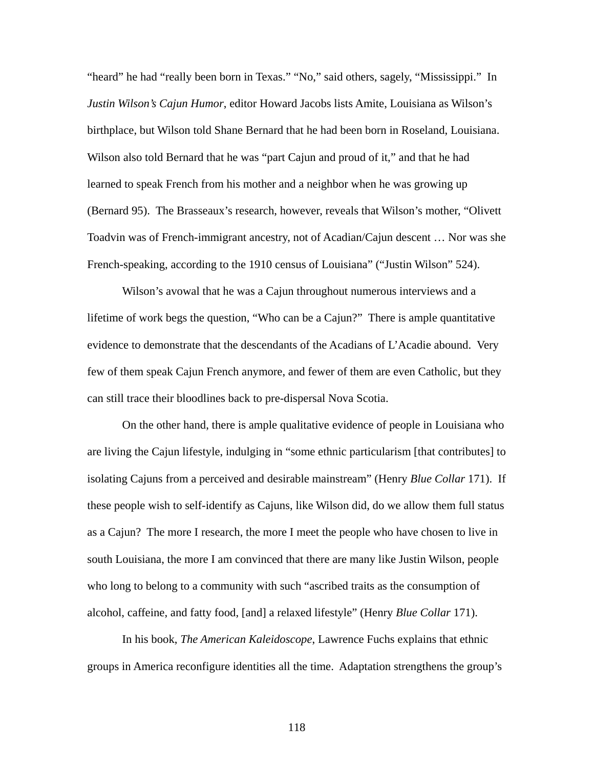"heard" he had "really been born in Texas." "No," said others, sagely, "Mississippi." In *Justin Wilson's Cajun Humor*, editor Howard Jacobs lists Amite, Louisiana as Wilson's birthplace, but Wilson told Shane Bernard that he had been born in Roseland, Louisiana. Wilson also told Bernard that he was "part Cajun and proud of it," and that he had learned to speak French from his mother and a neighbor when he was growing up (Bernard 95). The Brasseaux's research, however, reveals that Wilson's mother, "Olivett Toadvin was of French-immigrant ancestry, not of Acadian/Cajun descent … Nor was she French-speaking, according to the 1910 census of Louisiana" ("Justin Wilson" 524).

Wilson's avowal that he was a Cajun throughout numerous interviews and a lifetime of work begs the question, "Who can be a Cajun?" There is ample quantitative evidence to demonstrate that the descendants of the Acadians of L'Acadie abound. Very few of them speak Cajun French anymore, and fewer of them are even Catholic, but they can still trace their bloodlines back to pre-dispersal Nova Scotia.

On the other hand, there is ample qualitative evidence of people in Louisiana who are living the Cajun lifestyle, indulging in "some ethnic particularism [that contributes] to isolating Cajuns from a perceived and desirable mainstream" (Henry *Blue Collar* 171). If these people wish to self-identify as Cajuns, like Wilson did, do we allow them full status as a Cajun? The more I research, the more I meet the people who have chosen to live in south Louisiana, the more I am convinced that there are many like Justin Wilson, people who long to belong to a community with such "ascribed traits as the consumption of alcohol, caffeine, and fatty food, [and] a relaxed lifestyle" (Henry *Blue Collar* 171).

In his book, *The American Kaleidoscope*, Lawrence Fuchs explains that ethnic groups in America reconfigure identities all the time. Adaptation strengthens the group's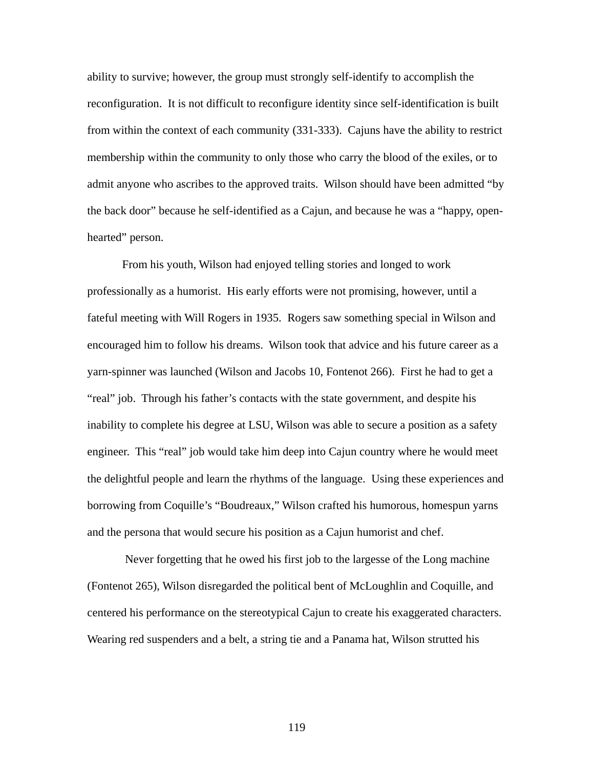ability to survive; however, the group must strongly self-identify to accomplish the reconfiguration. It is not difficult to reconfigure identity since self-identification is built from within the context of each community (331-333). Cajuns have the ability to restrict membership within the community to only those who carry the blood of the exiles, or to admit anyone who ascribes to the approved traits. Wilson should have been admitted "by the back door" because he self-identified as a Cajun, and because he was a "happy, openhearted" person.

From his youth, Wilson had enjoyed telling stories and longed to work professionally as a humorist. His early efforts were not promising, however, until a fateful meeting with Will Rogers in 1935. Rogers saw something special in Wilson and encouraged him to follow his dreams. Wilson took that advice and his future career as a yarn-spinner was launched (Wilson and Jacobs 10, Fontenot 266). First he had to get a "real" job. Through his father's contacts with the state government, and despite his inability to complete his degree at LSU, Wilson was able to secure a position as a safety engineer. This "real" job would take him deep into Cajun country where he would meet the delightful people and learn the rhythms of the language. Using these experiences and borrowing from Coquille's "Boudreaux," Wilson crafted his humorous, homespun yarns and the persona that would secure his position as a Cajun humorist and chef.

 Never forgetting that he owed his first job to the largesse of the Long machine (Fontenot 265), Wilson disregarded the political bent of McLoughlin and Coquille, and centered his performance on the stereotypical Cajun to create his exaggerated characters. Wearing red suspenders and a belt, a string tie and a Panama hat, Wilson strutted his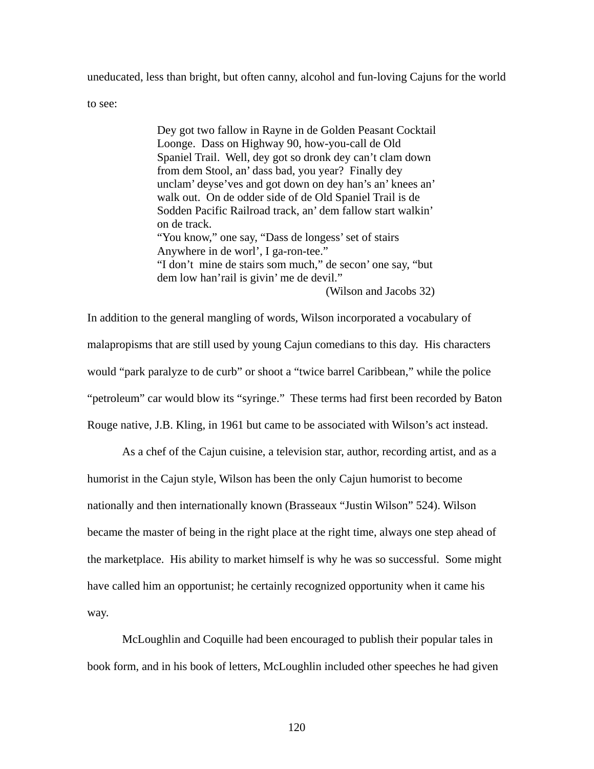uneducated, less than bright, but often canny, alcohol and fun-loving Cajuns for the world

to see:

Dey got two fallow in Rayne in de Golden Peasant Cocktail Loonge. Dass on Highway 90, how-you-call de Old Spaniel Trail. Well, dey got so dronk dey can't clam down from dem Stool, an' dass bad, you year? Finally dey unclam' deyse'ves and got down on dey han's an' knees an' walk out. On de odder side of de Old Spaniel Trail is de Sodden Pacific Railroad track, an' dem fallow start walkin' on de track. "You know," one say, "Dass de longess' set of stairs Anywhere in de worl', I ga-ron-tee." "I don't mine de stairs som much," de secon' one say, "but dem low han'rail is givin' me de devil." (Wilson and Jacobs 32)

In addition to the general mangling of words, Wilson incorporated a vocabulary of malapropisms that are still used by young Cajun comedians to this day. His characters would "park paralyze to de curb" or shoot a "twice barrel Caribbean," while the police "petroleum" car would blow its "syringe." These terms had first been recorded by Baton Rouge native, J.B. Kling, in 1961 but came to be associated with Wilson's act instead.

As a chef of the Cajun cuisine, a television star, author, recording artist, and as a humorist in the Cajun style, Wilson has been the only Cajun humorist to become nationally and then internationally known (Brasseaux "Justin Wilson" 524). Wilson became the master of being in the right place at the right time, always one step ahead of the marketplace. His ability to market himself is why he was so successful. Some might have called him an opportunist; he certainly recognized opportunity when it came his way.

McLoughlin and Coquille had been encouraged to publish their popular tales in book form, and in his book of letters, McLoughlin included other speeches he had given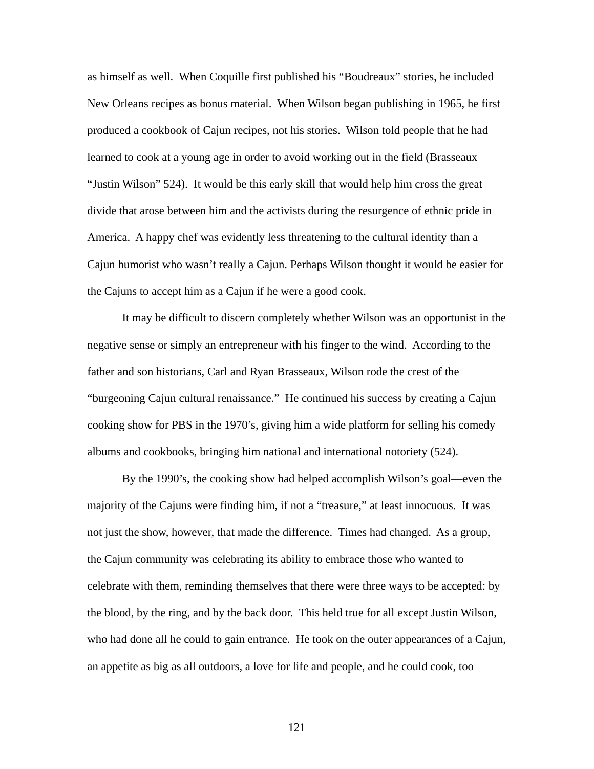as himself as well. When Coquille first published his "Boudreaux" stories, he included New Orleans recipes as bonus material. When Wilson began publishing in 1965, he first produced a cookbook of Cajun recipes, not his stories. Wilson told people that he had learned to cook at a young age in order to avoid working out in the field (Brasseaux "Justin Wilson" 524). It would be this early skill that would help him cross the great divide that arose between him and the activists during the resurgence of ethnic pride in America. A happy chef was evidently less threatening to the cultural identity than a Cajun humorist who wasn't really a Cajun. Perhaps Wilson thought it would be easier for the Cajuns to accept him as a Cajun if he were a good cook.

It may be difficult to discern completely whether Wilson was an opportunist in the negative sense or simply an entrepreneur with his finger to the wind. According to the father and son historians, Carl and Ryan Brasseaux, Wilson rode the crest of the "burgeoning Cajun cultural renaissance." He continued his success by creating a Cajun cooking show for PBS in the 1970's, giving him a wide platform for selling his comedy albums and cookbooks, bringing him national and international notoriety (524).

By the 1990's, the cooking show had helped accomplish Wilson's goal—even the majority of the Cajuns were finding him, if not a "treasure," at least innocuous. It was not just the show, however, that made the difference. Times had changed. As a group, the Cajun community was celebrating its ability to embrace those who wanted to celebrate with them, reminding themselves that there were three ways to be accepted: by the blood, by the ring, and by the back door. This held true for all except Justin Wilson, who had done all he could to gain entrance. He took on the outer appearances of a Cajun, an appetite as big as all outdoors, a love for life and people, and he could cook, too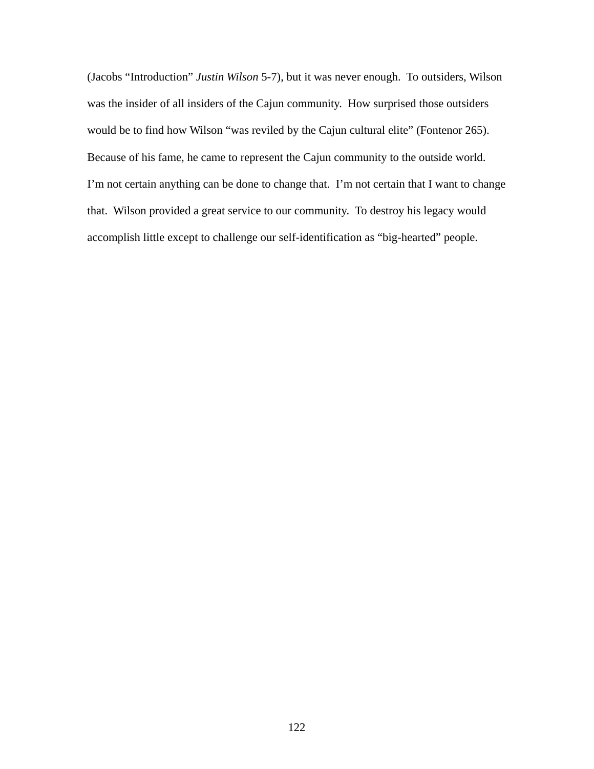(Jacobs "Introduction" *Justin Wilson* 5-7), but it was never enough. To outsiders, Wilson was the insider of all insiders of the Cajun community. How surprised those outsiders would be to find how Wilson "was reviled by the Cajun cultural elite" (Fontenor 265). Because of his fame, he came to represent the Cajun community to the outside world. I'm not certain anything can be done to change that. I'm not certain that I want to change that. Wilson provided a great service to our community. To destroy his legacy would accomplish little except to challenge our self-identification as "big-hearted" people.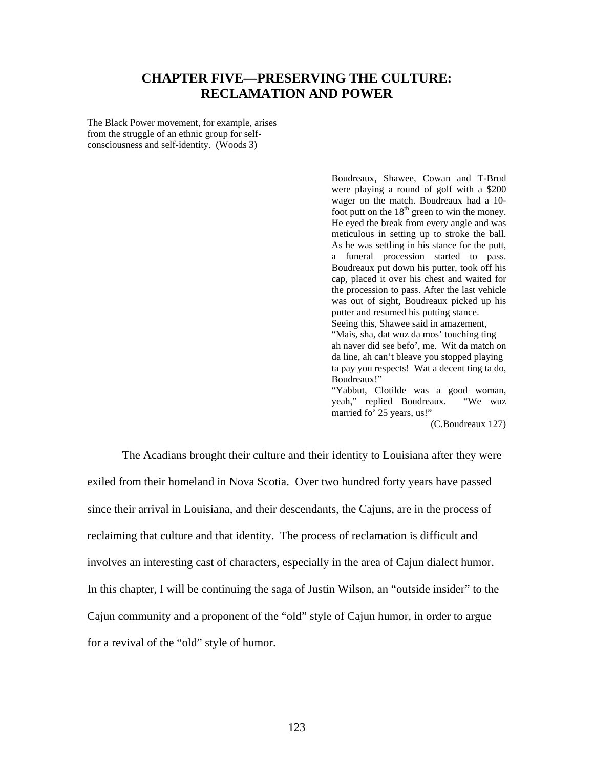## **CHAPTER FIVE—PRESERVING THE CULTURE: RECLAMATION AND POWER**

The Black Power movement, for example, arises from the struggle of an ethnic group for selfconsciousness and self-identity. (Woods 3)

> Boudreaux, Shawee, Cowan and T-Brud were playing a round of golf with a \$200 wager on the match. Boudreaux had a 10 foot putt on the  $18<sup>th</sup>$  green to win the money. He eyed the break from every angle and was meticulous in setting up to stroke the ball. As he was settling in his stance for the putt, a funeral procession started to pass. Boudreaux put down his putter, took off his cap, placed it over his chest and waited for the procession to pass. After the last vehicle was out of sight, Boudreaux picked up his putter and resumed his putting stance. Seeing this, Shawee said in amazement, "Mais, sha, dat wuz da mos' touching ting ah naver did see befo', me. Wit da match on da line, ah can't bleave you stopped playing ta pay you respects! Wat a decent ting ta do, Boudreaux!" "Yabbut, Clotilde was a good woman, yeah," replied Boudreaux. "We wuz yeah," replied Boudreaux. married fo' 25 years, us!"

> > (C.Boudreaux 127)

The Acadians brought their culture and their identity to Louisiana after they were exiled from their homeland in Nova Scotia. Over two hundred forty years have passed since their arrival in Louisiana, and their descendants, the Cajuns, are in the process of reclaiming that culture and that identity. The process of reclamation is difficult and involves an interesting cast of characters, especially in the area of Cajun dialect humor. In this chapter, I will be continuing the saga of Justin Wilson, an "outside insider" to the Cajun community and a proponent of the "old" style of Cajun humor, in order to argue for a revival of the "old" style of humor.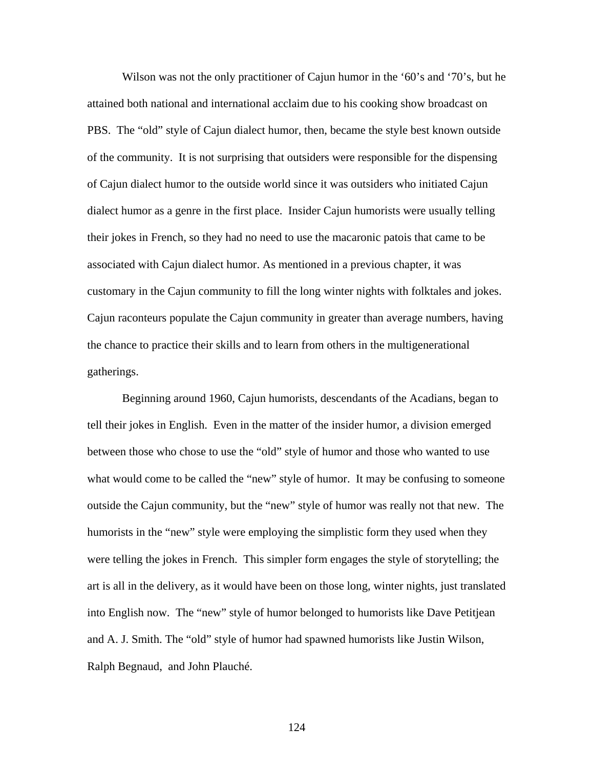Wilson was not the only practitioner of Cajun humor in the '60's and '70's, but he attained both national and international acclaim due to his cooking show broadcast on PBS. The "old" style of Cajun dialect humor, then, became the style best known outside of the community. It is not surprising that outsiders were responsible for the dispensing of Cajun dialect humor to the outside world since it was outsiders who initiated Cajun dialect humor as a genre in the first place. Insider Cajun humorists were usually telling their jokes in French, so they had no need to use the macaronic patois that came to be associated with Cajun dialect humor. As mentioned in a previous chapter, it was customary in the Cajun community to fill the long winter nights with folktales and jokes. Cajun raconteurs populate the Cajun community in greater than average numbers, having the chance to practice their skills and to learn from others in the multigenerational gatherings.

Beginning around 1960, Cajun humorists, descendants of the Acadians, began to tell their jokes in English. Even in the matter of the insider humor, a division emerged between those who chose to use the "old" style of humor and those who wanted to use what would come to be called the "new" style of humor. It may be confusing to someone outside the Cajun community, but the "new" style of humor was really not that new. The humorists in the "new" style were employing the simplistic form they used when they were telling the jokes in French. This simpler form engages the style of storytelling; the art is all in the delivery, as it would have been on those long, winter nights, just translated into English now. The "new" style of humor belonged to humorists like Dave Petitjean and A. J. Smith. The "old" style of humor had spawned humorists like Justin Wilson, Ralph Begnaud, and John Plauché.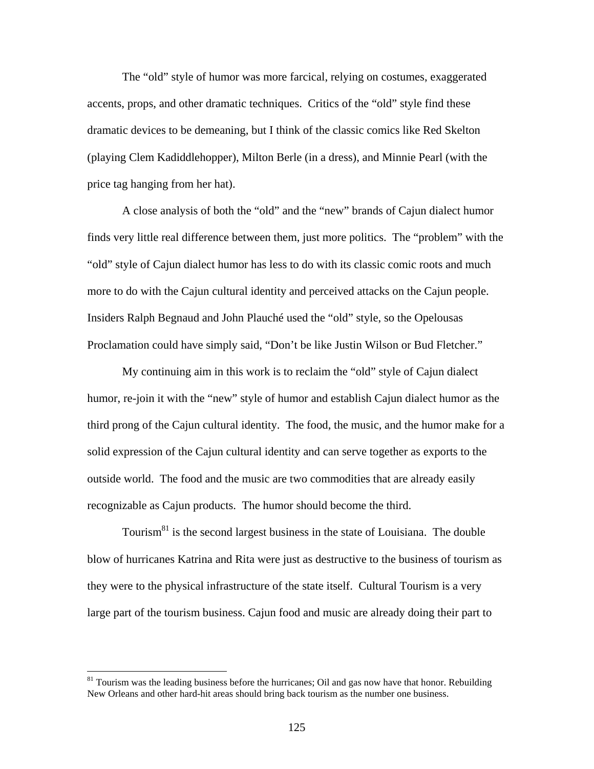The "old" style of humor was more farcical, relying on costumes, exaggerated accents, props, and other dramatic techniques. Critics of the "old" style find these dramatic devices to be demeaning, but I think of the classic comics like Red Skelton (playing Clem Kadiddlehopper), Milton Berle (in a dress), and Minnie Pearl (with the price tag hanging from her hat).

A close analysis of both the "old" and the "new" brands of Cajun dialect humor finds very little real difference between them, just more politics. The "problem" with the "old" style of Cajun dialect humor has less to do with its classic comic roots and much more to do with the Cajun cultural identity and perceived attacks on the Cajun people. Insiders Ralph Begnaud and John Plauché used the "old" style, so the Opelousas Proclamation could have simply said, "Don't be like Justin Wilson or Bud Fletcher."

My continuing aim in this work is to reclaim the "old" style of Cajun dialect humor, re-join it with the "new" style of humor and establish Cajun dialect humor as the third prong of the Cajun cultural identity. The food, the music, and the humor make for a solid expression of the Cajun cultural identity and can serve together as exports to the outside world. The food and the music are two commodities that are already easily recognizable as Cajun products. The humor should become the third.

Tourism $81$  is the second largest business in the state of Louisiana. The double blow of hurricanes Katrina and Rita were just as destructive to the business of tourism as they were to the physical infrastructure of the state itself. Cultural Tourism is a very large part of the tourism business. Cajun food and music are already doing their part to

<span id="page-132-0"></span><sup>&</sup>lt;sup>81</sup> Tourism was the leading business before the hurricanes; Oil and gas now have that honor. Rebuilding New Orleans and other hard-hit areas should bring back tourism as the number one business.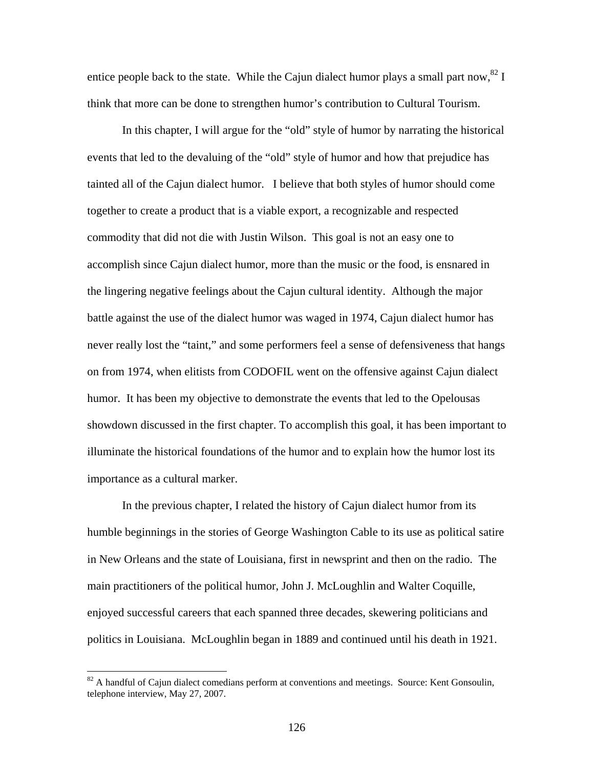entice people back to the state. While the Cajun dialect humor plays a small part now,  $82 \text{ I}$ think that more can be done to strengthen humor's contribution to Cultural Tourism.

In this chapter, I will argue for the "old" style of humor by narrating the historical events that led to the devaluing of the "old" style of humor and how that prejudice has tainted all of the Cajun dialect humor. I believe that both styles of humor should come together to create a product that is a viable export, a recognizable and respected commodity that did not die with Justin Wilson. This goal is not an easy one to accomplish since Cajun dialect humor, more than the music or the food, is ensnared in the lingering negative feelings about the Cajun cultural identity. Although the major battle against the use of the dialect humor was waged in 1974, Cajun dialect humor has never really lost the "taint," and some performers feel a sense of defensiveness that hangs on from 1974, when elitists from CODOFIL went on the offensive against Cajun dialect humor. It has been my objective to demonstrate the events that led to the Opelousas showdown discussed in the first chapter. To accomplish this goal, it has been important to illuminate the historical foundations of the humor and to explain how the humor lost its importance as a cultural marker.

In the previous chapter, I related the history of Cajun dialect humor from its humble beginnings in the stories of George Washington Cable to its use as political satire in New Orleans and the state of Louisiana, first in newsprint and then on the radio. The main practitioners of the political humor, John J. McLoughlin and Walter Coquille, enjoyed successful careers that each spanned three decades, skewering politicians and politics in Louisiana. McLoughlin began in 1889 and continued until his death in 1921.

<span id="page-133-0"></span> $82$  A handful of Cajun dialect comedians perform at conventions and meetings. Source: Kent Gonsoulin, telephone interview, May 27, 2007.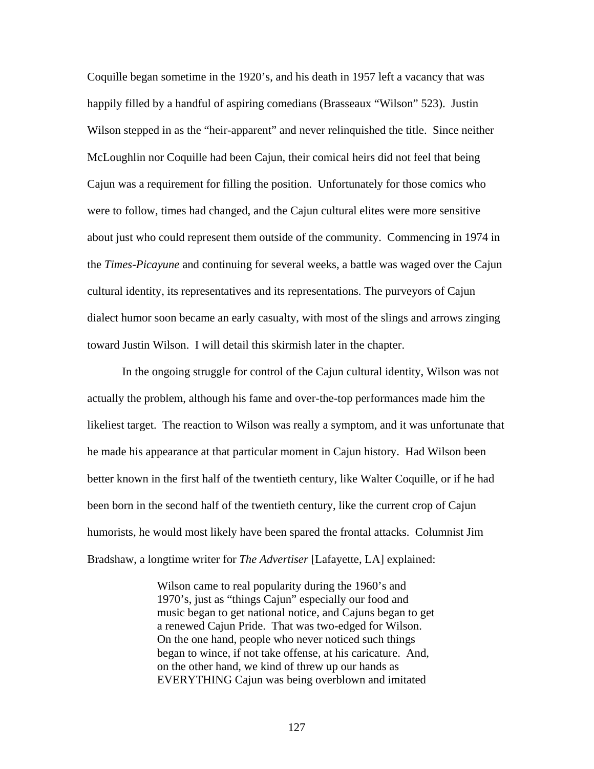Coquille began sometime in the 1920's, and his death in 1957 left a vacancy that was happily filled by a handful of aspiring comedians (Brasseaux "Wilson" 523). Justin Wilson stepped in as the "heir-apparent" and never relinquished the title. Since neither McLoughlin nor Coquille had been Cajun, their comical heirs did not feel that being Cajun was a requirement for filling the position. Unfortunately for those comics who were to follow, times had changed, and the Cajun cultural elites were more sensitive about just who could represent them outside of the community. Commencing in 1974 in the *Times-Picayune* and continuing for several weeks, a battle was waged over the Cajun cultural identity, its representatives and its representations. The purveyors of Cajun dialect humor soon became an early casualty, with most of the slings and arrows zinging toward Justin Wilson. I will detail this skirmish later in the chapter.

In the ongoing struggle for control of the Cajun cultural identity, Wilson was not actually the problem, although his fame and over-the-top performances made him the likeliest target. The reaction to Wilson was really a symptom, and it was unfortunate that he made his appearance at that particular moment in Cajun history. Had Wilson been better known in the first half of the twentieth century, like Walter Coquille, or if he had been born in the second half of the twentieth century, like the current crop of Cajun humorists, he would most likely have been spared the frontal attacks. Columnist Jim Bradshaw, a longtime writer for *The Advertiser* [Lafayette, LA] explained:

> Wilson came to real popularity during the 1960's and 1970's, just as "things Cajun" especially our food and music began to get national notice, and Cajuns began to get a renewed Cajun Pride. That was two-edged for Wilson. On the one hand, people who never noticed such things began to wince, if not take offense, at his caricature. And, on the other hand, we kind of threw up our hands as EVERYTHING Cajun was being overblown and imitated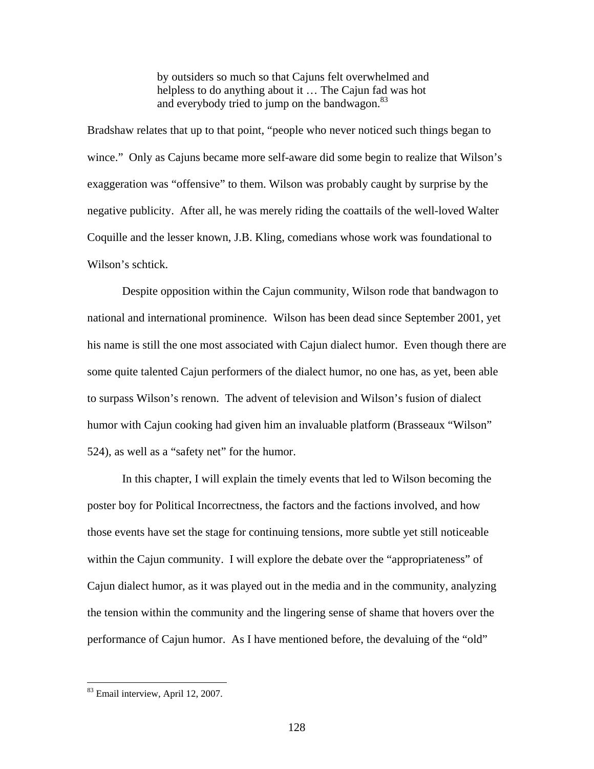by outsiders so much so that Cajuns felt overwhelmed and helpless to do anything about it … The Cajun fad was hot and everybody tried to jump on the bandwagon.<sup>[83](#page-135-0)</sup>

Bradshaw relates that up to that point, "people who never noticed such things began to wince." Only as Cajuns became more self-aware did some begin to realize that Wilson's exaggeration was "offensive" to them. Wilson was probably caught by surprise by the negative publicity. After all, he was merely riding the coattails of the well-loved Walter Coquille and the lesser known, J.B. Kling, comedians whose work was foundational to Wilson's schtick.

Despite opposition within the Cajun community, Wilson rode that bandwagon to national and international prominence. Wilson has been dead since September 2001, yet his name is still the one most associated with Cajun dialect humor. Even though there are some quite talented Cajun performers of the dialect humor, no one has, as yet, been able to surpass Wilson's renown. The advent of television and Wilson's fusion of dialect humor with Cajun cooking had given him an invaluable platform (Brasseaux "Wilson" 524), as well as a "safety net" for the humor.

In this chapter, I will explain the timely events that led to Wilson becoming the poster boy for Political Incorrectness, the factors and the factions involved, and how those events have set the stage for continuing tensions, more subtle yet still noticeable within the Cajun community. I will explore the debate over the "appropriateness" of Cajun dialect humor, as it was played out in the media and in the community, analyzing the tension within the community and the lingering sense of shame that hovers over the performance of Cajun humor. As I have mentioned before, the devaluing of the "old"

<span id="page-135-0"></span><sup>83</sup> Email interview, April 12, 2007.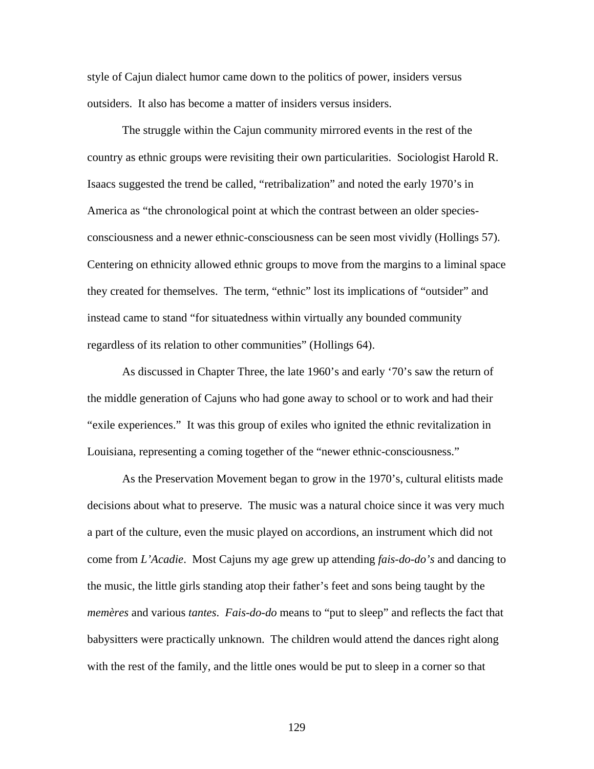style of Cajun dialect humor came down to the politics of power, insiders versus outsiders. It also has become a matter of insiders versus insiders.

The struggle within the Cajun community mirrored events in the rest of the country as ethnic groups were revisiting their own particularities. Sociologist Harold R. Isaacs suggested the trend be called, "retribalization" and noted the early 1970's in America as "the chronological point at which the contrast between an older speciesconsciousness and a newer ethnic-consciousness can be seen most vividly (Hollings 57). Centering on ethnicity allowed ethnic groups to move from the margins to a liminal space they created for themselves. The term, "ethnic" lost its implications of "outsider" and instead came to stand "for situatedness within virtually any bounded community regardless of its relation to other communities" (Hollings 64).

As discussed in Chapter Three, the late 1960's and early '70's saw the return of the middle generation of Cajuns who had gone away to school or to work and had their "exile experiences." It was this group of exiles who ignited the ethnic revitalization in Louisiana, representing a coming together of the "newer ethnic-consciousness."

As the Preservation Movement began to grow in the 1970's, cultural elitists made decisions about what to preserve. The music was a natural choice since it was very much a part of the culture, even the music played on accordions, an instrument which did not come from *L'Acadie*. Most Cajuns my age grew up attending *fais-do-do's* and dancing to the music, the little girls standing atop their father's feet and sons being taught by the *memères* and various *tantes*. *Fais-do-do* means to "put to sleep" and reflects the fact that babysitters were practically unknown. The children would attend the dances right along with the rest of the family, and the little ones would be put to sleep in a corner so that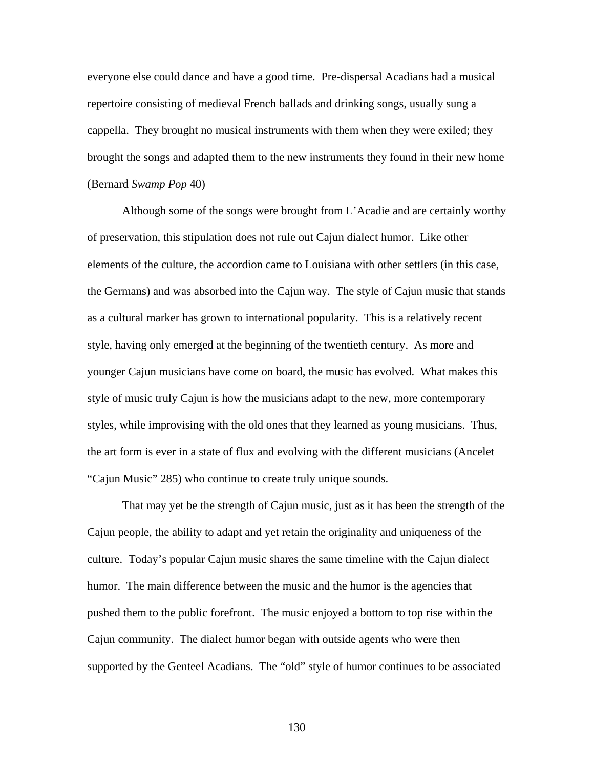everyone else could dance and have a good time. Pre-dispersal Acadians had a musical repertoire consisting of medieval French ballads and drinking songs, usually sung a cappella. They brought no musical instruments with them when they were exiled; they brought the songs and adapted them to the new instruments they found in their new home (Bernard *Swamp Pop* 40)

Although some of the songs were brought from L'Acadie and are certainly worthy of preservation, this stipulation does not rule out Cajun dialect humor. Like other elements of the culture, the accordion came to Louisiana with other settlers (in this case, the Germans) and was absorbed into the Cajun way. The style of Cajun music that stands as a cultural marker has grown to international popularity. This is a relatively recent style, having only emerged at the beginning of the twentieth century. As more and younger Cajun musicians have come on board, the music has evolved. What makes this style of music truly Cajun is how the musicians adapt to the new, more contemporary styles, while improvising with the old ones that they learned as young musicians. Thus, the art form is ever in a state of flux and evolving with the different musicians (Ancelet "Cajun Music" 285) who continue to create truly unique sounds.

That may yet be the strength of Cajun music, just as it has been the strength of the Cajun people, the ability to adapt and yet retain the originality and uniqueness of the culture. Today's popular Cajun music shares the same timeline with the Cajun dialect humor. The main difference between the music and the humor is the agencies that pushed them to the public forefront. The music enjoyed a bottom to top rise within the Cajun community. The dialect humor began with outside agents who were then supported by the Genteel Acadians. The "old" style of humor continues to be associated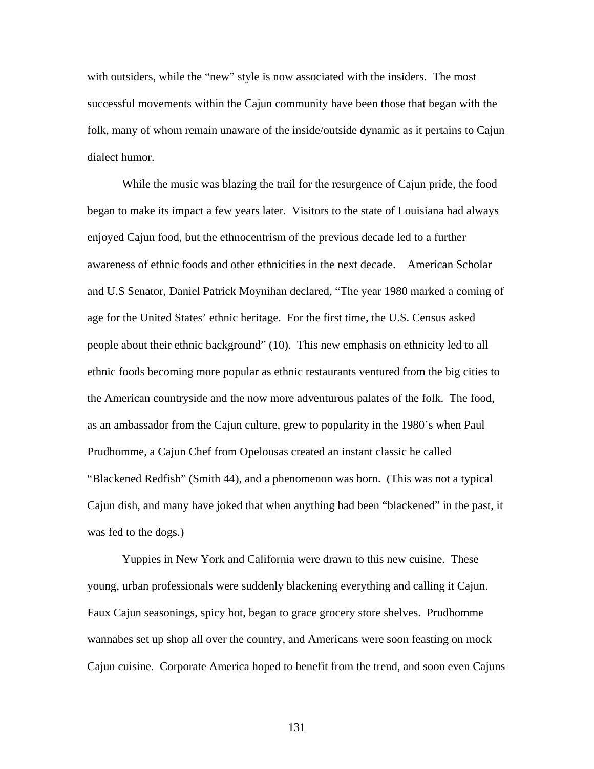with outsiders, while the "new" style is now associated with the insiders. The most successful movements within the Cajun community have been those that began with the folk, many of whom remain unaware of the inside/outside dynamic as it pertains to Cajun dialect humor.

While the music was blazing the trail for the resurgence of Cajun pride, the food began to make its impact a few years later. Visitors to the state of Louisiana had always enjoyed Cajun food, but the ethnocentrism of the previous decade led to a further awareness of ethnic foods and other ethnicities in the next decade. American Scholar and U.S Senator, Daniel Patrick Moynihan declared, "The year 1980 marked a coming of age for the United States' ethnic heritage. For the first time, the U.S. Census asked people about their ethnic background" (10). This new emphasis on ethnicity led to all ethnic foods becoming more popular as ethnic restaurants ventured from the big cities to the American countryside and the now more adventurous palates of the folk. The food, as an ambassador from the Cajun culture, grew to popularity in the 1980's when Paul Prudhomme, a Cajun Chef from Opelousas created an instant classic he called "Blackened Redfish" (Smith 44), and a phenomenon was born. (This was not a typical Cajun dish, and many have joked that when anything had been "blackened" in the past, it was fed to the dogs.)

Yuppies in New York and California were drawn to this new cuisine. These young, urban professionals were suddenly blackening everything and calling it Cajun. Faux Cajun seasonings, spicy hot, began to grace grocery store shelves. Prudhomme wannabes set up shop all over the country, and Americans were soon feasting on mock Cajun cuisine. Corporate America hoped to benefit from the trend, and soon even Cajuns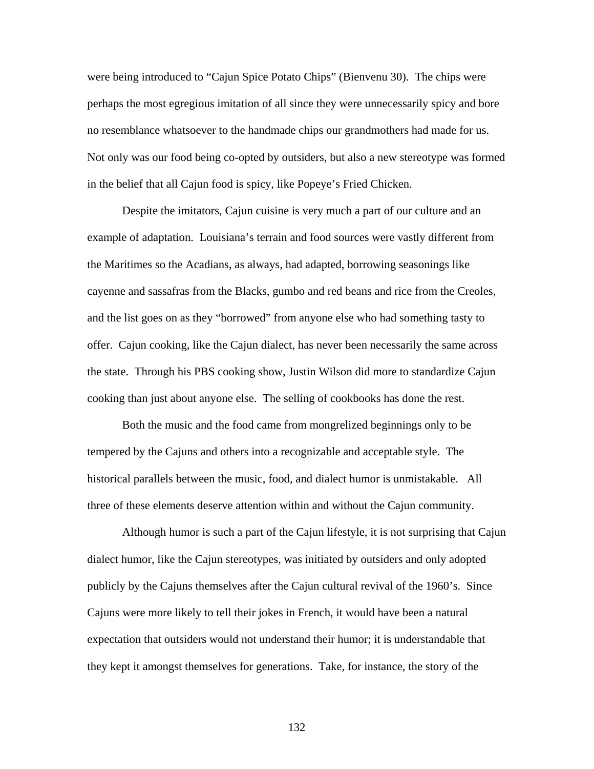were being introduced to "Cajun Spice Potato Chips" (Bienvenu 30). The chips were perhaps the most egregious imitation of all since they were unnecessarily spicy and bore no resemblance whatsoever to the handmade chips our grandmothers had made for us. Not only was our food being co-opted by outsiders, but also a new stereotype was formed in the belief that all Cajun food is spicy, like Popeye's Fried Chicken.

Despite the imitators, Cajun cuisine is very much a part of our culture and an example of adaptation. Louisiana's terrain and food sources were vastly different from the Maritimes so the Acadians, as always, had adapted, borrowing seasonings like cayenne and sassafras from the Blacks, gumbo and red beans and rice from the Creoles, and the list goes on as they "borrowed" from anyone else who had something tasty to offer. Cajun cooking, like the Cajun dialect, has never been necessarily the same across the state. Through his PBS cooking show, Justin Wilson did more to standardize Cajun cooking than just about anyone else. The selling of cookbooks has done the rest.

Both the music and the food came from mongrelized beginnings only to be tempered by the Cajuns and others into a recognizable and acceptable style. The historical parallels between the music, food, and dialect humor is unmistakable. All three of these elements deserve attention within and without the Cajun community.

Although humor is such a part of the Cajun lifestyle, it is not surprising that Cajun dialect humor, like the Cajun stereotypes, was initiated by outsiders and only adopted publicly by the Cajuns themselves after the Cajun cultural revival of the 1960's. Since Cajuns were more likely to tell their jokes in French, it would have been a natural expectation that outsiders would not understand their humor; it is understandable that they kept it amongst themselves for generations. Take, for instance, the story of the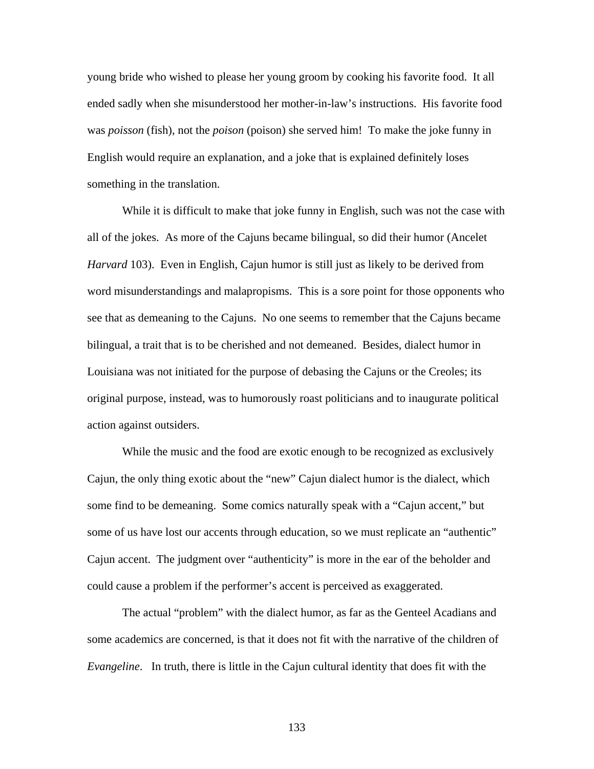young bride who wished to please her young groom by cooking his favorite food. It all ended sadly when she misunderstood her mother-in-law's instructions. His favorite food was *poisson* (fish), not the *poison* (poison) she served him! To make the joke funny in English would require an explanation, and a joke that is explained definitely loses something in the translation.

While it is difficult to make that joke funny in English, such was not the case with all of the jokes. As more of the Cajuns became bilingual, so did their humor (Ancelet *Harvard* 103). Even in English, Cajun humor is still just as likely to be derived from word misunderstandings and malapropisms. This is a sore point for those opponents who see that as demeaning to the Cajuns. No one seems to remember that the Cajuns became bilingual, a trait that is to be cherished and not demeaned. Besides, dialect humor in Louisiana was not initiated for the purpose of debasing the Cajuns or the Creoles; its original purpose, instead, was to humorously roast politicians and to inaugurate political action against outsiders.

While the music and the food are exotic enough to be recognized as exclusively Cajun, the only thing exotic about the "new" Cajun dialect humor is the dialect, which some find to be demeaning. Some comics naturally speak with a "Cajun accent," but some of us have lost our accents through education, so we must replicate an "authentic" Cajun accent. The judgment over "authenticity" is more in the ear of the beholder and could cause a problem if the performer's accent is perceived as exaggerated.

The actual "problem" with the dialect humor, as far as the Genteel Acadians and some academics are concerned, is that it does not fit with the narrative of the children of *Evangeline*. In truth, there is little in the Cajun cultural identity that does fit with the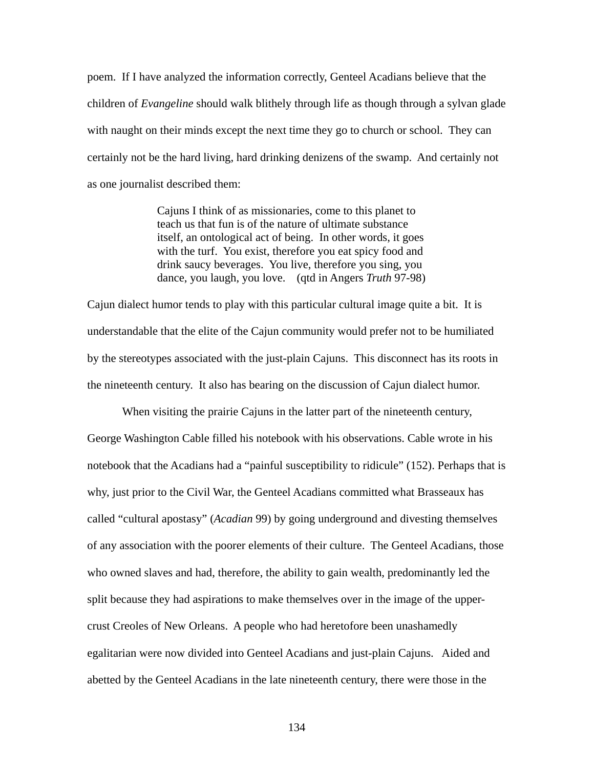poem. If I have analyzed the information correctly, Genteel Acadians believe that the children of *Evangeline* should walk blithely through life as though through a sylvan glade with naught on their minds except the next time they go to church or school. They can certainly not be the hard living, hard drinking denizens of the swamp. And certainly not as one journalist described them:

> Cajuns I think of as missionaries, come to this planet to teach us that fun is of the nature of ultimate substance itself, an ontological act of being. In other words, it goes with the turf. You exist, therefore you eat spicy food and drink saucy beverages. You live, therefore you sing, you dance, you laugh, you love. (qtd in Angers *Truth* 97-98)

Cajun dialect humor tends to play with this particular cultural image quite a bit. It is understandable that the elite of the Cajun community would prefer not to be humiliated by the stereotypes associated with the just-plain Cajuns. This disconnect has its roots in the nineteenth century. It also has bearing on the discussion of Cajun dialect humor.

When visiting the prairie Cajuns in the latter part of the nineteenth century, George Washington Cable filled his notebook with his observations. Cable wrote in his notebook that the Acadians had a "painful susceptibility to ridicule" (152). Perhaps that is why, just prior to the Civil War, the Genteel Acadians committed what Brasseaux has called "cultural apostasy" (*Acadian* 99) by going underground and divesting themselves of any association with the poorer elements of their culture. The Genteel Acadians, those who owned slaves and had, therefore, the ability to gain wealth, predominantly led the split because they had aspirations to make themselves over in the image of the uppercrust Creoles of New Orleans. A people who had heretofore been unashamedly egalitarian were now divided into Genteel Acadians and just-plain Cajuns. Aided and abetted by the Genteel Acadians in the late nineteenth century, there were those in the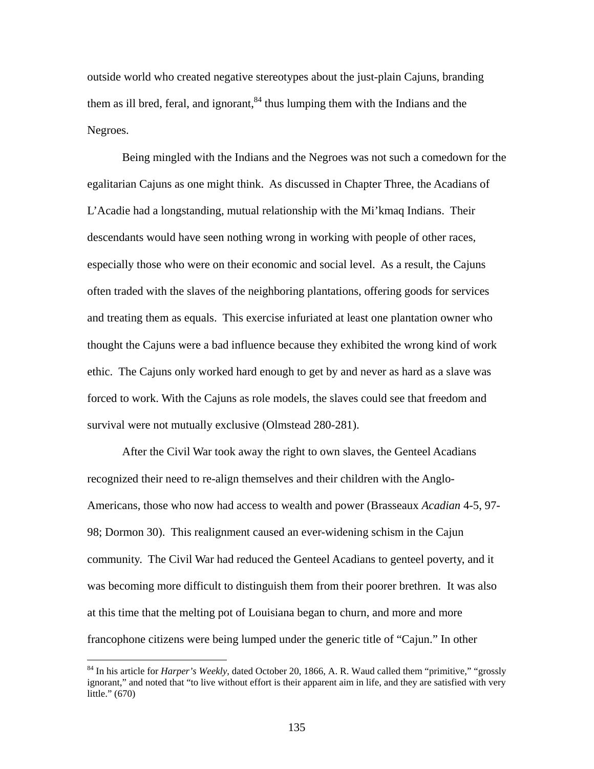outside world who created negative stereotypes about the just-plain Cajuns, branding them as ill bred, feral, and ignorant,  $84$  thus lumping them with the Indians and the Negroes.

Being mingled with the Indians and the Negroes was not such a comedown for the egalitarian Cajuns as one might think. As discussed in Chapter Three, the Acadians of L'Acadie had a longstanding, mutual relationship with the Mi'kmaq Indians. Their descendants would have seen nothing wrong in working with people of other races, especially those who were on their economic and social level. As a result, the Cajuns often traded with the slaves of the neighboring plantations, offering goods for services and treating them as equals. This exercise infuriated at least one plantation owner who thought the Cajuns were a bad influence because they exhibited the wrong kind of work ethic. The Cajuns only worked hard enough to get by and never as hard as a slave was forced to work. With the Cajuns as role models, the slaves could see that freedom and survival were not mutually exclusive (Olmstead 280-281).

After the Civil War took away the right to own slaves, the Genteel Acadians recognized their need to re-align themselves and their children with the Anglo-Americans, those who now had access to wealth and power (Brasseaux *Acadian* 4-5, 97- 98; Dormon 30). This realignment caused an ever-widening schism in the Cajun community. The Civil War had reduced the Genteel Acadians to genteel poverty, and it was becoming more difficult to distinguish them from their poorer brethren. It was also at this time that the melting pot of Louisiana began to churn, and more and more francophone citizens were being lumped under the generic title of "Cajun." In other

<span id="page-142-0"></span><sup>&</sup>lt;sup>84</sup> In his article for *Harper's Weekly*, dated October 20, 1866, A. R. Waud called them "primitive," "grossly ignorant," and noted that "to live without effort is their apparent aim in life, and they are satisfied with very little." (670)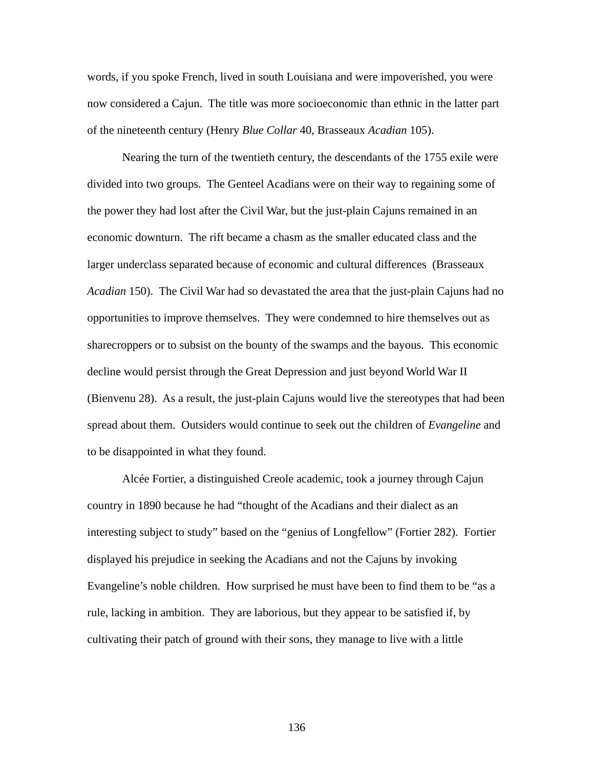words, if you spoke French, lived in south Louisiana and were impoverished, you were now considered a Cajun. The title was more socioeconomic than ethnic in the latter part of the nineteenth century (Henry *Blue Collar* 40, Brasseaux *Acadian* 105).

Nearing the turn of the twentieth century, the descendants of the 1755 exile were divided into two groups. The Genteel Acadians were on their way to regaining some of the power they had lost after the Civil War, but the just-plain Cajuns remained in an economic downturn. The rift became a chasm as the smaller educated class and the larger underclass separated because of economic and cultural differences (Brasseaux *Acadian* 150). The Civil War had so devastated the area that the just-plain Cajuns had no opportunities to improve themselves. They were condemned to hire themselves out as sharecroppers or to subsist on the bounty of the swamps and the bayous. This economic decline would persist through the Great Depression and just beyond World War II (Bienvenu 28). As a result, the just-plain Cajuns would live the stereotypes that had been spread about them. Outsiders would continue to seek out the children of *Evangeline* and to be disappointed in what they found.

Alcée Fortier, a distinguished Creole academic, took a journey through Cajun country in 1890 because he had "thought of the Acadians and their dialect as an interesting subject to study" based on the "genius of Longfellow" (Fortier 282). Fortier displayed his prejudice in seeking the Acadians and not the Cajuns by invoking Evangeline's noble children. How surprised he must have been to find them to be "as a rule, lacking in ambition. They are laborious, but they appear to be satisfied if, by cultivating their patch of ground with their sons, they manage to live with a little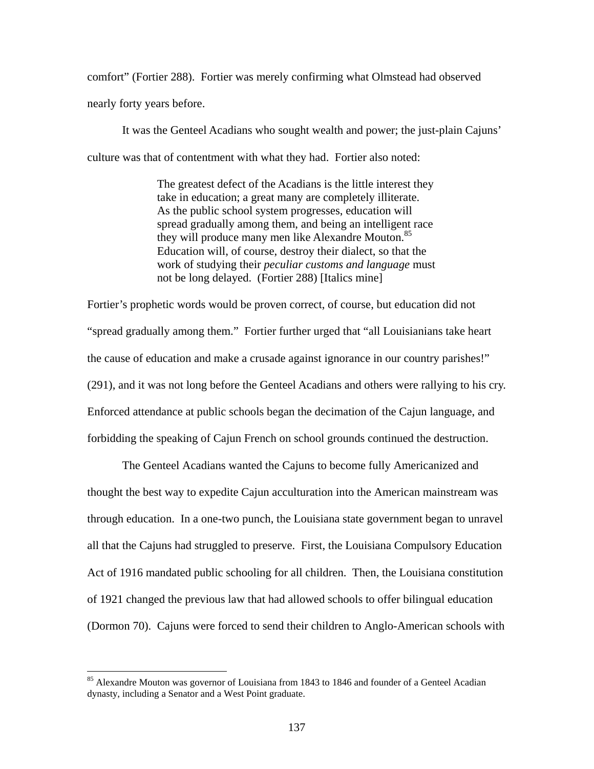comfort" (Fortier 288). Fortier was merely confirming what Olmstead had observed nearly forty years before.

It was the Genteel Acadians who sought wealth and power; the just-plain Cajuns' culture was that of contentment with what they had. Fortier also noted:

> The greatest defect of the Acadians is the little interest they take in education; a great many are completely illiterate. As the public school system progresses, education will spread gradually among them, and being an intelligent race they will produce many men like Alexandre Mouton.<sup>85</sup> Education will, of course, destroy their dialect, so that the work of studying their *peculiar customs and language* must not be long delayed. (Fortier 288) [Italics mine]

Fortier's prophetic words would be proven correct, of course, but education did not "spread gradually among them." Fortier further urged that "all Louisianians take heart the cause of education and make a crusade against ignorance in our country parishes!" (291), and it was not long before the Genteel Acadians and others were rallying to his cry. Enforced attendance at public schools began the decimation of the Cajun language, and forbidding the speaking of Cajun French on school grounds continued the destruction.

The Genteel Acadians wanted the Cajuns to become fully Americanized and thought the best way to expedite Cajun acculturation into the American mainstream was through education. In a one-two punch, the Louisiana state government began to unravel all that the Cajuns had struggled to preserve. First, the Louisiana Compulsory Education Act of 1916 mandated public schooling for all children. Then, the Louisiana constitution of 1921 changed the previous law that had allowed schools to offer bilingual education (Dormon 70). Cajuns were forced to send their children to Anglo-American schools with

 $\overline{a}$ 

<span id="page-144-0"></span><sup>&</sup>lt;sup>85</sup> Alexandre Mouton was governor of Louisiana from 1843 to 1846 and founder of a Genteel Acadian dynasty, including a Senator and a West Point graduate.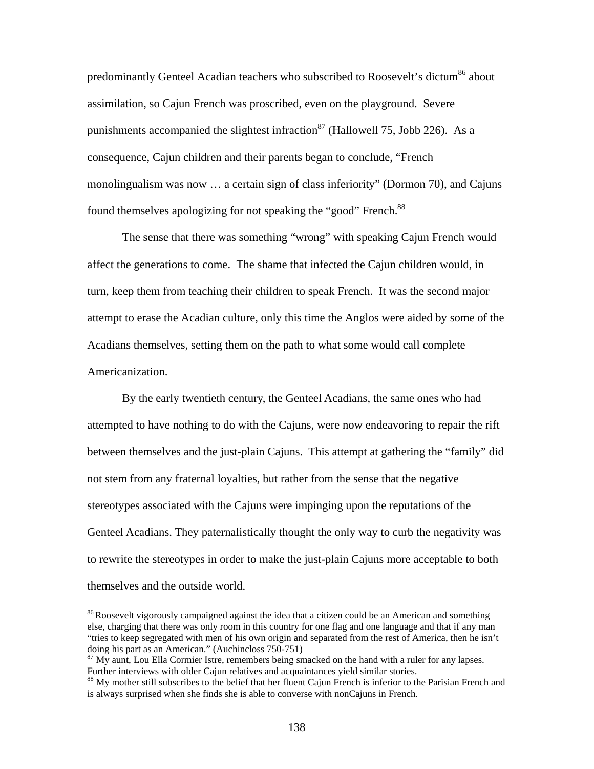predominantly Genteel Acadian teachers who subscribed to Roosevelt's dictum<sup>86</sup> about assimilation, so Cajun French was proscribed, even on the playground. Severe punishments accompanied the slightest infraction<sup>87</sup> (Hallowell 75, Jobb 226). As a consequence, Cajun children and their parents began to conclude, "French monolingualism was now … a certain sign of class inferiority" (Dormon 70), and Cajuns found themselves apologizing for not speaking the "good" French.<sup>88</sup>

The sense that there was something "wrong" with speaking Cajun French would affect the generations to come. The shame that infected the Cajun children would, in turn, keep them from teaching their children to speak French. It was the second major attempt to erase the Acadian culture, only this time the Anglos were aided by some of the Acadians themselves, setting them on the path to what some would call complete Americanization.

By the early twentieth century, the Genteel Acadians, the same ones who had attempted to have nothing to do with the Cajuns, were now endeavoring to repair the rift between themselves and the just-plain Cajuns. This attempt at gathering the "family" did not stem from any fraternal loyalties, but rather from the sense that the negative stereotypes associated with the Cajuns were impinging upon the reputations of the Genteel Acadians. They paternalistically thought the only way to curb the negativity was to rewrite the stereotypes in order to make the just-plain Cajuns more acceptable to both themselves and the outside world.

 $\overline{a}$ 

<span id="page-145-0"></span><sup>&</sup>lt;sup>86</sup> Roosevelt vigorously campaigned against the idea that a citizen could be an American and something else, charging that there was only room in this country for one flag and one language and that if any man "tries to keep segregated with men of his own origin and separated from the rest of America, then he isn't

<span id="page-145-1"></span>doing his part as an American." (Auchincloss 750-751)<br><sup>87</sup> My aunt, Lou Ella Cormier Istre, remembers being smacked on the hand with a ruler for any lapses.<br>Further interviews with older Cajun relatives and acquaintances

<span id="page-145-2"></span><sup>&</sup>lt;sup>88</sup> My mother still subscribes to the belief that her fluent Cajun French is inferior to the Parisian French and is always surprised when she finds she is able to converse with nonCajuns in French.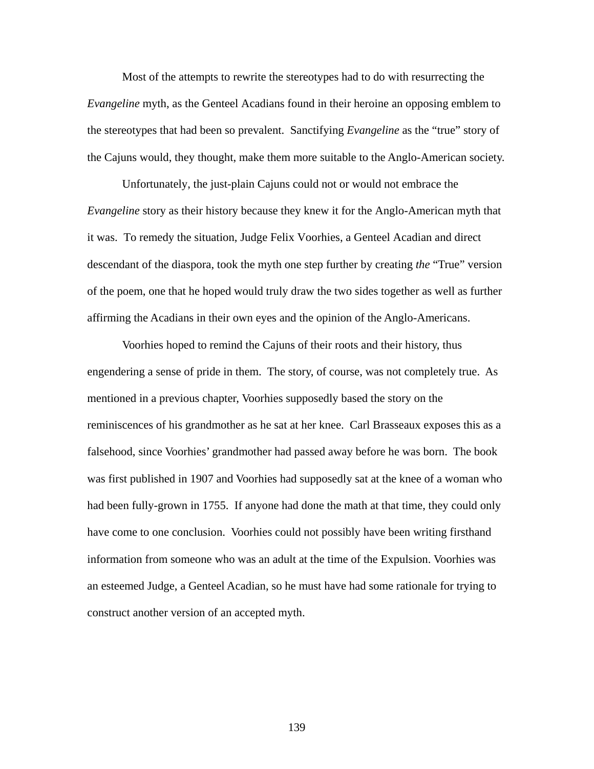Most of the attempts to rewrite the stereotypes had to do with resurrecting the *Evangeline* myth, as the Genteel Acadians found in their heroine an opposing emblem to the stereotypes that had been so prevalent. Sanctifying *Evangeline* as the "true" story of the Cajuns would, they thought, make them more suitable to the Anglo-American society.

Unfortunately, the just-plain Cajuns could not or would not embrace the *Evangeline* story as their history because they knew it for the Anglo-American myth that it was. To remedy the situation, Judge Felix Voorhies, a Genteel Acadian and direct descendant of the diaspora, took the myth one step further by creating *the* "True" version of the poem, one that he hoped would truly draw the two sides together as well as further affirming the Acadians in their own eyes and the opinion of the Anglo-Americans.

Voorhies hoped to remind the Cajuns of their roots and their history, thus engendering a sense of pride in them. The story, of course, was not completely true. As mentioned in a previous chapter, Voorhies supposedly based the story on the reminiscences of his grandmother as he sat at her knee. Carl Brasseaux exposes this as a falsehood, since Voorhies' grandmother had passed away before he was born. The book was first published in 1907 and Voorhies had supposedly sat at the knee of a woman who had been fully-grown in 1755. If anyone had done the math at that time, they could only have come to one conclusion. Voorhies could not possibly have been writing firsthand information from someone who was an adult at the time of the Expulsion. Voorhies was an esteemed Judge, a Genteel Acadian, so he must have had some rationale for trying to construct another version of an accepted myth.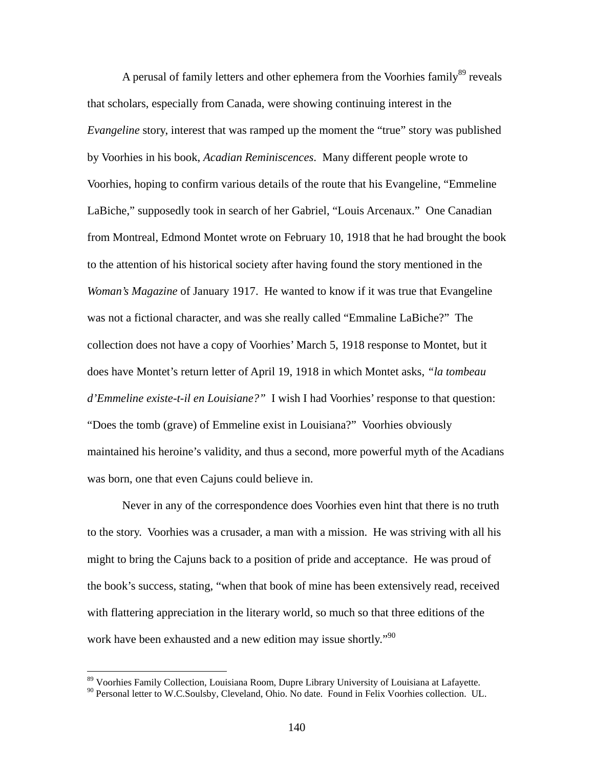A perusal of family letters and other ephemera from the Voorhies family<sup>89</sup> reveals that scholars, especially from Canada, were showing continuing interest in the *Evangeline* story, interest that was ramped up the moment the "true" story was published by Voorhies in his book, *Acadian Reminiscences*. Many different people wrote to Voorhies, hoping to confirm various details of the route that his Evangeline, "Emmeline LaBiche," supposedly took in search of her Gabriel, "Louis Arcenaux." One Canadian from Montreal, Edmond Montet wrote on February 10, 1918 that he had brought the book to the attention of his historical society after having found the story mentioned in the *Woman's Magazine* of January 1917. He wanted to know if it was true that Evangeline was not a fictional character, and was she really called "Emmaline LaBiche?" The collection does not have a copy of Voorhies' March 5, 1918 response to Montet, but it does have Montet's return letter of April 19, 1918 in which Montet asks, *"la tombeau d'Emmeline existe-t-il en Louisiane?"* I wish I had Voorhies' response to that question: "Does the tomb (grave) of Emmeline exist in Louisiana?" Voorhies obviously maintained his heroine's validity, and thus a second, more powerful myth of the Acadians was born, one that even Cajuns could believe in.

Never in any of the correspondence does Voorhies even hint that there is no truth to the story. Voorhies was a crusader, a man with a mission. He was striving with all his might to bring the Cajuns back to a position of pride and acceptance. He was proud of the book's success, stating, "when that book of mine has been extensively read, received with flattering appreciation in the literary world, so much so that three editions of the work have been exhausted and a new edition may issue shortly."<sup>[90](#page-147-1)</sup>

 $\overline{a}$ 

<span id="page-147-1"></span><span id="page-147-0"></span>

<sup>&</sup>lt;sup>89</sup> Voorhies Family Collection, Louisiana Room, Dupre Library University of Louisiana at Lafayette.<br><sup>90</sup> Personal letter to W.C.Soulsby, Cleveland, Ohio. No date. Found in Felix Voorhies collection. UL.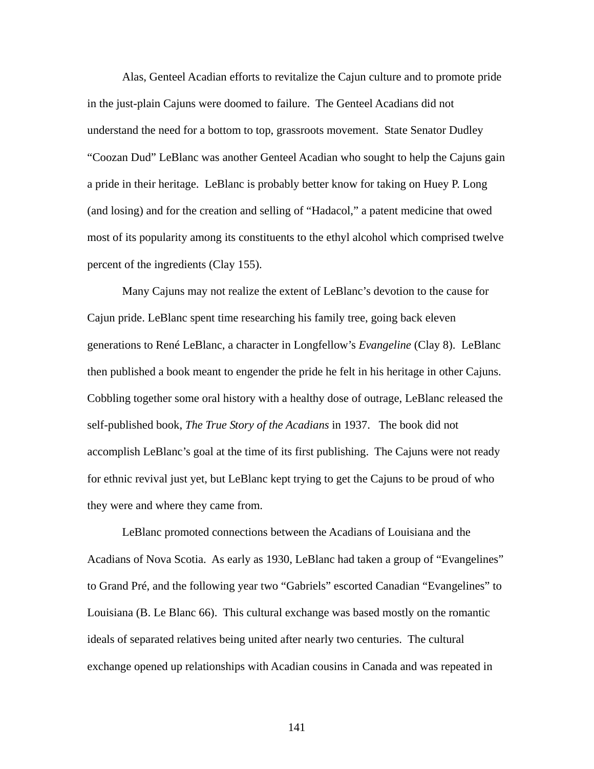Alas, Genteel Acadian efforts to revitalize the Cajun culture and to promote pride in the just-plain Cajuns were doomed to failure. The Genteel Acadians did not understand the need for a bottom to top, grassroots movement. State Senator Dudley "Coozan Dud" LeBlanc was another Genteel Acadian who sought to help the Cajuns gain a pride in their heritage. LeBlanc is probably better know for taking on Huey P. Long (and losing) and for the creation and selling of "Hadacol," a patent medicine that owed most of its popularity among its constituents to the ethyl alcohol which comprised twelve percent of the ingredients (Clay 155).

Many Cajuns may not realize the extent of LeBlanc's devotion to the cause for Cajun pride. LeBlanc spent time researching his family tree, going back eleven generations to René LeBlanc, a character in Longfellow's *Evangeline* (Clay 8). LeBlanc then published a book meant to engender the pride he felt in his heritage in other Cajuns. Cobbling together some oral history with a healthy dose of outrage, LeBlanc released the self-published book, *The True Story of the Acadians* in 1937. The book did not accomplish LeBlanc's goal at the time of its first publishing. The Cajuns were not ready for ethnic revival just yet, but LeBlanc kept trying to get the Cajuns to be proud of who they were and where they came from.

LeBlanc promoted connections between the Acadians of Louisiana and the Acadians of Nova Scotia. As early as 1930, LeBlanc had taken a group of "Evangelines" to Grand Pré, and the following year two "Gabriels" escorted Canadian "Evangelines" to Louisiana (B. Le Blanc 66). This cultural exchange was based mostly on the romantic ideals of separated relatives being united after nearly two centuries. The cultural exchange opened up relationships with Acadian cousins in Canada and was repeated in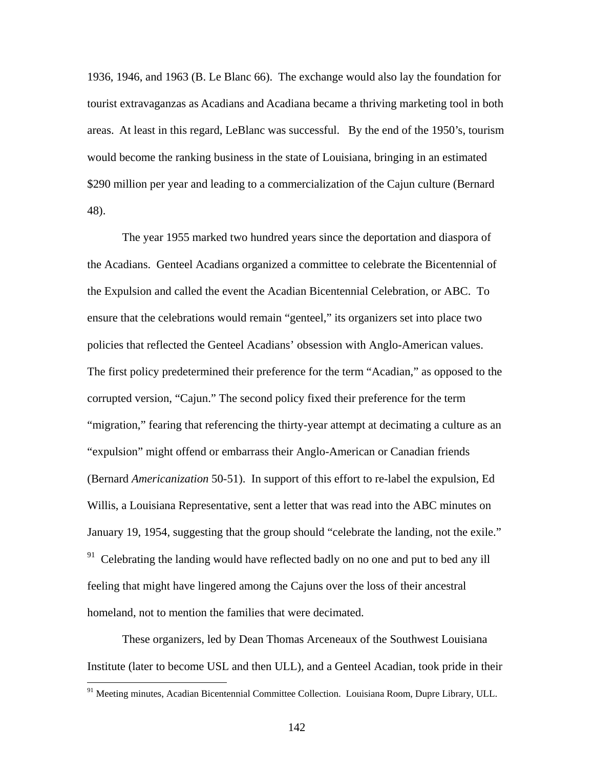1936, 1946, and 1963 (B. Le Blanc 66). The exchange would also lay the foundation for tourist extravaganzas as Acadians and Acadiana became a thriving marketing tool in both areas. At least in this regard, LeBlanc was successful. By the end of the 1950's, tourism would become the ranking business in the state of Louisiana, bringing in an estimated \$290 million per year and leading to a commercialization of the Cajun culture (Bernard 48).

The year 1955 marked two hundred years since the deportation and diaspora of the Acadians. Genteel Acadians organized a committee to celebrate the Bicentennial of the Expulsion and called the event the Acadian Bicentennial Celebration, or ABC. To ensure that the celebrations would remain "genteel," its organizers set into place two policies that reflected the Genteel Acadians' obsession with Anglo-American values. The first policy predetermined their preference for the term "Acadian," as opposed to the corrupted version, "Cajun." The second policy fixed their preference for the term "migration," fearing that referencing the thirty-year attempt at decimating a culture as an "expulsion" might offend or embarrass their Anglo-American or Canadian friends (Bernard *Americanization* 50-51). In support of this effort to re-label the expulsion, Ed Willis, a Louisiana Representative, sent a letter that was read into the ABC minutes on January 19, 1954, suggesting that the group should "celebrate the landing, not the exile."  $91$  Celebrating the landing would have reflected badly on no one and put to bed any ill feeling that might have lingered among the Cajuns over the loss of their ancestral homeland, not to mention the families that were decimated.

These organizers, led by Dean Thomas Arceneaux of the Southwest Louisiana Institute (later to become USL and then ULL), and a Genteel Acadian, took pride in their

 $\overline{a}$ 

<span id="page-149-0"></span><sup>&</sup>lt;sup>91</sup> Meeting minutes, Acadian Bicentennial Committee Collection. Louisiana Room, Dupre Library, ULL.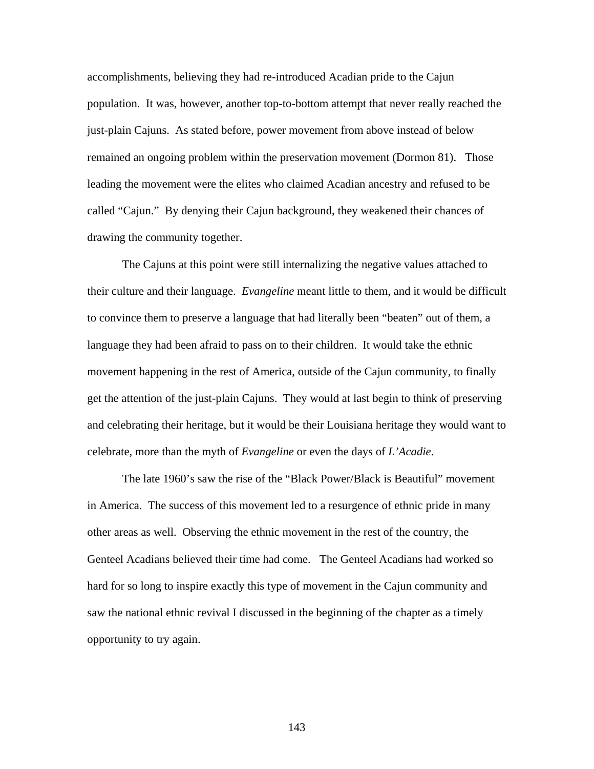accomplishments, believing they had re-introduced Acadian pride to the Cajun population. It was, however, another top-to-bottom attempt that never really reached the just-plain Cajuns. As stated before, power movement from above instead of below remained an ongoing problem within the preservation movement (Dormon 81). Those leading the movement were the elites who claimed Acadian ancestry and refused to be called "Cajun." By denying their Cajun background, they weakened their chances of drawing the community together.

The Cajuns at this point were still internalizing the negative values attached to their culture and their language. *Evangeline* meant little to them, and it would be difficult to convince them to preserve a language that had literally been "beaten" out of them, a language they had been afraid to pass on to their children. It would take the ethnic movement happening in the rest of America, outside of the Cajun community, to finally get the attention of the just-plain Cajuns. They would at last begin to think of preserving and celebrating their heritage, but it would be their Louisiana heritage they would want to celebrate, more than the myth of *Evangeline* or even the days of *L'Acadie*.

The late 1960's saw the rise of the "Black Power/Black is Beautiful" movement in America. The success of this movement led to a resurgence of ethnic pride in many other areas as well. Observing the ethnic movement in the rest of the country, the Genteel Acadians believed their time had come. The Genteel Acadians had worked so hard for so long to inspire exactly this type of movement in the Cajun community and saw the national ethnic revival I discussed in the beginning of the chapter as a timely opportunity to try again.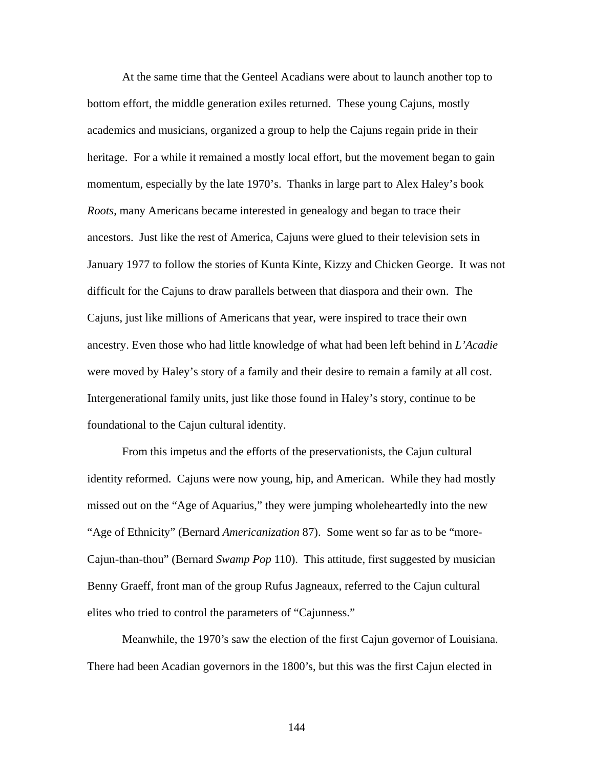At the same time that the Genteel Acadians were about to launch another top to bottom effort, the middle generation exiles returned. These young Cajuns, mostly academics and musicians, organized a group to help the Cajuns regain pride in their heritage. For a while it remained a mostly local effort, but the movement began to gain momentum, especially by the late 1970's. Thanks in large part to Alex Haley's book *Roots*, many Americans became interested in genealogy and began to trace their ancestors. Just like the rest of America, Cajuns were glued to their television sets in January 1977 to follow the stories of Kunta Kinte, Kizzy and Chicken George. It was not difficult for the Cajuns to draw parallels between that diaspora and their own. The Cajuns, just like millions of Americans that year, were inspired to trace their own ancestry. Even those who had little knowledge of what had been left behind in *L'Acadie* were moved by Haley's story of a family and their desire to remain a family at all cost. Intergenerational family units, just like those found in Haley's story, continue to be foundational to the Cajun cultural identity.

From this impetus and the efforts of the preservationists, the Cajun cultural identity reformed. Cajuns were now young, hip, and American. While they had mostly missed out on the "Age of Aquarius," they were jumping wholeheartedly into the new "Age of Ethnicity" (Bernard *Americanization* 87). Some went so far as to be "more-Cajun-than-thou" (Bernard *Swamp Pop* 110). This attitude, first suggested by musician Benny Graeff, front man of the group Rufus Jagneaux, referred to the Cajun cultural elites who tried to control the parameters of "Cajunness."

Meanwhile, the 1970's saw the election of the first Cajun governor of Louisiana. There had been Acadian governors in the 1800's, but this was the first Cajun elected in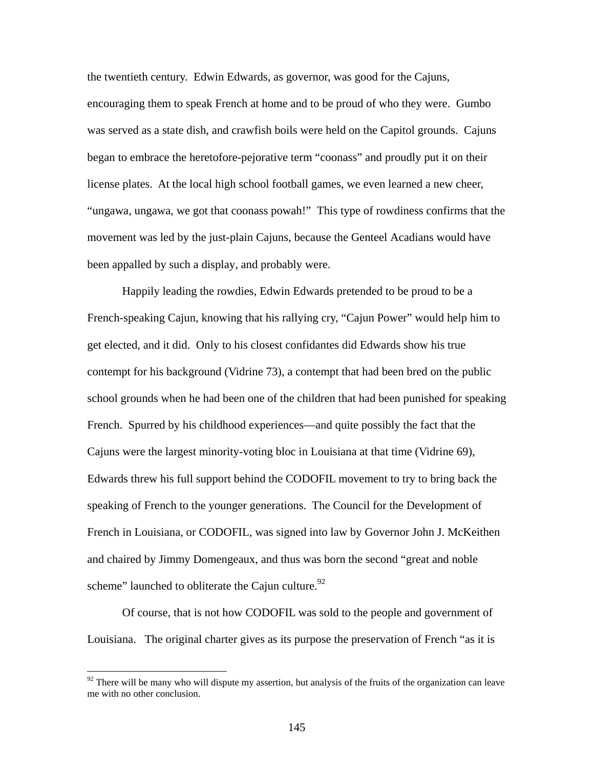the twentieth century. Edwin Edwards, as governor, was good for the Cajuns, encouraging them to speak French at home and to be proud of who they were. Gumbo was served as a state dish, and crawfish boils were held on the Capitol grounds. Cajuns began to embrace the heretofore-pejorative term "coonass" and proudly put it on their license plates. At the local high school football games, we even learned a new cheer, "ungawa, ungawa, we got that coonass powah!" This type of rowdiness confirms that the movement was led by the just-plain Cajuns, because the Genteel Acadians would have been appalled by such a display, and probably were.

Happily leading the rowdies, Edwin Edwards pretended to be proud to be a French-speaking Cajun, knowing that his rallying cry, "Cajun Power" would help him to get elected, and it did. Only to his closest confidantes did Edwards show his true contempt for his background (Vidrine 73), a contempt that had been bred on the public school grounds when he had been one of the children that had been punished for speaking French. Spurred by his childhood experiences—and quite possibly the fact that the Cajuns were the largest minority-voting bloc in Louisiana at that time (Vidrine 69), Edwards threw his full support behind the CODOFIL movement to try to bring back the speaking of French to the younger generations. The Council for the Development of French in Louisiana, or CODOFIL, was signed into law by Governor John J. McKeithen and chaired by Jimmy Domengeaux, and thus was born the second "great and noble scheme" launched to obliterate the Cajun culture. $92$ 

Of course, that is not how CODOFIL was sold to the people and government of Louisiana. The original charter gives as its purpose the preservation of French "as it is

<span id="page-152-0"></span> $92$  There will be many who will dispute my assertion, but analysis of the fruits of the organization can leave me with no other conclusion.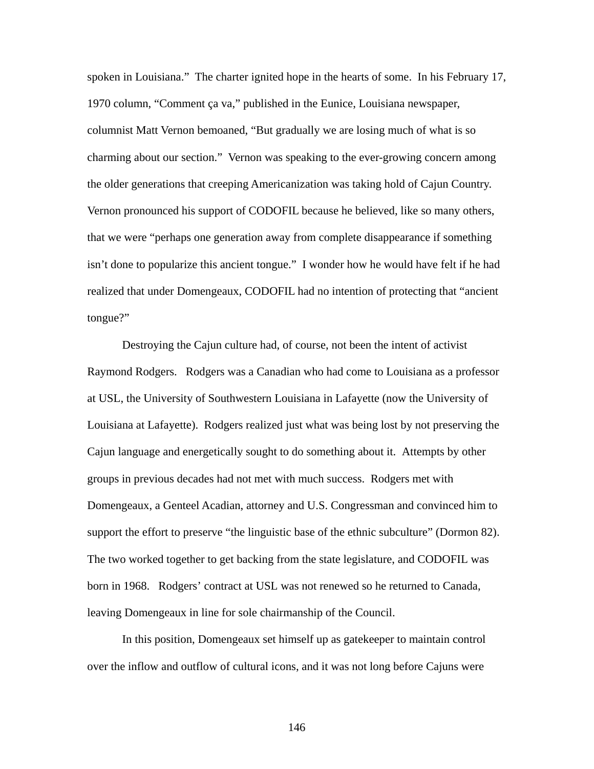spoken in Louisiana." The charter ignited hope in the hearts of some. In his February 17, 1970 column, "Comment ça va," published in the Eunice, Louisiana newspaper, columnist Matt Vernon bemoaned, "But gradually we are losing much of what is so charming about our section." Vernon was speaking to the ever-growing concern among the older generations that creeping Americanization was taking hold of Cajun Country. Vernon pronounced his support of CODOFIL because he believed, like so many others, that we were "perhaps one generation away from complete disappearance if something isn't done to popularize this ancient tongue." I wonder how he would have felt if he had realized that under Domengeaux, CODOFIL had no intention of protecting that "ancient tongue?"

Destroying the Cajun culture had, of course, not been the intent of activist Raymond Rodgers. Rodgers was a Canadian who had come to Louisiana as a professor at USL, the University of Southwestern Louisiana in Lafayette (now the University of Louisiana at Lafayette). Rodgers realized just what was being lost by not preserving the Cajun language and energetically sought to do something about it. Attempts by other groups in previous decades had not met with much success. Rodgers met with Domengeaux, a Genteel Acadian, attorney and U.S. Congressman and convinced him to support the effort to preserve "the linguistic base of the ethnic subculture" (Dormon 82). The two worked together to get backing from the state legislature, and CODOFIL was born in 1968. Rodgers' contract at USL was not renewed so he returned to Canada, leaving Domengeaux in line for sole chairmanship of the Council.

In this position, Domengeaux set himself up as gatekeeper to maintain control over the inflow and outflow of cultural icons, and it was not long before Cajuns were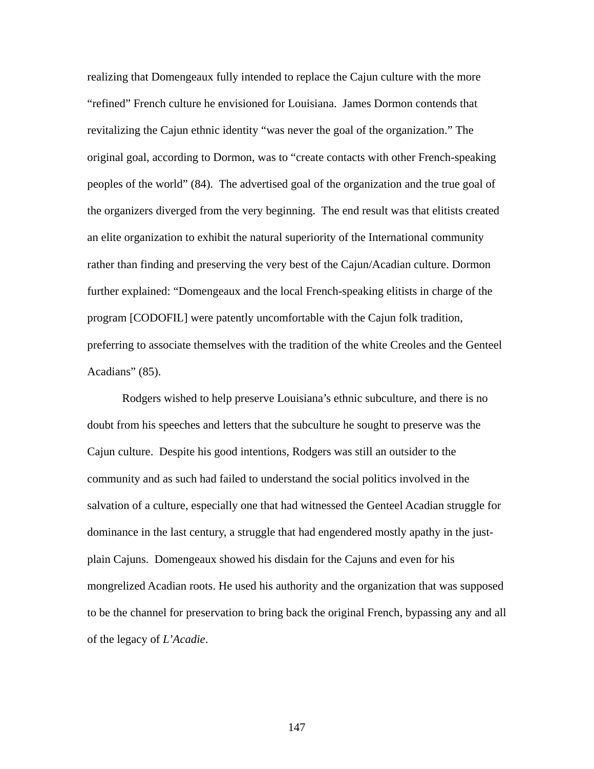realizing that Domengeaux fully intended to replace the Cajun culture with the more "refined" French culture he envisioned for Louisiana. James Dormon contends that revitalizing the Cajun ethnic identity "was never the goal of the organization." The original goal, according to Dormon, was to "create contacts with other French-speaking peoples of the world" (84). The advertised goal of the organization and the true goal of the organizers diverged from the very beginning. The end result was that elitists created an elite organization to exhibit the natural superiority of the International community rather than finding and preserving the very best of the Cajun/Acadian culture. Dormon further explained: "Domengeaux and the local French-speaking elitists in charge of the program [CODOFIL] were patently uncomfortable with the Cajun folk tradition, preferring to associate themselves with the tradition of the white Creoles and the Genteel Acadians" (85).

Rodgers wished to help preserve Louisiana's ethnic subculture, and there is no doubt from his speeches and letters that the subculture he sought to preserve was the Cajun culture. Despite his good intentions, Rodgers was still an outsider to the community and as such had failed to understand the social politics involved in the salvation of a culture, especially one that had witnessed the Genteel Acadian struggle for dominance in the last century, a struggle that had engendered mostly apathy in the justplain Cajuns. Domengeaux showed his disdain for the Cajuns and even for his mongrelized Acadian roots. He used his authority and the organization that was supposed to be the channel for preservation to bring back the original French, bypassing any and all of the legacy of *L'Acadie*.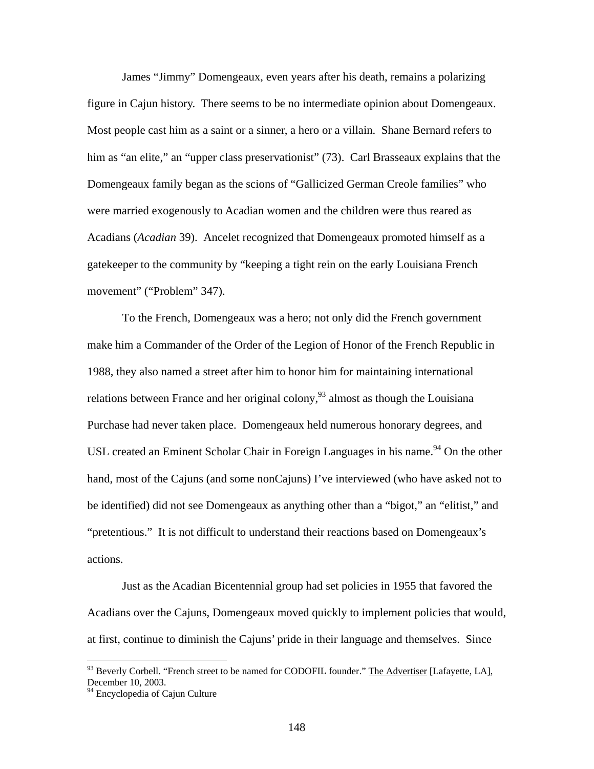James "Jimmy" Domengeaux, even years after his death, remains a polarizing figure in Cajun history. There seems to be no intermediate opinion about Domengeaux. Most people cast him as a saint or a sinner, a hero or a villain. Shane Bernard refers to him as "an elite," an "upper class preservationist" (73). Carl Brasseaux explains that the Domengeaux family began as the scions of "Gallicized German Creole families" who were married exogenously to Acadian women and the children were thus reared as Acadians (*Acadian* 39). Ancelet recognized that Domengeaux promoted himself as a gatekeeper to the community by "keeping a tight rein on the early Louisiana French movement" ("Problem" 347).

To the French, Domengeaux was a hero; not only did the French government make him a Commander of the Order of the Legion of Honor of the French Republic in 1988, they also named a street after him to honor him for maintaining international relations between France and her original colony,  $93$  almost as though the Louisiana Purchase had never taken place. Domengeaux held numerous honorary degrees, and USL created an Eminent Scholar Chair in Foreign Languages in his name.<sup>94</sup> On the other hand, most of the Cajuns (and some nonCajuns) I've interviewed (who have asked not to be identified) did not see Domengeaux as anything other than a "bigot," an "elitist," and "pretentious." It is not difficult to understand their reactions based on Domengeaux's actions.

Just as the Acadian Bicentennial group had set policies in 1955 that favored the Acadians over the Cajuns, Domengeaux moved quickly to implement policies that would, at first, continue to diminish the Cajuns' pride in their language and themselves. Since

 $\overline{a}$ 

<span id="page-155-0"></span> $93$  Beverly Corbell. "French street to be named for CODOFIL founder." The Advertiser [Lafayette, LA], December 10, 2003.

<span id="page-155-1"></span><sup>&</sup>lt;sup>94</sup> Encyclopedia of Cajun Culture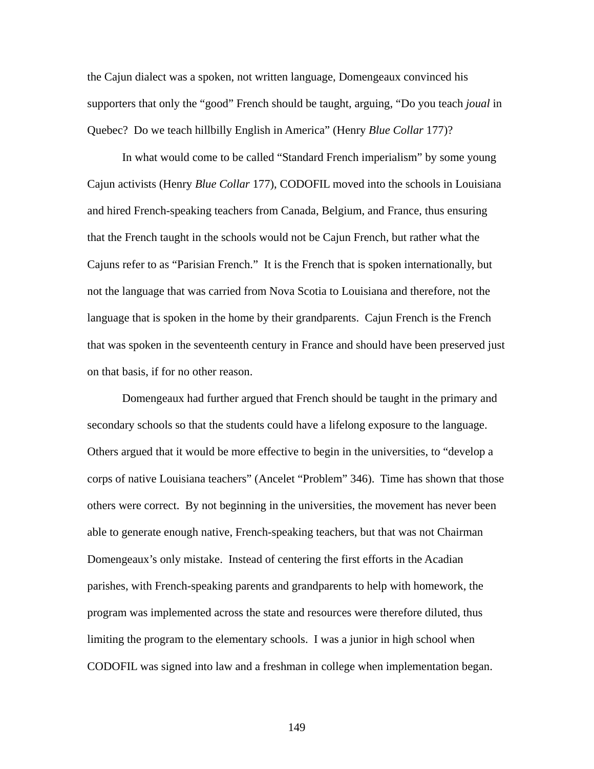the Cajun dialect was a spoken, not written language, Domengeaux convinced his supporters that only the "good" French should be taught, arguing, "Do you teach *joual* in Quebec? Do we teach hillbilly English in America" (Henry *Blue Collar* 177)?

In what would come to be called "Standard French imperialism" by some young Cajun activists (Henry *Blue Collar* 177), CODOFIL moved into the schools in Louisiana and hired French-speaking teachers from Canada, Belgium, and France, thus ensuring that the French taught in the schools would not be Cajun French, but rather what the Cajuns refer to as "Parisian French." It is the French that is spoken internationally, but not the language that was carried from Nova Scotia to Louisiana and therefore, not the language that is spoken in the home by their grandparents. Cajun French is the French that was spoken in the seventeenth century in France and should have been preserved just on that basis, if for no other reason.

Domengeaux had further argued that French should be taught in the primary and secondary schools so that the students could have a lifelong exposure to the language. Others argued that it would be more effective to begin in the universities, to "develop a corps of native Louisiana teachers" (Ancelet "Problem" 346). Time has shown that those others were correct. By not beginning in the universities, the movement has never been able to generate enough native, French-speaking teachers, but that was not Chairman Domengeaux's only mistake. Instead of centering the first efforts in the Acadian parishes, with French-speaking parents and grandparents to help with homework, the program was implemented across the state and resources were therefore diluted, thus limiting the program to the elementary schools. I was a junior in high school when CODOFIL was signed into law and a freshman in college when implementation began.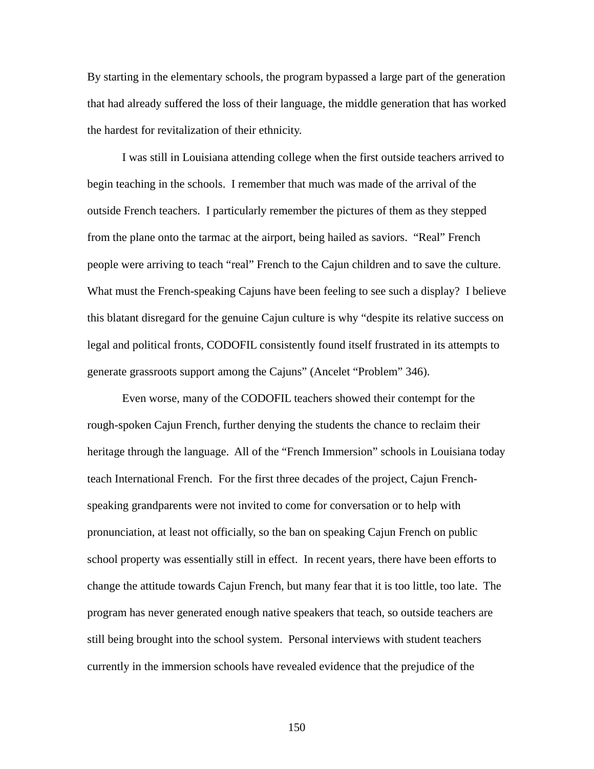By starting in the elementary schools, the program bypassed a large part of the generation that had already suffered the loss of their language, the middle generation that has worked the hardest for revitalization of their ethnicity.

I was still in Louisiana attending college when the first outside teachers arrived to begin teaching in the schools. I remember that much was made of the arrival of the outside French teachers. I particularly remember the pictures of them as they stepped from the plane onto the tarmac at the airport, being hailed as saviors. "Real" French people were arriving to teach "real" French to the Cajun children and to save the culture. What must the French-speaking Cajuns have been feeling to see such a display? I believe this blatant disregard for the genuine Cajun culture is why "despite its relative success on legal and political fronts, CODOFIL consistently found itself frustrated in its attempts to generate grassroots support among the Cajuns" (Ancelet "Problem" 346).

Even worse, many of the CODOFIL teachers showed their contempt for the rough-spoken Cajun French, further denying the students the chance to reclaim their heritage through the language. All of the "French Immersion" schools in Louisiana today teach International French. For the first three decades of the project, Cajun Frenchspeaking grandparents were not invited to come for conversation or to help with pronunciation, at least not officially, so the ban on speaking Cajun French on public school property was essentially still in effect. In recent years, there have been efforts to change the attitude towards Cajun French, but many fear that it is too little, too late. The program has never generated enough native speakers that teach, so outside teachers are still being brought into the school system. Personal interviews with student teachers currently in the immersion schools have revealed evidence that the prejudice of the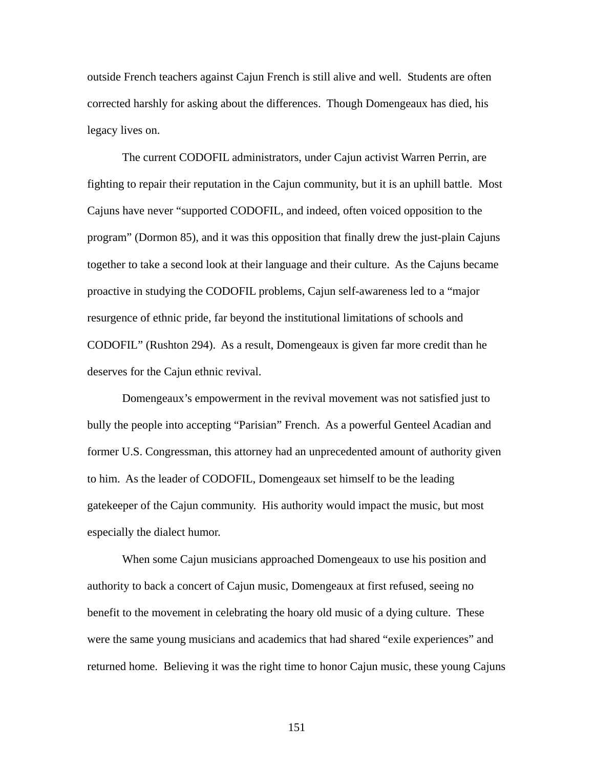outside French teachers against Cajun French is still alive and well. Students are often corrected harshly for asking about the differences. Though Domengeaux has died, his legacy lives on.

The current CODOFIL administrators, under Cajun activist Warren Perrin, are fighting to repair their reputation in the Cajun community, but it is an uphill battle. Most Cajuns have never "supported CODOFIL, and indeed, often voiced opposition to the program" (Dormon 85), and it was this opposition that finally drew the just-plain Cajuns together to take a second look at their language and their culture. As the Cajuns became proactive in studying the CODOFIL problems, Cajun self-awareness led to a "major resurgence of ethnic pride, far beyond the institutional limitations of schools and CODOFIL" (Rushton 294). As a result, Domengeaux is given far more credit than he deserves for the Cajun ethnic revival.

Domengeaux's empowerment in the revival movement was not satisfied just to bully the people into accepting "Parisian" French. As a powerful Genteel Acadian and former U.S. Congressman, this attorney had an unprecedented amount of authority given to him. As the leader of CODOFIL, Domengeaux set himself to be the leading gatekeeper of the Cajun community. His authority would impact the music, but most especially the dialect humor.

When some Cajun musicians approached Domengeaux to use his position and authority to back a concert of Cajun music, Domengeaux at first refused, seeing no benefit to the movement in celebrating the hoary old music of a dying culture. These were the same young musicians and academics that had shared "exile experiences" and returned home. Believing it was the right time to honor Cajun music, these young Cajuns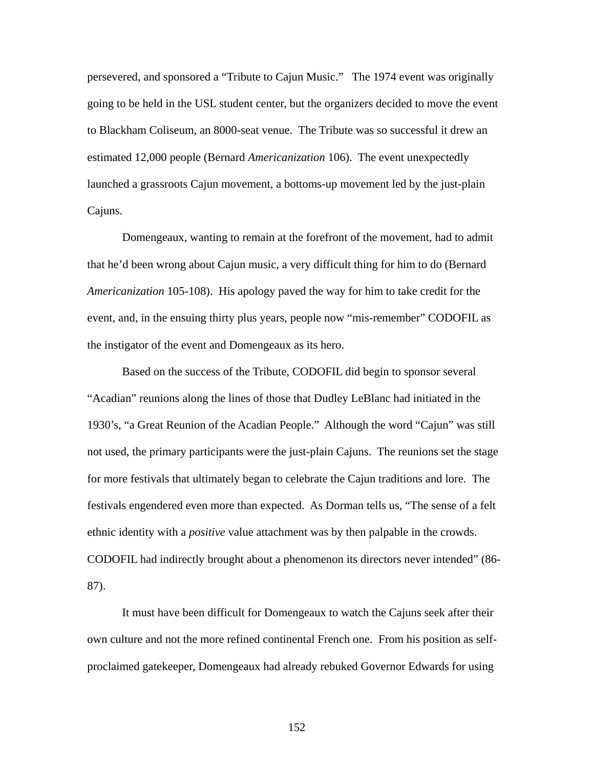persevered, and sponsored a "Tribute to Cajun Music." The 1974 event was originally going to be held in the USL student center, but the organizers decided to move the event to Blackham Coliseum, an 8000-seat venue. The Tribute was so successful it drew an estimated 12,000 people (Bernard *Americanization* 106). The event unexpectedly launched a grassroots Cajun movement, a bottoms-up movement led by the just-plain Cajuns.

Domengeaux, wanting to remain at the forefront of the movement, had to admit that he'd been wrong about Cajun music, a very difficult thing for him to do (Bernard *Americanization* 105-108). His apology paved the way for him to take credit for the event, and, in the ensuing thirty plus years, people now "mis-remember" CODOFIL as the instigator of the event and Domengeaux as its hero.

Based on the success of the Tribute, CODOFIL did begin to sponsor several "Acadian" reunions along the lines of those that Dudley LeBlanc had initiated in the 1930's, "a Great Reunion of the Acadian People." Although the word "Cajun" was still not used, the primary participants were the just-plain Cajuns. The reunions set the stage for more festivals that ultimately began to celebrate the Cajun traditions and lore. The festivals engendered even more than expected. As Dorman tells us, "The sense of a felt ethnic identity with a *positive* value attachment was by then palpable in the crowds. CODOFIL had indirectly brought about a phenomenon its directors never intended" (86- 87).

It must have been difficult for Domengeaux to watch the Cajuns seek after their own culture and not the more refined continental French one. From his position as selfproclaimed gatekeeper, Domengeaux had already rebuked Governor Edwards for using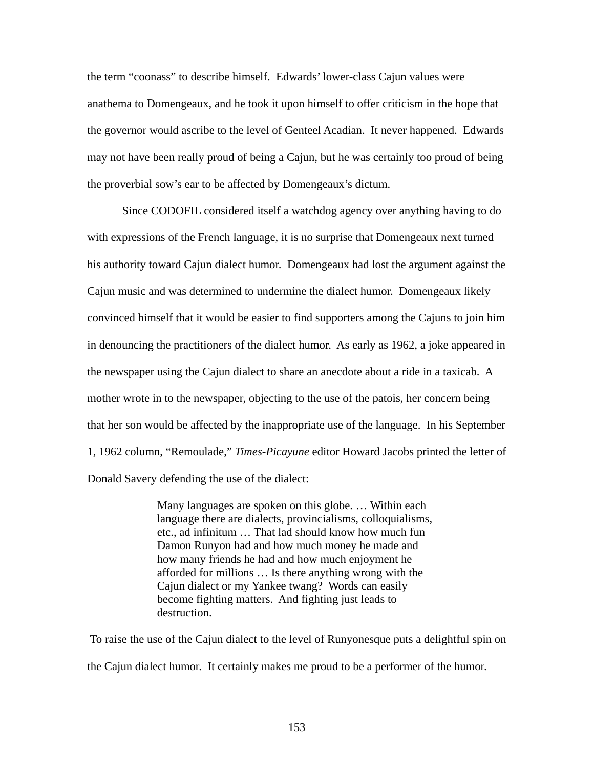the term "coonass" to describe himself. Edwards' lower-class Cajun values were anathema to Domengeaux, and he took it upon himself to offer criticism in the hope that the governor would ascribe to the level of Genteel Acadian. It never happened. Edwards may not have been really proud of being a Cajun, but he was certainly too proud of being the proverbial sow's ear to be affected by Domengeaux's dictum.

Since CODOFIL considered itself a watchdog agency over anything having to do with expressions of the French language, it is no surprise that Domengeaux next turned his authority toward Cajun dialect humor. Domengeaux had lost the argument against the Cajun music and was determined to undermine the dialect humor. Domengeaux likely convinced himself that it would be easier to find supporters among the Cajuns to join him in denouncing the practitioners of the dialect humor. As early as 1962, a joke appeared in the newspaper using the Cajun dialect to share an anecdote about a ride in a taxicab. A mother wrote in to the newspaper, objecting to the use of the patois, her concern being that her son would be affected by the inappropriate use of the language. In his September 1, 1962 column, "Remoulade," *Times-Picayune* editor Howard Jacobs printed the letter of Donald Savery defending the use of the dialect:

> Many languages are spoken on this globe. … Within each language there are dialects, provincialisms, colloquialisms, etc., ad infinitum … That lad should know how much fun Damon Runyon had and how much money he made and how many friends he had and how much enjoyment he afforded for millions … Is there anything wrong with the Cajun dialect or my Yankee twang? Words can easily become fighting matters. And fighting just leads to destruction.

To raise the use of the Cajun dialect to the level of Runyonesque puts a delightful spin on the Cajun dialect humor. It certainly makes me proud to be a performer of the humor.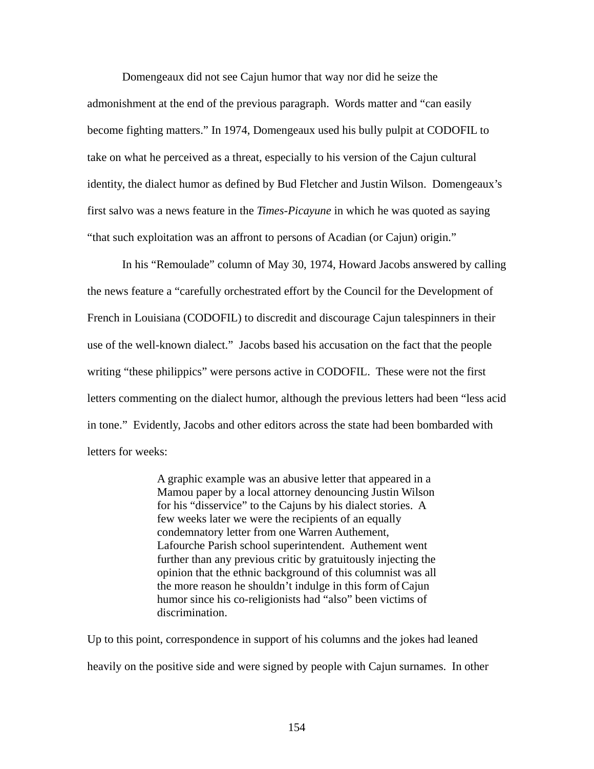Domengeaux did not see Cajun humor that way nor did he seize the admonishment at the end of the previous paragraph. Words matter and "can easily become fighting matters." In 1974, Domengeaux used his bully pulpit at CODOFIL to take on what he perceived as a threat, especially to his version of the Cajun cultural identity, the dialect humor as defined by Bud Fletcher and Justin Wilson. Domengeaux's first salvo was a news feature in the *Times-Picayune* in which he was quoted as saying "that such exploitation was an affront to persons of Acadian (or Cajun) origin."

In his "Remoulade" column of May 30, 1974, Howard Jacobs answered by calling the news feature a "carefully orchestrated effort by the Council for the Development of French in Louisiana (CODOFIL) to discredit and discourage Cajun talespinners in their use of the well-known dialect." Jacobs based his accusation on the fact that the people writing "these philippics" were persons active in CODOFIL. These were not the first letters commenting on the dialect humor, although the previous letters had been "less acid in tone." Evidently, Jacobs and other editors across the state had been bombarded with letters for weeks:

> A graphic example was an abusive letter that appeared in a Mamou paper by a local attorney denouncing Justin Wilson for his "disservice" to the Cajuns by his dialect stories. A few weeks later we were the recipients of an equally condemnatory letter from one Warren Authement, Lafourche Parish school superintendent. Authement went further than any previous critic by gratuitously injecting the opinion that the ethnic background of this columnist was all the more reason he shouldn't indulge in this form of Cajun humor since his co-religionists had "also" been victims of discrimination.

Up to this point, correspondence in support of his columns and the jokes had leaned heavily on the positive side and were signed by people with Cajun surnames. In other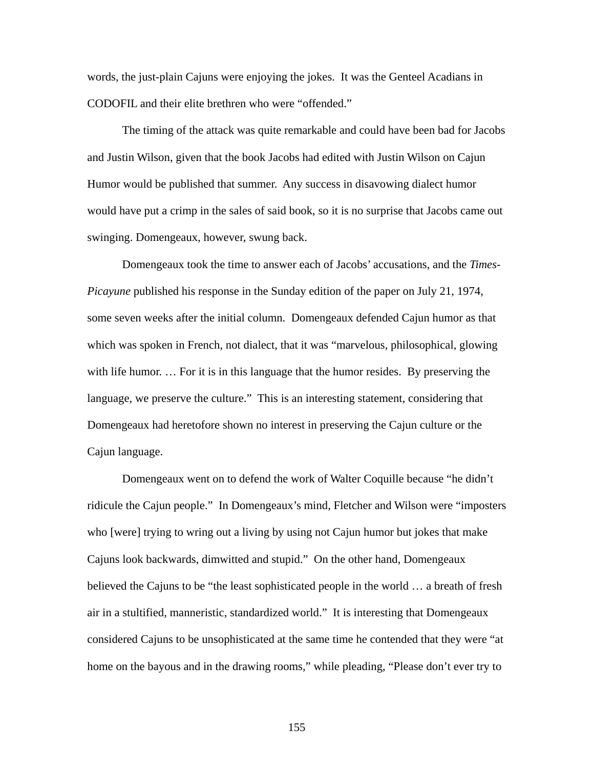words, the just-plain Cajuns were enjoying the jokes. It was the Genteel Acadians in CODOFIL and their elite brethren who were "offended."

The timing of the attack was quite remarkable and could have been bad for Jacobs and Justin Wilson, given that the book Jacobs had edited with Justin Wilson on Cajun Humor would be published that summer. Any success in disavowing dialect humor would have put a crimp in the sales of said book, so it is no surprise that Jacobs came out swinging. Domengeaux, however, swung back.

Domengeaux took the time to answer each of Jacobs' accusations, and the *Times-Picayune* published his response in the Sunday edition of the paper on July 21, 1974, some seven weeks after the initial column. Domengeaux defended Cajun humor as that which was spoken in French, not dialect, that it was "marvelous, philosophical, glowing with life humor. … For it is in this language that the humor resides. By preserving the language, we preserve the culture." This is an interesting statement, considering that Domengeaux had heretofore shown no interest in preserving the Cajun culture or the Cajun language.

Domengeaux went on to defend the work of Walter Coquille because "he didn't ridicule the Cajun people." In Domengeaux's mind, Fletcher and Wilson were "imposters who [were] trying to wring out a living by using not Cajun humor but jokes that make Cajuns look backwards, dimwitted and stupid." On the other hand, Domengeaux believed the Cajuns to be "the least sophisticated people in the world … a breath of fresh air in a stultified, manneristic, standardized world." It is interesting that Domengeaux considered Cajuns to be unsophisticated at the same time he contended that they were "at home on the bayous and in the drawing rooms," while pleading, "Please don't ever try to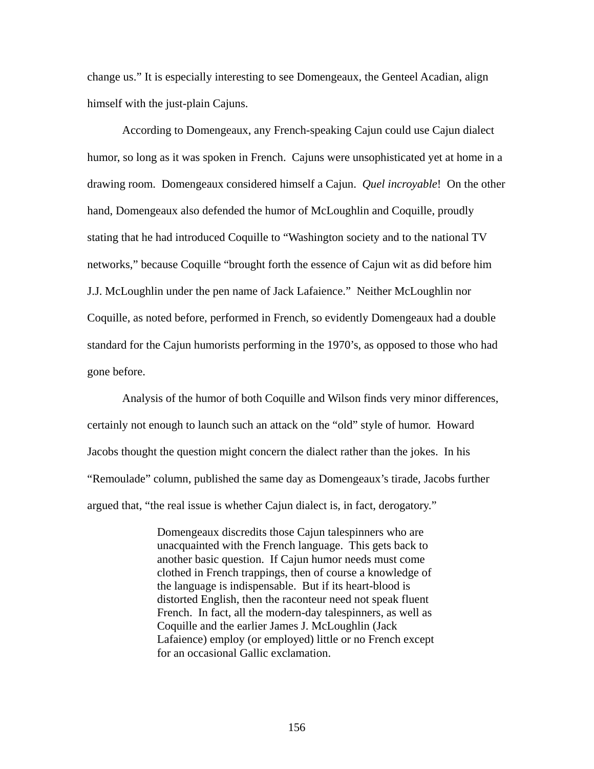change us." It is especially interesting to see Domengeaux, the Genteel Acadian, align himself with the just-plain Cajuns.

According to Domengeaux, any French-speaking Cajun could use Cajun dialect humor, so long as it was spoken in French. Cajuns were unsophisticated yet at home in a drawing room. Domengeaux considered himself a Cajun. *Quel incroyable*! On the other hand, Domengeaux also defended the humor of McLoughlin and Coquille, proudly stating that he had introduced Coquille to "Washington society and to the national TV networks," because Coquille "brought forth the essence of Cajun wit as did before him J.J. McLoughlin under the pen name of Jack Lafaience." Neither McLoughlin nor Coquille, as noted before, performed in French, so evidently Domengeaux had a double standard for the Cajun humorists performing in the 1970's, as opposed to those who had gone before.

Analysis of the humor of both Coquille and Wilson finds very minor differences, certainly not enough to launch such an attack on the "old" style of humor. Howard Jacobs thought the question might concern the dialect rather than the jokes. In his "Remoulade" column, published the same day as Domengeaux's tirade, Jacobs further argued that, "the real issue is whether Cajun dialect is, in fact, derogatory."

> Domengeaux discredits those Cajun talespinners who are unacquainted with the French language. This gets back to another basic question. If Cajun humor needs must come clothed in French trappings, then of course a knowledge of the language is indispensable. But if its heart-blood is distorted English, then the raconteur need not speak fluent French. In fact, all the modern-day talespinners, as well as Coquille and the earlier James J. McLoughlin (Jack Lafaience) employ (or employed) little or no French except for an occasional Gallic exclamation.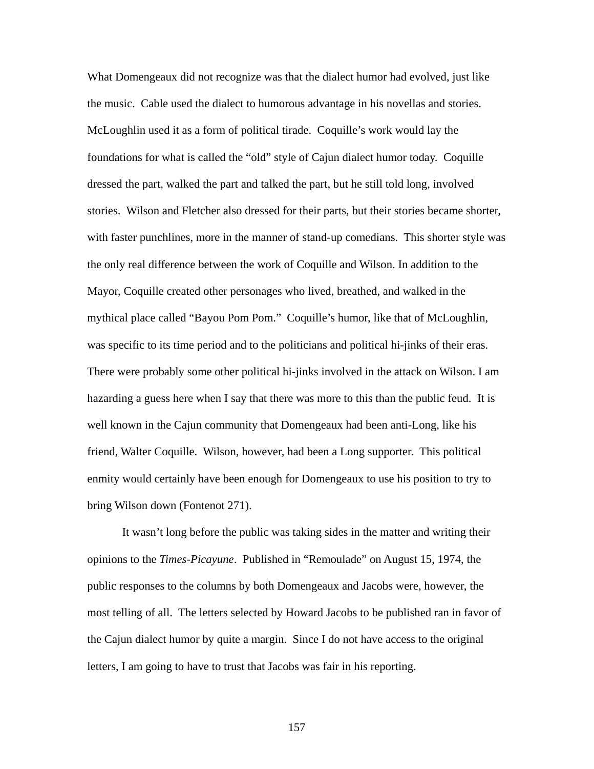What Domengeaux did not recognize was that the dialect humor had evolved, just like the music. Cable used the dialect to humorous advantage in his novellas and stories. McLoughlin used it as a form of political tirade. Coquille's work would lay the foundations for what is called the "old" style of Cajun dialect humor today. Coquille dressed the part, walked the part and talked the part, but he still told long, involved stories. Wilson and Fletcher also dressed for their parts, but their stories became shorter, with faster punchlines, more in the manner of stand-up comedians. This shorter style was the only real difference between the work of Coquille and Wilson. In addition to the Mayor, Coquille created other personages who lived, breathed, and walked in the mythical place called "Bayou Pom Pom." Coquille's humor, like that of McLoughlin, was specific to its time period and to the politicians and political hi-jinks of their eras. There were probably some other political hi-jinks involved in the attack on Wilson. I am hazarding a guess here when I say that there was more to this than the public feud. It is well known in the Cajun community that Domengeaux had been anti-Long, like his friend, Walter Coquille. Wilson, however, had been a Long supporter. This political enmity would certainly have been enough for Domengeaux to use his position to try to bring Wilson down (Fontenot 271).

It wasn't long before the public was taking sides in the matter and writing their opinions to the *Times-Picayune*. Published in "Remoulade" on August 15, 1974, the public responses to the columns by both Domengeaux and Jacobs were, however, the most telling of all. The letters selected by Howard Jacobs to be published ran in favor of the Cajun dialect humor by quite a margin. Since I do not have access to the original letters, I am going to have to trust that Jacobs was fair in his reporting.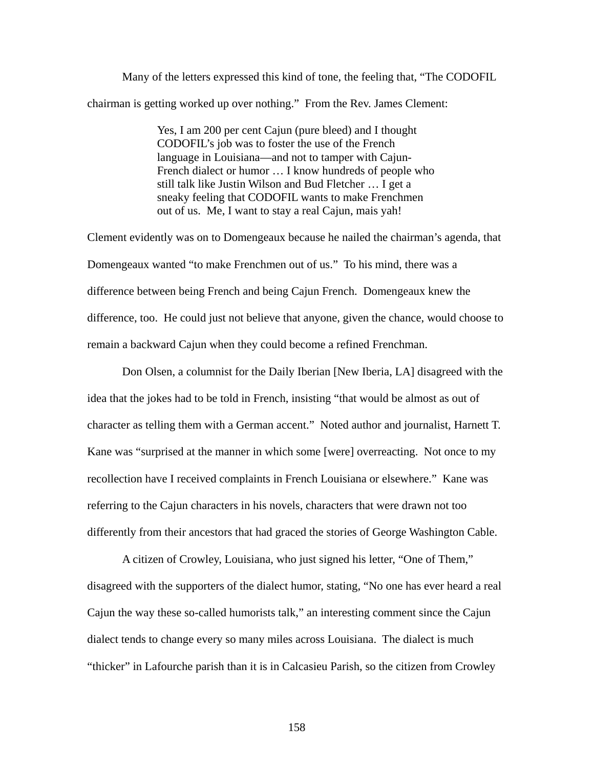Many of the letters expressed this kind of tone, the feeling that, "The CODOFIL chairman is getting worked up over nothing." From the Rev. James Clement:

> Yes, I am 200 per cent Cajun (pure bleed) and I thought CODOFIL's job was to foster the use of the French language in Louisiana—and not to tamper with Cajun-French dialect or humor … I know hundreds of people who still talk like Justin Wilson and Bud Fletcher … I get a sneaky feeling that CODOFIL wants to make Frenchmen out of us. Me, I want to stay a real Cajun, mais yah!

Clement evidently was on to Domengeaux because he nailed the chairman's agenda, that Domengeaux wanted "to make Frenchmen out of us." To his mind, there was a difference between being French and being Cajun French. Domengeaux knew the difference, too. He could just not believe that anyone, given the chance, would choose to remain a backward Cajun when they could become a refined Frenchman.

Don Olsen, a columnist for the Daily Iberian [New Iberia, LA] disagreed with the idea that the jokes had to be told in French, insisting "that would be almost as out of character as telling them with a German accent." Noted author and journalist, Harnett T. Kane was "surprised at the manner in which some [were] overreacting. Not once to my recollection have I received complaints in French Louisiana or elsewhere." Kane was referring to the Cajun characters in his novels, characters that were drawn not too differently from their ancestors that had graced the stories of George Washington Cable.

A citizen of Crowley, Louisiana, who just signed his letter, "One of Them," disagreed with the supporters of the dialect humor, stating, "No one has ever heard a real Cajun the way these so-called humorists talk," an interesting comment since the Cajun dialect tends to change every so many miles across Louisiana. The dialect is much "thicker" in Lafourche parish than it is in Calcasieu Parish, so the citizen from Crowley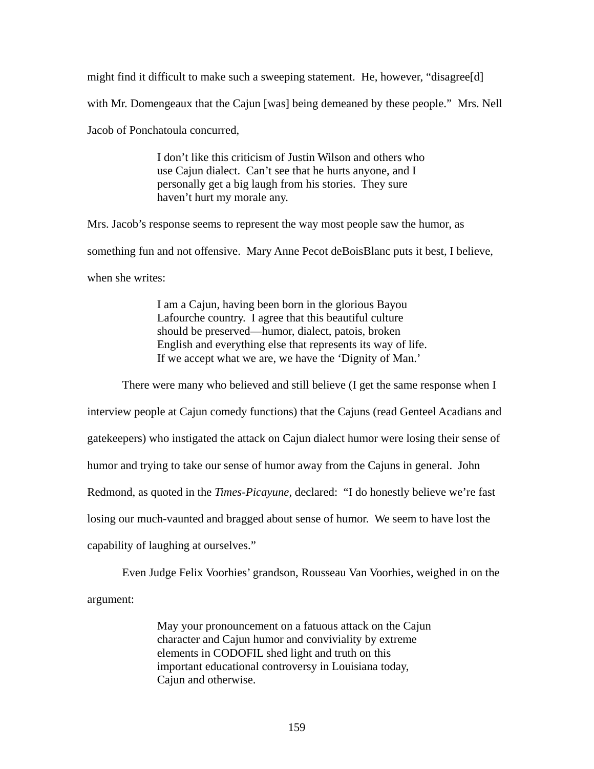might find it difficult to make such a sweeping statement. He, however, "disagree[d] with Mr. Domengeaux that the Cajun [was] being demeaned by these people." Mrs. Nell Jacob of Ponchatoula concurred,

> I don't like this criticism of Justin Wilson and others who use Cajun dialect. Can't see that he hurts anyone, and I personally get a big laugh from his stories. They sure haven't hurt my morale any.

Mrs. Jacob's response seems to represent the way most people saw the humor, as something fun and not offensive. Mary Anne Pecot deBoisBlanc puts it best, I believe, when she writes:

> I am a Cajun, having been born in the glorious Bayou Lafourche country. I agree that this beautiful culture should be preserved—humor, dialect, patois, broken English and everything else that represents its way of life. If we accept what we are, we have the 'Dignity of Man.'

There were many who believed and still believe (I get the same response when I

interview people at Cajun comedy functions) that the Cajuns (read Genteel Acadians and gatekeepers) who instigated the attack on Cajun dialect humor were losing their sense of humor and trying to take our sense of humor away from the Cajuns in general. John Redmond, as quoted in the *Times-Picayune*, declared: "I do honestly believe we're fast losing our much-vaunted and bragged about sense of humor. We seem to have lost the capability of laughing at ourselves."

Even Judge Felix Voorhies' grandson, Rousseau Van Voorhies, weighed in on the argument:

> May your pronouncement on a fatuous attack on the Cajun character and Cajun humor and conviviality by extreme elements in CODOFIL shed light and truth on this important educational controversy in Louisiana today, Cajun and otherwise.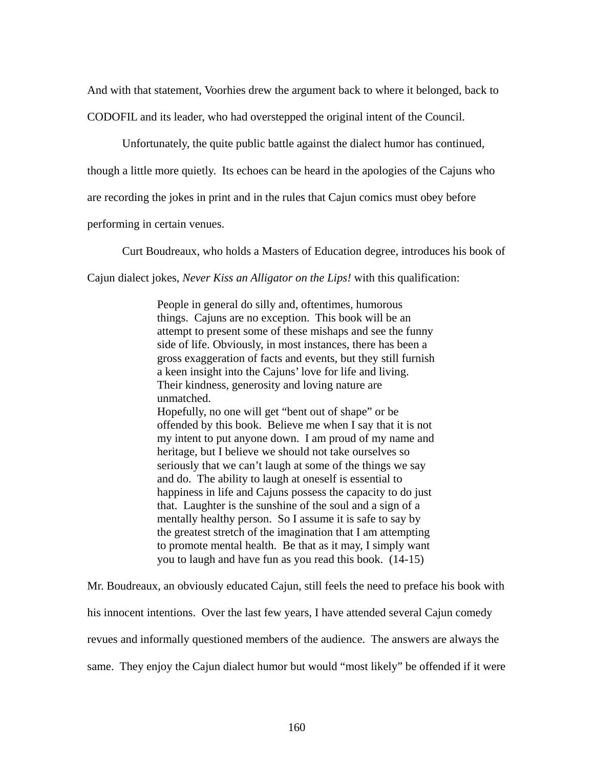And with that statement, Voorhies drew the argument back to where it belonged, back to

CODOFIL and its leader, who had overstepped the original intent of the Council.

Unfortunately, the quite public battle against the dialect humor has continued,

though a little more quietly. Its echoes can be heard in the apologies of the Cajuns who

are recording the jokes in print and in the rules that Cajun comics must obey before

performing in certain venues.

Curt Boudreaux, who holds a Masters of Education degree, introduces his book of

Cajun dialect jokes, *Never Kiss an Alligator on the Lips!* with this qualification:

People in general do silly and, oftentimes, humorous things. Cajuns are no exception. This book will be an attempt to present some of these mishaps and see the funny side of life. Obviously, in most instances, there has been a gross exaggeration of facts and events, but they still furnish a keen insight into the Cajuns' love for life and living. Their kindness, generosity and loving nature are unmatched. Hopefully, no one will get "bent out of shape" or be offended by this book. Believe me when I say that it is not my intent to put anyone down. I am proud of my name and heritage, but I believe we should not take ourselves so seriously that we can't laugh at some of the things we say and do. The ability to laugh at oneself is essential to happiness in life and Cajuns possess the capacity to do just that. Laughter is the sunshine of the soul and a sign of a mentally healthy person. So I assume it is safe to say by the greatest stretch of the imagination that I am attempting to promote mental health. Be that as it may, I simply want you to laugh and have fun as you read this book. (14-15)

Mr. Boudreaux, an obviously educated Cajun, still feels the need to preface his book with his innocent intentions. Over the last few years, I have attended several Cajun comedy revues and informally questioned members of the audience. The answers are always the same. They enjoy the Cajun dialect humor but would "most likely" be offended if it were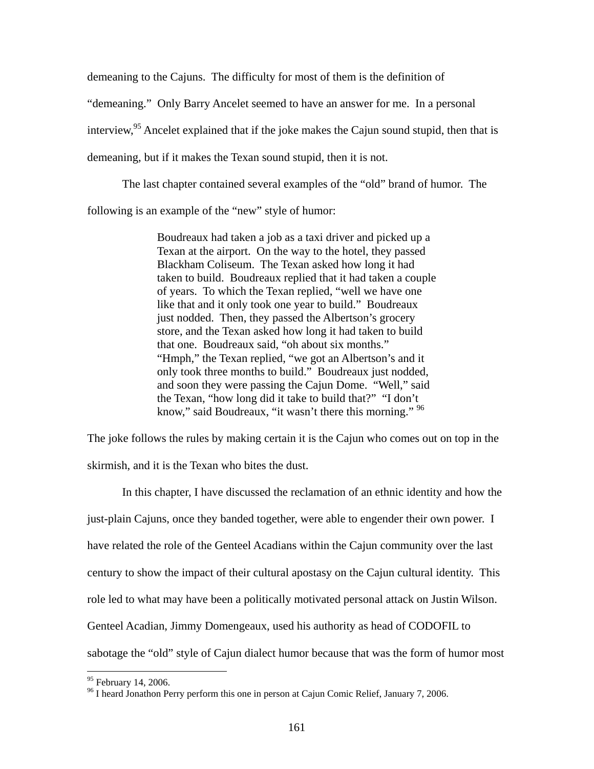demeaning to the Cajuns. The difficulty for most of them is the definition of "demeaning." Only Barry Ancelet seemed to have an answer for me. In a personal interview,  $95$  Ancelet explained that if the joke makes the Cajun sound stupid, then that is demeaning, but if it makes the Texan sound stupid, then it is not.

The last chapter contained several examples of the "old" brand of humor. The following is an example of the "new" style of humor:

> Boudreaux had taken a job as a taxi driver and picked up a Texan at the airport. On the way to the hotel, they passed Blackham Coliseum. The Texan asked how long it had taken to build. Boudreaux replied that it had taken a couple of years. To which the Texan replied, "well we have one like that and it only took one year to build." Boudreaux just nodded. Then, they passed the Albertson's grocery store, and the Texan asked how long it had taken to build that one. Boudreaux said, "oh about six months." "Hmph," the Texan replied, "we got an Albertson's and it only took three months to build." Boudreaux just nodded, and soon they were passing the Cajun Dome. "Well," said the Texan, "how long did it take to build that?" "I don't know," said Boudreaux, "it wasn't there this morning." <sup>96</sup>

The joke follows the rules by making certain it is the Cajun who comes out on top in the

skirmish, and it is the Texan who bites the dust.

In this chapter, I have discussed the reclamation of an ethnic identity and how the just-plain Cajuns, once they banded together, were able to engender their own power. I have related the role of the Genteel Acadians within the Cajun community over the last century to show the impact of their cultural apostasy on the Cajun cultural identity. This role led to what may have been a politically motivated personal attack on Justin Wilson. Genteel Acadian, Jimmy Domengeaux, used his authority as head of CODOFIL to sabotage the "old" style of Cajun dialect humor because that was the form of humor most

<span id="page-168-0"></span><sup>&</sup>lt;sup>95</sup> February 14, 2006.

<span id="page-168-1"></span><sup>&</sup>lt;sup>96</sup> I heard Jonathon Perry perform this one in person at Cajun Comic Relief, January 7, 2006.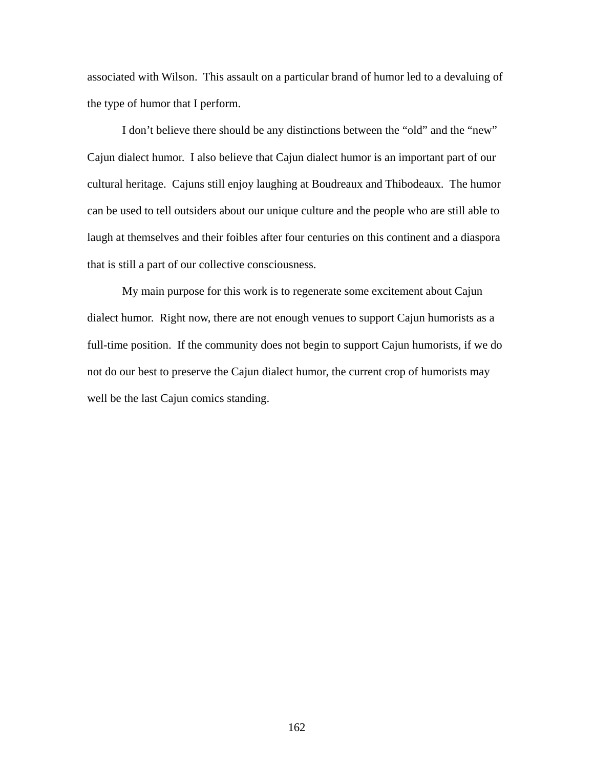associated with Wilson. This assault on a particular brand of humor led to a devaluing of the type of humor that I perform.

I don't believe there should be any distinctions between the "old" and the "new" Cajun dialect humor. I also believe that Cajun dialect humor is an important part of our cultural heritage. Cajuns still enjoy laughing at Boudreaux and Thibodeaux. The humor can be used to tell outsiders about our unique culture and the people who are still able to laugh at themselves and their foibles after four centuries on this continent and a diaspora that is still a part of our collective consciousness.

My main purpose for this work is to regenerate some excitement about Cajun dialect humor. Right now, there are not enough venues to support Cajun humorists as a full-time position. If the community does not begin to support Cajun humorists, if we do not do our best to preserve the Cajun dialect humor, the current crop of humorists may well be the last Cajun comics standing.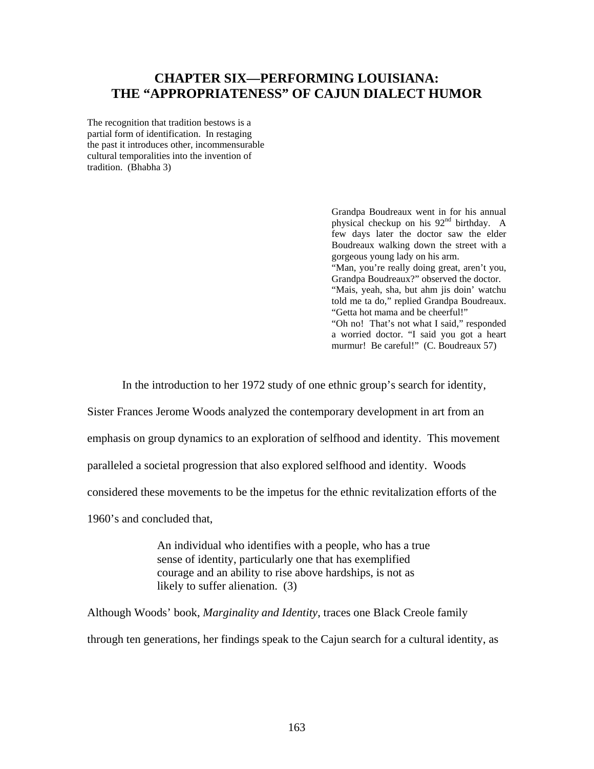## **CHAPTER SIX—PERFORMING LOUISIANA: THE "APPROPRIATENESS" OF CAJUN DIALECT HUMOR**

The recognition that tradition bestows is a partial form of identification. In restaging the past it introduces other, incommensurable cultural temporalities into the invention of tradition. (Bhabha 3)

> Grandpa Boudreaux went in for his annual physical checkup on his 92<sup>nd</sup> birthday. A few days later the doctor saw the elder Boudreaux walking down the street with a gorgeous young lady on his arm. "Man, you're really doing great, aren't you, Grandpa Boudreaux?" observed the doctor. "Mais, yeah, sha, but ahm jis doin' watchu told me ta do," replied Grandpa Boudreaux. "Getta hot mama and be cheerful!" "Oh no! That's not what I said," responded a worried doctor. "I said you got a heart murmur! Be careful!" (C. Boudreaux 57)

In the introduction to her 1972 study of one ethnic group's search for identity,

Sister Frances Jerome Woods analyzed the contemporary development in art from an

emphasis on group dynamics to an exploration of selfhood and identity. This movement

paralleled a societal progression that also explored selfhood and identity. Woods

considered these movements to be the impetus for the ethnic revitalization efforts of the

1960's and concluded that,

An individual who identifies with a people, who has a true sense of identity, particularly one that has exemplified courage and an ability to rise above hardships, is not as likely to suffer alienation. (3)

Although Woods' book, *Marginality and Identity*, traces one Black Creole family through ten generations, her findings speak to the Cajun search for a cultural identity, as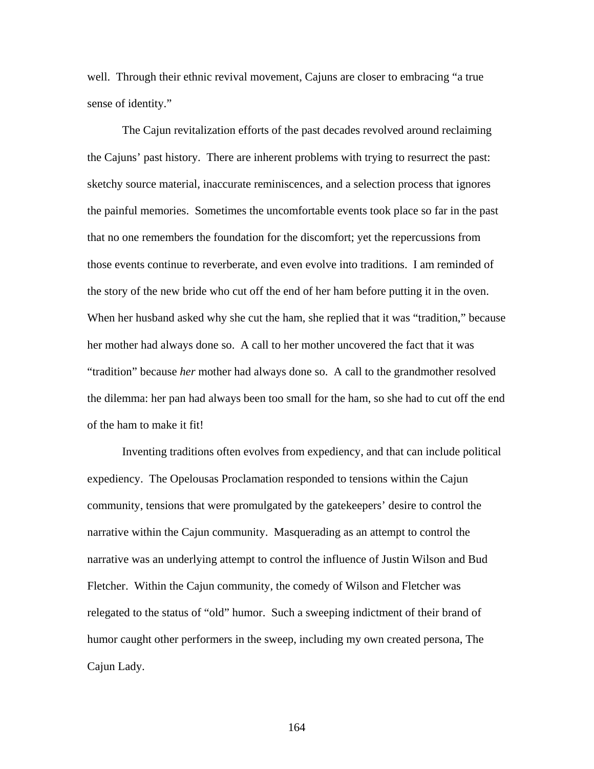well. Through their ethnic revival movement, Cajuns are closer to embracing "a true sense of identity."

The Cajun revitalization efforts of the past decades revolved around reclaiming the Cajuns' past history. There are inherent problems with trying to resurrect the past: sketchy source material, inaccurate reminiscences, and a selection process that ignores the painful memories. Sometimes the uncomfortable events took place so far in the past that no one remembers the foundation for the discomfort; yet the repercussions from those events continue to reverberate, and even evolve into traditions. I am reminded of the story of the new bride who cut off the end of her ham before putting it in the oven. When her husband asked why she cut the ham, she replied that it was "tradition," because her mother had always done so. A call to her mother uncovered the fact that it was "tradition" because *her* mother had always done so. A call to the grandmother resolved the dilemma: her pan had always been too small for the ham, so she had to cut off the end of the ham to make it fit!

Inventing traditions often evolves from expediency, and that can include political expediency. The Opelousas Proclamation responded to tensions within the Cajun community, tensions that were promulgated by the gatekeepers' desire to control the narrative within the Cajun community. Masquerading as an attempt to control the narrative was an underlying attempt to control the influence of Justin Wilson and Bud Fletcher. Within the Cajun community, the comedy of Wilson and Fletcher was relegated to the status of "old" humor. Such a sweeping indictment of their brand of humor caught other performers in the sweep, including my own created persona, The Cajun Lady.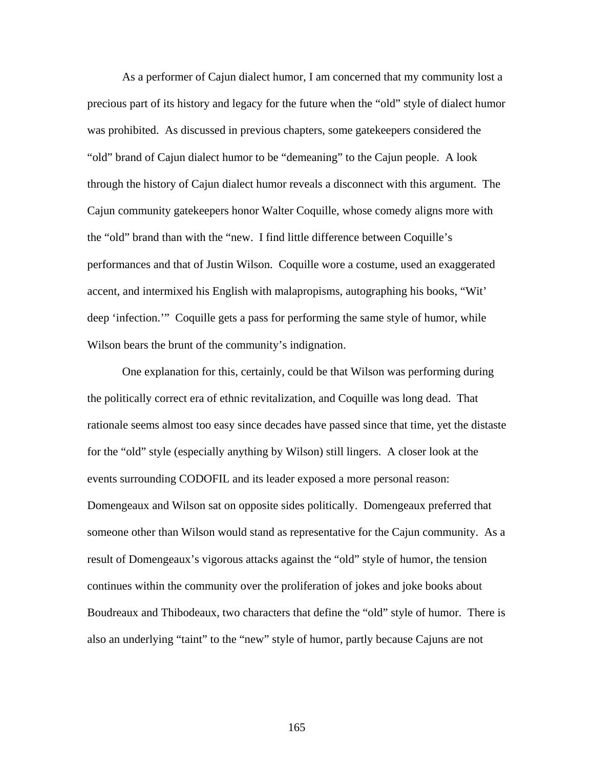As a performer of Cajun dialect humor, I am concerned that my community lost a precious part of its history and legacy for the future when the "old" style of dialect humor was prohibited. As discussed in previous chapters, some gatekeepers considered the "old" brand of Cajun dialect humor to be "demeaning" to the Cajun people. A look through the history of Cajun dialect humor reveals a disconnect with this argument. The Cajun community gatekeepers honor Walter Coquille, whose comedy aligns more with the "old" brand than with the "new. I find little difference between Coquille's performances and that of Justin Wilson. Coquille wore a costume, used an exaggerated accent, and intermixed his English with malapropisms, autographing his books, "Wit' deep 'infection.'" Coquille gets a pass for performing the same style of humor, while Wilson bears the brunt of the community's indignation.

One explanation for this, certainly, could be that Wilson was performing during the politically correct era of ethnic revitalization, and Coquille was long dead. That rationale seems almost too easy since decades have passed since that time, yet the distaste for the "old" style (especially anything by Wilson) still lingers. A closer look at the events surrounding CODOFIL and its leader exposed a more personal reason: Domengeaux and Wilson sat on opposite sides politically. Domengeaux preferred that someone other than Wilson would stand as representative for the Cajun community. As a result of Domengeaux's vigorous attacks against the "old" style of humor, the tension continues within the community over the proliferation of jokes and joke books about Boudreaux and Thibodeaux, two characters that define the "old" style of humor. There is also an underlying "taint" to the "new" style of humor, partly because Cajuns are not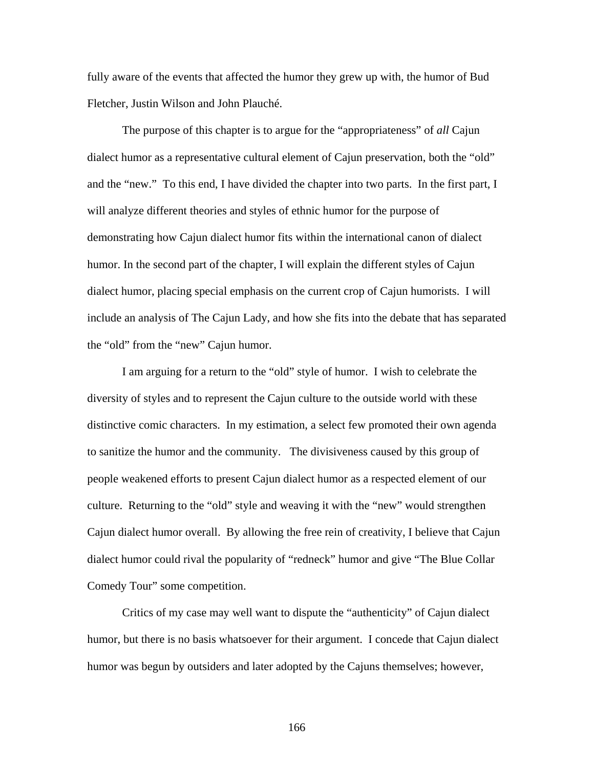fully aware of the events that affected the humor they grew up with, the humor of Bud Fletcher, Justin Wilson and John Plauché.

The purpose of this chapter is to argue for the "appropriateness" of *all* Cajun dialect humor as a representative cultural element of Cajun preservation, both the "old" and the "new." To this end, I have divided the chapter into two parts. In the first part, I will analyze different theories and styles of ethnic humor for the purpose of demonstrating how Cajun dialect humor fits within the international canon of dialect humor. In the second part of the chapter, I will explain the different styles of Cajun dialect humor, placing special emphasis on the current crop of Cajun humorists. I will include an analysis of The Cajun Lady, and how she fits into the debate that has separated the "old" from the "new" Cajun humor.

I am arguing for a return to the "old" style of humor. I wish to celebrate the diversity of styles and to represent the Cajun culture to the outside world with these distinctive comic characters. In my estimation, a select few promoted their own agenda to sanitize the humor and the community. The divisiveness caused by this group of people weakened efforts to present Cajun dialect humor as a respected element of our culture. Returning to the "old" style and weaving it with the "new" would strengthen Cajun dialect humor overall. By allowing the free rein of creativity, I believe that Cajun dialect humor could rival the popularity of "redneck" humor and give "The Blue Collar Comedy Tour" some competition.

Critics of my case may well want to dispute the "authenticity" of Cajun dialect humor, but there is no basis whatsoever for their argument. I concede that Cajun dialect humor was begun by outsiders and later adopted by the Cajuns themselves; however,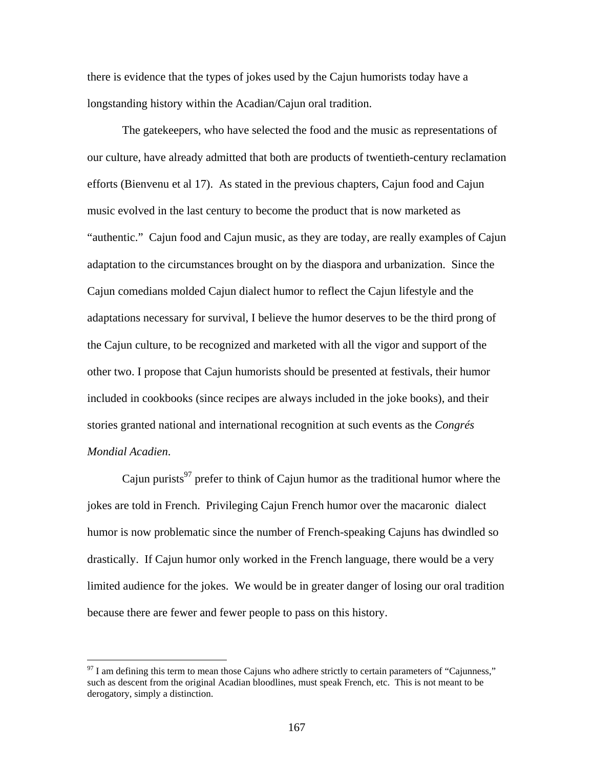there is evidence that the types of jokes used by the Cajun humorists today have a longstanding history within the Acadian/Cajun oral tradition.

The gatekeepers, who have selected the food and the music as representations of our culture, have already admitted that both are products of twentieth-century reclamation efforts (Bienvenu et al 17). As stated in the previous chapters, Cajun food and Cajun music evolved in the last century to become the product that is now marketed as "authentic." Cajun food and Cajun music, as they are today, are really examples of Cajun adaptation to the circumstances brought on by the diaspora and urbanization. Since the Cajun comedians molded Cajun dialect humor to reflect the Cajun lifestyle and the adaptations necessary for survival, I believe the humor deserves to be the third prong of the Cajun culture, to be recognized and marketed with all the vigor and support of the other two. I propose that Cajun humorists should be presented at festivals, their humor included in cookbooks (since recipes are always included in the joke books), and their stories granted national and international recognition at such events as the *Congrés Mondial Acadien*.

Cajun purists<sup>97</sup> prefer to think of Cajun humor as the traditional humor where the jokes are told in French. Privileging Cajun French humor over the macaronic dialect humor is now problematic since the number of French-speaking Cajuns has dwindled so drastically. If Cajun humor only worked in the French language, there would be a very limited audience for the jokes. We would be in greater danger of losing our oral tradition because there are fewer and fewer people to pass on this history.

<span id="page-174-0"></span> $97$  I am defining this term to mean those Cajuns who adhere strictly to certain parameters of "Cajunness," such as descent from the original Acadian bloodlines, must speak French, etc. This is not meant to be derogatory, simply a distinction.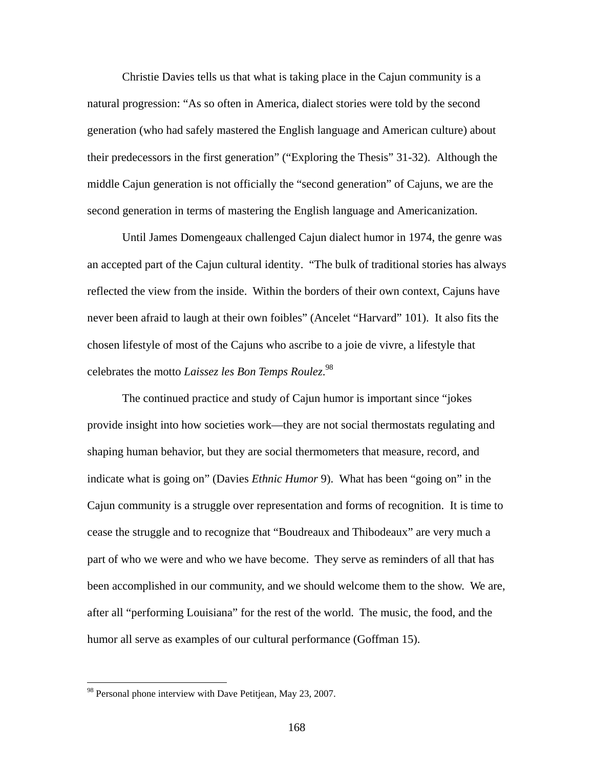Christie Davies tells us that what is taking place in the Cajun community is a natural progression: "As so often in America, dialect stories were told by the second generation (who had safely mastered the English language and American culture) about their predecessors in the first generation" ("Exploring the Thesis" 31-32). Although the middle Cajun generation is not officially the "second generation" of Cajuns, we are the second generation in terms of mastering the English language and Americanization.

Until James Domengeaux challenged Cajun dialect humor in 1974, the genre was an accepted part of the Cajun cultural identity. "The bulk of traditional stories has always reflected the view from the inside. Within the borders of their own context, Cajuns have never been afraid to laugh at their own foibles" (Ancelet "Harvard" 101). It also fits the chosen lifestyle of most of the Cajuns who ascribe to a joie de vivre, a lifestyle that celebrates the motto *Laissez les Bon Temps Roulez*. [98](#page-175-0) 

The continued practice and study of Cajun humor is important since "jokes provide insight into how societies work—they are not social thermostats regulating and shaping human behavior, but they are social thermometers that measure, record, and indicate what is going on" (Davies *Ethnic Humor* 9). What has been "going on" in the Cajun community is a struggle over representation and forms of recognition. It is time to cease the struggle and to recognize that "Boudreaux and Thibodeaux" are very much a part of who we were and who we have become. They serve as reminders of all that has been accomplished in our community, and we should welcome them to the show. We are, after all "performing Louisiana" for the rest of the world. The music, the food, and the humor all serve as examples of our cultural performance (Goffman 15).

 $\overline{a}$ 

<span id="page-175-0"></span><sup>&</sup>lt;sup>98</sup> Personal phone interview with Dave Petitjean, May 23, 2007.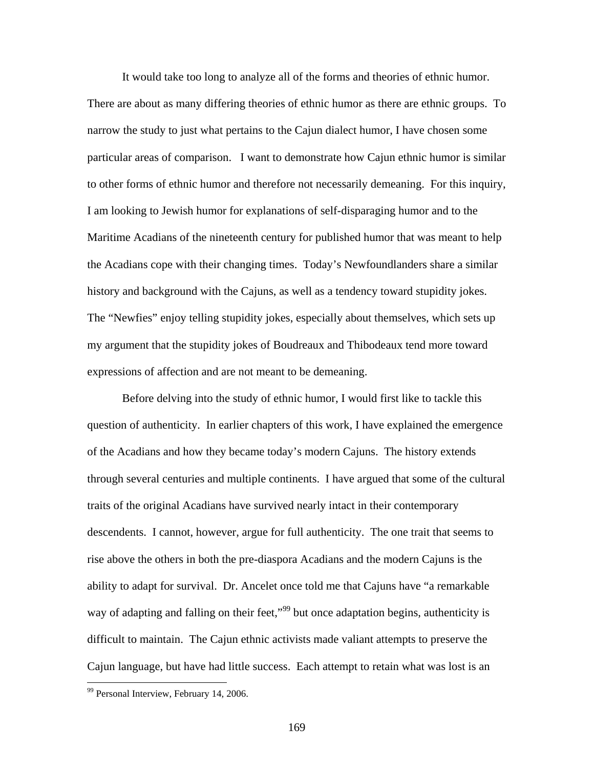It would take too long to analyze all of the forms and theories of ethnic humor. There are about as many differing theories of ethnic humor as there are ethnic groups. To narrow the study to just what pertains to the Cajun dialect humor, I have chosen some particular areas of comparison. I want to demonstrate how Cajun ethnic humor is similar to other forms of ethnic humor and therefore not necessarily demeaning. For this inquiry, I am looking to Jewish humor for explanations of self-disparaging humor and to the Maritime Acadians of the nineteenth century for published humor that was meant to help the Acadians cope with their changing times. Today's Newfoundlanders share a similar history and background with the Cajuns, as well as a tendency toward stupidity jokes. The "Newfies" enjoy telling stupidity jokes, especially about themselves, which sets up my argument that the stupidity jokes of Boudreaux and Thibodeaux tend more toward expressions of affection and are not meant to be demeaning.

Before delving into the study of ethnic humor, I would first like to tackle this question of authenticity. In earlier chapters of this work, I have explained the emergence of the Acadians and how they became today's modern Cajuns. The history extends through several centuries and multiple continents. I have argued that some of the cultural traits of the original Acadians have survived nearly intact in their contemporary descendents. I cannot, however, argue for full authenticity. The one trait that seems to rise above the others in both the pre-diaspora Acadians and the modern Cajuns is the ability to adapt for survival. Dr. Ancelet once told me that Cajuns have "a remarkable way of adapting and falling on their feet,"<sup>99</sup> but once adaptation begins, authenticity is difficult to maintain. The Cajun ethnic activists made valiant attempts to preserve the Cajun language, but have had little success. Each attempt to retain what was lost is an

<u>.</u>

<span id="page-176-0"></span><sup>&</sup>lt;sup>99</sup> Personal Interview, February 14, 2006.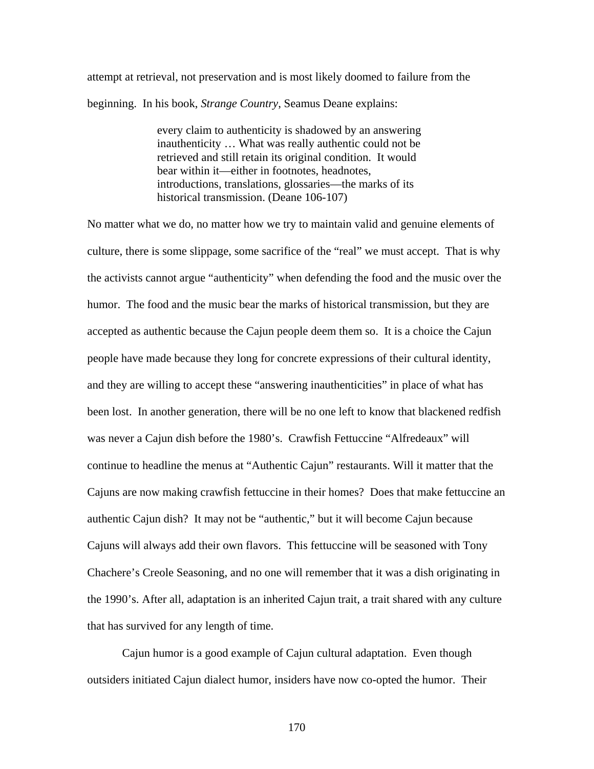attempt at retrieval, not preservation and is most likely doomed to failure from the beginning. In his book, *Strange Country*, Seamus Deane explains:

> every claim to authenticity is shadowed by an answering inauthenticity … What was really authentic could not be retrieved and still retain its original condition. It would bear within it—either in footnotes, headnotes, introductions, translations, glossaries—the marks of its historical transmission. (Deane 106-107)

No matter what we do, no matter how we try to maintain valid and genuine elements of culture, there is some slippage, some sacrifice of the "real" we must accept. That is why the activists cannot argue "authenticity" when defending the food and the music over the humor. The food and the music bear the marks of historical transmission, but they are accepted as authentic because the Cajun people deem them so. It is a choice the Cajun people have made because they long for concrete expressions of their cultural identity, and they are willing to accept these "answering inauthenticities" in place of what has been lost. In another generation, there will be no one left to know that blackened redfish was never a Cajun dish before the 1980's. Crawfish Fettuccine "Alfredeaux" will continue to headline the menus at "Authentic Cajun" restaurants. Will it matter that the Cajuns are now making crawfish fettuccine in their homes? Does that make fettuccine an authentic Cajun dish? It may not be "authentic," but it will become Cajun because Cajuns will always add their own flavors. This fettuccine will be seasoned with Tony Chachere's Creole Seasoning, and no one will remember that it was a dish originating in the 1990's. After all, adaptation is an inherited Cajun trait, a trait shared with any culture that has survived for any length of time.

Cajun humor is a good example of Cajun cultural adaptation. Even though outsiders initiated Cajun dialect humor, insiders have now co-opted the humor. Their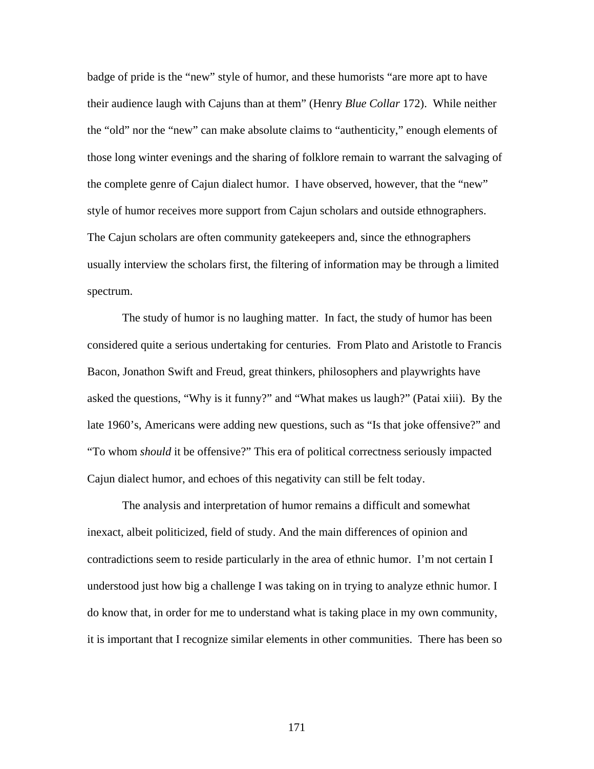badge of pride is the "new" style of humor, and these humorists "are more apt to have their audience laugh with Cajuns than at them" (Henry *Blue Collar* 172). While neither the "old" nor the "new" can make absolute claims to "authenticity," enough elements of those long winter evenings and the sharing of folklore remain to warrant the salvaging of the complete genre of Cajun dialect humor. I have observed, however, that the "new" style of humor receives more support from Cajun scholars and outside ethnographers. The Cajun scholars are often community gatekeepers and, since the ethnographers usually interview the scholars first, the filtering of information may be through a limited spectrum.

The study of humor is no laughing matter. In fact, the study of humor has been considered quite a serious undertaking for centuries. From Plato and Aristotle to Francis Bacon, Jonathon Swift and Freud, great thinkers, philosophers and playwrights have asked the questions, "Why is it funny?" and "What makes us laugh?" (Patai xiii). By the late 1960's, Americans were adding new questions, such as "Is that joke offensive?" and "To whom *should* it be offensive?" This era of political correctness seriously impacted Cajun dialect humor, and echoes of this negativity can still be felt today.

The analysis and interpretation of humor remains a difficult and somewhat inexact, albeit politicized, field of study. And the main differences of opinion and contradictions seem to reside particularly in the area of ethnic humor. I'm not certain I understood just how big a challenge I was taking on in trying to analyze ethnic humor. I do know that, in order for me to understand what is taking place in my own community, it is important that I recognize similar elements in other communities. There has been so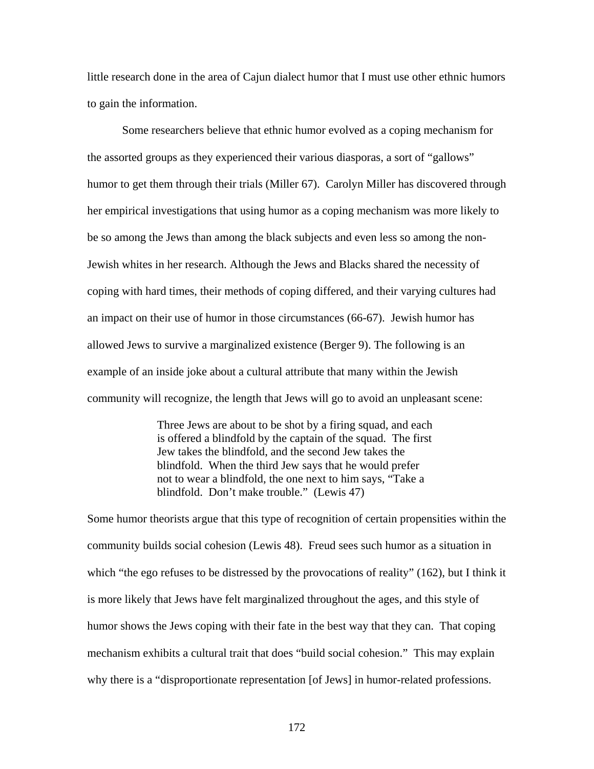little research done in the area of Cajun dialect humor that I must use other ethnic humors to gain the information.

Some researchers believe that ethnic humor evolved as a coping mechanism for the assorted groups as they experienced their various diasporas, a sort of "gallows" humor to get them through their trials (Miller 67). Carolyn Miller has discovered through her empirical investigations that using humor as a coping mechanism was more likely to be so among the Jews than among the black subjects and even less so among the non-Jewish whites in her research. Although the Jews and Blacks shared the necessity of coping with hard times, their methods of coping differed, and their varying cultures had an impact on their use of humor in those circumstances (66-67). Jewish humor has allowed Jews to survive a marginalized existence (Berger 9). The following is an example of an inside joke about a cultural attribute that many within the Jewish community will recognize, the length that Jews will go to avoid an unpleasant scene:

> Three Jews are about to be shot by a firing squad, and each is offered a blindfold by the captain of the squad. The first Jew takes the blindfold, and the second Jew takes the blindfold. When the third Jew says that he would prefer not to wear a blindfold, the one next to him says, "Take a blindfold. Don't make trouble." (Lewis 47)

Some humor theorists argue that this type of recognition of certain propensities within the community builds social cohesion (Lewis 48). Freud sees such humor as a situation in which "the ego refuses to be distressed by the provocations of reality" (162), but I think it is more likely that Jews have felt marginalized throughout the ages, and this style of humor shows the Jews coping with their fate in the best way that they can. That coping mechanism exhibits a cultural trait that does "build social cohesion." This may explain why there is a "disproportionate representation [of Jews] in humor-related professions.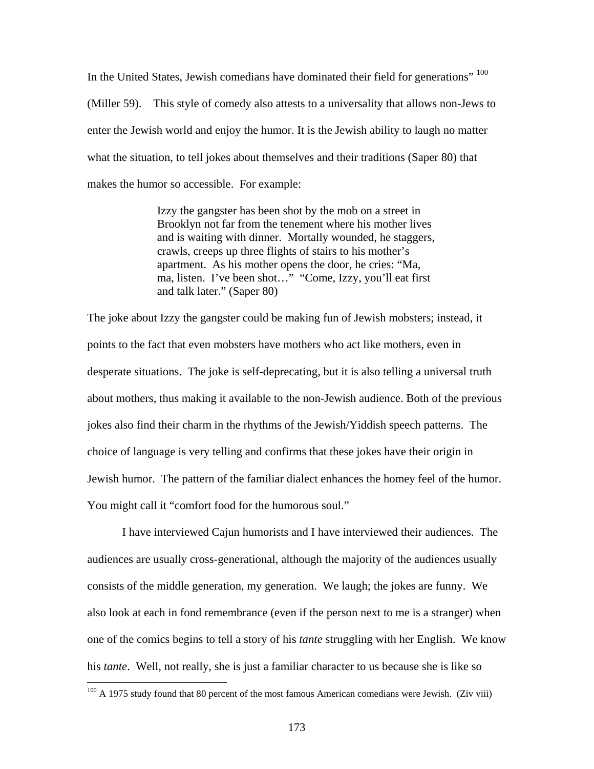In the United States, Jewish comedians have dominated their field for generations" [100](#page-180-0) (Miller 59). This style of comedy also attests to a universality that allows non-Jews to enter the Jewish world and enjoy the humor. It is the Jewish ability to laugh no matter what the situation, to tell jokes about themselves and their traditions (Saper 80) that makes the humor so accessible. For example:

> Izzy the gangster has been shot by the mob on a street in Brooklyn not far from the tenement where his mother lives and is waiting with dinner. Mortally wounded, he staggers, crawls, creeps up three flights of stairs to his mother's apartment. As his mother opens the door, he cries: "Ma, ma, listen. I've been shot…" "Come, Izzy, you'll eat first and talk later." (Saper 80)

The joke about Izzy the gangster could be making fun of Jewish mobsters; instead, it points to the fact that even mobsters have mothers who act like mothers, even in desperate situations. The joke is self-deprecating, but it is also telling a universal truth about mothers, thus making it available to the non-Jewish audience. Both of the previous jokes also find their charm in the rhythms of the Jewish/Yiddish speech patterns. The choice of language is very telling and confirms that these jokes have their origin in Jewish humor. The pattern of the familiar dialect enhances the homey feel of the humor. You might call it "comfort food for the humorous soul."

I have interviewed Cajun humorists and I have interviewed their audiences. The audiences are usually cross-generational, although the majority of the audiences usually consists of the middle generation, my generation. We laugh; the jokes are funny. We also look at each in fond remembrance (even if the person next to me is a stranger) when one of the comics begins to tell a story of his *tante* struggling with her English. We know his *tante*. Well, not really, she is just a familiar character to us because she is like so

 $\overline{a}$ 

<span id="page-180-0"></span> $100$  A 1975 study found that 80 percent of the most famous American comedians were Jewish. (Ziv viii)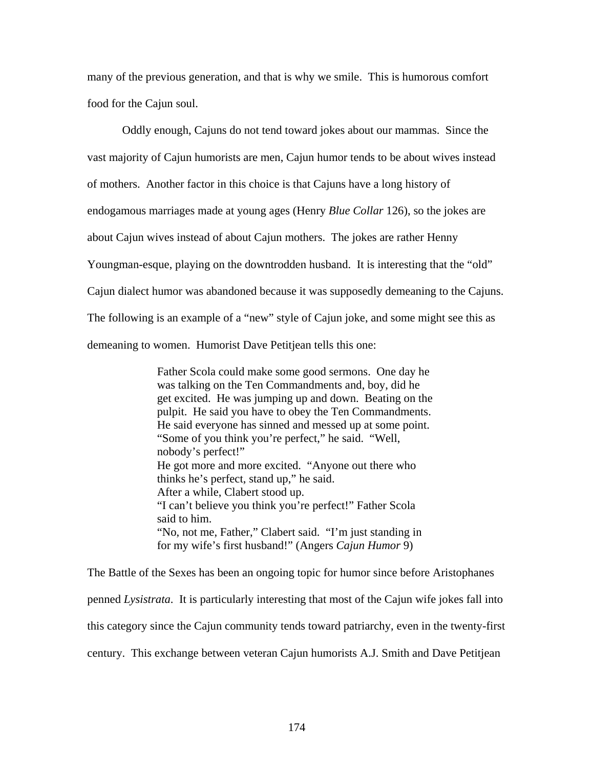many of the previous generation, and that is why we smile. This is humorous comfort food for the Cajun soul.

Oddly enough, Cajuns do not tend toward jokes about our mammas. Since the vast majority of Cajun humorists are men, Cajun humor tends to be about wives instead of mothers. Another factor in this choice is that Cajuns have a long history of endogamous marriages made at young ages (Henry *Blue Collar* 126), so the jokes are about Cajun wives instead of about Cajun mothers. The jokes are rather Henny Youngman-esque, playing on the downtrodden husband. It is interesting that the "old" Cajun dialect humor was abandoned because it was supposedly demeaning to the Cajuns. The following is an example of a "new" style of Cajun joke, and some might see this as demeaning to women. Humorist Dave Petitjean tells this one:

> Father Scola could make some good sermons. One day he was talking on the Ten Commandments and, boy, did he get excited. He was jumping up and down. Beating on the pulpit. He said you have to obey the Ten Commandments. He said everyone has sinned and messed up at some point. "Some of you think you're perfect," he said. "Well, nobody's perfect!" He got more and more excited. "Anyone out there who thinks he's perfect, stand up," he said. After a while, Clabert stood up. "I can't believe you think you're perfect!" Father Scola said to him. "No, not me, Father," Clabert said. "I'm just standing in for my wife's first husband!" (Angers *Cajun Humor* 9)

The Battle of the Sexes has been an ongoing topic for humor since before Aristophanes penned *Lysistrata*. It is particularly interesting that most of the Cajun wife jokes fall into this category since the Cajun community tends toward patriarchy, even in the twenty-first century. This exchange between veteran Cajun humorists A.J. Smith and Dave Petitjean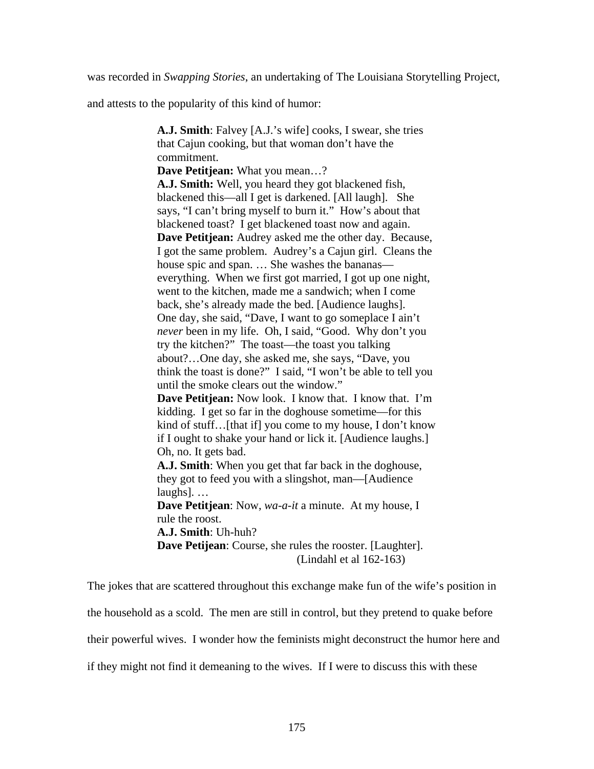was recorded in *Swapping Stories*, an undertaking of The Louisiana Storytelling Project,

and attests to the popularity of this kind of humor:

**A.J. Smith**: Falvey [A.J.'s wife] cooks, I swear, she tries that Cajun cooking, but that woman don't have the commitment. **Dave Petitjean:** What you mean…? **A.J. Smith:** Well, you heard they got blackened fish, blackened this—all I get is darkened. [All laugh]. She says, "I can't bring myself to burn it." How's about that blackened toast? I get blackened toast now and again. **Dave Petitjean:** Audrey asked me the other day. Because, I got the same problem. Audrey's a Cajun girl. Cleans the house spic and span. ... She washes the bananas everything. When we first got married, I got up one night, went to the kitchen, made me a sandwich; when I come back, she's already made the bed. [Audience laughs]. One day, she said, "Dave, I want to go someplace I ain't *never* been in my life. Oh, I said, "Good. Why don't you try the kitchen?" The toast—the toast you talking about?…One day, she asked me, she says, "Dave, you think the toast is done?" I said, "I won't be able to tell you until the smoke clears out the window." **Dave Petitjean:** Now look. I know that. I know that. I'm kidding. I get so far in the doghouse sometime—for this kind of stuff... [that if] you come to my house, I don't know if I ought to shake your hand or lick it. [Audience laughs.] Oh, no. It gets bad. **A.J. Smith**: When you get that far back in the doghouse, they got to feed you with a slingshot, man—[Audience laughs]. … **Dave Petitjean**: Now, *wa-a-it* a minute. At my house, I rule the roost. **A.J. Smith**: Uh-huh? **Dave Petijean**: Course, she rules the rooster. [Laughter]. (Lindahl et al 162-163)

The jokes that are scattered throughout this exchange make fun of the wife's position in the household as a scold. The men are still in control, but they pretend to quake before their powerful wives. I wonder how the feminists might deconstruct the humor here and if they might not find it demeaning to the wives. If I were to discuss this with these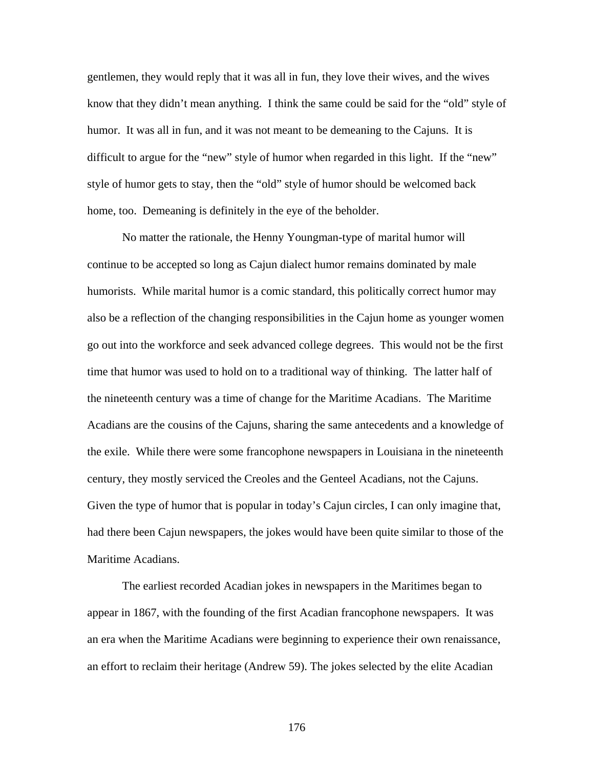gentlemen, they would reply that it was all in fun, they love their wives, and the wives know that they didn't mean anything. I think the same could be said for the "old" style of humor. It was all in fun, and it was not meant to be demeaning to the Cajuns. It is difficult to argue for the "new" style of humor when regarded in this light. If the "new" style of humor gets to stay, then the "old" style of humor should be welcomed back home, too. Demeaning is definitely in the eye of the beholder.

No matter the rationale, the Henny Youngman-type of marital humor will continue to be accepted so long as Cajun dialect humor remains dominated by male humorists. While marital humor is a comic standard, this politically correct humor may also be a reflection of the changing responsibilities in the Cajun home as younger women go out into the workforce and seek advanced college degrees. This would not be the first time that humor was used to hold on to a traditional way of thinking. The latter half of the nineteenth century was a time of change for the Maritime Acadians. The Maritime Acadians are the cousins of the Cajuns, sharing the same antecedents and a knowledge of the exile. While there were some francophone newspapers in Louisiana in the nineteenth century, they mostly serviced the Creoles and the Genteel Acadians, not the Cajuns. Given the type of humor that is popular in today's Cajun circles, I can only imagine that, had there been Cajun newspapers, the jokes would have been quite similar to those of the Maritime Acadians.

The earliest recorded Acadian jokes in newspapers in the Maritimes began to appear in 1867, with the founding of the first Acadian francophone newspapers. It was an era when the Maritime Acadians were beginning to experience their own renaissance, an effort to reclaim their heritage (Andrew 59). The jokes selected by the elite Acadian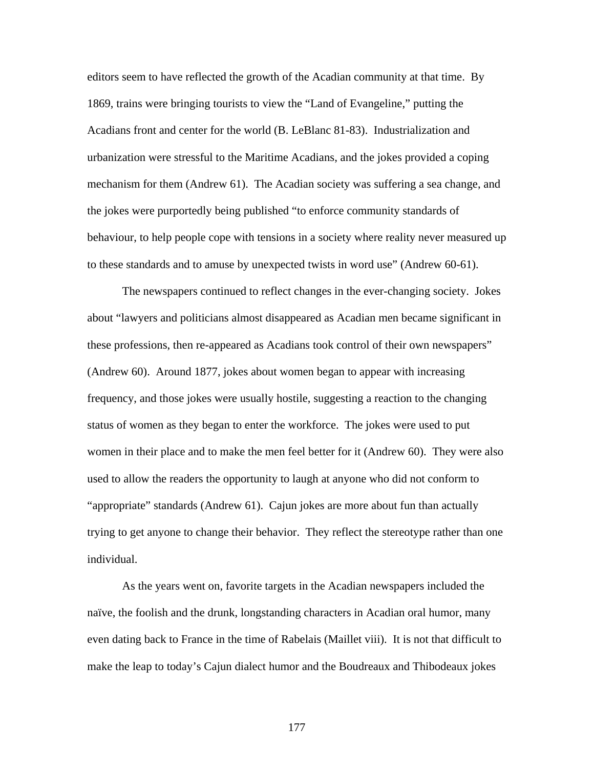editors seem to have reflected the growth of the Acadian community at that time. By 1869, trains were bringing tourists to view the "Land of Evangeline," putting the Acadians front and center for the world (B. LeBlanc 81-83). Industrialization and urbanization were stressful to the Maritime Acadians, and the jokes provided a coping mechanism for them (Andrew 61). The Acadian society was suffering a sea change, and the jokes were purportedly being published "to enforce community standards of behaviour, to help people cope with tensions in a society where reality never measured up to these standards and to amuse by unexpected twists in word use" (Andrew 60-61).

The newspapers continued to reflect changes in the ever-changing society. Jokes about "lawyers and politicians almost disappeared as Acadian men became significant in these professions, then re-appeared as Acadians took control of their own newspapers" (Andrew 60). Around 1877, jokes about women began to appear with increasing frequency, and those jokes were usually hostile, suggesting a reaction to the changing status of women as they began to enter the workforce. The jokes were used to put women in their place and to make the men feel better for it (Andrew 60). They were also used to allow the readers the opportunity to laugh at anyone who did not conform to "appropriate" standards (Andrew 61). Cajun jokes are more about fun than actually trying to get anyone to change their behavior. They reflect the stereotype rather than one individual.

As the years went on, favorite targets in the Acadian newspapers included the naïve, the foolish and the drunk, longstanding characters in Acadian oral humor, many even dating back to France in the time of Rabelais (Maillet viii). It is not that difficult to make the leap to today's Cajun dialect humor and the Boudreaux and Thibodeaux jokes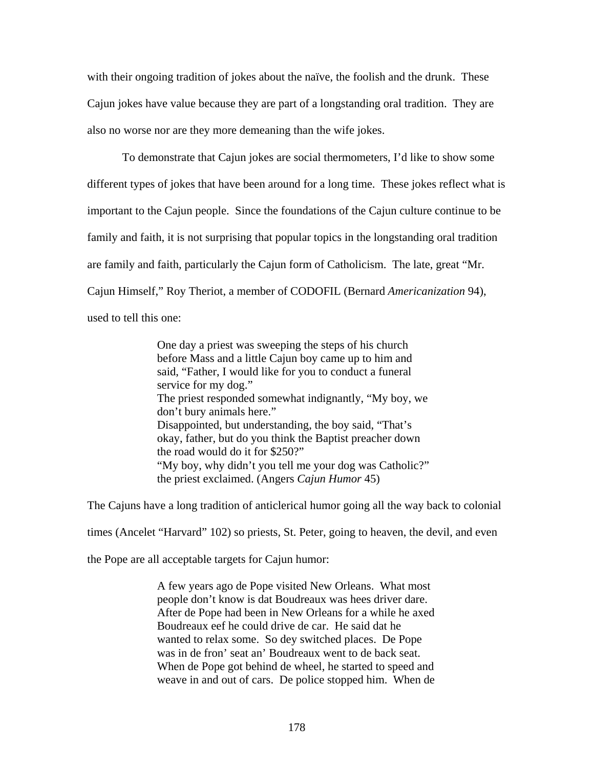with their ongoing tradition of jokes about the naïve, the foolish and the drunk. These Cajun jokes have value because they are part of a longstanding oral tradition. They are also no worse nor are they more demeaning than the wife jokes.

To demonstrate that Cajun jokes are social thermometers, I'd like to show some different types of jokes that have been around for a long time. These jokes reflect what is important to the Cajun people. Since the foundations of the Cajun culture continue to be family and faith, it is not surprising that popular topics in the longstanding oral tradition are family and faith, particularly the Cajun form of Catholicism. The late, great "Mr. Cajun Himself," Roy Theriot, a member of CODOFIL (Bernard *Americanization* 94), used to tell this one:

> One day a priest was sweeping the steps of his church before Mass and a little Cajun boy came up to him and said, "Father, I would like for you to conduct a funeral service for my dog." The priest responded somewhat indignantly, "My boy, we don't bury animals here." Disappointed, but understanding, the boy said, "That's okay, father, but do you think the Baptist preacher down the road would do it for \$250?" "My boy, why didn't you tell me your dog was Catholic?" the priest exclaimed. (Angers *Cajun Humor* 45)

The Cajuns have a long tradition of anticlerical humor going all the way back to colonial

times (Ancelet "Harvard" 102) so priests, St. Peter, going to heaven, the devil, and even

the Pope are all acceptable targets for Cajun humor:

A few years ago de Pope visited New Orleans. What most people don't know is dat Boudreaux was hees driver dare. After de Pope had been in New Orleans for a while he axed Boudreaux eef he could drive de car. He said dat he wanted to relax some. So dey switched places. De Pope was in de fron' seat an' Boudreaux went to de back seat. When de Pope got behind de wheel, he started to speed and weave in and out of cars. De police stopped him. When de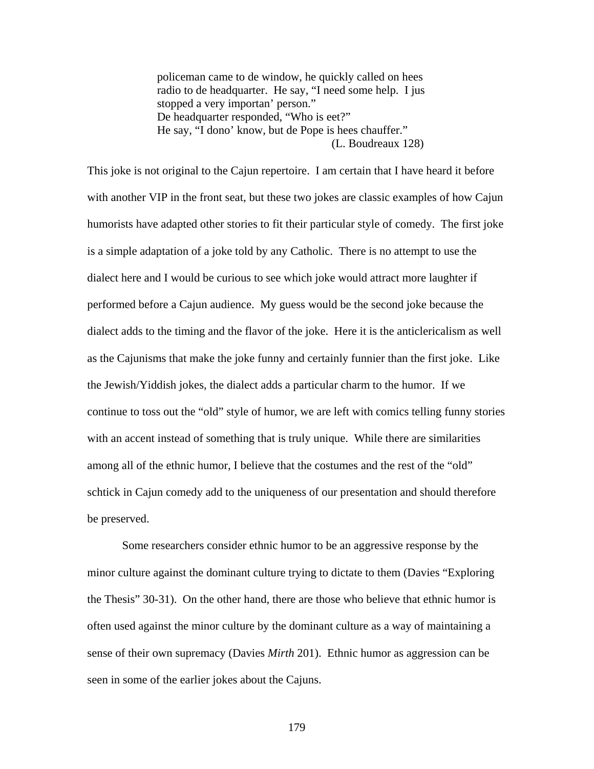policeman came to de window, he quickly called on hees radio to de headquarter. He say, "I need some help. I jus stopped a very importan' person." De headquarter responded, "Who is eet?" He say, "I dono' know, but de Pope is hees chauffer." (L. Boudreaux 128)

This joke is not original to the Cajun repertoire. I am certain that I have heard it before with another VIP in the front seat, but these two jokes are classic examples of how Cajun humorists have adapted other stories to fit their particular style of comedy. The first joke is a simple adaptation of a joke told by any Catholic. There is no attempt to use the dialect here and I would be curious to see which joke would attract more laughter if performed before a Cajun audience. My guess would be the second joke because the dialect adds to the timing and the flavor of the joke. Here it is the anticlericalism as well as the Cajunisms that make the joke funny and certainly funnier than the first joke. Like the Jewish/Yiddish jokes, the dialect adds a particular charm to the humor. If we continue to toss out the "old" style of humor, we are left with comics telling funny stories with an accent instead of something that is truly unique. While there are similarities among all of the ethnic humor, I believe that the costumes and the rest of the "old" schtick in Cajun comedy add to the uniqueness of our presentation and should therefore be preserved.

Some researchers consider ethnic humor to be an aggressive response by the minor culture against the dominant culture trying to dictate to them (Davies "Exploring the Thesis" 30-31). On the other hand, there are those who believe that ethnic humor is often used against the minor culture by the dominant culture as a way of maintaining a sense of their own supremacy (Davies *Mirth* 201). Ethnic humor as aggression can be seen in some of the earlier jokes about the Cajuns.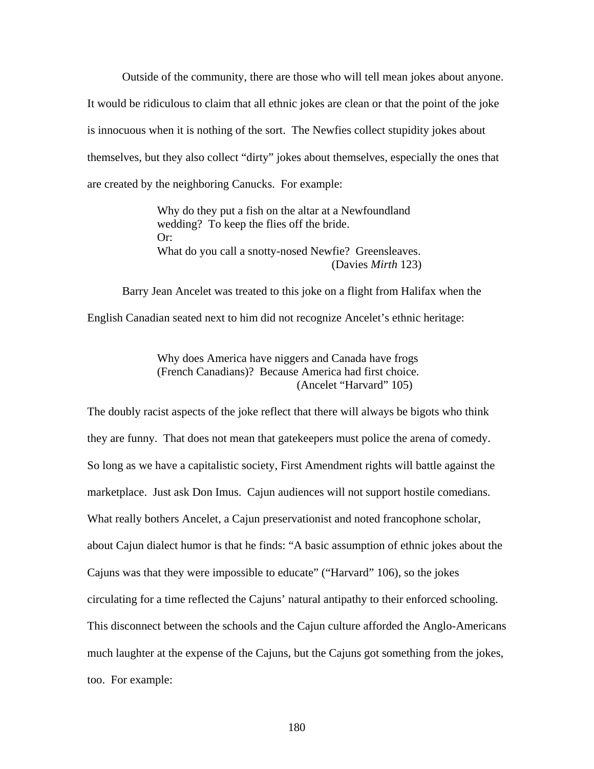Outside of the community, there are those who will tell mean jokes about anyone.

It would be ridiculous to claim that all ethnic jokes are clean or that the point of the joke is innocuous when it is nothing of the sort. The Newfies collect stupidity jokes about themselves, but they also collect "dirty" jokes about themselves, especially the ones that are created by the neighboring Canucks. For example:

> Why do they put a fish on the altar at a Newfoundland wedding? To keep the flies off the bride. Or: What do you call a snotty-nosed Newfie? Greensleaves. (Davies *Mirth* 123)

Barry Jean Ancelet was treated to this joke on a flight from Halifax when the English Canadian seated next to him did not recognize Ancelet's ethnic heritage:

> Why does America have niggers and Canada have frogs (French Canadians)? Because America had first choice. (Ancelet "Harvard" 105)

The doubly racist aspects of the joke reflect that there will always be bigots who think they are funny. That does not mean that gatekeepers must police the arena of comedy. So long as we have a capitalistic society, First Amendment rights will battle against the marketplace. Just ask Don Imus. Cajun audiences will not support hostile comedians. What really bothers Ancelet, a Cajun preservationist and noted francophone scholar, about Cajun dialect humor is that he finds: "A basic assumption of ethnic jokes about the Cajuns was that they were impossible to educate" ("Harvard" 106), so the jokes circulating for a time reflected the Cajuns' natural antipathy to their enforced schooling. This disconnect between the schools and the Cajun culture afforded the Anglo-Americans much laughter at the expense of the Cajuns, but the Cajuns got something from the jokes, too. For example: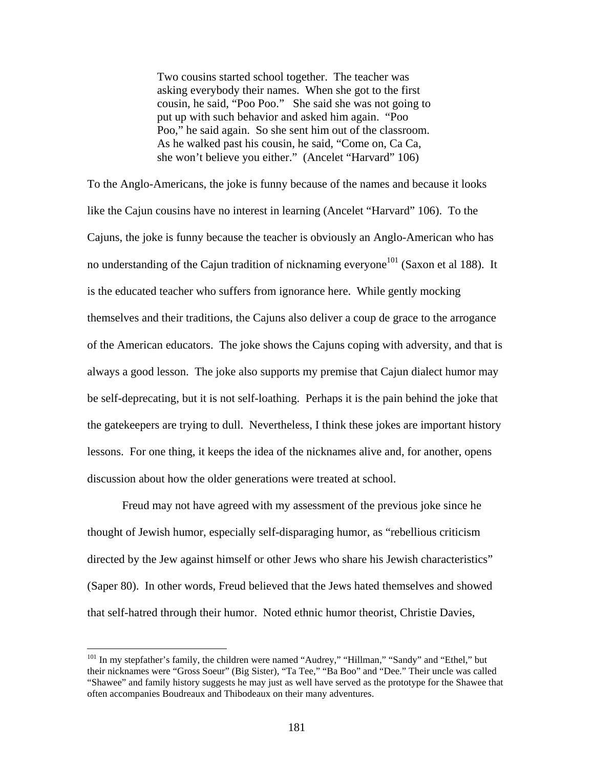Two cousins started school together. The teacher was asking everybody their names. When she got to the first cousin, he said, "Poo Poo." She said she was not going to put up with such behavior and asked him again. "Poo Poo," he said again. So she sent him out of the classroom. As he walked past his cousin, he said, "Come on, Ca Ca, she won't believe you either." (Ancelet "Harvard" 106)

To the Anglo-Americans, the joke is funny because of the names and because it looks like the Cajun cousins have no interest in learning (Ancelet "Harvard" 106). To the Cajuns, the joke is funny because the teacher is obviously an Anglo-American who has no understanding of the Cajun tradition of nicknaming everyone<sup>101</sup> (Saxon et al 188). It is the educated teacher who suffers from ignorance here. While gently mocking themselves and their traditions, the Cajuns also deliver a coup de grace to the arrogance of the American educators. The joke shows the Cajuns coping with adversity, and that is always a good lesson. The joke also supports my premise that Cajun dialect humor may be self-deprecating, but it is not self-loathing. Perhaps it is the pain behind the joke that the gatekeepers are trying to dull. Nevertheless, I think these jokes are important history lessons. For one thing, it keeps the idea of the nicknames alive and, for another, opens discussion about how the older generations were treated at school.

Freud may not have agreed with my assessment of the previous joke since he thought of Jewish humor, especially self-disparaging humor, as "rebellious criticism directed by the Jew against himself or other Jews who share his Jewish characteristics" (Saper 80). In other words, Freud believed that the Jews hated themselves and showed that self-hatred through their humor. Noted ethnic humor theorist, Christie Davies,

 $\overline{a}$ 

<span id="page-188-0"></span><sup>&</sup>lt;sup>101</sup> In my stepfather's family, the children were named "Audrey," "Hillman," "Sandy" and "Ethel," but their nicknames were "Gross Soeur" (Big Sister), "Ta Tee," "Ba Boo" and "Dee." Their uncle was called "Shawee" and family history suggests he may just as well have served as the prototype for the Shawee that often accompanies Boudreaux and Thibodeaux on their many adventures.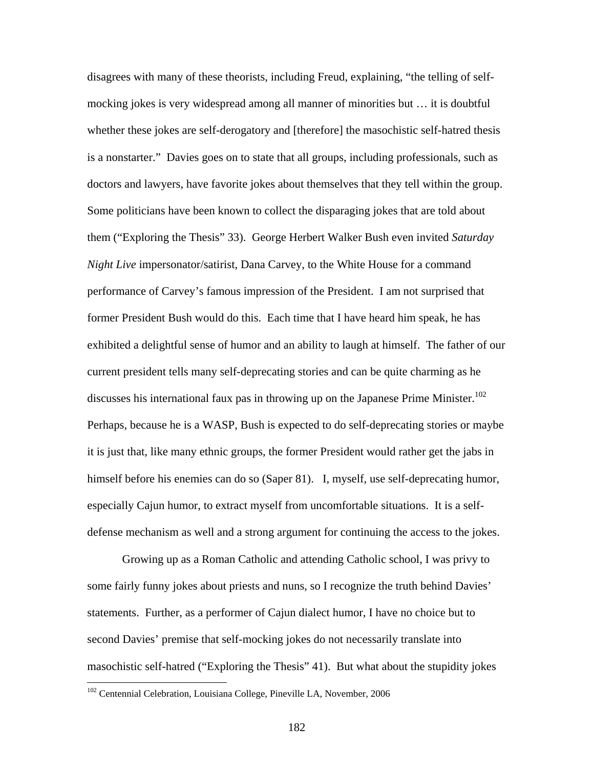disagrees with many of these theorists, including Freud, explaining, "the telling of selfmocking jokes is very widespread among all manner of minorities but … it is doubtful whether these jokes are self-derogatory and [therefore] the masochistic self-hatred thesis is a nonstarter." Davies goes on to state that all groups, including professionals, such as doctors and lawyers, have favorite jokes about themselves that they tell within the group. Some politicians have been known to collect the disparaging jokes that are told about them ("Exploring the Thesis" 33). George Herbert Walker Bush even invited *Saturday Night Live* impersonator/satirist, Dana Carvey, to the White House for a command performance of Carvey's famous impression of the President. I am not surprised that former President Bush would do this. Each time that I have heard him speak, he has exhibited a delightful sense of humor and an ability to laugh at himself. The father of our current president tells many self-deprecating stories and can be quite charming as he discusses his international faux pas in throwing up on the Japanese Prime Minister.<sup>102</sup> Perhaps, because he is a WASP, Bush is expected to do self-deprecating stories or maybe it is just that, like many ethnic groups, the former President would rather get the jabs in himself before his enemies can do so (Saper 81). I, myself, use self-deprecating humor, especially Cajun humor, to extract myself from uncomfortable situations. It is a selfdefense mechanism as well and a strong argument for continuing the access to the jokes.

Growing up as a Roman Catholic and attending Catholic school, I was privy to some fairly funny jokes about priests and nuns, so I recognize the truth behind Davies' statements. Further, as a performer of Cajun dialect humor, I have no choice but to second Davies' premise that self-mocking jokes do not necessarily translate into masochistic self-hatred ("Exploring the Thesis" 41). But what about the stupidity jokes

<u>.</u>

<span id="page-189-0"></span><sup>&</sup>lt;sup>102</sup> Centennial Celebration, Louisiana College, Pineville LA, November, 2006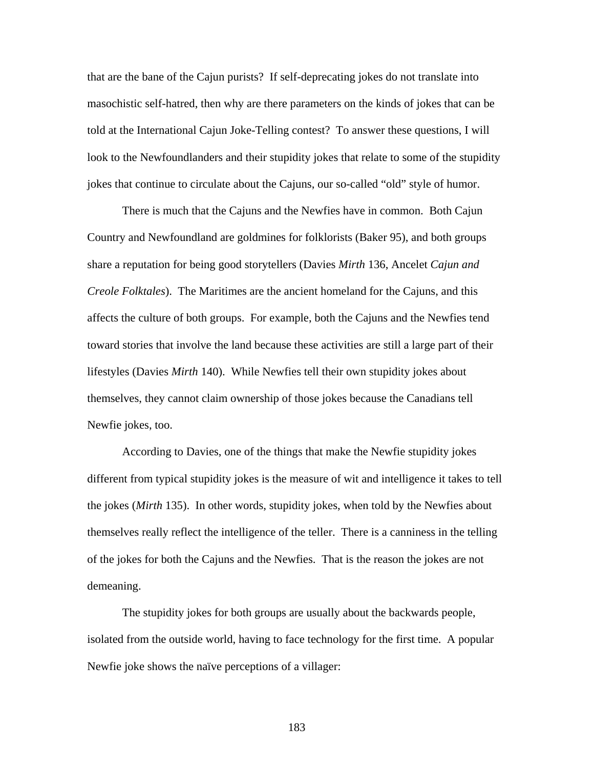that are the bane of the Cajun purists? If self-deprecating jokes do not translate into masochistic self-hatred, then why are there parameters on the kinds of jokes that can be told at the International Cajun Joke-Telling contest? To answer these questions, I will look to the Newfoundlanders and their stupidity jokes that relate to some of the stupidity jokes that continue to circulate about the Cajuns, our so-called "old" style of humor.

There is much that the Cajuns and the Newfies have in common. Both Cajun Country and Newfoundland are goldmines for folklorists (Baker 95), and both groups share a reputation for being good storytellers (Davies *Mirth* 136, Ancelet *Cajun and Creole Folktales*). The Maritimes are the ancient homeland for the Cajuns, and this affects the culture of both groups. For example, both the Cajuns and the Newfies tend toward stories that involve the land because these activities are still a large part of their lifestyles (Davies *Mirth* 140). While Newfies tell their own stupidity jokes about themselves, they cannot claim ownership of those jokes because the Canadians tell Newfie jokes, too.

According to Davies, one of the things that make the Newfie stupidity jokes different from typical stupidity jokes is the measure of wit and intelligence it takes to tell the jokes (*Mirth* 135). In other words, stupidity jokes, when told by the Newfies about themselves really reflect the intelligence of the teller. There is a canniness in the telling of the jokes for both the Cajuns and the Newfies. That is the reason the jokes are not demeaning.

The stupidity jokes for both groups are usually about the backwards people, isolated from the outside world, having to face technology for the first time. A popular Newfie joke shows the naïve perceptions of a villager: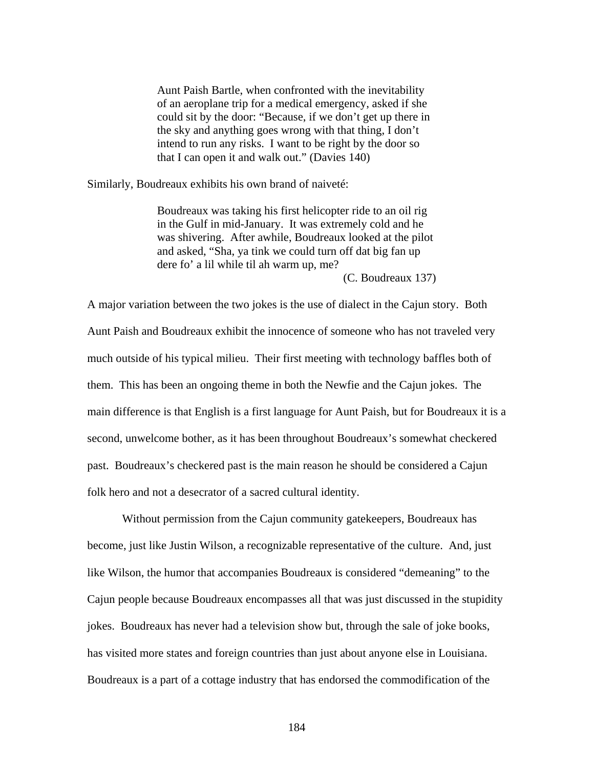Aunt Paish Bartle, when confronted with the inevitability of an aeroplane trip for a medical emergency, asked if she could sit by the door: "Because, if we don't get up there in the sky and anything goes wrong with that thing, I don't intend to run any risks. I want to be right by the door so that I can open it and walk out." (Davies 140)

Similarly, Boudreaux exhibits his own brand of naiveté:

Boudreaux was taking his first helicopter ride to an oil rig in the Gulf in mid-January. It was extremely cold and he was shivering. After awhile, Boudreaux looked at the pilot and asked, "Sha, ya tink we could turn off dat big fan up dere fo' a lil while til ah warm up, me?

(C. Boudreaux 137)

A major variation between the two jokes is the use of dialect in the Cajun story. Both Aunt Paish and Boudreaux exhibit the innocence of someone who has not traveled very much outside of his typical milieu. Their first meeting with technology baffles both of them. This has been an ongoing theme in both the Newfie and the Cajun jokes. The main difference is that English is a first language for Aunt Paish, but for Boudreaux it is a second, unwelcome bother, as it has been throughout Boudreaux's somewhat checkered past. Boudreaux's checkered past is the main reason he should be considered a Cajun folk hero and not a desecrator of a sacred cultural identity.

Without permission from the Cajun community gatekeepers, Boudreaux has become, just like Justin Wilson, a recognizable representative of the culture. And, just like Wilson, the humor that accompanies Boudreaux is considered "demeaning" to the Cajun people because Boudreaux encompasses all that was just discussed in the stupidity jokes. Boudreaux has never had a television show but, through the sale of joke books, has visited more states and foreign countries than just about anyone else in Louisiana. Boudreaux is a part of a cottage industry that has endorsed the commodification of the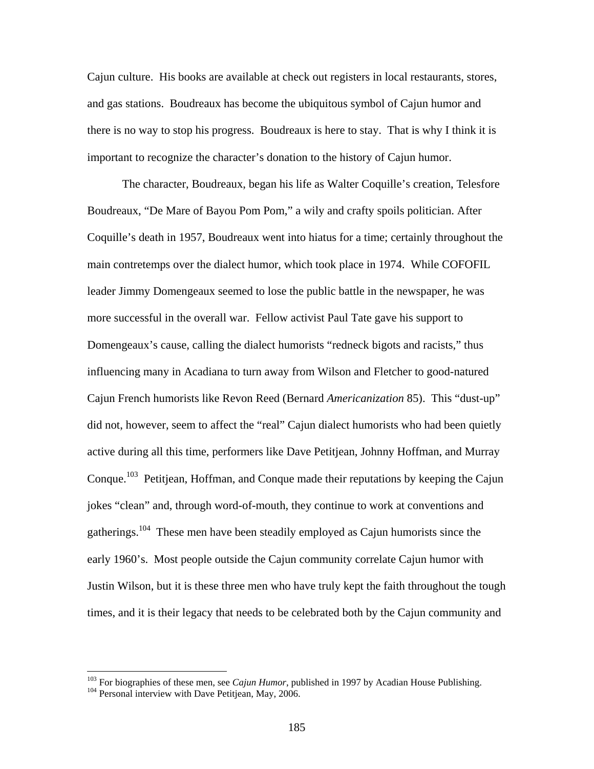Cajun culture. His books are available at check out registers in local restaurants, stores, and gas stations. Boudreaux has become the ubiquitous symbol of Cajun humor and there is no way to stop his progress. Boudreaux is here to stay. That is why I think it is important to recognize the character's donation to the history of Cajun humor.

The character, Boudreaux, began his life as Walter Coquille's creation, Telesfore Boudreaux, "De Mare of Bayou Pom Pom," a wily and crafty spoils politician. After Coquille's death in 1957, Boudreaux went into hiatus for a time; certainly throughout the main contretemps over the dialect humor, which took place in 1974. While COFOFIL leader Jimmy Domengeaux seemed to lose the public battle in the newspaper, he was more successful in the overall war. Fellow activist Paul Tate gave his support to Domengeaux's cause, calling the dialect humorists "redneck bigots and racists," thus influencing many in Acadiana to turn away from Wilson and Fletcher to good-natured Cajun French humorists like Revon Reed (Bernard *Americanization* 85). This "dust-up" did not, however, seem to affect the "real" Cajun dialect humorists who had been quietly active during all this time, performers like Dave Petitjean, Johnny Hoffman, and Murray Conque.<sup>103</sup> Petitjean, Hoffman, and Conque made their reputations by keeping the Cajun jokes "clean" and, through word-of-mouth, they continue to work at conventions and gatherings.<sup>104</sup> These men have been steadily employed as Cajun humorists since the early 1960's. Most people outside the Cajun community correlate Cajun humor with Justin Wilson, but it is these three men who have truly kept the faith throughout the tough times, and it is their legacy that needs to be celebrated both by the Cajun community and

 $\overline{a}$ 

<span id="page-192-0"></span><sup>&</sup>lt;sup>103</sup> For biographies of these men, see *Cajun Humor*, published in 1997 by Acadian House Publishing.<br><sup>104</sup> Personal interview with Dave Petitjean, May, 2006.

<span id="page-192-1"></span>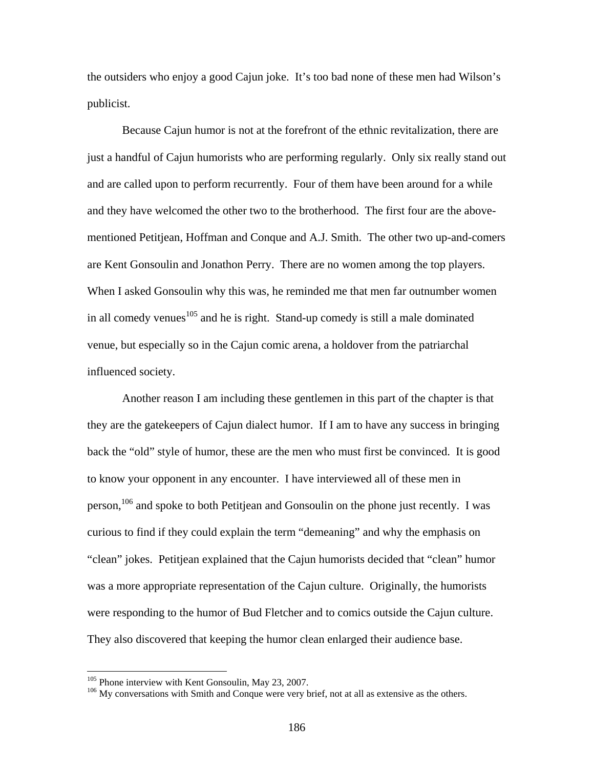the outsiders who enjoy a good Cajun joke. It's too bad none of these men had Wilson's publicist.

Because Cajun humor is not at the forefront of the ethnic revitalization, there are just a handful of Cajun humorists who are performing regularly. Only six really stand out and are called upon to perform recurrently. Four of them have been around for a while and they have welcomed the other two to the brotherhood. The first four are the abovementioned Petitjean, Hoffman and Conque and A.J. Smith. The other two up-and-comers are Kent Gonsoulin and Jonathon Perry. There are no women among the top players. When I asked Gonsoulin why this was, he reminded me that men far outnumber women in all comedy venues $105$  and he is right. Stand-up comedy is still a male dominated venue, but especially so in the Cajun comic arena, a holdover from the patriarchal influenced society.

Another reason I am including these gentlemen in this part of the chapter is that they are the gatekeepers of Cajun dialect humor. If I am to have any success in bringing back the "old" style of humor, these are the men who must first be convinced. It is good to know your opponent in any encounter. I have interviewed all of these men in person,<sup>106</sup> and spoke to both Petitjean and Gonsoulin on the phone just recently. I was curious to find if they could explain the term "demeaning" and why the emphasis on "clean" jokes. Petitjean explained that the Cajun humorists decided that "clean" humor was a more appropriate representation of the Cajun culture. Originally, the humorists were responding to the humor of Bud Fletcher and to comics outside the Cajun culture. They also discovered that keeping the humor clean enlarged their audience base.

<span id="page-193-1"></span><span id="page-193-0"></span>

<sup>&</sup>lt;sup>105</sup> Phone interview with Kent Gonsoulin, May 23, 2007.<br><sup>106</sup> My conversations with Smith and Conque were very brief, not at all as extensive as the others.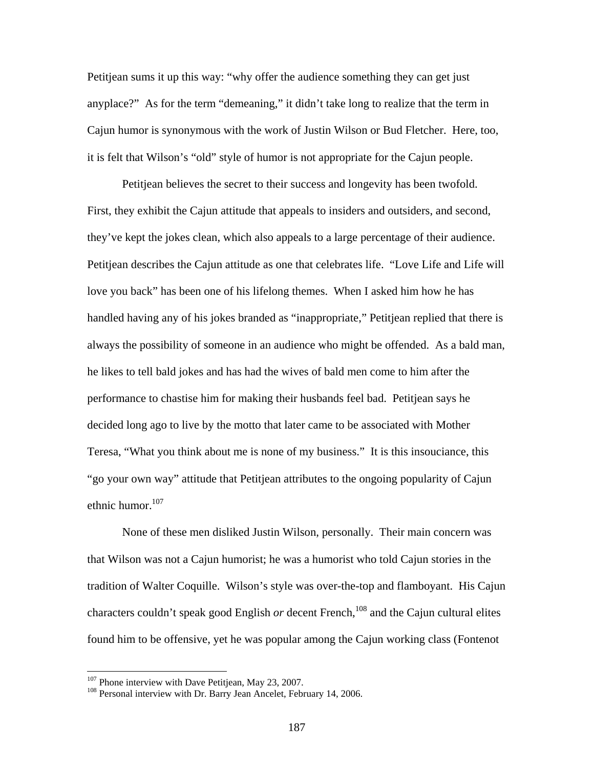Petitjean sums it up this way: "why offer the audience something they can get just anyplace?" As for the term "demeaning," it didn't take long to realize that the term in Cajun humor is synonymous with the work of Justin Wilson or Bud Fletcher. Here, too, it is felt that Wilson's "old" style of humor is not appropriate for the Cajun people.

Petitjean believes the secret to their success and longevity has been twofold. First, they exhibit the Cajun attitude that appeals to insiders and outsiders, and second, they've kept the jokes clean, which also appeals to a large percentage of their audience. Petitjean describes the Cajun attitude as one that celebrates life. "Love Life and Life will love you back" has been one of his lifelong themes. When I asked him how he has handled having any of his jokes branded as "inappropriate," Petitjean replied that there is always the possibility of someone in an audience who might be offended. As a bald man, he likes to tell bald jokes and has had the wives of bald men come to him after the performance to chastise him for making their husbands feel bad. Petitjean says he decided long ago to live by the motto that later came to be associated with Mother Teresa, "What you think about me is none of my business." It is this insouciance, this "go your own way" attitude that Petitjean attributes to the ongoing popularity of Cajun ethnic humor.<sup>[107](#page-194-0)</sup>

None of these men disliked Justin Wilson, personally. Their main concern was that Wilson was not a Cajun humorist; he was a humorist who told Cajun stories in the tradition of Walter Coquille. Wilson's style was over-the-top and flamboyant. His Cajun characters couldn't speak good English  $or$  decent French,<sup>108</sup> and the Cajun cultural elites found him to be offensive, yet he was popular among the Cajun working class (Fontenot

<span id="page-194-1"></span><span id="page-194-0"></span>

<sup>&</sup>lt;sup>107</sup> Phone interview with Dave Petitjean, May 23, 2007.<br><sup>108</sup> Personal interview with Dr. Barry Jean Ancelet, February 14, 2006.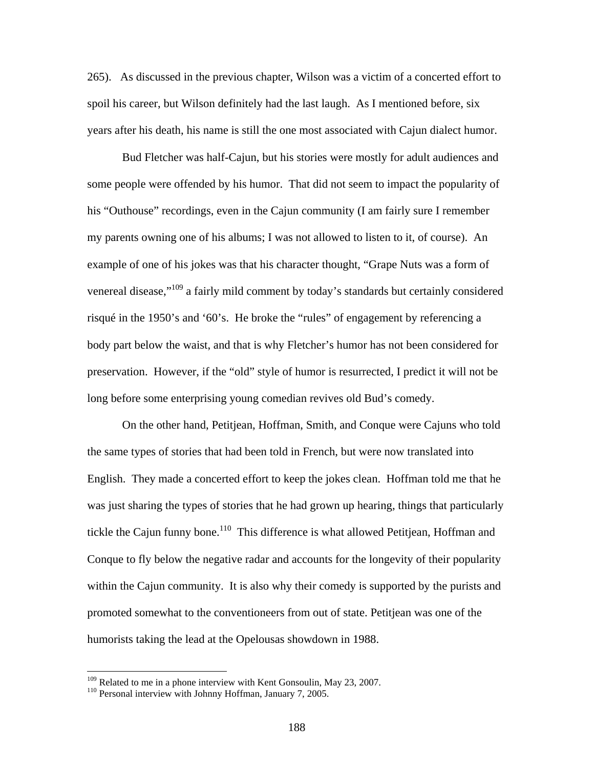265). As discussed in the previous chapter, Wilson was a victim of a concerted effort to spoil his career, but Wilson definitely had the last laugh. As I mentioned before, six years after his death, his name is still the one most associated with Cajun dialect humor.

Bud Fletcher was half-Cajun, but his stories were mostly for adult audiences and some people were offended by his humor. That did not seem to impact the popularity of his "Outhouse" recordings, even in the Cajun community (I am fairly sure I remember my parents owning one of his albums; I was not allowed to listen to it, of course). An example of one of his jokes was that his character thought, "Grape Nuts was a form of venereal disease,"<sup>109</sup> a fairly mild comment by today's standards but certainly considered risqué in the 1950's and '60's. He broke the "rules" of engagement by referencing a body part below the waist, and that is why Fletcher's humor has not been considered for preservation. However, if the "old" style of humor is resurrected, I predict it will not be long before some enterprising young comedian revives old Bud's comedy.

On the other hand, Petitjean, Hoffman, Smith, and Conque were Cajuns who told the same types of stories that had been told in French, but were now translated into English. They made a concerted effort to keep the jokes clean. Hoffman told me that he was just sharing the types of stories that he had grown up hearing, things that particularly tickle the Cajun funny bone.<sup>110</sup> This difference is what allowed Petitjean, Hoffman and Conque to fly below the negative radar and accounts for the longevity of their popularity within the Cajun community. It is also why their comedy is supported by the purists and promoted somewhat to the conventioneers from out of state. Petitjean was one of the humorists taking the lead at the Opelousas showdown in 1988.

 $\overline{a}$ 

<span id="page-195-0"></span><sup>&</sup>lt;sup>109</sup> Related to me in a phone interview with Kent Gonsoulin, May 23, 2007.<br><sup>110</sup> Personal interview with Johnny Hoffman, January 7, 2005.

<span id="page-195-1"></span>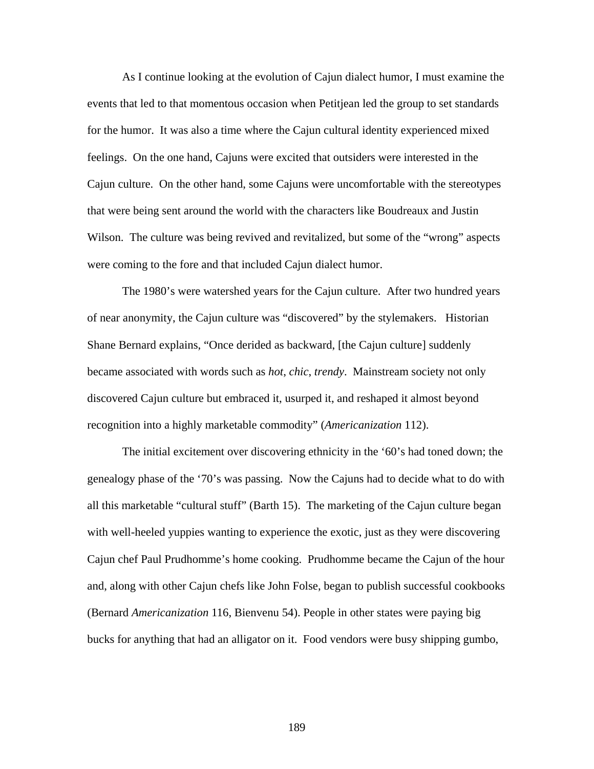As I continue looking at the evolution of Cajun dialect humor, I must examine the events that led to that momentous occasion when Petitjean led the group to set standards for the humor. It was also a time where the Cajun cultural identity experienced mixed feelings. On the one hand, Cajuns were excited that outsiders were interested in the Cajun culture. On the other hand, some Cajuns were uncomfortable with the stereotypes that were being sent around the world with the characters like Boudreaux and Justin Wilson. The culture was being revived and revitalized, but some of the "wrong" aspects were coming to the fore and that included Cajun dialect humor.

The 1980's were watershed years for the Cajun culture. After two hundred years of near anonymity, the Cajun culture was "discovered" by the stylemakers. Historian Shane Bernard explains, "Once derided as backward, [the Cajun culture] suddenly became associated with words such as *hot*, *chic*, *trendy*. Mainstream society not only discovered Cajun culture but embraced it, usurped it, and reshaped it almost beyond recognition into a highly marketable commodity" (*Americanization* 112).

The initial excitement over discovering ethnicity in the '60's had toned down; the genealogy phase of the '70's was passing. Now the Cajuns had to decide what to do with all this marketable "cultural stuff" (Barth 15). The marketing of the Cajun culture began with well-heeled yuppies wanting to experience the exotic, just as they were discovering Cajun chef Paul Prudhomme's home cooking. Prudhomme became the Cajun of the hour and, along with other Cajun chefs like John Folse, began to publish successful cookbooks (Bernard *Americanization* 116, Bienvenu 54). People in other states were paying big bucks for anything that had an alligator on it. Food vendors were busy shipping gumbo,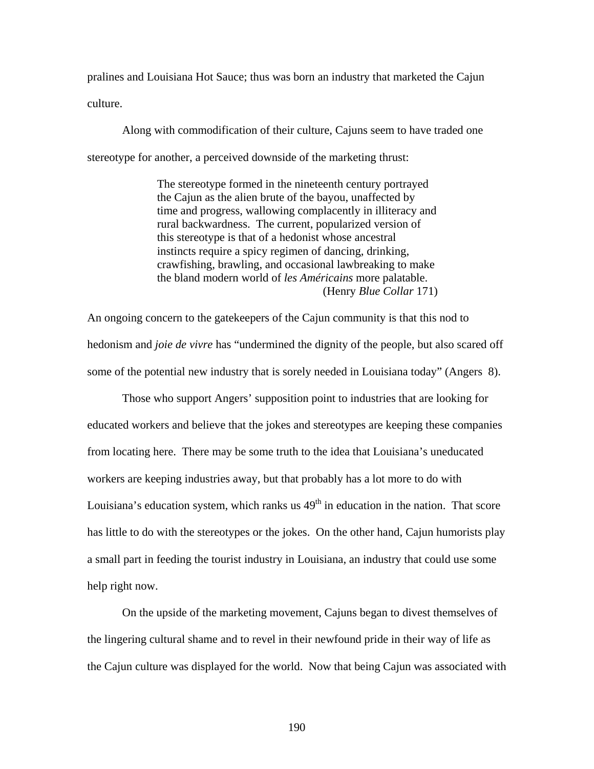pralines and Louisiana Hot Sauce; thus was born an industry that marketed the Cajun culture.

Along with commodification of their culture, Cajuns seem to have traded one stereotype for another, a perceived downside of the marketing thrust:

> The stereotype formed in the nineteenth century portrayed the Cajun as the alien brute of the bayou, unaffected by time and progress, wallowing complacently in illiteracy and rural backwardness. The current, popularized version of this stereotype is that of a hedonist whose ancestral instincts require a spicy regimen of dancing, drinking, crawfishing, brawling, and occasional lawbreaking to make the bland modern world of *les Américains* more palatable. (Henry *Blue Collar* 171)

An ongoing concern to the gatekeepers of the Cajun community is that this nod to hedonism and *joie de vivre* has "undermined the dignity of the people, but also scared off some of the potential new industry that is sorely needed in Louisiana today" (Angers 8).

Those who support Angers' supposition point to industries that are looking for educated workers and believe that the jokes and stereotypes are keeping these companies from locating here. There may be some truth to the idea that Louisiana's uneducated workers are keeping industries away, but that probably has a lot more to do with Louisiana's education system, which ranks us  $49<sup>th</sup>$  in education in the nation. That score has little to do with the stereotypes or the jokes. On the other hand, Cajun humorists play a small part in feeding the tourist industry in Louisiana, an industry that could use some help right now.

On the upside of the marketing movement, Cajuns began to divest themselves of the lingering cultural shame and to revel in their newfound pride in their way of life as the Cajun culture was displayed for the world. Now that being Cajun was associated with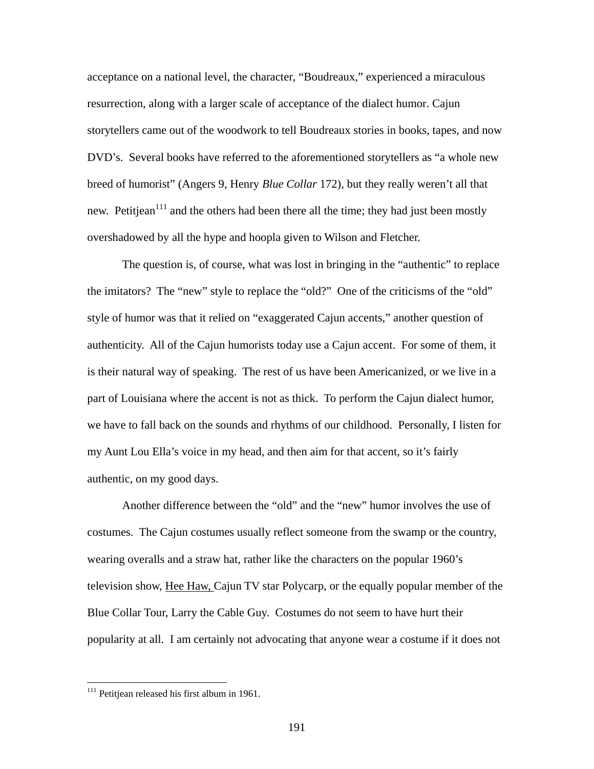acceptance on a national level, the character, "Boudreaux," experienced a miraculous resurrection, along with a larger scale of acceptance of the dialect humor. Cajun storytellers came out of the woodwork to tell Boudreaux stories in books, tapes, and now DVD's. Several books have referred to the aforementioned storytellers as "a whole new breed of humorist" (Angers 9, Henry *Blue Collar* 172), but they really weren't all that new. Petitjean<sup>111</sup> and the others had been there all the time; they had just been mostly overshadowed by all the hype and hoopla given to Wilson and Fletcher.

The question is, of course, what was lost in bringing in the "authentic" to replace the imitators? The "new" style to replace the "old?" One of the criticisms of the "old" style of humor was that it relied on "exaggerated Cajun accents," another question of authenticity. All of the Cajun humorists today use a Cajun accent. For some of them, it is their natural way of speaking. The rest of us have been Americanized, or we live in a part of Louisiana where the accent is not as thick. To perform the Cajun dialect humor, we have to fall back on the sounds and rhythms of our childhood. Personally, I listen for my Aunt Lou Ella's voice in my head, and then aim for that accent, so it's fairly authentic, on my good days.

Another difference between the "old" and the "new" humor involves the use of costumes. The Cajun costumes usually reflect someone from the swamp or the country, wearing overalls and a straw hat, rather like the characters on the popular 1960's television show, Hee Haw, Cajun TV star Polycarp, or the equally popular member of the Blue Collar Tour, Larry the Cable Guy. Costumes do not seem to have hurt their popularity at all. I am certainly not advocating that anyone wear a costume if it does not

 $\overline{a}$ 

<span id="page-198-0"></span> $111$  Petitjean released his first album in 1961.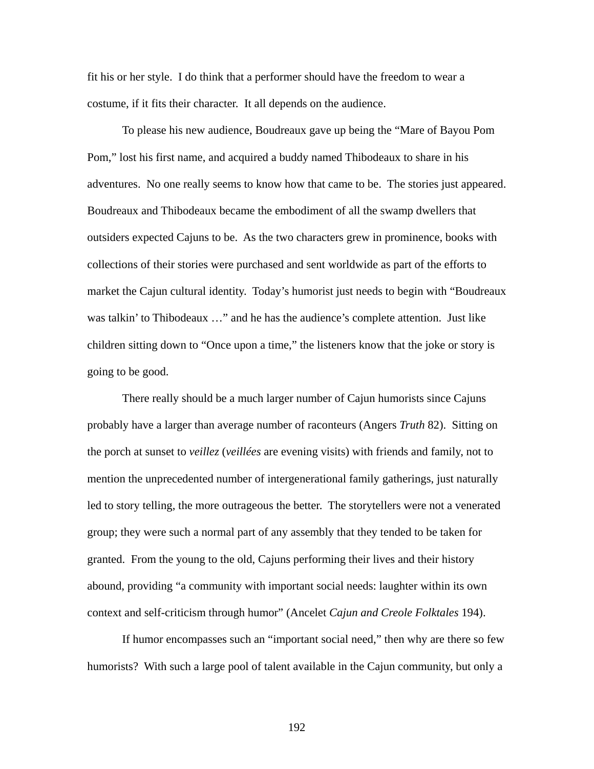fit his or her style. I do think that a performer should have the freedom to wear a costume, if it fits their character. It all depends on the audience.

To please his new audience, Boudreaux gave up being the "Mare of Bayou Pom Pom," lost his first name, and acquired a buddy named Thibodeaux to share in his adventures. No one really seems to know how that came to be. The stories just appeared. Boudreaux and Thibodeaux became the embodiment of all the swamp dwellers that outsiders expected Cajuns to be. As the two characters grew in prominence, books with collections of their stories were purchased and sent worldwide as part of the efforts to market the Cajun cultural identity. Today's humorist just needs to begin with "Boudreaux was talkin' to Thibodeaux …" and he has the audience's complete attention. Just like children sitting down to "Once upon a time," the listeners know that the joke or story is going to be good.

There really should be a much larger number of Cajun humorists since Cajuns probably have a larger than average number of raconteurs (Angers *Truth* 82). Sitting on the porch at sunset to *veillez* (*veillées* are evening visits) with friends and family, not to mention the unprecedented number of intergenerational family gatherings, just naturally led to story telling, the more outrageous the better. The storytellers were not a venerated group; they were such a normal part of any assembly that they tended to be taken for granted. From the young to the old, Cajuns performing their lives and their history abound, providing "a community with important social needs: laughter within its own context and self-criticism through humor" (Ancelet *Cajun and Creole Folktales* 194).

If humor encompasses such an "important social need," then why are there so few humorists? With such a large pool of talent available in the Cajun community, but only a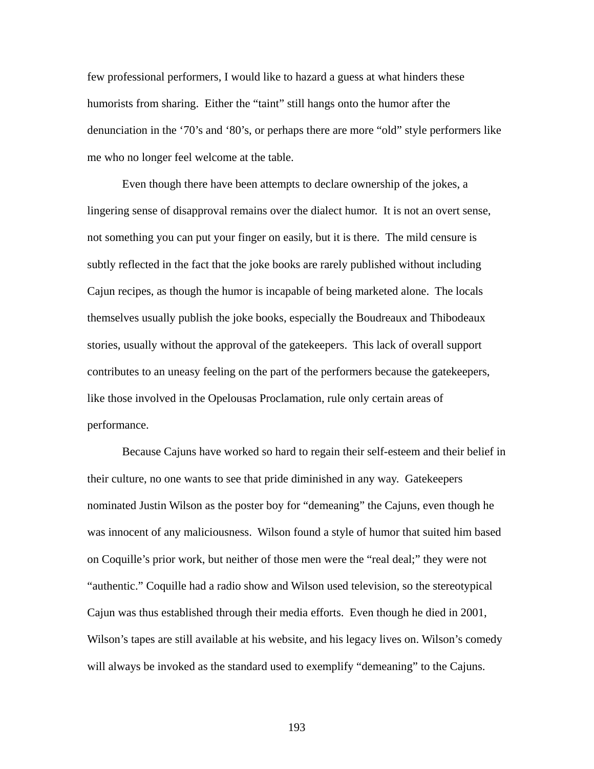few professional performers, I would like to hazard a guess at what hinders these humorists from sharing. Either the "taint" still hangs onto the humor after the denunciation in the '70's and '80's, or perhaps there are more "old" style performers like me who no longer feel welcome at the table.

Even though there have been attempts to declare ownership of the jokes, a lingering sense of disapproval remains over the dialect humor. It is not an overt sense, not something you can put your finger on easily, but it is there. The mild censure is subtly reflected in the fact that the joke books are rarely published without including Cajun recipes, as though the humor is incapable of being marketed alone. The locals themselves usually publish the joke books, especially the Boudreaux and Thibodeaux stories, usually without the approval of the gatekeepers. This lack of overall support contributes to an uneasy feeling on the part of the performers because the gatekeepers, like those involved in the Opelousas Proclamation, rule only certain areas of performance.

Because Cajuns have worked so hard to regain their self-esteem and their belief in their culture, no one wants to see that pride diminished in any way. Gatekeepers nominated Justin Wilson as the poster boy for "demeaning" the Cajuns, even though he was innocent of any maliciousness. Wilson found a style of humor that suited him based on Coquille's prior work, but neither of those men were the "real deal;" they were not "authentic." Coquille had a radio show and Wilson used television, so the stereotypical Cajun was thus established through their media efforts. Even though he died in 2001, Wilson's tapes are still available at his website, and his legacy lives on. Wilson's comedy will always be invoked as the standard used to exemplify "demeaning" to the Cajuns.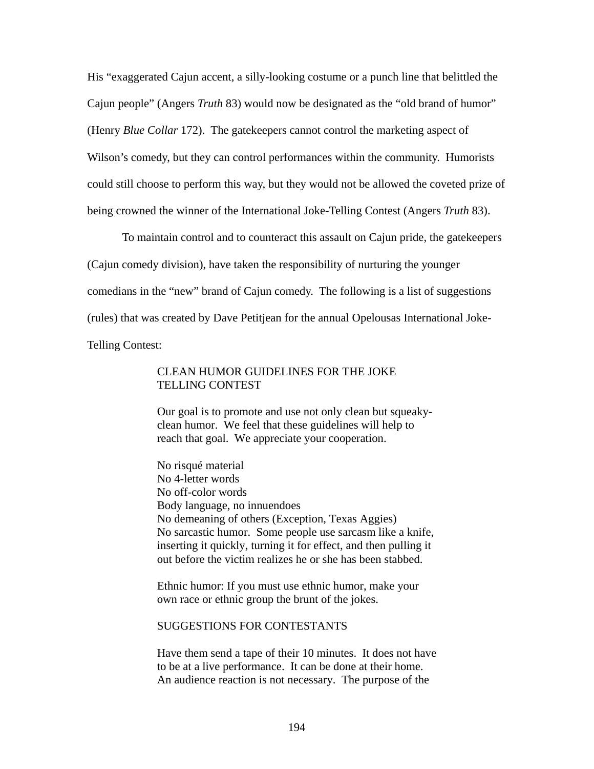His "exaggerated Cajun accent, a silly-looking costume or a punch line that belittled the Cajun people" (Angers *Truth* 83) would now be designated as the "old brand of humor" (Henry *Blue Collar* 172). The gatekeepers cannot control the marketing aspect of Wilson's comedy, but they can control performances within the community. Humorists could still choose to perform this way, but they would not be allowed the coveted prize of being crowned the winner of the International Joke-Telling Contest (Angers *Truth* 83).

To maintain control and to counteract this assault on Cajun pride, the gatekeepers (Cajun comedy division), have taken the responsibility of nurturing the younger comedians in the "new" brand of Cajun comedy. The following is a list of suggestions (rules) that was created by Dave Petitjean for the annual Opelousas International Joke-Telling Contest:

## CLEAN HUMOR GUIDELINES FOR THE JOKE TELLING CONTEST

Our goal is to promote and use not only clean but squeakyclean humor. We feel that these guidelines will help to reach that goal. We appreciate your cooperation.

No risqué material No 4-letter words No off-color words Body language, no innuendoes No demeaning of others (Exception, Texas Aggies) No sarcastic humor. Some people use sarcasm like a knife, inserting it quickly, turning it for effect, and then pulling it out before the victim realizes he or she has been stabbed.

Ethnic humor: If you must use ethnic humor, make your own race or ethnic group the brunt of the jokes.

## SUGGESTIONS FOR CONTESTANTS

Have them send a tape of their 10 minutes. It does not have to be at a live performance. It can be done at their home. An audience reaction is not necessary. The purpose of the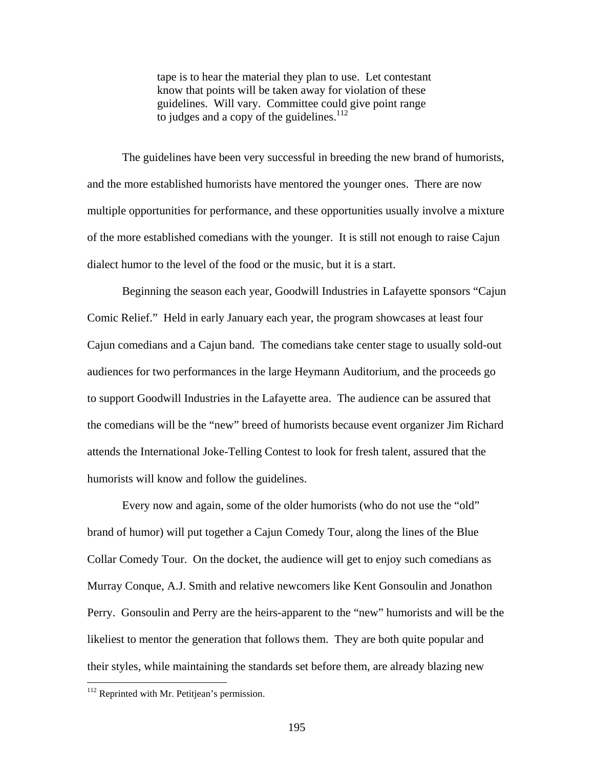tape is to hear the material they plan to use. Let contestant know that points will be taken away for violation of these guidelines. Will vary. Committee could give point range to judges and a copy of the guidelines.<sup>[112](#page-202-0)</sup>

The guidelines have been very successful in breeding the new brand of humorists, and the more established humorists have mentored the younger ones. There are now multiple opportunities for performance, and these opportunities usually involve a mixture of the more established comedians with the younger. It is still not enough to raise Cajun dialect humor to the level of the food or the music, but it is a start.

Beginning the season each year, Goodwill Industries in Lafayette sponsors "Cajun Comic Relief." Held in early January each year, the program showcases at least four Cajun comedians and a Cajun band. The comedians take center stage to usually sold-out audiences for two performances in the large Heymann Auditorium, and the proceeds go to support Goodwill Industries in the Lafayette area. The audience can be assured that the comedians will be the "new" breed of humorists because event organizer Jim Richard attends the International Joke-Telling Contest to look for fresh talent, assured that the humorists will know and follow the guidelines.

Every now and again, some of the older humorists (who do not use the "old" brand of humor) will put together a Cajun Comedy Tour, along the lines of the Blue Collar Comedy Tour. On the docket, the audience will get to enjoy such comedians as Murray Conque, A.J. Smith and relative newcomers like Kent Gonsoulin and Jonathon Perry. Gonsoulin and Perry are the heirs-apparent to the "new" humorists and will be the likeliest to mentor the generation that follows them. They are both quite popular and their styles, while maintaining the standards set before them, are already blazing new

 $\overline{a}$ 

<span id="page-202-0"></span><sup>&</sup>lt;sup>112</sup> Reprinted with Mr. Petitjean's permission.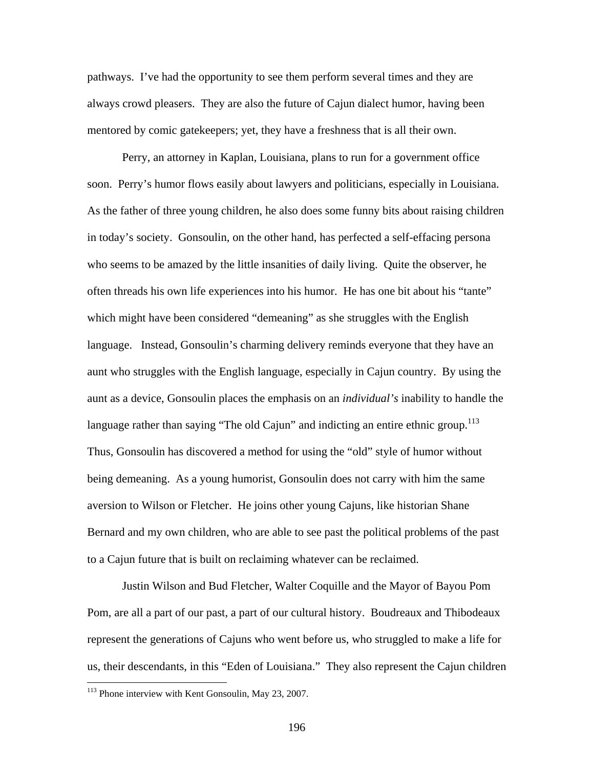pathways. I've had the opportunity to see them perform several times and they are always crowd pleasers. They are also the future of Cajun dialect humor, having been mentored by comic gatekeepers; yet, they have a freshness that is all their own.

Perry, an attorney in Kaplan, Louisiana, plans to run for a government office soon. Perry's humor flows easily about lawyers and politicians, especially in Louisiana. As the father of three young children, he also does some funny bits about raising children in today's society. Gonsoulin, on the other hand, has perfected a self-effacing persona who seems to be amazed by the little insanities of daily living. Quite the observer, he often threads his own life experiences into his humor. He has one bit about his "tante" which might have been considered "demeaning" as she struggles with the English language. Instead, Gonsoulin's charming delivery reminds everyone that they have an aunt who struggles with the English language, especially in Cajun country. By using the aunt as a device, Gonsoulin places the emphasis on an *individual's* inability to handle the language rather than saying "The old Cajun" and indicting an entire ethnic group.<sup>113</sup> Thus, Gonsoulin has discovered a method for using the "old" style of humor without being demeaning. As a young humorist, Gonsoulin does not carry with him the same aversion to Wilson or Fletcher. He joins other young Cajuns, like historian Shane Bernard and my own children, who are able to see past the political problems of the past to a Cajun future that is built on reclaiming whatever can be reclaimed.

Justin Wilson and Bud Fletcher, Walter Coquille and the Mayor of Bayou Pom Pom, are all a part of our past, a part of our cultural history. Boudreaux and Thibodeaux represent the generations of Cajuns who went before us, who struggled to make a life for us, their descendants, in this "Eden of Louisiana." They also represent the Cajun children

<u>.</u>

<span id="page-203-0"></span><sup>&</sup>lt;sup>113</sup> Phone interview with Kent Gonsoulin, May 23, 2007.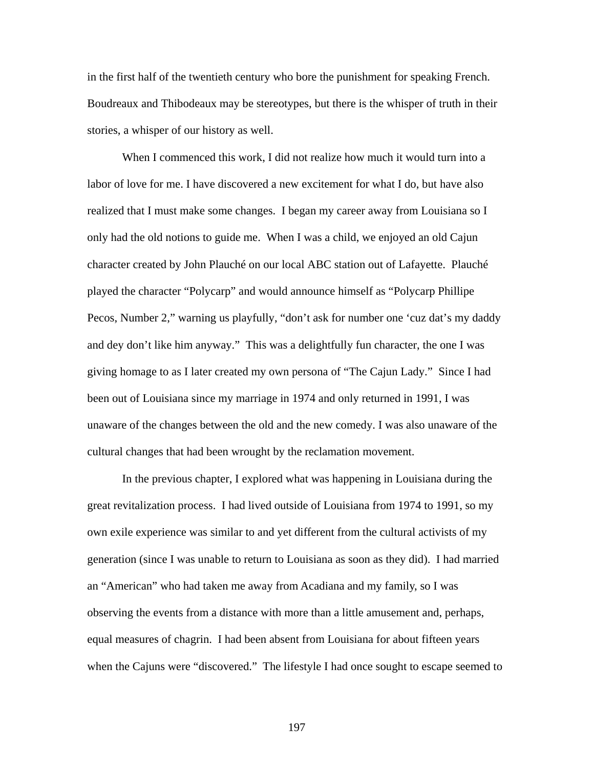in the first half of the twentieth century who bore the punishment for speaking French. Boudreaux and Thibodeaux may be stereotypes, but there is the whisper of truth in their stories, a whisper of our history as well.

When I commenced this work, I did not realize how much it would turn into a labor of love for me. I have discovered a new excitement for what I do, but have also realized that I must make some changes. I began my career away from Louisiana so I only had the old notions to guide me. When I was a child, we enjoyed an old Cajun character created by John Plauché on our local ABC station out of Lafayette. Plauché played the character "Polycarp" and would announce himself as "Polycarp Phillipe Pecos, Number 2," warning us playfully, "don't ask for number one 'cuz dat's my daddy and dey don't like him anyway." This was a delightfully fun character, the one I was giving homage to as I later created my own persona of "The Cajun Lady." Since I had been out of Louisiana since my marriage in 1974 and only returned in 1991, I was unaware of the changes between the old and the new comedy. I was also unaware of the cultural changes that had been wrought by the reclamation movement.

In the previous chapter, I explored what was happening in Louisiana during the great revitalization process. I had lived outside of Louisiana from 1974 to 1991, so my own exile experience was similar to and yet different from the cultural activists of my generation (since I was unable to return to Louisiana as soon as they did). I had married an "American" who had taken me away from Acadiana and my family, so I was observing the events from a distance with more than a little amusement and, perhaps, equal measures of chagrin. I had been absent from Louisiana for about fifteen years when the Cajuns were "discovered." The lifestyle I had once sought to escape seemed to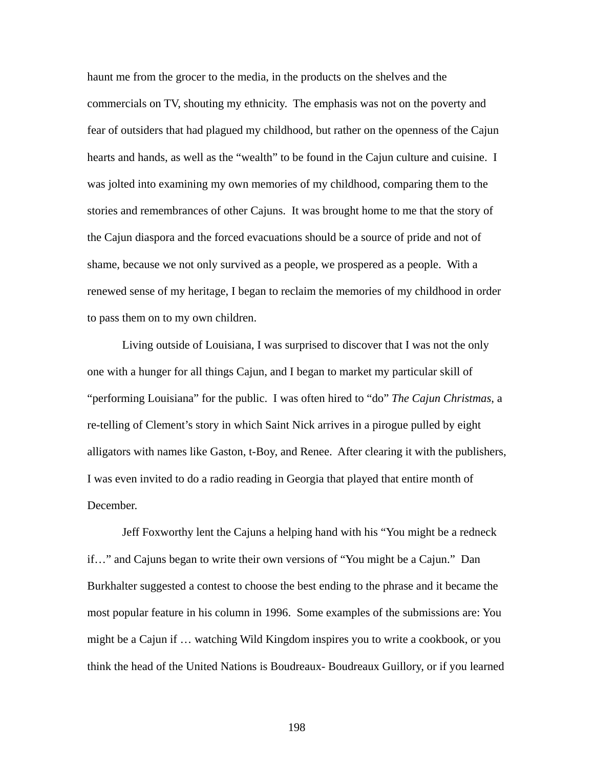haunt me from the grocer to the media, in the products on the shelves and the commercials on TV, shouting my ethnicity. The emphasis was not on the poverty and fear of outsiders that had plagued my childhood, but rather on the openness of the Cajun hearts and hands, as well as the "wealth" to be found in the Cajun culture and cuisine. I was jolted into examining my own memories of my childhood, comparing them to the stories and remembrances of other Cajuns. It was brought home to me that the story of the Cajun diaspora and the forced evacuations should be a source of pride and not of shame, because we not only survived as a people, we prospered as a people. With a renewed sense of my heritage, I began to reclaim the memories of my childhood in order to pass them on to my own children.

Living outside of Louisiana, I was surprised to discover that I was not the only one with a hunger for all things Cajun, and I began to market my particular skill of "performing Louisiana" for the public. I was often hired to "do" *The Cajun Christmas*, a re-telling of Clement's story in which Saint Nick arrives in a pirogue pulled by eight alligators with names like Gaston, t-Boy, and Renee. After clearing it with the publishers, I was even invited to do a radio reading in Georgia that played that entire month of December.

Jeff Foxworthy lent the Cajuns a helping hand with his "You might be a redneck if…" and Cajuns began to write their own versions of "You might be a Cajun." Dan Burkhalter suggested a contest to choose the best ending to the phrase and it became the most popular feature in his column in 1996. Some examples of the submissions are: You might be a Cajun if … watching Wild Kingdom inspires you to write a cookbook, or you think the head of the United Nations is Boudreaux- Boudreaux Guillory, or if you learned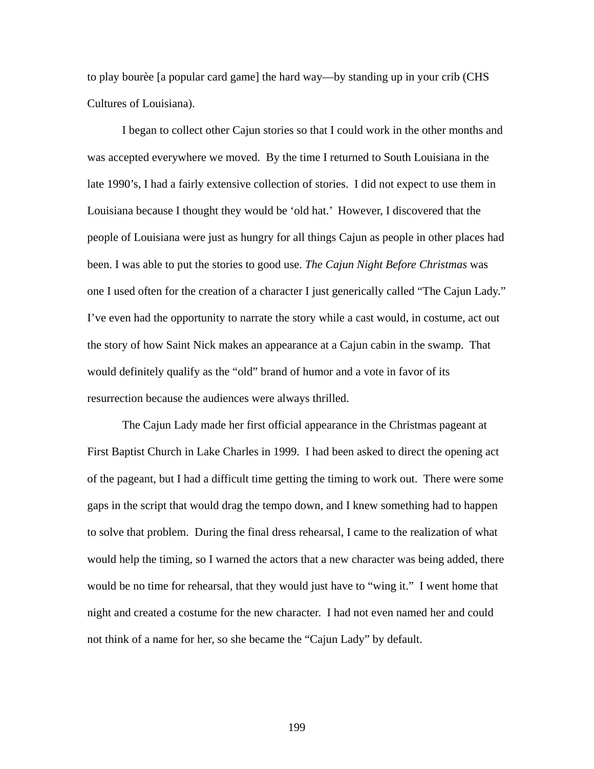to play bourèe [a popular card game] the hard way—by standing up in your crib (CHS Cultures of Louisiana).

I began to collect other Cajun stories so that I could work in the other months and was accepted everywhere we moved. By the time I returned to South Louisiana in the late 1990's, I had a fairly extensive collection of stories. I did not expect to use them in Louisiana because I thought they would be 'old hat.' However, I discovered that the people of Louisiana were just as hungry for all things Cajun as people in other places had been. I was able to put the stories to good use. *The Cajun Night Before Christmas* was one I used often for the creation of a character I just generically called "The Cajun Lady." I've even had the opportunity to narrate the story while a cast would, in costume, act out the story of how Saint Nick makes an appearance at a Cajun cabin in the swamp. That would definitely qualify as the "old" brand of humor and a vote in favor of its resurrection because the audiences were always thrilled.

The Cajun Lady made her first official appearance in the Christmas pageant at First Baptist Church in Lake Charles in 1999. I had been asked to direct the opening act of the pageant, but I had a difficult time getting the timing to work out. There were some gaps in the script that would drag the tempo down, and I knew something had to happen to solve that problem. During the final dress rehearsal, I came to the realization of what would help the timing, so I warned the actors that a new character was being added, there would be no time for rehearsal, that they would just have to "wing it." I went home that night and created a costume for the new character. I had not even named her and could not think of a name for her, so she became the "Cajun Lady" by default.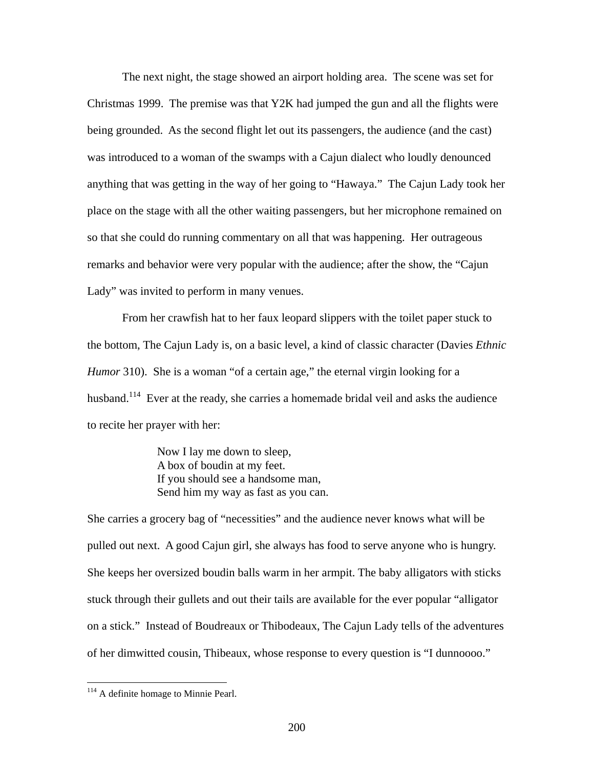The next night, the stage showed an airport holding area. The scene was set for Christmas 1999. The premise was that Y2K had jumped the gun and all the flights were being grounded. As the second flight let out its passengers, the audience (and the cast) was introduced to a woman of the swamps with a Cajun dialect who loudly denounced anything that was getting in the way of her going to "Hawaya." The Cajun Lady took her place on the stage with all the other waiting passengers, but her microphone remained on so that she could do running commentary on all that was happening. Her outrageous remarks and behavior were very popular with the audience; after the show, the "Cajun Lady" was invited to perform in many venues.

From her crawfish hat to her faux leopard slippers with the toilet paper stuck to the bottom, The Cajun Lady is, on a basic level, a kind of classic character (Davies *Ethnic Humor* 310). She is a woman "of a certain age," the eternal virgin looking for a husband.<sup>114</sup> Ever at the ready, she carries a homemade bridal veil and asks the audience to recite her prayer with her:

> Now I lay me down to sleep, A box of boudin at my feet. If you should see a handsome man, Send him my way as fast as you can.

She carries a grocery bag of "necessities" and the audience never knows what will be pulled out next. A good Cajun girl, she always has food to serve anyone who is hungry. She keeps her oversized boudin balls warm in her armpit. The baby alligators with sticks stuck through their gullets and out their tails are available for the ever popular "alligator on a stick." Instead of Boudreaux or Thibodeaux, The Cajun Lady tells of the adventures of her dimwitted cousin, Thibeaux, whose response to every question is "I dunnoooo."

 $\overline{a}$ 

<span id="page-207-0"></span> $114$  A definite homage to Minnie Pearl.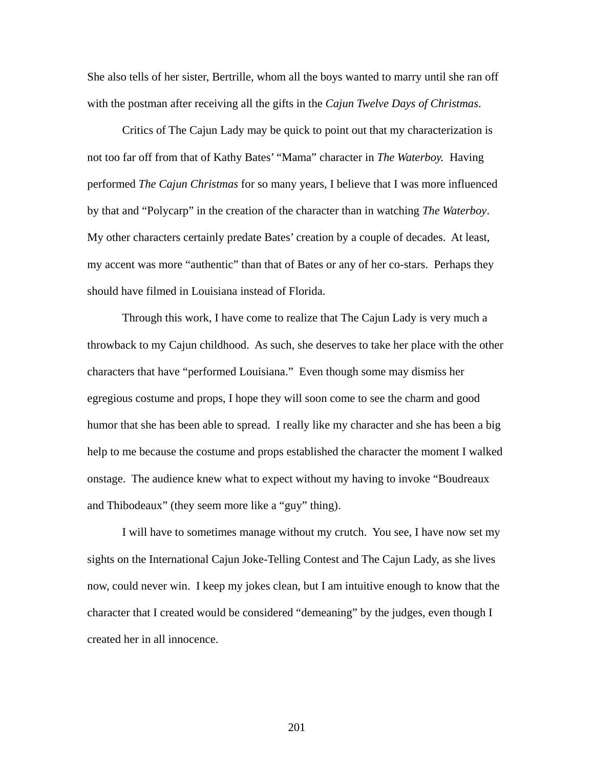She also tells of her sister, Bertrille, whom all the boys wanted to marry until she ran off with the postman after receiving all the gifts in the *Cajun Twelve Days of Christmas*.

Critics of The Cajun Lady may be quick to point out that my characterization is not too far off from that of Kathy Bates' "Mama" character in *The Waterboy.* Having performed *The Cajun Christmas* for so many years, I believe that I was more influenced by that and "Polycarp" in the creation of the character than in watching *The Waterboy*. My other characters certainly predate Bates' creation by a couple of decades. At least, my accent was more "authentic" than that of Bates or any of her co-stars. Perhaps they should have filmed in Louisiana instead of Florida.

Through this work, I have come to realize that The Cajun Lady is very much a throwback to my Cajun childhood. As such, she deserves to take her place with the other characters that have "performed Louisiana." Even though some may dismiss her egregious costume and props, I hope they will soon come to see the charm and good humor that she has been able to spread. I really like my character and she has been a big help to me because the costume and props established the character the moment I walked onstage. The audience knew what to expect without my having to invoke "Boudreaux and Thibodeaux" (they seem more like a "guy" thing).

I will have to sometimes manage without my crutch. You see, I have now set my sights on the International Cajun Joke-Telling Contest and The Cajun Lady, as she lives now, could never win. I keep my jokes clean, but I am intuitive enough to know that the character that I created would be considered "demeaning" by the judges, even though I created her in all innocence.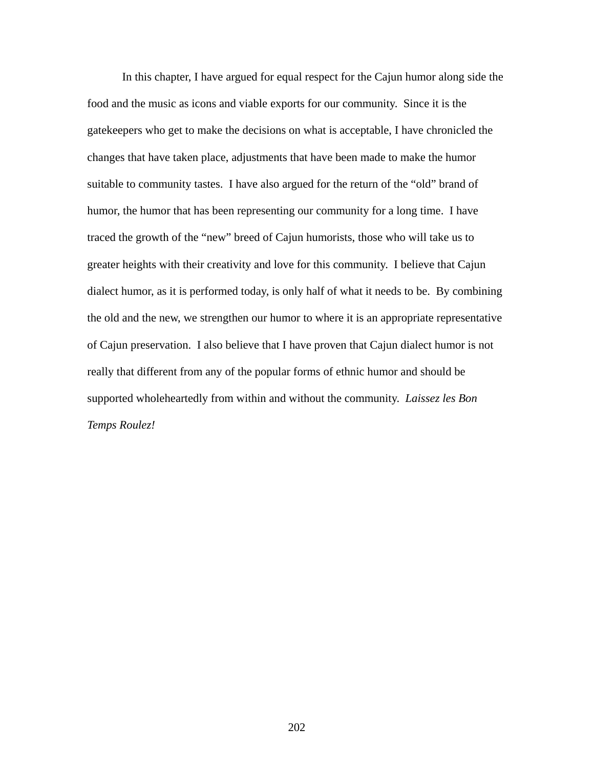In this chapter, I have argued for equal respect for the Cajun humor along side the food and the music as icons and viable exports for our community. Since it is the gatekeepers who get to make the decisions on what is acceptable, I have chronicled the changes that have taken place, adjustments that have been made to make the humor suitable to community tastes. I have also argued for the return of the "old" brand of humor, the humor that has been representing our community for a long time. I have traced the growth of the "new" breed of Cajun humorists, those who will take us to greater heights with their creativity and love for this community. I believe that Cajun dialect humor, as it is performed today, is only half of what it needs to be. By combining the old and the new, we strengthen our humor to where it is an appropriate representative of Cajun preservation. I also believe that I have proven that Cajun dialect humor is not really that different from any of the popular forms of ethnic humor and should be supported wholeheartedly from within and without the community. *Laissez les Bon Temps Roulez!*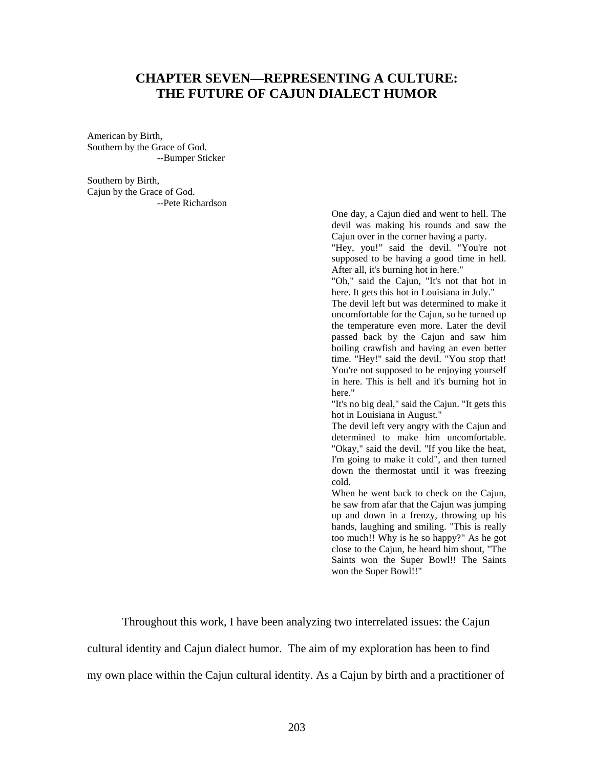## **CHAPTER SEVEN—REPRESENTING A CULTURE: THE FUTURE OF CAJUN DIALECT HUMOR**

American by Birth, Southern by the Grace of God. --Bumper Sticker

Southern by Birth, Cajun by the Grace of God. --Pete Richardson

> One day, a Cajun died and went to hell. The devil was making his rounds and saw the Cajun over in the corner having a party.

> "Hey, you!" said the devil. "You're not supposed to be having a good time in hell. After all, it's burning hot in here."

> "Oh," said the Cajun, "It's not that hot in here. It gets this hot in Louisiana in July."

> The devil left but was determined to make it uncomfortable for the Cajun, so he turned up the temperature even more. Later the devil passed back by the Cajun and saw him boiling crawfish and having an even better time. "Hey!" said the devil. "You stop that! You're not supposed to be enjoying yourself in here. This is hell and it's burning hot in here."

> "It's no big deal," said the Cajun. "It gets this hot in Louisiana in August."

> The devil left very angry with the Cajun and determined to make him uncomfortable. "Okay," said the devil. "If you like the heat, I'm going to make it cold", and then turned down the thermostat until it was freezing cold.

> When he went back to check on the Cajun, he saw from afar that the Cajun was jumping up and down in a frenzy, throwing up his hands, laughing and smiling. "This is really too much!! Why is he so happy?" As he got close to the Cajun, he heard him shout, "The Saints won the Super Bowl!! The Saints won the Super Bowl!!"

Throughout this work, I have been analyzing two interrelated issues: the Cajun

cultural identity and Cajun dialect humor. The aim of my exploration has been to find

my own place within the Cajun cultural identity. As a Cajun by birth and a practitioner of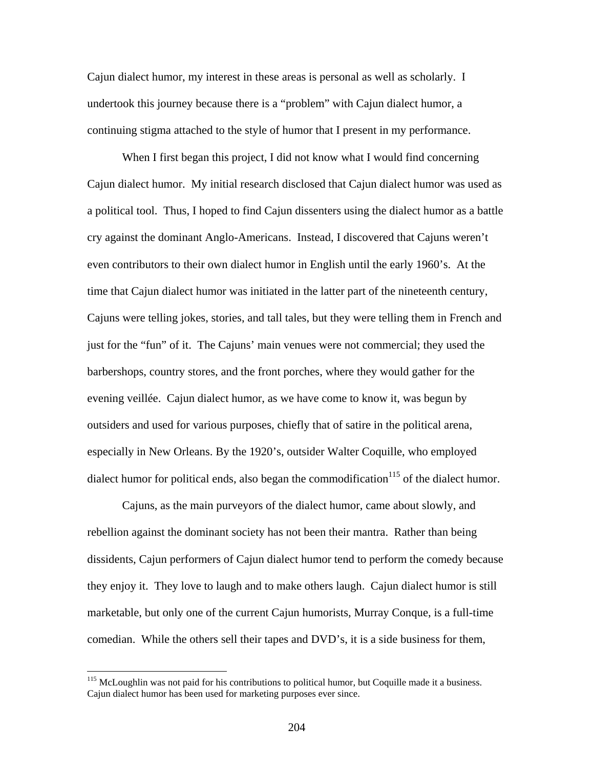Cajun dialect humor, my interest in these areas is personal as well as scholarly. I undertook this journey because there is a "problem" with Cajun dialect humor, a continuing stigma attached to the style of humor that I present in my performance.

When I first began this project, I did not know what I would find concerning Cajun dialect humor. My initial research disclosed that Cajun dialect humor was used as a political tool. Thus, I hoped to find Cajun dissenters using the dialect humor as a battle cry against the dominant Anglo-Americans. Instead, I discovered that Cajuns weren't even contributors to their own dialect humor in English until the early 1960's. At the time that Cajun dialect humor was initiated in the latter part of the nineteenth century, Cajuns were telling jokes, stories, and tall tales, but they were telling them in French and just for the "fun" of it. The Cajuns' main venues were not commercial; they used the barbershops, country stores, and the front porches, where they would gather for the evening veillée. Cajun dialect humor, as we have come to know it, was begun by outsiders and used for various purposes, chiefly that of satire in the political arena, especially in New Orleans. By the 1920's, outsider Walter Coquille, who employed dialect humor for political ends, also began the commodification<sup>115</sup> of the dialect humor.

Cajuns, as the main purveyors of the dialect humor, came about slowly, and rebellion against the dominant society has not been their mantra. Rather than being dissidents, Cajun performers of Cajun dialect humor tend to perform the comedy because they enjoy it. They love to laugh and to make others laugh. Cajun dialect humor is still marketable, but only one of the current Cajun humorists, Murray Conque, is a full-time comedian. While the others sell their tapes and DVD's, it is a side business for them,

<span id="page-211-0"></span><sup>&</sup>lt;sup>115</sup> McLoughlin was not paid for his contributions to political humor, but Coquille made it a business. Cajun dialect humor has been used for marketing purposes ever since.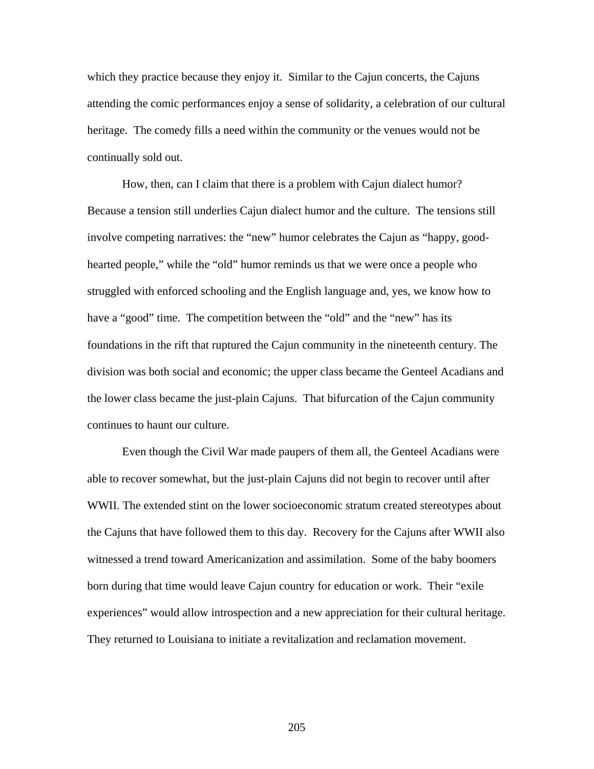which they practice because they enjoy it. Similar to the Cajun concerts, the Cajuns attending the comic performances enjoy a sense of solidarity, a celebration of our cultural heritage. The comedy fills a need within the community or the venues would not be continually sold out.

How, then, can I claim that there is a problem with Cajun dialect humor? Because a tension still underlies Cajun dialect humor and the culture. The tensions still involve competing narratives: the "new" humor celebrates the Cajun as "happy, goodhearted people," while the "old" humor reminds us that we were once a people who struggled with enforced schooling and the English language and, yes, we know how to have a "good" time. The competition between the "old" and the "new" has its foundations in the rift that ruptured the Cajun community in the nineteenth century. The division was both social and economic; the upper class became the Genteel Acadians and the lower class became the just-plain Cajuns. That bifurcation of the Cajun community continues to haunt our culture.

Even though the Civil War made paupers of them all, the Genteel Acadians were able to recover somewhat, but the just-plain Cajuns did not begin to recover until after WWII. The extended stint on the lower socioeconomic stratum created stereotypes about the Cajuns that have followed them to this day. Recovery for the Cajuns after WWII also witnessed a trend toward Americanization and assimilation. Some of the baby boomers born during that time would leave Cajun country for education or work. Their "exile experiences" would allow introspection and a new appreciation for their cultural heritage. They returned to Louisiana to initiate a revitalization and reclamation movement.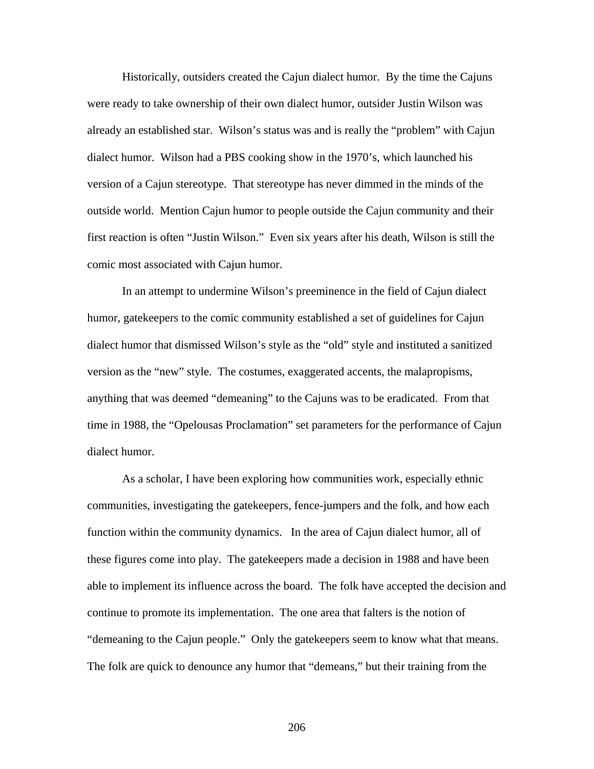Historically, outsiders created the Cajun dialect humor. By the time the Cajuns were ready to take ownership of their own dialect humor, outsider Justin Wilson was already an established star. Wilson's status was and is really the "problem" with Cajun dialect humor. Wilson had a PBS cooking show in the 1970's, which launched his version of a Cajun stereotype. That stereotype has never dimmed in the minds of the outside world. Mention Cajun humor to people outside the Cajun community and their first reaction is often "Justin Wilson." Even six years after his death, Wilson is still the comic most associated with Cajun humor.

In an attempt to undermine Wilson's preeminence in the field of Cajun dialect humor, gatekeepers to the comic community established a set of guidelines for Cajun dialect humor that dismissed Wilson's style as the "old" style and instituted a sanitized version as the "new" style. The costumes, exaggerated accents, the malapropisms, anything that was deemed "demeaning" to the Cajuns was to be eradicated. From that time in 1988, the "Opelousas Proclamation" set parameters for the performance of Cajun dialect humor.

As a scholar, I have been exploring how communities work, especially ethnic communities, investigating the gatekeepers, fence-jumpers and the folk, and how each function within the community dynamics. In the area of Cajun dialect humor, all of these figures come into play. The gatekeepers made a decision in 1988 and have been able to implement its influence across the board. The folk have accepted the decision and continue to promote its implementation. The one area that falters is the notion of "demeaning to the Cajun people." Only the gatekeepers seem to know what that means. The folk are quick to denounce any humor that "demeans," but their training from the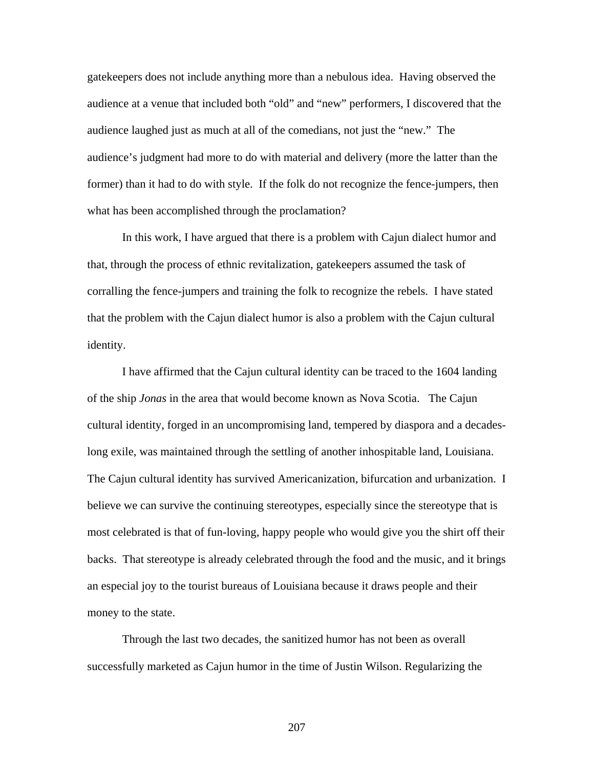gatekeepers does not include anything more than a nebulous idea. Having observed the audience at a venue that included both "old" and "new" performers, I discovered that the audience laughed just as much at all of the comedians, not just the "new." The audience's judgment had more to do with material and delivery (more the latter than the former) than it had to do with style. If the folk do not recognize the fence-jumpers, then what has been accomplished through the proclamation?

In this work, I have argued that there is a problem with Cajun dialect humor and that, through the process of ethnic revitalization, gatekeepers assumed the task of corralling the fence-jumpers and training the folk to recognize the rebels. I have stated that the problem with the Cajun dialect humor is also a problem with the Cajun cultural identity.

I have affirmed that the Cajun cultural identity can be traced to the 1604 landing of the ship *Jonas* in the area that would become known as Nova Scotia. The Cajun cultural identity, forged in an uncompromising land, tempered by diaspora and a decadeslong exile, was maintained through the settling of another inhospitable land, Louisiana. The Cajun cultural identity has survived Americanization, bifurcation and urbanization. I believe we can survive the continuing stereotypes, especially since the stereotype that is most celebrated is that of fun-loving, happy people who would give you the shirt off their backs. That stereotype is already celebrated through the food and the music, and it brings an especial joy to the tourist bureaus of Louisiana because it draws people and their money to the state.

Through the last two decades, the sanitized humor has not been as overall successfully marketed as Cajun humor in the time of Justin Wilson. Regularizing the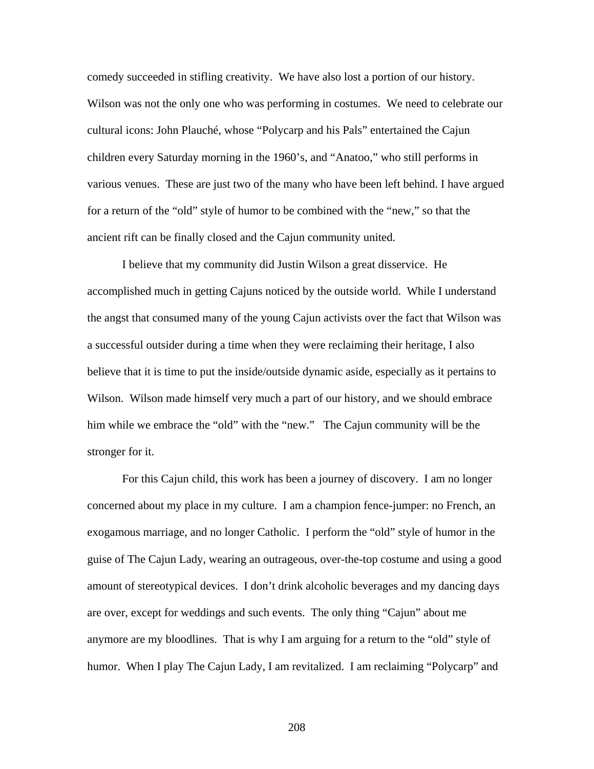comedy succeeded in stifling creativity. We have also lost a portion of our history. Wilson was not the only one who was performing in costumes. We need to celebrate our cultural icons: John Plauché, whose "Polycarp and his Pals" entertained the Cajun children every Saturday morning in the 1960's, and "Anatoo," who still performs in various venues. These are just two of the many who have been left behind. I have argued for a return of the "old" style of humor to be combined with the "new," so that the ancient rift can be finally closed and the Cajun community united.

I believe that my community did Justin Wilson a great disservice. He accomplished much in getting Cajuns noticed by the outside world. While I understand the angst that consumed many of the young Cajun activists over the fact that Wilson was a successful outsider during a time when they were reclaiming their heritage, I also believe that it is time to put the inside/outside dynamic aside, especially as it pertains to Wilson. Wilson made himself very much a part of our history, and we should embrace him while we embrace the "old" with the "new." The Cajun community will be the stronger for it.

For this Cajun child, this work has been a journey of discovery. I am no longer concerned about my place in my culture. I am a champion fence-jumper: no French, an exogamous marriage, and no longer Catholic. I perform the "old" style of humor in the guise of The Cajun Lady, wearing an outrageous, over-the-top costume and using a good amount of stereotypical devices. I don't drink alcoholic beverages and my dancing days are over, except for weddings and such events. The only thing "Cajun" about me anymore are my bloodlines. That is why I am arguing for a return to the "old" style of humor. When I play The Cajun Lady, I am revitalized. I am reclaiming "Polycarp" and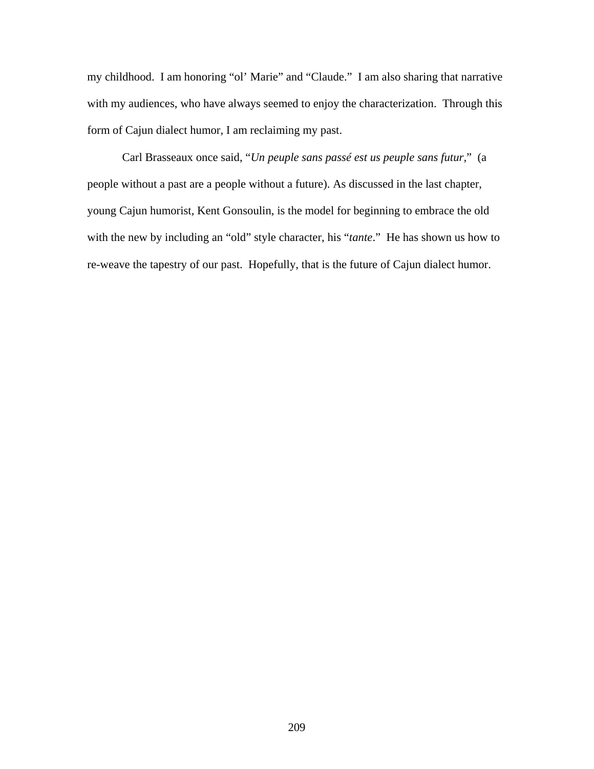my childhood. I am honoring "ol' Marie" and "Claude." I am also sharing that narrative with my audiences, who have always seemed to enjoy the characterization. Through this form of Cajun dialect humor, I am reclaiming my past.

Carl Brasseaux once said, "*Un peuple sans passé est us peuple sans futur,*" (a people without a past are a people without a future). As discussed in the last chapter, young Cajun humorist, Kent Gonsoulin, is the model for beginning to embrace the old with the new by including an "old" style character, his "*tante*." He has shown us how to re-weave the tapestry of our past. Hopefully, that is the future of Cajun dialect humor.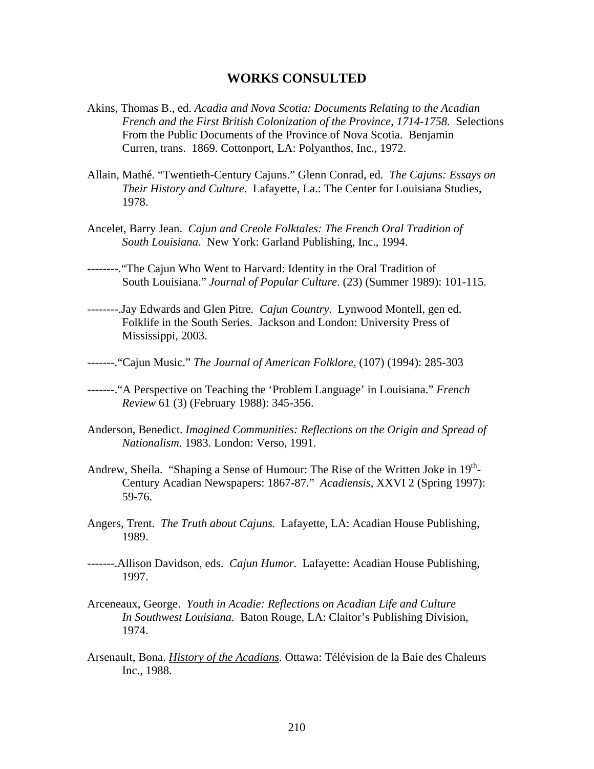## **WORKS CONSULTED**

- Akins, Thomas B., ed. *Acadia and Nova Scotia: Documents Relating to the Acadian French and the First British Colonization of the Province, 1714-1758.* Selections From the Public Documents of the Province of Nova Scotia. Benjamin Curren, trans. 1869. Cottonport, LA: Polyanthos, Inc., 1972.
- Allain, Mathé. "Twentieth-Century Cajuns." Glenn Conrad, ed. *The Cajuns: Essays on Their History and Culture*. Lafayette, La.: The Center for Louisiana Studies, 1978.
- Ancelet, Barry Jean. *Cajun and Creole Folktales: The French Oral Tradition of South Louisiana*. New York: Garland Publishing, Inc., 1994.
- --------."The Cajun Who Went to Harvard: Identity in the Oral Tradition of South Louisiana." *Journal of Popular Culture*. (23) (Summer 1989): 101-115.
- --------.Jay Edwards and Glen Pitre. *Cajun Country*. Lynwood Montell, gen ed. Folklife in the South Series. Jackson and London: University Press of Mississippi, 2003.
- -------."Cajun Music." *The Journal of American Folklore*. (107) (1994): 285-303
- -------."A Perspective on Teaching the 'Problem Language' in Louisiana." *French Review* 61 (3) (February 1988): 345-356.
- Anderson, Benedict. *Imagined Communities: Reflections on the Origin and Spread of Nationalism*. 1983. London: Verso, 1991.
- Andrew, Sheila. "Shaping a Sense of Humour: The Rise of the Written Joke in 19<sup>th</sup>-Century Acadian Newspapers: 1867-87." *Acadiensis*, XXVI 2 (Spring 1997): 59-76.
- Angers, Trent. *The Truth about Cajuns.* Lafayette, LA: Acadian House Publishing, 1989.
- -------.Allison Davidson, eds. *Cajun Humor*. Lafayette: Acadian House Publishing, 1997.
- Arceneaux, George. *Youth in Acadie: Reflections on Acadian Life and Culture In Southwest Louisiana.* Baton Rouge, LA: Claitor's Publishing Division, 1974.
- Arsenault, Bona. *History of the Acadians*. Ottawa: Télévision de la Baie des Chaleurs Inc., 1988.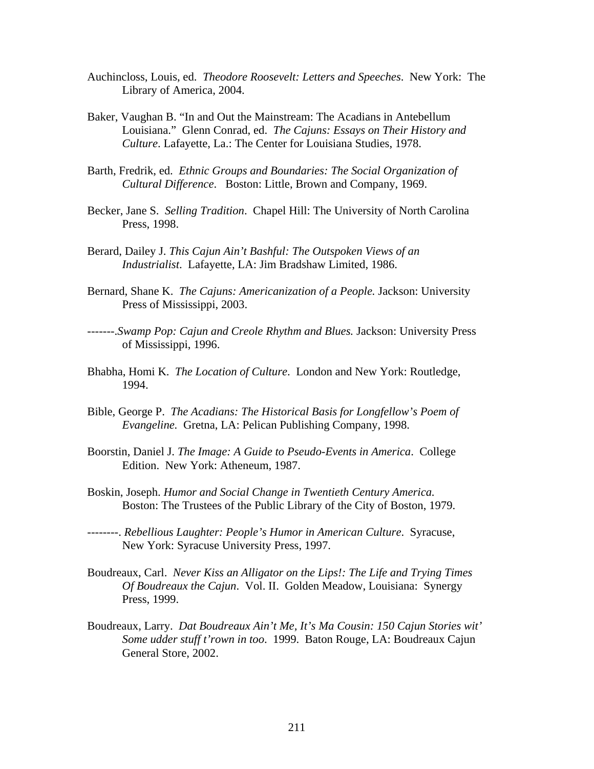- Auchincloss, Louis, ed. *Theodore Roosevelt: Letters and Speeches*. New York: The Library of America, 2004.
- Baker, Vaughan B. "In and Out the Mainstream: The Acadians in Antebellum Louisiana." Glenn Conrad, ed. *The Cajuns: Essays on Their History and Culture*. Lafayette, La.: The Center for Louisiana Studies, 1978.
- Barth, Fredrik, ed. *Ethnic Groups and Boundaries: The Social Organization of Cultural Difference*. Boston: Little, Brown and Company, 1969.
- Becker, Jane S. *Selling Tradition*. Chapel Hill: The University of North Carolina Press, 1998.
- Berard, Dailey J. *This Cajun Ain't Bashful: The Outspoken Views of an Industrialist*. Lafayette, LA: Jim Bradshaw Limited, 1986.
- Bernard, Shane K. *The Cajuns: Americanization of a People.* Jackson: University Press of Mississippi, 2003.
- -------.*Swamp Pop: Cajun and Creole Rhythm and Blues.* Jackson: University Press of Mississippi, 1996.
- Bhabha, Homi K. *The Location of Culture*. London and New York: Routledge, 1994.
- Bible, George P. *The Acadians: The Historical Basis for Longfellow's Poem of Evangeline.* Gretna, LA: Pelican Publishing Company, 1998.
- Boorstin, Daniel J. *The Image: A Guide to Pseudo-Events in America*. College Edition. New York: Atheneum, 1987.
- Boskin, Joseph. *Humor and Social Change in Twentieth Century America.* Boston: The Trustees of the Public Library of the City of Boston, 1979.
- --------. *Rebellious Laughter: People's Humor in American Culture*. Syracuse, New York: Syracuse University Press, 1997.
- Boudreaux, Carl. *Never Kiss an Alligator on the Lips!: The Life and Trying Times Of Boudreaux the Cajun*. Vol. II. Golden Meadow, Louisiana: Synergy Press, 1999.
- Boudreaux, Larry. *Dat Boudreaux Ain't Me, It's Ma Cousin: 150 Cajun Stories wit' Some udder stuff t'rown in too*. 1999. Baton Rouge, LA: Boudreaux Cajun General Store, 2002.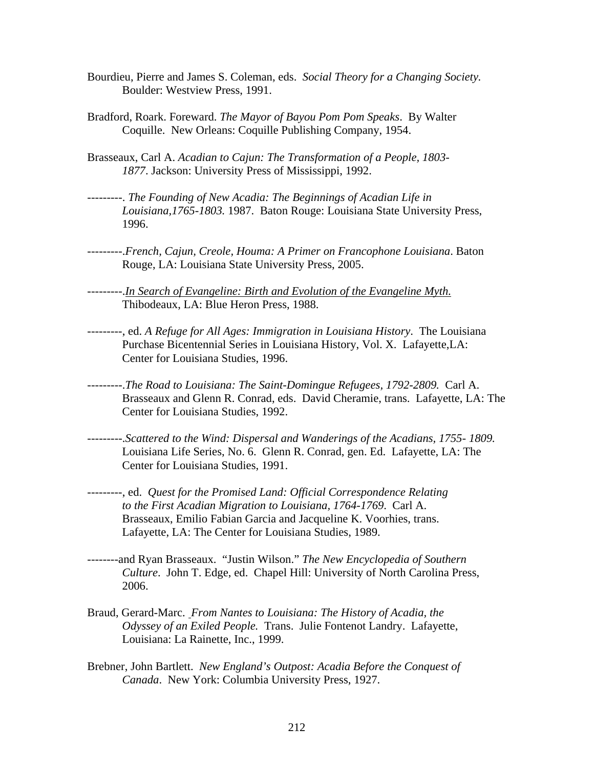- Bourdieu, Pierre and James S. Coleman, eds. *Social Theory for a Changing Society.*  Boulder: Westview Press, 1991.
- Bradford, Roark. Foreward. *The Mayor of Bayou Pom Pom Speaks*. By Walter Coquille. New Orleans: Coquille Publishing Company, 1954.
- Brasseaux, Carl A. *Acadian to Cajun: The Transformation of a People, 1803- 1877*. Jackson: University Press of Mississippi, 1992.
- ---------. *The Founding of New Acadia: The Beginnings of Acadian Life in Louisiana,1765-1803.* 1987. Baton Rouge: Louisiana State University Press, 1996.
- ---------.*French, Cajun, Creole, Houma: A Primer on Francophone Louisiana*. Baton Rouge, LA: Louisiana State University Press, 2005.
- ---------.*In Search of Evangeline: Birth and Evolution of the Evangeline Myth.* Thibodeaux, LA: Blue Heron Press, 1988.
- ---------, ed. *A Refuge for All Ages: Immigration in Louisiana History*. The Louisiana Purchase Bicentennial Series in Louisiana History, Vol. X. Lafayette,LA: Center for Louisiana Studies, 1996.
- ---------.*The Road to Louisiana: The Saint-Domingue Refugees, 1792-2809.* Carl A. Brasseaux and Glenn R. Conrad, eds. David Cheramie, trans. Lafayette, LA: The Center for Louisiana Studies, 1992.
- ---------.*Scattered to the Wind: Dispersal and Wanderings of the Acadians, 1755- 1809.*  Louisiana Life Series, No. 6. Glenn R. Conrad, gen. Ed. Lafayette, LA: The Center for Louisiana Studies, 1991.
- ---------, ed. *Quest for the Promised Land: Official Correspondence Relating to the First Acadian Migration to Louisiana, 1764-1769*. Carl A. Brasseaux, Emilio Fabian Garcia and Jacqueline K. Voorhies, trans. Lafayette, LA: The Center for Louisiana Studies, 1989.
- --------and Ryan Brasseaux. "Justin Wilson." *The New Encyclopedia of Southern Culture*. John T. Edge, ed. Chapel Hill: University of North Carolina Press, 2006.
- Braud, Gerard-Marc. *From Nantes to Louisiana: The History of Acadia, the Odyssey of an Exiled People.* Trans. Julie Fontenot Landry. Lafayette, Louisiana: La Rainette, Inc., 1999.
- Brebner, John Bartlett. *New England's Outpost: Acadia Before the Conquest of Canada*. New York: Columbia University Press, 1927.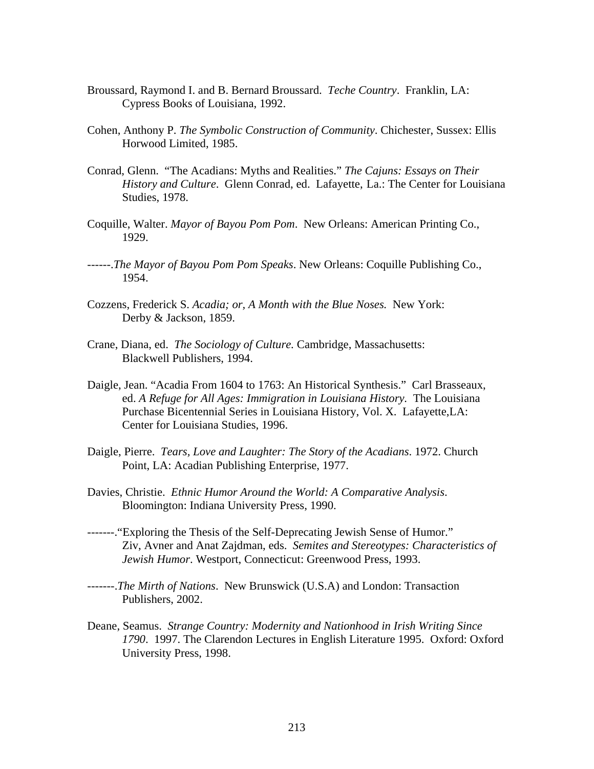- Broussard, Raymond I. and B. Bernard Broussard. *Teche Country*. Franklin, LA: Cypress Books of Louisiana, 1992.
- Cohen, Anthony P. *The Symbolic Construction of Community*. Chichester, Sussex: Ellis Horwood Limited, 1985.
- Conrad, Glenn. "The Acadians: Myths and Realities." *The Cajuns: Essays on Their History and Culture*. Glenn Conrad, ed. Lafayette, La.: The Center for Louisiana Studies, 1978.
- Coquille, Walter. *Mayor of Bayou Pom Pom*. New Orleans: American Printing Co., 1929.
- ------.*The Mayor of Bayou Pom Pom Speaks*. New Orleans: Coquille Publishing Co., 1954.
- Cozzens, Frederick S. *Acadia; or, A Month with the Blue Noses.* New York: Derby & Jackson, 1859.
- Crane, Diana, ed. *The Sociology of Culture.* Cambridge, Massachusetts: Blackwell Publishers, 1994.
- Daigle, Jean. "Acadia From 1604 to 1763: An Historical Synthesis." Carl Brasseaux, ed. *A Refuge for All Ages: Immigration in Louisiana History.* The Louisiana Purchase Bicentennial Series in Louisiana History, Vol. X. Lafayette,LA: Center for Louisiana Studies, 1996.
- Daigle, Pierre. *Tears, Love and Laughter: The Story of the Acadians*. 1972. Church Point, LA: Acadian Publishing Enterprise, 1977.
- Davies, Christie. *Ethnic Humor Around the World: A Comparative Analysis*. Bloomington: Indiana University Press, 1990.
- -------."Exploring the Thesis of the Self-Deprecating Jewish Sense of Humor." Ziv, Avner and Anat Zajdman, eds. *Semites and Stereotypes: Characteristics of Jewish Humor*. Westport, Connecticut: Greenwood Press, 1993.
- -------.*The Mirth of Nations*. New Brunswick (U.S.A) and London: Transaction Publishers, 2002.
- Deane, Seamus. *Strange Country: Modernity and Nationhood in Irish Writing Since 1790*. 1997. The Clarendon Lectures in English Literature 1995. Oxford: Oxford University Press, 1998.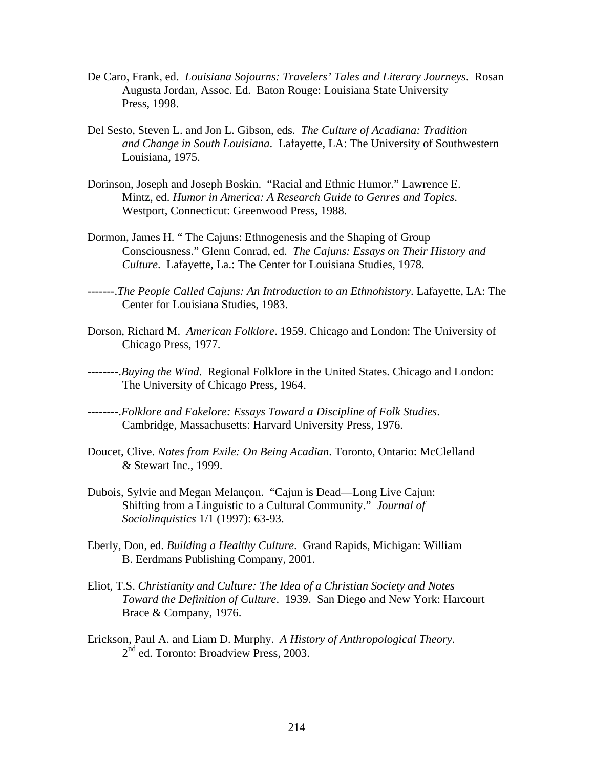- De Caro, Frank, ed. *Louisiana Sojourns: Travelers' Tales and Literary Journeys*. Rosan Augusta Jordan, Assoc. Ed. Baton Rouge: Louisiana State University Press, 1998.
- Del Sesto, Steven L. and Jon L. Gibson, eds. *The Culture of Acadiana: Tradition and Change in South Louisiana*. Lafayette, LA: The University of Southwestern Louisiana, 1975.
- Dorinson, Joseph and Joseph Boskin. "Racial and Ethnic Humor." Lawrence E. Mintz, ed. *Humor in America: A Research Guide to Genres and Topics*. Westport, Connecticut: Greenwood Press, 1988.
- Dormon, James H. " The Cajuns: Ethnogenesis and the Shaping of Group Consciousness." Glenn Conrad, ed. *The Cajuns: Essays on Their History and Culture*. Lafayette, La.: The Center for Louisiana Studies, 1978.
- -------.*The People Called Cajuns: An Introduction to an Ethnohistory*. Lafayette, LA: The Center for Louisiana Studies, 1983.
- Dorson, Richard M. *American Folklore*. 1959. Chicago and London: The University of Chicago Press, 1977.
- --------.*Buying the Wind*. Regional Folklore in the United States. Chicago and London: The University of Chicago Press, 1964.
- --------.*Folklore and Fakelore: Essays Toward a Discipline of Folk Studies*. Cambridge, Massachusetts: Harvard University Press, 1976.
- Doucet, Clive. *Notes from Exile: On Being Acadian*. Toronto, Ontario: McClelland & Stewart Inc., 1999.
- Dubois, Sylvie and Megan Melançon. "Cajun is Dead—Long Live Cajun: Shifting from a Linguistic to a Cultural Community." *Journal of Sociolinquistics* 1/1 (1997): 63-93.
- Eberly, Don, ed. *Building a Healthy Culture*. Grand Rapids, Michigan: William B. Eerdmans Publishing Company, 2001.
- Eliot, T.S. *Christianity and Culture: The Idea of a Christian Society and Notes Toward the Definition of Culture*. 1939. San Diego and New York: Harcourt Brace & Company, 1976.
- Erickson, Paul A. and Liam D. Murphy. *A History of Anthropological Theory*. 2<sup>nd</sup> ed. Toronto: Broadview Press, 2003.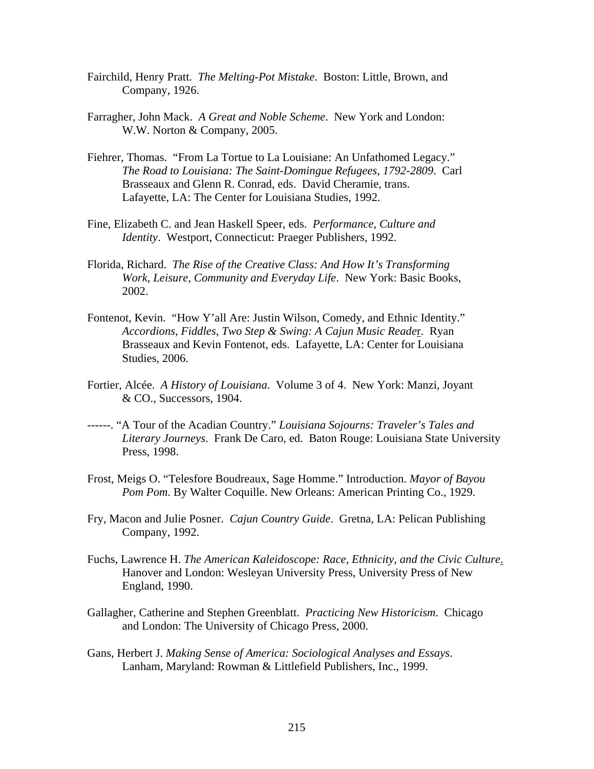- Fairchild, Henry Pratt. *The Melting-Pot Mistake*. Boston: Little, Brown, and Company, 1926.
- Farragher, John Mack. *A Great and Noble Scheme*. New York and London: W.W. Norton & Company, 2005.
- Fiehrer, Thomas. "From La Tortue to La Louisiane: An Unfathomed Legacy." *The Road to Louisiana: The Saint-Domingue Refugees, 1792-2809*. Carl Brasseaux and Glenn R. Conrad, eds. David Cheramie, trans. Lafayette, LA: The Center for Louisiana Studies, 1992.
- Fine, Elizabeth C. and Jean Haskell Speer, eds. *Performance, Culture and Identity*. Westport, Connecticut: Praeger Publishers, 1992.
- Florida, Richard. *The Rise of the Creative Class: And How It's Transforming Work, Leisure, Community and Everyday Life*. New York: Basic Books, 2002.
- Fontenot, Kevin. "How Y'all Are: Justin Wilson, Comedy, and Ethnic Identity." *Accordions, Fiddles, Two Step & Swing: A Cajun Music Reade*r. Ryan Brasseaux and Kevin Fontenot, eds. Lafayette, LA: Center for Louisiana Studies, 2006.
- Fortier, Alcée. *A History of Louisiana*. Volume 3 of 4. New York: Manzi, Joyant & CO., Successors, 1904.
- ------. "A Tour of the Acadian Country." *Louisiana Sojourns: Traveler's Tales and Literary Journeys*. Frank De Caro, ed. Baton Rouge: Louisiana State University Press, 1998.
- Frost, Meigs O. "Telesfore Boudreaux, Sage Homme." Introduction. *Mayor of Bayou Pom Pom*. By Walter Coquille. New Orleans: American Printing Co., 1929.
- Fry, Macon and Julie Posner. *Cajun Country Guide*. Gretna, LA: Pelican Publishing Company, 1992.
- Fuchs, Lawrence H. *The American Kaleidoscope: Race, Ethnicity, and the Civic Culture*. Hanover and London: Wesleyan University Press, University Press of New England, 1990.
- Gallagher, Catherine and Stephen Greenblatt. *Practicing New Historicism*. Chicago and London: The University of Chicago Press, 2000.
- Gans, Herbert J. *Making Sense of America: Sociological Analyses and Essays*. Lanham, Maryland: Rowman & Littlefield Publishers, Inc., 1999.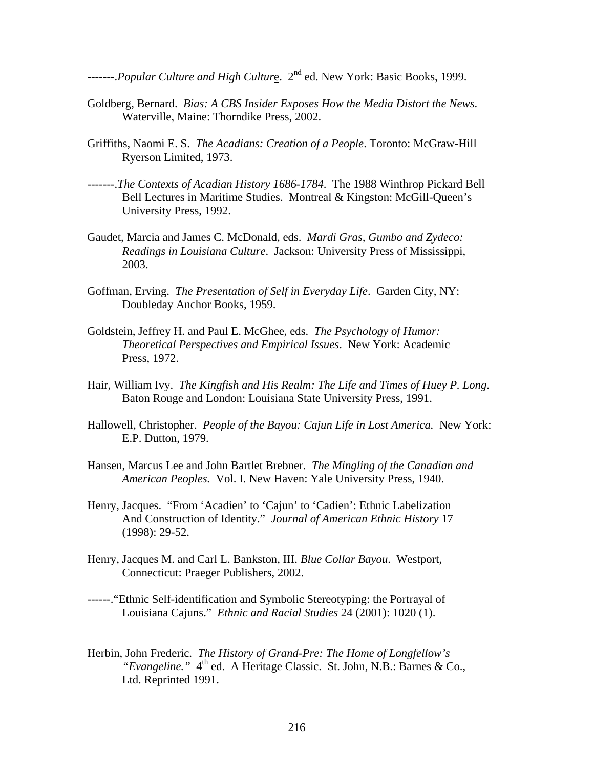-------.*Popular Culture and High Cultur*e. 2nd ed. New York: Basic Books, 1999.

- Goldberg, Bernard. *Bias: A CBS Insider Exposes How the Media Distort the News*. Waterville, Maine: Thorndike Press, 2002.
- Griffiths, Naomi E. S. *The Acadians: Creation of a People*. Toronto: McGraw-Hill Ryerson Limited, 1973.
- -------.*The Contexts of Acadian History 1686-1784*. The 1988 Winthrop Pickard Bell Bell Lectures in Maritime Studies. Montreal & Kingston: McGill-Queen's University Press, 1992.
- Gaudet, Marcia and James C. McDonald, eds. *Mardi Gras, Gumbo and Zydeco: Readings in Louisiana Culture*. Jackson: University Press of Mississippi, 2003.
- Goffman, Erving. *The Presentation of Self in Everyday Life*. Garden City, NY: Doubleday Anchor Books, 1959.
- Goldstein, Jeffrey H. and Paul E. McGhee, eds. *The Psychology of Humor: Theoretical Perspectives and Empirical Issues*. New York: Academic Press, 1972.
- Hair, William Ivy. *The Kingfish and His Realm: The Life and Times of Huey P. Long*. Baton Rouge and London: Louisiana State University Press, 1991.
- Hallowell, Christopher. *People of the Bayou: Cajun Life in Lost America.* New York: E.P. Dutton, 1979.
- Hansen, Marcus Lee and John Bartlet Brebner. *The Mingling of the Canadian and American Peoples.* Vol. I. New Haven: Yale University Press, 1940.
- Henry, Jacques. "From 'Acadien' to 'Cajun' to 'Cadien': Ethnic Labelization And Construction of Identity." *Journal of American Ethnic History* 17 (1998): 29-52.
- Henry, Jacques M. and Carl L. Bankston, III. *Blue Collar Bayou*. Westport, Connecticut: Praeger Publishers, 2002.
- ------."Ethnic Self-identification and Symbolic Stereotyping: the Portrayal of Louisiana Cajuns." *Ethnic and Racial Studies* 24 (2001): 1020 (1).
- Herbin, John Frederic. *The History of Grand-Pre: The Home of Longfellow's*  "Evangeline." 4<sup>th</sup> ed. A Heritage Classic. St. John, N.B.: Barnes & Co., Ltd. Reprinted 1991.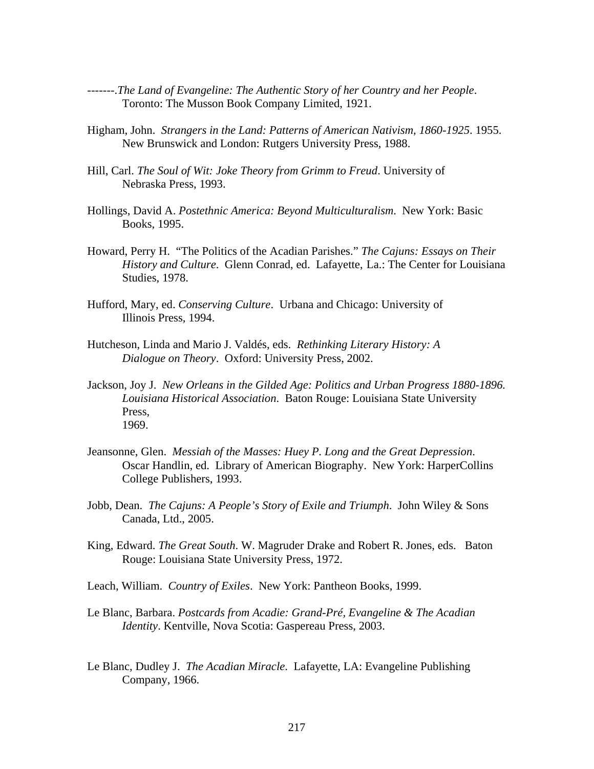- -------.*The Land of Evangeline: The Authentic Story of her Country and her People*. Toronto: The Musson Book Company Limited, 1921.
- Higham, John. *Strangers in the Land: Patterns of American Nativism, 1860-1925*. 1955. New Brunswick and London: Rutgers University Press, 1988.
- Hill, Carl. *The Soul of Wit: Joke Theory from Grimm to Freud*. University of Nebraska Press, 1993.
- Hollings, David A. *Postethnic America: Beyond Multiculturalism*. New York: Basic Books, 1995.
- Howard, Perry H. "The Politics of the Acadian Parishes." *The Cajuns: Essays on Their History and Culture*. Glenn Conrad, ed. Lafayette, La.: The Center for Louisiana Studies, 1978.
- Hufford, Mary, ed. *Conserving Culture*. Urbana and Chicago: University of Illinois Press, 1994.
- Hutcheson, Linda and Mario J. Valdés, eds. *Rethinking Literary History: A Dialogue on Theory*. Oxford: University Press, 2002.
- Jackson, Joy J. *New Orleans in the Gilded Age: Politics and Urban Progress 1880-1896. Louisiana Historical Association*. Baton Rouge: Louisiana State University Press, 1969.
- Jeansonne, Glen. *Messiah of the Masses: Huey P. Long and the Great Depression*. Oscar Handlin, ed. Library of American Biography. New York: HarperCollins College Publishers, 1993.
- Jobb, Dean. *The Cajuns: A People's Story of Exile and Triumph*. John Wiley & Sons Canada, Ltd., 2005.
- King, Edward. *The Great South*. W. Magruder Drake and Robert R. Jones, eds. Baton Rouge: Louisiana State University Press, 1972.
- Leach, William. *Country of Exiles*. New York: Pantheon Books, 1999.
- Le Blanc, Barbara. *Postcards from Acadie: Grand-Pré, Evangeline & The Acadian Identity*. Kentville, Nova Scotia: Gaspereau Press, 2003.
- Le Blanc, Dudley J. *The Acadian Miracle*. Lafayette, LA: Evangeline Publishing Company, 1966.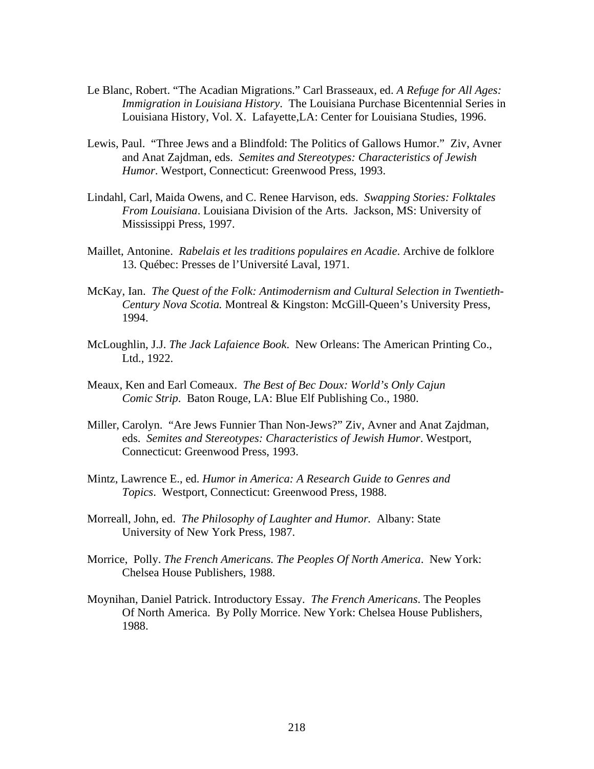- Le Blanc, Robert. "The Acadian Migrations." Carl Brasseaux, ed. *A Refuge for All Ages: Immigration in Louisiana History*. The Louisiana Purchase Bicentennial Series in Louisiana History, Vol. X. Lafayette,LA: Center for Louisiana Studies, 1996.
- Lewis, Paul. "Three Jews and a Blindfold: The Politics of Gallows Humor." Ziv, Avner and Anat Zajdman, eds. *Semites and Stereotypes: Characteristics of Jewish Humor*. Westport, Connecticut: Greenwood Press, 1993.
- Lindahl, Carl, Maida Owens, and C. Renee Harvison, eds. *Swapping Stories: Folktales From Louisiana*. Louisiana Division of the Arts. Jackson, MS: University of Mississippi Press, 1997.
- Maillet, Antonine. *Rabelais et les traditions populaires en Acadie*. Archive de folklore 13. Québec: Presses de l'Université Laval, 1971.
- McKay, Ian. *The Quest of the Folk: Antimodernism and Cultural Selection in Twentieth-Century Nova Scotia.* Montreal & Kingston: McGill-Queen's University Press, 1994.
- McLoughlin, J.J. *The Jack Lafaience Book*. New Orleans: The American Printing Co., Ltd., 1922.
- Meaux, Ken and Earl Comeaux. *The Best of Bec Doux: World's Only Cajun Comic Strip*. Baton Rouge, LA: Blue Elf Publishing Co., 1980.
- Miller, Carolyn. "Are Jews Funnier Than Non-Jews?" Ziv, Avner and Anat Zajdman, eds. *Semites and Stereotypes: Characteristics of Jewish Humor*. Westport, Connecticut: Greenwood Press, 1993.
- Mintz, Lawrence E., ed. *Humor in America: A Research Guide to Genres and Topics*. Westport, Connecticut: Greenwood Press, 1988.
- Morreall, John, ed. *The Philosophy of Laughter and Humor.* Albany: State University of New York Press, 1987.
- Morrice, Polly. *The French Americans. The Peoples Of North America*. New York: Chelsea House Publishers, 1988.
- Moynihan, Daniel Patrick. Introductory Essay. *The French Americans*. The Peoples Of North America. By Polly Morrice. New York: Chelsea House Publishers, 1988.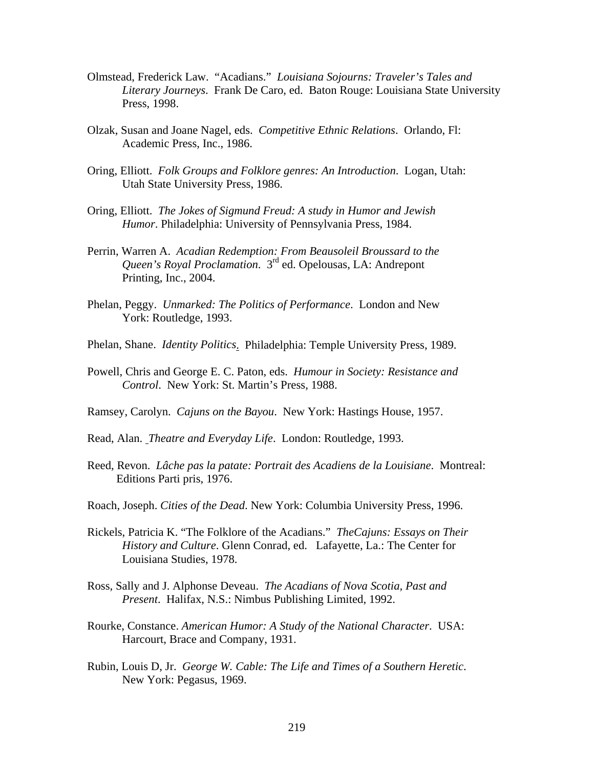- Olmstead, Frederick Law. "Acadians." *Louisiana Sojourns: Traveler's Tales and Literary Journeys*. Frank De Caro, ed. Baton Rouge: Louisiana State University Press, 1998.
- Olzak, Susan and Joane Nagel, eds. *Competitive Ethnic Relations*. Orlando, Fl: Academic Press, Inc., 1986.
- Oring, Elliott. *Folk Groups and Folklore genres: An Introduction*. Logan, Utah: Utah State University Press, 1986.
- Oring, Elliott. *The Jokes of Sigmund Freud: A study in Humor and Jewish Humor*. Philadelphia: University of Pennsylvania Press, 1984.
- Perrin, Warren A. *Acadian Redemption: From Beausoleil Broussard to the Queen's Royal Proclamation*. 3rd ed. Opelousas, LA: Andrepont Printing, Inc., 2004.
- Phelan, Peggy. *Unmarked: The Politics of Performance*. London and New York: Routledge, 1993.
- Phelan, Shane. *Identity Politics*. Philadelphia: Temple University Press, 1989.
- Powell, Chris and George E. C. Paton, eds. *Humour in Society: Resistance and Control*. New York: St. Martin's Press, 1988.
- Ramsey, Carolyn. *Cajuns on the Bayou*. New York: Hastings House, 1957.
- Read, Alan. *Theatre and Everyday Life*. London: Routledge, 1993.
- Reed, Revon. *Lâche pas la patate: Portrait des Acadiens de la Louisiane*. Montreal: Editions Parti pris, 1976.
- Roach, Joseph. *Cities of the Dead*. New York: Columbia University Press, 1996.
- Rickels, Patricia K. "The Folklore of the Acadians." *TheCajuns: Essays on Their History and Culture*. Glenn Conrad, ed. Lafayette, La.: The Center for Louisiana Studies, 1978.
- Ross, Sally and J. Alphonse Deveau. *The Acadians of Nova Scotia, Past and Present*. Halifax, N.S.: Nimbus Publishing Limited, 1992.
- Rourke, Constance. *American Humor: A Study of the National Character*. USA: Harcourt, Brace and Company, 1931.
- Rubin, Louis D, Jr. *George W. Cable: The Life and Times of a Southern Heretic*. New York: Pegasus, 1969.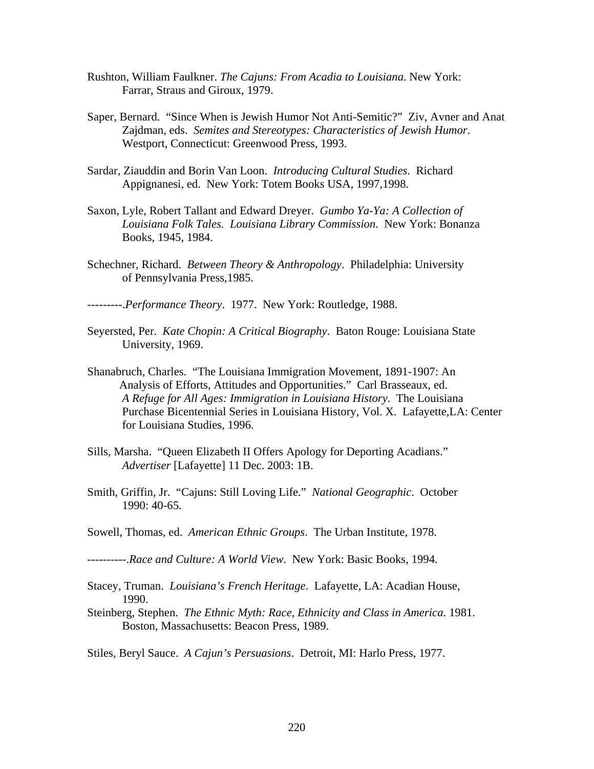- Rushton, William Faulkner. *The Cajuns: From Acadia to Louisiana*. New York: Farrar, Straus and Giroux, 1979.
- Saper, Bernard. "Since When is Jewish Humor Not Anti-Semitic?" Ziv, Avner and Anat Zajdman, eds. *Semites and Stereotypes: Characteristics of Jewish Humor*. Westport, Connecticut: Greenwood Press, 1993.
- Sardar, Ziauddin and Borin Van Loon. *Introducing Cultural Studies*. Richard Appignanesi, ed. New York: Totem Books USA, 1997,1998.
- Saxon, Lyle, Robert Tallant and Edward Dreyer. *Gumbo Ya-Ya: A Collection of Louisiana Folk Tales. Louisiana Library Commission*. New York: Bonanza Books, 1945, 1984.
- Schechner, Richard. *Between Theory & Anthropology*. Philadelphia: University of Pennsylvania Press,1985.
- ---------.*Performance Theory*. 1977. New York: Routledge, 1988.
- Seyersted, Per. *Kate Chopin: A Critical Biography*. Baton Rouge: Louisiana State University, 1969.
- Shanabruch, Charles. "The Louisiana Immigration Movement, 1891-1907: An Analysis of Efforts, Attitudes and Opportunities." Carl Brasseaux, ed. *A Refuge for All Ages: Immigration in Louisiana History*. The Louisiana Purchase Bicentennial Series in Louisiana History, Vol. X. Lafayette,LA: Center for Louisiana Studies, 1996.
- Sills, Marsha. "Queen Elizabeth II Offers Apology for Deporting Acadians." *Advertiser* [Lafayette] 11 Dec. 2003: 1B.
- Smith, Griffin, Jr. "Cajuns: Still Loving Life." *National Geographic*. October 1990: 40-65.
- Sowell, Thomas, ed. *American Ethnic Groups*. The Urban Institute, 1978.
- ----------.*Race and Culture: A World View*. New York: Basic Books, 1994.
- Stacey, Truman. *Louisiana's French Heritage*. Lafayette, LA: Acadian House, 1990.
- Steinberg, Stephen. *The Ethnic Myth: Race, Ethnicity and Class in America*. 1981. Boston, Massachusetts: Beacon Press, 1989.
- Stiles, Beryl Sauce. *A Cajun's Persuasions*. Detroit, MI: Harlo Press, 1977.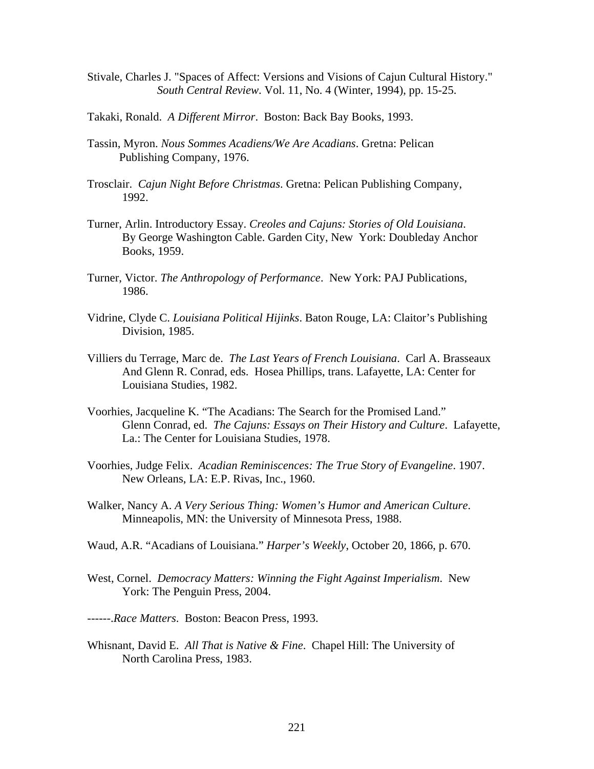- Stivale, Charles J. "Spaces of Affect: Versions and Visions of Cajun Cultural History." *South Central Review*. Vol. 11, No. 4 (Winter, 1994), pp. 15-25.
- Takaki, Ronald. *A Different Mirror*. Boston: Back Bay Books, 1993.
- Tassin, Myron. *Nous Sommes Acadiens/We Are Acadians*. Gretna: Pelican Publishing Company, 1976.
- Trosclair. *Cajun Night Before Christmas*. Gretna: Pelican Publishing Company, 1992.
- Turner, Arlin. Introductory Essay. *Creoles and Cajuns: Stories of Old Louisiana*. By George Washington Cable. Garden City, New York: Doubleday Anchor Books, 1959.
- Turner, Victor. *The Anthropology of Performance*. New York: PAJ Publications, 1986.
- Vidrine, Clyde C. *Louisiana Political Hijinks*. Baton Rouge, LA: Claitor's Publishing Division, 1985.
- Villiers du Terrage, Marc de. *The Last Years of French Louisiana*. Carl A. Brasseaux And Glenn R. Conrad, eds. Hosea Phillips, trans. Lafayette, LA: Center for Louisiana Studies, 1982.
- Voorhies, Jacqueline K. "The Acadians: The Search for the Promised Land." Glenn Conrad, ed. *The Cajuns: Essays on Their History and Culture*. Lafayette, La.: The Center for Louisiana Studies, 1978.
- Voorhies, Judge Felix. *Acadian Reminiscences: The True Story of Evangeline*. 1907. New Orleans, LA: E.P. Rivas, Inc., 1960.
- Walker, Nancy A. *A Very Serious Thing: Women's Humor and American Culture*. Minneapolis, MN: the University of Minnesota Press, 1988.
- Waud, A.R. "Acadians of Louisiana." *Harper's Weekly*, October 20, 1866, p. 670.
- West, Cornel. *Democracy Matters: Winning the Fight Against Imperialism*. New York: The Penguin Press, 2004.
- ------.*Race Matters*. Boston: Beacon Press, 1993.
- Whisnant, David E. *All That is Native & Fine*. Chapel Hill: The University of North Carolina Press, 1983.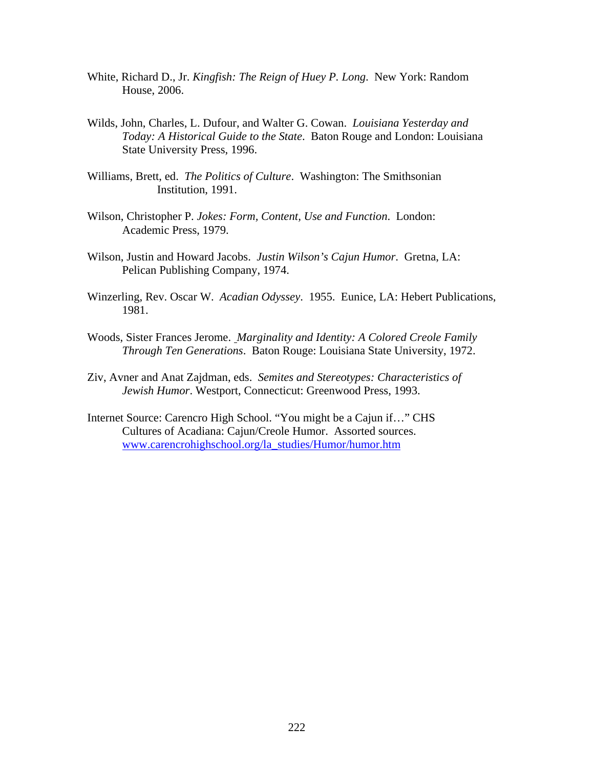- White, Richard D., Jr. *Kingfish: The Reign of Huey P. Long*. New York: Random House, 2006.
- Wilds, John, Charles, L. Dufour, and Walter G. Cowan. *Louisiana Yesterday and Today: A Historical Guide to the State*. Baton Rouge and London: Louisiana State University Press, 1996.
- Williams, Brett, ed. *The Politics of Culture*. Washington: The Smithsonian Institution, 1991.
- Wilson, Christopher P. *Jokes: Form, Content, Use and Function*. London: Academic Press, 1979.
- Wilson, Justin and Howard Jacobs. *Justin Wilson's Cajun Humor*. Gretna, LA: Pelican Publishing Company, 1974.
- Winzerling, Rev. Oscar W. *Acadian Odyssey*. 1955. Eunice, LA: Hebert Publications, 1981.
- Woods, Sister Frances Jerome. *Marginality and Identity: A Colored Creole Family Through Ten Generations*. Baton Rouge: Louisiana State University, 1972.
- Ziv, Avner and Anat Zajdman, eds. *Semites and Stereotypes: Characteristics of Jewish Humor*. Westport, Connecticut: Greenwood Press, 1993.
- Internet Source: Carencro High School. "You might be a Cajun if…" CHS Cultures of Acadiana: Cajun/Creole Humor. Assorted sources. [www.carencrohighschool.org/la\\_studies/Humor/humor.htm](http://www.carencrohighschool.org/la_studies/Humor/humor.htm)